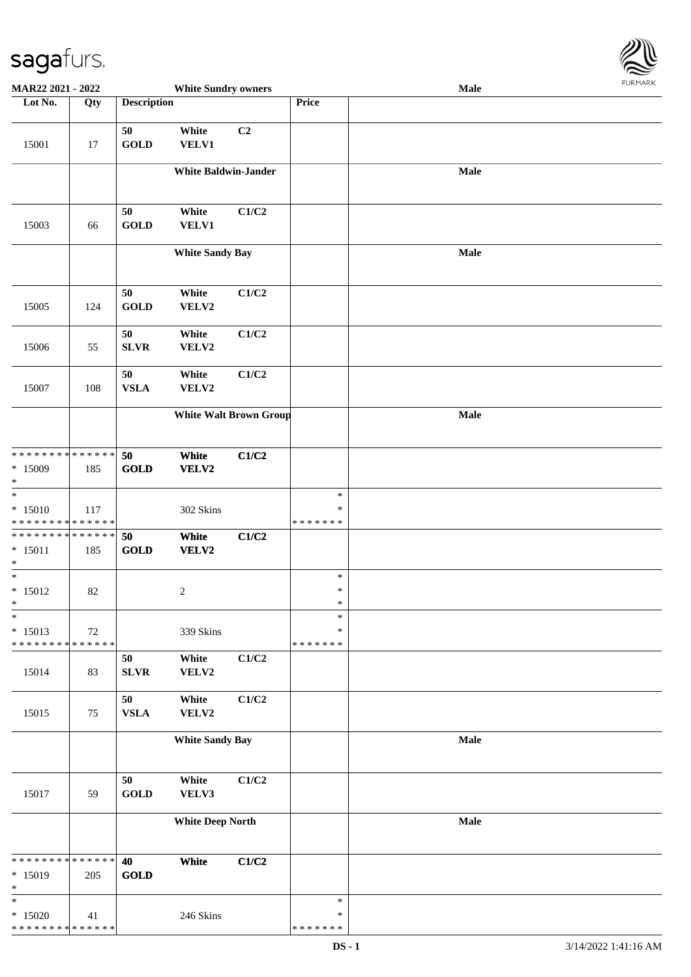

| MAR22 2021 - 2022                                             |        |                    | <b>White Sundry owners</b>  |                               |                                   | Male |  |
|---------------------------------------------------------------|--------|--------------------|-----------------------------|-------------------------------|-----------------------------------|------|--|
| Lot No.                                                       | Qty    | <b>Description</b> |                             |                               | Price                             |      |  |
| 15001                                                         | 17     | 50<br><b>GOLD</b>  | White<br><b>VELV1</b>       | C2                            |                                   |      |  |
|                                                               |        |                    | <b>White Baldwin-Jander</b> |                               |                                   | Male |  |
| 15003                                                         | 66     | 50<br><b>GOLD</b>  | White<br><b>VELV1</b>       | C1/C2                         |                                   |      |  |
|                                                               |        |                    | <b>White Sandy Bay</b>      |                               |                                   | Male |  |
| 15005                                                         | 124    | 50<br><b>GOLD</b>  | White<br>VELV2              | C1/C2                         |                                   |      |  |
| 15006                                                         | 55     | 50<br>${\bf SLVR}$ | White<br>VELV2              | C1/C2                         |                                   |      |  |
| 15007                                                         | 108    | 50<br><b>VSLA</b>  | White<br>VELV2              | C1/C2                         |                                   |      |  |
|                                                               |        |                    |                             | <b>White Walt Brown Group</b> |                                   | Male |  |
| * * * * * * * * * * * * * *<br>$*15009$<br>$\ast$             | 185    | 50<br><b>GOLD</b>  | White<br>VELV2              | C1/C2                         |                                   |      |  |
| $\overline{\ast}$<br>$* 15010$<br>* * * * * * * * * * * * * * | 117    |                    | 302 Skins                   |                               | $\ast$<br>$\ast$<br>* * * * * * * |      |  |
| * * * * * * * * * * * * * * *<br>$* 15011$<br>$\ast$          | 185    | 50<br><b>GOLD</b>  | White<br>VELV2              | C1/C2                         |                                   |      |  |
| $\ast$<br>$* 15012$<br>$\ast$                                 | 82     |                    | $\overline{c}$              |                               | $\ast$<br>$\ast$<br>$\ast$        |      |  |
| $\ast$<br>$* 15013$<br>* * * * * * * * * * * * * *            | $72\,$ |                    | 339 Skins                   |                               | $\ast$<br>∗<br>* * * * * * *      |      |  |
| 15014                                                         | 83     | 50<br><b>SLVR</b>  | White<br>VELV2              | C1/C2                         |                                   |      |  |
| 15015                                                         | 75     | 50<br><b>VSLA</b>  | White<br>VELV2              | C1/C2                         |                                   |      |  |
|                                                               |        |                    | <b>White Sandy Bay</b>      |                               |                                   | Male |  |
| 15017                                                         | 59     | 50<br><b>GOLD</b>  | White<br>VELV3              | C1/C2                         |                                   |      |  |
|                                                               |        |                    | <b>White Deep North</b>     |                               |                                   | Male |  |
| * * * * * * * * * * * * * *<br>* 15019<br>$\ast$              | 205    | 40<br><b>GOLD</b>  | White                       | C1/C2                         |                                   |      |  |
| $\ast$<br>$*15020$<br>* * * * * * * * * * * * * *             | 41     |                    | 246 Skins                   |                               | $\ast$<br>$\ast$<br>* * * * * * * |      |  |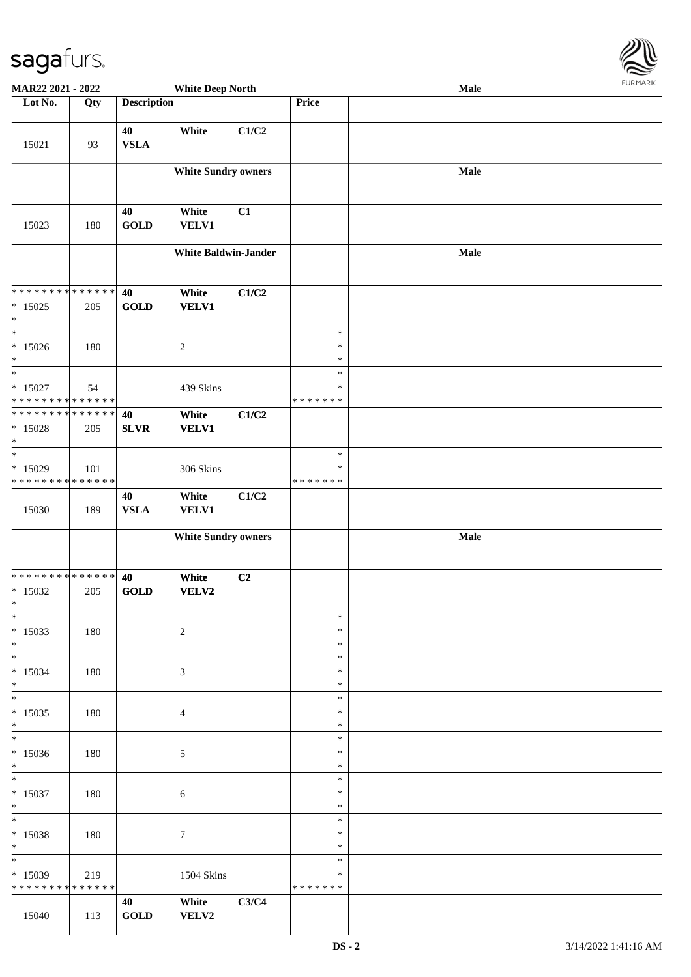

| MAR22 2021 - 2022                        |     |                    | <b>White Deep North</b>     |       |                  | Male |  |
|------------------------------------------|-----|--------------------|-----------------------------|-------|------------------|------|--|
| Lot No.                                  | Qty | <b>Description</b> |                             |       | Price            |      |  |
| 15021                                    | 93  | 40<br><b>VSLA</b>  | White                       | C1/C2 |                  |      |  |
|                                          |     |                    |                             |       |                  |      |  |
|                                          |     |                    | <b>White Sundry owners</b>  |       |                  | Male |  |
| 15023                                    | 180 | 40<br><b>GOLD</b>  | White<br><b>VELV1</b>       | C1    |                  |      |  |
|                                          |     |                    | <b>White Baldwin-Jander</b> |       |                  | Male |  |
| * * * * * * * * * * * * * *              |     | 40                 | White                       | C1/C2 |                  |      |  |
| $*15025$<br>$\ast$                       | 205 | GOLD               | <b>VELV1</b>                |       |                  |      |  |
| $\ast$                                   |     |                    |                             |       | $\ast$           |      |  |
| $*15026$<br>$\ast$                       | 180 |                    | $\sqrt{2}$                  |       | $\ast$<br>$\ast$ |      |  |
| $\overline{\phantom{a}^*}$               |     |                    |                             |       | $\ast$<br>∗      |      |  |
| $* 15027$<br>* * * * * * * * * * * * * * | 54  |                    | 439 Skins                   |       | * * * * * * *    |      |  |
| * * * * * * * * * * * * * * *            |     | 40                 | White                       | C1/C2 |                  |      |  |
| $* 15028$<br>$\ast$                      | 205 | <b>SLVR</b>        | <b>VELV1</b>                |       |                  |      |  |
| $\ast$                                   |     |                    |                             |       | $\ast$<br>$\ast$ |      |  |
| $*15029$<br>* * * * * * * * * * * * * *  | 101 |                    | 306 Skins                   |       | * * * * * * *    |      |  |
|                                          |     | 40                 | White                       | C1/C2 |                  |      |  |
| 15030                                    | 189 | <b>VSLA</b>        | <b>VELV1</b>                |       |                  |      |  |
|                                          |     |                    | <b>White Sundry owners</b>  |       |                  | Male |  |
|                                          |     |                    |                             |       |                  |      |  |
| * * * * * * * * * * * * * * *            |     | 40                 | White                       | C2    |                  |      |  |
| $*15032$<br>$*$                          | 205 | <b>GOLD</b>        | VELV2                       |       |                  |      |  |
| $*$<br>$*15033$                          |     |                    |                             |       | $\ast$<br>$\ast$ |      |  |
| $\ast$                                   | 180 |                    | $\sqrt{2}$                  |       | $\ast$           |      |  |
| $\ast$                                   |     |                    |                             |       | $\ast$           |      |  |
| $* 15034$<br>$*$                         | 180 |                    | 3                           |       | $\ast$<br>$\ast$ |      |  |
| $*$                                      |     |                    |                             |       | $\ast$           |      |  |
| $*15035$<br>$*$                          | 180 |                    | $\overline{4}$              |       | $\ast$<br>$\ast$ |      |  |
| $\overline{\phantom{0}}$                 |     |                    |                             |       | $\ast$           |      |  |
| $*15036$<br>$*$                          | 180 |                    | $\sqrt{5}$                  |       | $\ast$<br>$\ast$ |      |  |
| $\overline{\phantom{0}}$                 |     |                    |                             |       | $\ast$           |      |  |
| $* 15037$<br>$*$                         | 180 |                    | $\sqrt{6}$                  |       | $\ast$<br>$\ast$ |      |  |
| $*$                                      |     |                    |                             |       | $\ast$           |      |  |
| $* 15038$                                | 180 |                    | $\overline{7}$              |       | $\ast$<br>$\ast$ |      |  |
| $*$<br>$\ast$                            |     |                    |                             |       | $\ast$           |      |  |
| * 15039                                  | 219 |                    | <b>1504 Skins</b>           |       | $\ast$           |      |  |
| * * * * * * * * * * * * * *              |     | 40                 | White                       | C3/C4 | *******          |      |  |
| 15040                                    | 113 | <b>GOLD</b>        | VELV2                       |       |                  |      |  |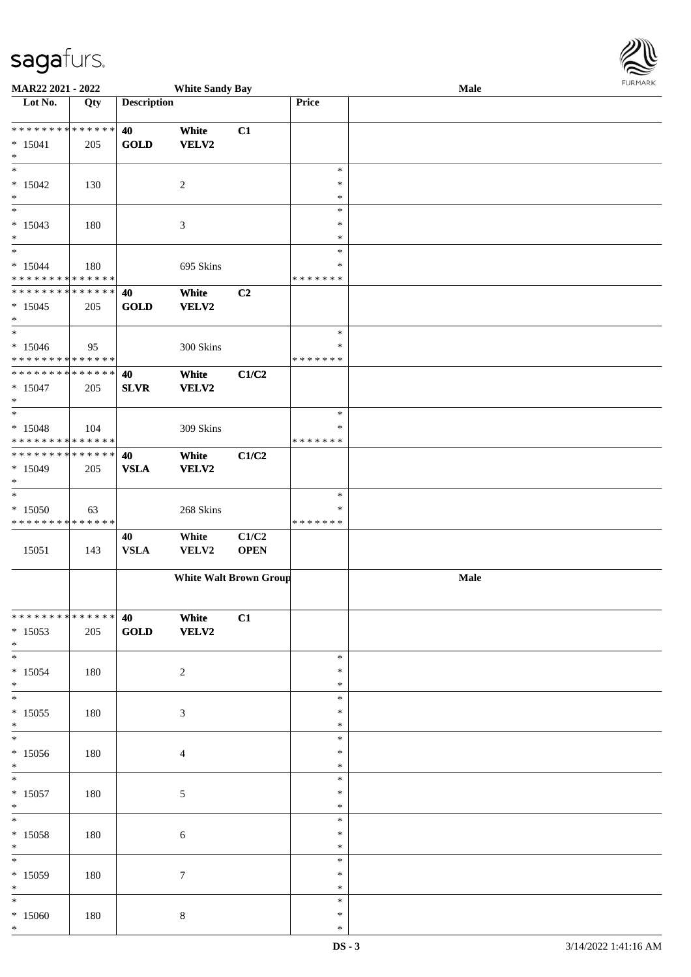\*

| <b>MAR22 2021 - 2022</b>                   |     |                    | <b>White Sandy Bay</b> |                               |               | Male | 1.91111111 |
|--------------------------------------------|-----|--------------------|------------------------|-------------------------------|---------------|------|------------|
| Lot No.                                    | Qty | <b>Description</b> |                        |                               | Price         |      |            |
|                                            |     |                    |                        |                               |               |      |            |
| * * * * * * * * * * * * * * <mark>*</mark> |     | 40                 | White                  | C1                            |               |      |            |
| $* 15041$                                  | 205 | <b>GOLD</b>        | VELV2                  |                               |               |      |            |
| $\ast$                                     |     |                    |                        |                               |               |      |            |
| $\overline{\ast}$                          |     |                    |                        |                               | $\ast$        |      |            |
| $*15042$                                   | 130 |                    | 2                      |                               | $\ast$        |      |            |
| $*$                                        |     |                    |                        |                               | $\ast$        |      |            |
|                                            |     |                    |                        |                               | $\ast$        |      |            |
| $* 15043$                                  | 180 |                    | 3                      |                               | $\ast$        |      |            |
| $\ast$                                     |     |                    |                        |                               | $\ast$        |      |            |
| $\overline{\ast}$                          |     |                    |                        |                               | $\ast$        |      |            |
| $* 15044$                                  | 180 |                    |                        |                               | $\ast$        |      |            |
| * * * * * * * * <mark>* * * * * * *</mark> |     |                    | 695 Skins              |                               | * * * * * * * |      |            |
| * * * * * * * * <mark>* * * * * * *</mark> |     | 40                 |                        |                               |               |      |            |
|                                            |     |                    | White                  | C2                            |               |      |            |
| $*15045$                                   | 205 | <b>GOLD</b>        | <b>VELV2</b>           |                               |               |      |            |
| $*$<br>$\overline{\cdot}$                  |     |                    |                        |                               |               |      |            |
|                                            |     |                    |                        |                               | $\ast$        |      |            |
| $*15046$                                   | 95  |                    | 300 Skins              |                               | $\ast$        |      |            |
| * * * * * * * * <mark>* * * * * * *</mark> |     |                    |                        |                               | * * * * * * * |      |            |
| * * * * * * * * <mark>* * * * * * *</mark> |     | 40                 | White                  | C1/C2                         |               |      |            |
| $*15047$                                   | 205 | <b>SLVR</b>        | <b>VELV2</b>           |                               |               |      |            |
| $\ast$                                     |     |                    |                        |                               |               |      |            |
|                                            |     |                    |                        |                               | $\ast$        |      |            |
| $* 15048$                                  | 104 |                    | 309 Skins              |                               | ∗             |      |            |
| * * * * * * * * <mark>* * * * * * *</mark> |     |                    |                        |                               | * * * * * * * |      |            |
| * * * * * * * * <mark>* * * * * * *</mark> |     | 40                 | White                  | C1/C2                         |               |      |            |
| $* 15049$                                  | 205 | <b>VSLA</b>        | <b>VELV2</b>           |                               |               |      |            |
| $\ast$                                     |     |                    |                        |                               |               |      |            |
| $\overline{\ast}$                          |     |                    |                        |                               | $\ast$        |      |            |
| $*15050$                                   | 63  |                    | 268 Skins              |                               | ∗             |      |            |
| * * * * * * * * <mark>* * * * * * *</mark> |     |                    |                        |                               | * * * * * * * |      |            |
|                                            |     | 40                 | White                  | C1/C2                         |               |      |            |
| 15051                                      | 143 | <b>VSLA</b>        | VELV2                  | <b>OPEN</b>                   |               |      |            |
|                                            |     |                    |                        |                               |               |      |            |
|                                            |     |                    |                        | <b>White Walt Brown Group</b> |               | Male |            |
|                                            |     |                    |                        |                               |               |      |            |
|                                            |     |                    |                        |                               |               |      |            |
| * * * * * * * * <mark>* * * * * * *</mark> |     | 40                 | White                  | C1                            |               |      |            |
| $*15053$                                   |     |                    |                        |                               |               |      |            |
|                                            | 205 | <b>GOLD</b>        | <b>VELV2</b>           |                               |               |      |            |
| $*$                                        |     |                    |                        |                               | $\ast$        |      |            |
|                                            |     |                    |                        |                               |               |      |            |
| $*15054$                                   | 180 |                    | 2                      |                               | $\ast$        |      |            |
| $*$                                        |     |                    |                        |                               | $\ast$        |      |            |
| $\ddot{x}$                                 |     |                    |                        |                               | $\ast$        |      |            |
| $* 15055$                                  | 180 |                    | 3                      |                               | ∗             |      |            |
| $*$                                        |     |                    |                        |                               | $\ast$        |      |            |
| $\overline{\ast}$                          |     |                    |                        |                               | $\ast$        |      |            |
| $* 15056$                                  | 180 |                    | 4                      |                               | ∗             |      |            |
| $*$                                        |     |                    |                        |                               | $\ast$        |      |            |
| $\overline{\ast}$                          |     |                    |                        |                               | $\ast$        |      |            |
| $* 15057$                                  | 180 |                    | $5\,$                  |                               | ∗             |      |            |
| $*$                                        |     |                    |                        |                               | $\ast$        |      |            |
| $\ddot{x}$                                 |     |                    |                        |                               | $\ast$        |      |            |
| $* 15058$                                  | 180 |                    | $\sqrt{6}$             |                               | $\ast$        |      |            |
| $*$                                        |     |                    |                        |                               | $\ast$        |      |            |
| $\overline{\mathbf{r}}$                    |     |                    |                        |                               | $\ast$        |      |            |
| $*15059$                                   | 180 |                    | $\tau$                 |                               | $\ast$        |      |            |
| $*$                                        |     |                    |                        |                               | $\ast$        |      |            |
|                                            |     |                    |                        |                               | $\ast$        |      |            |
| $*15060$                                   | 180 |                    | $\,8\,$                |                               | ∗             |      |            |
| $\ast$                                     |     |                    |                        |                               | $\ast$        |      |            |
|                                            |     |                    |                        |                               |               |      |            |

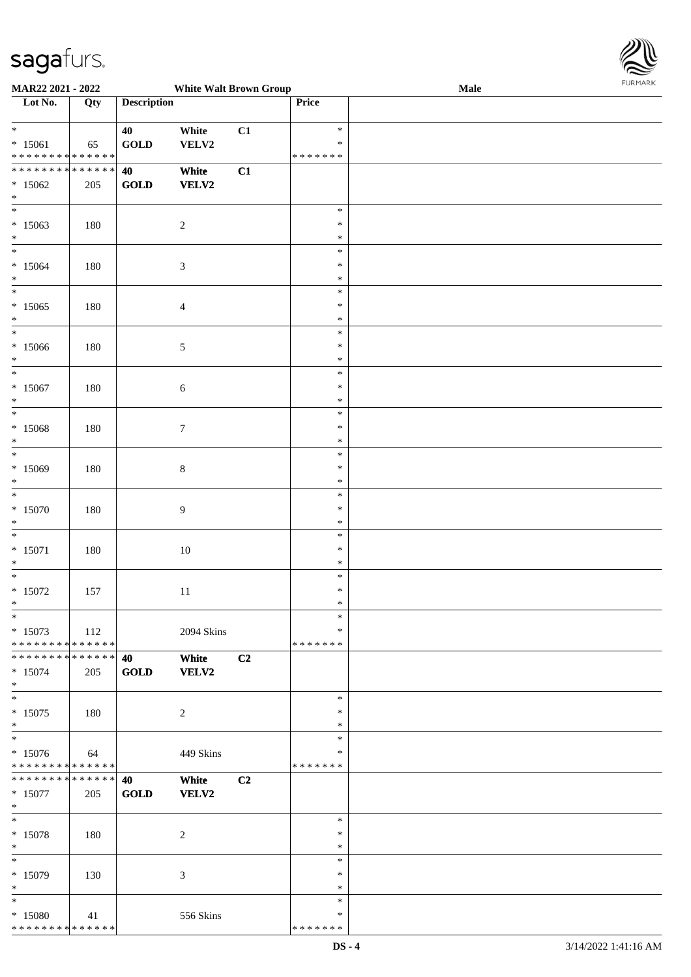

| MAR22 2021 - 2022             |     |                    | <b>White Walt Brown Group</b> |                |               | Male |
|-------------------------------|-----|--------------------|-------------------------------|----------------|---------------|------|
| Lot No.                       | Qty | <b>Description</b> |                               |                | Price         |      |
|                               |     |                    |                               |                |               |      |
| $\ast$                        |     | 40                 | White                         | C1             | $\ast$        |      |
|                               |     |                    |                               |                |               |      |
| $* 15061$                     | 65  | <b>GOLD</b>        | VELV2                         |                | $\ast$        |      |
| * * * * * * * * * * * * * *   |     |                    |                               |                | * * * * * * * |      |
| * * * * * * * * * * * * * * * |     | 40                 | White                         | C1             |               |      |
| $*15062$                      | 205 | GOLD               | <b>VELV2</b>                  |                |               |      |
| $\ast$                        |     |                    |                               |                |               |      |
| $\overline{\phantom{0}}$      |     |                    |                               |                | $\ast$        |      |
|                               |     |                    |                               |                |               |      |
| $*15063$                      | 180 |                    | $\sqrt{2}$                    |                | $\ast$        |      |
| $*$                           |     |                    |                               |                | $\ast$        |      |
| $\ast$                        |     |                    |                               |                | $\ast$        |      |
| $*15064$                      | 180 |                    | $\mathfrak{Z}$                |                | $\ast$        |      |
| $\ast$                        |     |                    |                               |                | $\ast$        |      |
| $\ast$                        |     |                    |                               |                | $\ast$        |      |
|                               |     |                    |                               |                |               |      |
| $*15065$                      | 180 |                    | $\overline{4}$                |                | $\ast$        |      |
| $\ast$                        |     |                    |                               |                | $\ast$        |      |
| $*$                           |     |                    |                               |                | $\ast$        |      |
| $*15066$                      | 180 |                    | $\sqrt{5}$                    |                | $\ast$        |      |
| $\ast$                        |     |                    |                               |                | $\ast$        |      |
| $\ast$                        |     |                    |                               |                | $\ast$        |      |
|                               |     |                    |                               |                | $\ast$        |      |
| $*15067$                      | 180 |                    | $\sqrt{6}$                    |                |               |      |
| $\ast$                        |     |                    |                               |                | $\ast$        |      |
| $\ast$                        |     |                    |                               |                | $\ast$        |      |
| $*15068$                      | 180 |                    | $\tau$                        |                | $\ast$        |      |
| $\ast$                        |     |                    |                               |                | $\ast$        |      |
| $\ast$                        |     |                    |                               |                | $\ast$        |      |
| $*15069$                      | 180 |                    | $\,$ 8 $\,$                   |                | $\ast$        |      |
| $\ast$                        |     |                    |                               |                | $\ast$        |      |
|                               |     |                    |                               |                |               |      |
| $\ast$                        |     |                    |                               |                | $\ast$        |      |
| $*15070$                      | 180 |                    | $\boldsymbol{9}$              |                | $\ast$        |      |
| $\ast$                        |     |                    |                               |                | $\ast$        |      |
| $\ast$                        |     |                    |                               |                | $\ast$        |      |
| $* 15071$                     | 180 |                    | $10\,$                        |                | $\ast$        |      |
| $\ast$                        |     |                    |                               |                | $\ast$        |      |
| $*$                           |     |                    |                               |                | $\ast$        |      |
|                               |     |                    |                               |                |               |      |
| $*15072$                      | 157 |                    | 11                            |                | $\ast$        |      |
| $*$                           |     |                    |                               |                | $\ast$        |      |
| $*$                           |     |                    |                               |                | $\ast$        |      |
| $* 15073$                     | 112 |                    | 2094 Skins                    |                | $\ast$        |      |
| * * * * * * * * * * * * * * * |     |                    |                               |                | *******       |      |
| * * * * * * * * * * * * * * * |     | 40                 | White                         | C <sub>2</sub> |               |      |
|                               |     |                    | <b>VELV2</b>                  |                |               |      |
| $* 15074$                     | 205 | <b>GOLD</b>        |                               |                |               |      |
| $*$                           |     |                    |                               |                |               |      |
| $*$                           |     |                    |                               |                | $\ast$        |      |
| $* 15075$                     | 180 |                    | $\overline{c}$                |                | $\ast$        |      |
| $*$                           |     |                    |                               |                | $\ast$        |      |
| $\overline{\phantom{0}}$      |     |                    |                               |                | $\ast$        |      |
| $* 15076$                     | 64  |                    | 449 Skins                     |                | ∗             |      |
| * * * * * * * * * * * * * *   |     |                    |                               |                | *******       |      |
| * * * * * * * * * * * * * * * |     | 40                 |                               |                |               |      |
|                               |     |                    | White                         | C <sub>2</sub> |               |      |
| $* 15077$                     | 205 | <b>GOLD</b>        | VELV2                         |                |               |      |
| $*$                           |     |                    |                               |                |               |      |
| $*$                           |     |                    |                               |                | $\ast$        |      |
| $* 15078$                     | 180 |                    | $\overline{c}$                |                | $\ast$        |      |
| $*$                           |     |                    |                               |                | $\ast$        |      |
| $\ast$                        |     |                    |                               |                | $\ast$        |      |
|                               |     |                    |                               |                | $\ast$        |      |
| $* 15079$                     | 130 |                    | 3                             |                |               |      |
| $*$                           |     |                    |                               |                | $\ast$        |      |
| $*$                           |     |                    |                               |                | $\ast$        |      |
| $*15080$                      | 41  |                    | 556 Skins                     |                | $\ast$        |      |
| * * * * * * * * * * * * * *   |     |                    |                               |                | *******       |      |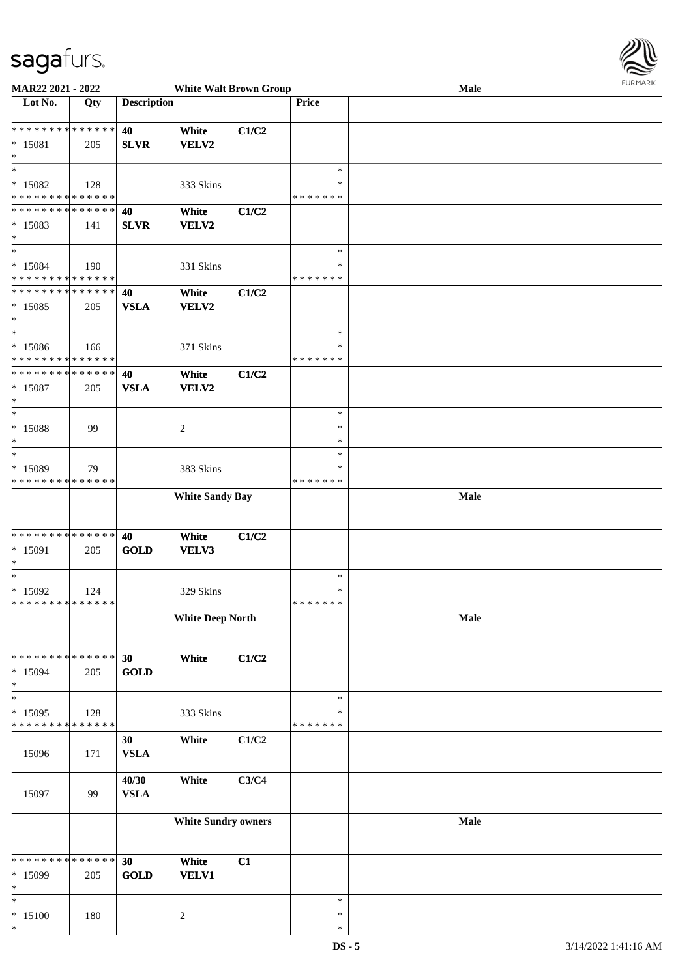

| Lot No.<br><b>Description</b><br>Price<br>Qty<br>******** <mark>******</mark><br>40<br>White<br>C1/C2<br>$* 15081$<br><b>SLVR</b><br>VELV2<br>205<br>$\ast$<br>$\ast$<br>$\ast$ |  |
|---------------------------------------------------------------------------------------------------------------------------------------------------------------------------------|--|
|                                                                                                                                                                                 |  |
|                                                                                                                                                                                 |  |
|                                                                                                                                                                                 |  |
|                                                                                                                                                                                 |  |
|                                                                                                                                                                                 |  |
|                                                                                                                                                                                 |  |
| $*15082$<br>128<br>333 Skins<br>∗                                                                                                                                               |  |
| * * * * * * * * <mark>* * * * * * *</mark><br>*******                                                                                                                           |  |
| * * * * * * * * * * * * * * *<br>40<br>White<br>C1/C2                                                                                                                           |  |
| $*15083$<br><b>SLVR</b><br>VELV2<br>141                                                                                                                                         |  |
| $\ast$                                                                                                                                                                          |  |
| $*$<br>$\ast$                                                                                                                                                                   |  |
| $* 15084$<br>331 Skins<br>$\ast$<br>190                                                                                                                                         |  |
| * * * * * * * * <mark>* * * * * *</mark><br>* * * * * * *                                                                                                                       |  |
| * * * * * * * * * * * * * * *<br>40<br>White<br>C1/C2                                                                                                                           |  |
| $*15085$<br><b>VSLA</b><br>VELV2<br>205                                                                                                                                         |  |
| $\ast$<br>$\ast$<br>$\ast$                                                                                                                                                      |  |
| $\ast$                                                                                                                                                                          |  |
| $*15086$<br>371 Skins<br>166<br>* * * * * * * * <mark>* * * * * * *</mark><br>* * * * * * *                                                                                     |  |
| * * * * * * * * * * * * * * *<br>40                                                                                                                                             |  |
| White<br>C1/C2<br><b>VSLA</b><br>$* 15087$<br>VELV2                                                                                                                             |  |
| 205<br>$\ast$                                                                                                                                                                   |  |
| $\ast$<br>$\ast$                                                                                                                                                                |  |
| * 15088<br>99<br>$\ast$                                                                                                                                                         |  |
| 2<br>$\ast$<br>$\ast$                                                                                                                                                           |  |
| $\ast$<br>$\ast$                                                                                                                                                                |  |
| * 15089<br>383 Skins<br>79<br>$\ast$                                                                                                                                            |  |
|                                                                                                                                                                                 |  |
| *******                                                                                                                                                                         |  |
|                                                                                                                                                                                 |  |
| * * * * * * * * * * * * * *<br><b>White Sandy Bay</b><br><b>Male</b>                                                                                                            |  |
|                                                                                                                                                                                 |  |
|                                                                                                                                                                                 |  |
| * * * * * * * * <mark>* * * * * * *</mark><br>White<br>C1/C2<br>40                                                                                                              |  |
| <b>GOLD</b><br>VELV3<br>205                                                                                                                                                     |  |
| $\ast$                                                                                                                                                                          |  |
| 329 Skins<br>$\ast$<br>124                                                                                                                                                      |  |
| *******                                                                                                                                                                         |  |
| <b>White Deep North</b><br>Male                                                                                                                                                 |  |
|                                                                                                                                                                                 |  |
|                                                                                                                                                                                 |  |
| White<br>C1/C2<br>30                                                                                                                                                            |  |
| $* 15091$<br>$\ast$<br>$\ast$<br>$*15092$<br>* * * * * * * * <mark>* * * * * *</mark><br>* * * * * * * * <mark>* * * * * * *</mark><br>$*15094$<br><b>GOLD</b><br>205           |  |
|                                                                                                                                                                                 |  |
| $\ast$<br>$\ast$<br>$\ast$                                                                                                                                                      |  |
| $*15095$<br>333 Skins<br>128<br>$\ast$                                                                                                                                          |  |
| * * * * * * * * <mark>* * * * * * *</mark><br>* * * * * * *                                                                                                                     |  |
| C1/C2<br>White<br>30                                                                                                                                                            |  |
| 15096<br><b>VSLA</b><br>171                                                                                                                                                     |  |
|                                                                                                                                                                                 |  |
| 40/30<br>White<br>C3/C4                                                                                                                                                         |  |
| <b>VSLA</b><br>15097<br>99                                                                                                                                                      |  |
|                                                                                                                                                                                 |  |
| <b>White Sundry owners</b><br>Male                                                                                                                                              |  |
|                                                                                                                                                                                 |  |
|                                                                                                                                                                                 |  |
| * * * * * * * * * * * * * * *<br>30<br>White<br>C1                                                                                                                              |  |
| <b>GOLD</b><br>$*15099$<br><b>VELV1</b><br>205                                                                                                                                  |  |
| $\ast$<br>$\ast$<br>$\ast$                                                                                                                                                      |  |
| $* 15100$<br>180<br>$\boldsymbol{2}$<br>$\ast$                                                                                                                                  |  |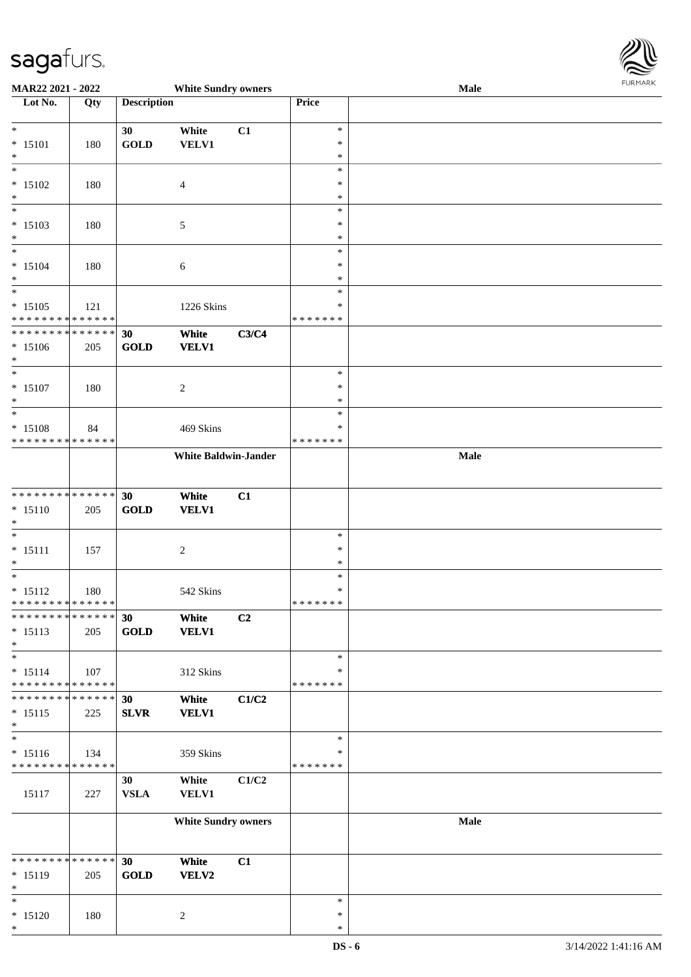

| MAR22 2021 - 2022                                       |     |                    | <b>White Sundry owners</b>  |       |                         | Male | <b>FUNITANN</b> |
|---------------------------------------------------------|-----|--------------------|-----------------------------|-------|-------------------------|------|-----------------|
| Lot No.                                                 | Qty | <b>Description</b> |                             |       | Price                   |      |                 |
|                                                         |     |                    |                             |       |                         |      |                 |
| $*$<br>$* 15101$                                        |     | 30<br><b>GOLD</b>  | White                       | C1    | $\ast$<br>$\ast$        |      |                 |
| $\ast$                                                  | 180 |                    | VELV1                       |       | $\ast$                  |      |                 |
| $\overline{\phantom{0}}$                                |     |                    |                             |       | $\ast$                  |      |                 |
| $* 15102$                                               | 180 |                    | $\overline{4}$              |       | $\ast$                  |      |                 |
| $*$                                                     |     |                    |                             |       | $\ast$                  |      |                 |
| $\overline{\phantom{0}}$                                |     |                    |                             |       | $\ast$                  |      |                 |
| $* 15103$                                               | 180 |                    | $\mathfrak{S}$              |       | $\ast$                  |      |                 |
| $*$                                                     |     |                    |                             |       | $\ast$                  |      |                 |
|                                                         |     |                    |                             |       | $\ast$                  |      |                 |
| $* 15104$                                               | 180 |                    | $6\phantom{1}6$             |       | $\ast$                  |      |                 |
| $\ast$<br>$\overline{\phantom{0}}$                      |     |                    |                             |       | $\ast$<br>$\ast$        |      |                 |
| $* 15105$                                               | 121 |                    | 1226 Skins                  |       | $\ast$                  |      |                 |
| * * * * * * * * <mark>* * * * * * *</mark>              |     |                    |                             |       | * * * * * * *           |      |                 |
| * * * * * * * * <mark>* * * * * * *</mark>              |     | 30                 | White                       | C3/C4 |                         |      |                 |
| $* 15106$                                               | 205 | <b>GOLD</b>        | <b>VELV1</b>                |       |                         |      |                 |
| $*$                                                     |     |                    |                             |       |                         |      |                 |
| $\overline{\phantom{0}}$                                |     |                    |                             |       | $\ast$                  |      |                 |
| $* 15107$                                               | 180 |                    | $\sqrt{2}$                  |       | $\ast$                  |      |                 |
| $\ast$<br>$\overline{\phantom{0}}$                      |     |                    |                             |       | $\ast$                  |      |                 |
|                                                         |     |                    |                             |       | $\ast$<br>$\ast$        |      |                 |
| * 15108<br>* * * * * * * * <mark>* * * * * * *</mark>   | 84  |                    | 469 Skins                   |       | * * * * * * *           |      |                 |
|                                                         |     |                    | <b>White Baldwin-Jander</b> |       |                         | Male |                 |
|                                                         |     |                    |                             |       |                         |      |                 |
|                                                         |     |                    |                             |       |                         |      |                 |
|                                                         |     | 30                 | White                       | C1    |                         |      |                 |
| $* 15110$                                               | 205 | <b>GOLD</b>        | <b>VELV1</b>                |       |                         |      |                 |
| $\ast$<br>$\overline{\phantom{0}}$                      |     |                    |                             |       |                         |      |                 |
| $* 15111$                                               |     |                    |                             |       | $\ast$<br>$\ast$        |      |                 |
| $*$                                                     | 157 |                    | $\overline{c}$              |       | $\ast$                  |      |                 |
| $*$                                                     |     |                    |                             |       | $\ast$                  |      |                 |
| $* 15112$                                               | 180 |                    | 542 Skins                   |       | $\ast$                  |      |                 |
| * * * * * * * * <mark>* * * * * * *</mark>              |     |                    |                             |       | * * * * * * *           |      |                 |
| * * * * * * * * <mark>* * * * * * *</mark>              |     | 30                 | White                       | C2    |                         |      |                 |
| $* 15113$                                               | 205 | <b>GOLD</b>        | <b>VELV1</b>                |       |                         |      |                 |
| $*$<br>$*$                                              |     |                    |                             |       |                         |      |                 |
|                                                         |     |                    |                             |       | $\ast$                  |      |                 |
| $* 15114$<br>* * * * * * * * <mark>* * * * * * *</mark> | 107 |                    | 312 Skins                   |       | $\ast$<br>* * * * * * * |      |                 |
| * * * * * * * * <mark>* * * * * * *</mark>              |     | 30                 | White                       | C1/C2 |                         |      |                 |
| $* 15115$                                               | 225 | <b>SLVR</b>        | <b>VELV1</b>                |       |                         |      |                 |
| $\ast$                                                  |     |                    |                             |       |                         |      |                 |
| $_{*}$                                                  |     |                    |                             |       | $\ast$                  |      |                 |
| $* 15116$                                               | 134 |                    | 359 Skins                   |       | ∗                       |      |                 |
| * * * * * * * * * * * * * *                             |     |                    |                             |       | * * * * * * *           |      |                 |
|                                                         |     | 30                 | White                       | C1/C2 |                         |      |                 |
| 15117                                                   | 227 | <b>VSLA</b>        | <b>VELV1</b>                |       |                         |      |                 |
|                                                         |     |                    | <b>White Sundry owners</b>  |       |                         | Male |                 |
|                                                         |     |                    |                             |       |                         |      |                 |
|                                                         |     |                    |                             |       |                         |      |                 |
| * * * * * * * * <mark>* * * * * *</mark>                |     | 30                 | White                       | C1    |                         |      |                 |
| * 15119                                                 | 205 | <b>GOLD</b>        | <b>VELV2</b>                |       |                         |      |                 |
| $*$                                                     |     |                    |                             |       |                         |      |                 |
| $*$                                                     |     |                    |                             |       | $\ast$                  |      |                 |
| $* 15120$<br>$*$                                        | 180 |                    | 2                           |       | $\ast$<br>$\ast$        |      |                 |
|                                                         |     |                    |                             |       |                         |      |                 |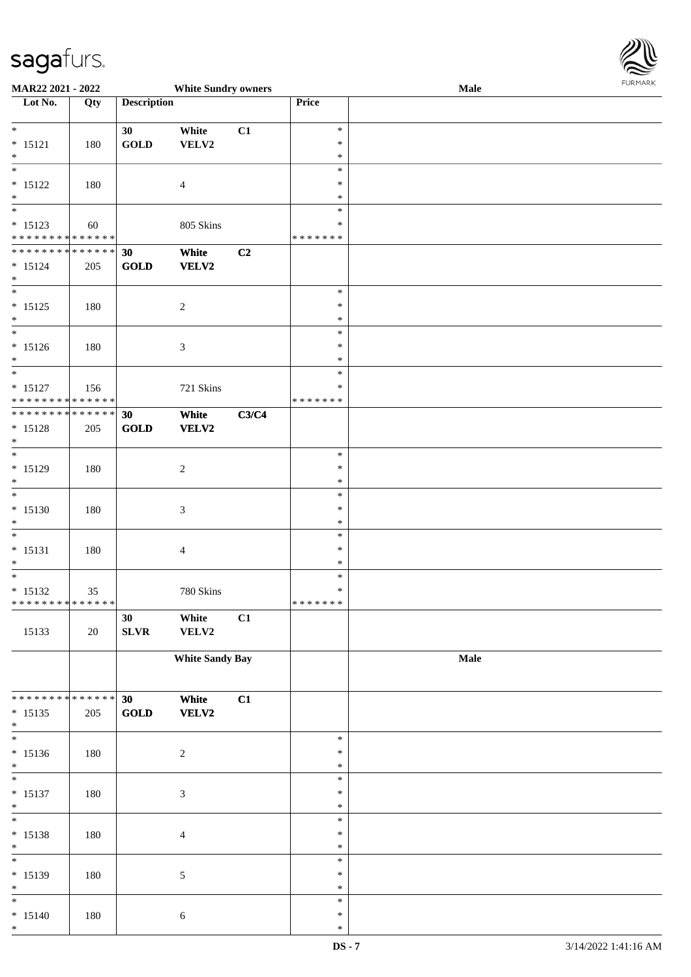

| MAR22 2021 - 2022                          |     |                                | <b>White Sundry owners</b> |       |               | <b>Male</b> |  |
|--------------------------------------------|-----|--------------------------------|----------------------------|-------|---------------|-------------|--|
| Lot No.                                    | Qty | <b>Description</b>             |                            |       | Price         |             |  |
|                                            |     |                                |                            |       |               |             |  |
| $*$                                        |     | 30                             | White                      | C1    | $\ast$        |             |  |
| $* 15121$                                  | 180 | $\operatorname{GOLD}$          | VELV2                      |       | $\ast$        |             |  |
| $\ast$                                     |     |                                |                            |       | $\ast$        |             |  |
| $\overline{\phantom{0}}$                   |     |                                |                            |       | $\ast$        |             |  |
| $* 15122$                                  | 180 |                                | 4                          |       | $\ast$        |             |  |
| $\ast$                                     |     |                                |                            |       | $\ast$        |             |  |
| $\overline{\phantom{0}}$                   |     |                                |                            |       | $\ast$        |             |  |
| $* 15123$                                  | 60  |                                | 805 Skins                  |       | $\ast$        |             |  |
| ******** <mark>******</mark>               |     |                                |                            |       | * * * * * * * |             |  |
| ******** <mark>******</mark>               |     | 30                             | White                      | C2    |               |             |  |
| $* 15124$                                  | 205 | GOLD                           | VELV2                      |       |               |             |  |
| $*$                                        |     |                                |                            |       |               |             |  |
| $\overline{\phantom{0}}$                   |     |                                |                            |       | $\ast$        |             |  |
| $* 15125$                                  | 180 |                                | $\boldsymbol{2}$           |       | $\ast$        |             |  |
| $*$                                        |     |                                |                            |       | $\ast$        |             |  |
| $\overline{\phantom{0}}$                   |     |                                |                            |       | $\ast$        |             |  |
| $* 15126$                                  | 180 |                                | 3                          |       | $\ast$        |             |  |
| $*$                                        |     |                                |                            |       | *             |             |  |
| $*$                                        |     |                                |                            |       | $\ast$        |             |  |
| $* 15127$                                  | 156 |                                | 721 Skins                  |       | ∗             |             |  |
| * * * * * * * * * * * * * *                |     |                                |                            |       | * * * * * * * |             |  |
| * * * * * * * * * * * * * * *              |     | 30                             | White                      | C3/C4 |               |             |  |
| $* 15128$                                  | 205 | GOLD                           | VELV2                      |       |               |             |  |
| $\ast$                                     |     |                                |                            |       |               |             |  |
| $\overline{\ast}$                          |     |                                |                            |       | $\ast$        |             |  |
| $* 15129$                                  | 180 |                                | $\boldsymbol{2}$           |       | $\ast$        |             |  |
| $*$                                        |     |                                |                            |       | $\ast$        |             |  |
| $*$                                        |     |                                |                            |       | $\ast$        |             |  |
| $* 15130$                                  | 180 |                                | $\mathfrak{Z}$             |       | $\ast$        |             |  |
| $*$                                        |     |                                |                            |       | $\ast$        |             |  |
| $*$                                        |     |                                |                            |       | $\ast$        |             |  |
| $* 15131$                                  | 180 |                                | 4                          |       | $\ast$        |             |  |
| $*$                                        |     |                                |                            |       | $\ast$        |             |  |
| $*$                                        |     |                                |                            |       | $\ast$        |             |  |
| $* 15132$                                  | 35  |                                | 780 Skins                  |       | $\ast$        |             |  |
| ******** <mark>******</mark>               |     |                                |                            |       | *******       |             |  |
|                                            |     | 30                             | White                      | C1    |               |             |  |
| 15133                                      | 20  | SLVR                           | VELV2                      |       |               |             |  |
|                                            |     |                                |                            |       |               |             |  |
|                                            |     |                                | <b>White Sandy Bay</b>     |       |               | Male        |  |
|                                            |     |                                |                            |       |               |             |  |
|                                            |     |                                |                            |       |               |             |  |
| * * * * * * * * <mark>* * * * * * *</mark> |     | 30                             | White                      | C1    |               |             |  |
| $* 15135$                                  | 205 | $\operatorname{\mathbf{GOLD}}$ | VELV2                      |       |               |             |  |
| $*$                                        |     |                                |                            |       |               |             |  |
| $\overline{\phantom{0}}$                   |     |                                |                            |       | $\ast$        |             |  |
| $* 15136$                                  | 180 |                                | $\boldsymbol{2}$           |       | $\ast$        |             |  |
| $*$                                        |     |                                |                            |       | $\ast$        |             |  |
| $*$                                        |     |                                |                            |       | $\ast$        |             |  |
| $* 15137$                                  | 180 |                                | $\mathfrak{Z}$             |       | $\ast$        |             |  |
| $*$                                        |     |                                |                            |       | $\ast$        |             |  |
| $*$                                        |     |                                |                            |       | $\ast$        |             |  |
| $* 15138$                                  | 180 |                                | $\overline{4}$             |       | $\ast$        |             |  |
| $*$                                        |     |                                |                            |       | $\ast$        |             |  |
| $\overline{\ast}$                          |     |                                |                            |       | $\ast$        |             |  |
| $* 15139$                                  | 180 |                                | 5                          |       | $\ast$        |             |  |
| $*$                                        |     |                                |                            |       | $\ast$        |             |  |
| $\overline{\ast}$                          |     |                                |                            |       | $\ast$        |             |  |
| $* 15140$                                  | 180 |                                | 6                          |       | $\ast$        |             |  |
| $\ast$                                     |     |                                |                            |       | $\ast$        |             |  |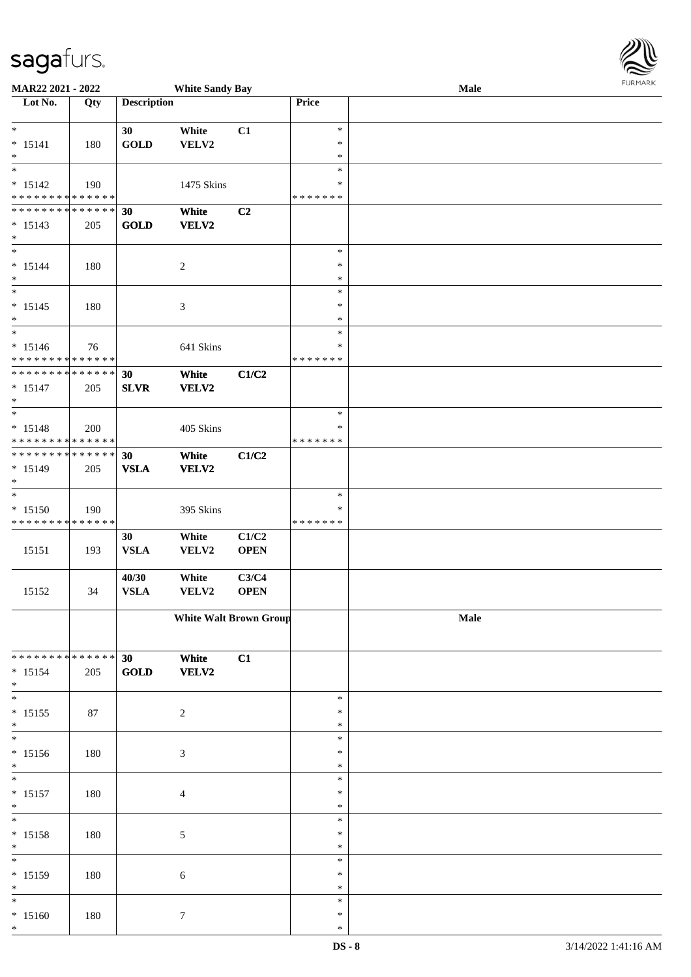| MAR22 2021 - 2022                                                                   |     |                      | <b>White Sandy Bay</b>        |                      |                                   | Male | <b>FURMARK</b> |
|-------------------------------------------------------------------------------------|-----|----------------------|-------------------------------|----------------------|-----------------------------------|------|----------------|
| Lot No.                                                                             | Qty | <b>Description</b>   |                               |                      | Price                             |      |                |
| $*$<br>$* 15141$<br>$\ast$                                                          | 180 | 30<br><b>GOLD</b>    | White<br>VELV2                | C1                   | $\ast$<br>$\ast$<br>$\ast$        |      |                |
| $\overline{\phantom{0}}$<br>$* 15142$<br>* * * * * * * * <mark>* * * * * * *</mark> | 190 |                      | 1475 Skins                    |                      | $\ast$<br>$\ast$<br>* * * * * * * |      |                |
| * * * * * * * * <mark>* * * * * * *</mark><br>$* 15143$<br>$*$                      | 205 | 30<br><b>GOLD</b>    | White<br>VELV2                | C <sub>2</sub>       |                                   |      |                |
| $*$<br>$* 15144$<br>$*$                                                             | 180 |                      | $\overline{c}$                |                      | $\ast$<br>$\ast$<br>$\ast$        |      |                |
| $*$<br>$* 15145$<br>$\ast$                                                          | 180 |                      | 3                             |                      | $\ast$<br>$\ast$<br>$\ast$        |      |                |
| $* 15146$<br>* * * * * * * * <mark>* * * * * * *</mark>                             | 76  |                      | 641 Skins                     |                      | $\ast$<br>*<br>* * * * * * *      |      |                |
| * * * * * * * * <mark>* * * * * * *</mark><br>$* 15147$<br>$*$                      | 205 | 30<br><b>SLVR</b>    | White<br><b>VELV2</b>         | C1/C2                |                                   |      |                |
| $* 15148$<br>* * * * * * * * <mark>* * * * * * *</mark>                             | 200 |                      | 405 Skins                     |                      | $\ast$<br>$\ast$<br>* * * * * * * |      |                |
| * * * * * * * * <mark>* * * * * * *</mark><br>$* 15149$<br>$*$                      | 205 | 30<br><b>VSLA</b>    | White<br><b>VELV2</b>         | C1/C2                |                                   |      |                |
| $* 15150$<br>* * * * * * * * * * * * * *                                            | 190 |                      | 395 Skins                     |                      | $\ast$<br>$\ast$<br>* * * * * * * |      |                |
| 15151                                                                               | 193 | 30<br><b>VSLA</b>    | White<br>VELV2                | C1/C2<br><b>OPEN</b> |                                   |      |                |
| 15152                                                                               | 34  | 40/30<br><b>VSLA</b> | White<br>VELV2                | C3/C4<br><b>OPEN</b> |                                   |      |                |
|                                                                                     |     |                      | <b>White Walt Brown Group</b> |                      |                                   | Male |                |
| * * * * * * * * * * * * * * *<br>$* 15154$<br>$\ast$                                | 205 | 30<br><b>GOLD</b>    | White<br>VELV2                | C1                   |                                   |      |                |
| $*$<br>$* 15155$<br>$*$                                                             | 87  |                      | $\overline{c}$                |                      | $\ast$<br>$\ast$<br>$\ast$        |      |                |
| $*$<br>$* 15156$<br>$*$                                                             | 180 |                      | $\mathfrak{Z}$                |                      | $\ast$<br>$\ast$<br>$\ast$        |      |                |
| $\ast$<br>$* 15157$<br>$\ast$                                                       | 180 |                      | $\overline{\mathcal{A}}$      |                      | $\ast$<br>$\ast$<br>$\ast$        |      |                |
| $*$<br>$* 15158$<br>$\ast$                                                          | 180 |                      | 5                             |                      | $\ast$<br>$\ast$<br>$\ast$        |      |                |
| $\ast$<br>$* 15159$<br>$\ast$                                                       | 180 |                      | 6                             |                      | $\ast$<br>$\ast$<br>$\ast$        |      |                |
| $*$<br>$* 15160$<br>$\ast$                                                          | 180 |                      | 7                             |                      | $\ast$<br>$\ast$<br>$\ast$        |      |                |

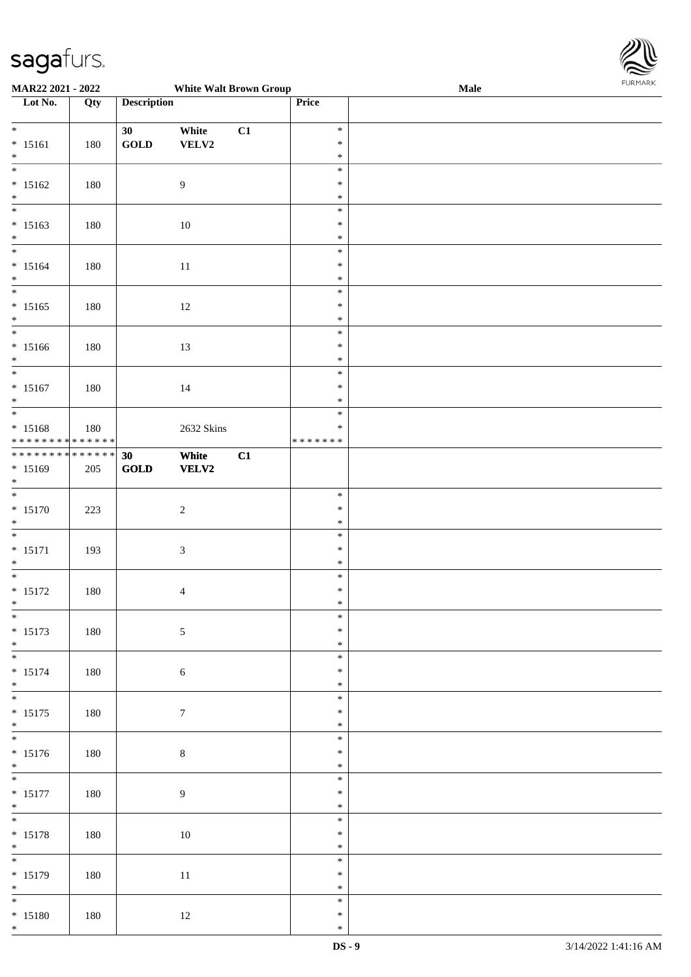

| <b>MAR22 2021 - 2022</b>                   |     |                                | <b>White Walt Brown Group</b> |    |         | Male |  |
|--------------------------------------------|-----|--------------------------------|-------------------------------|----|---------|------|--|
| Lot No.                                    | Qty | <b>Description</b>             |                               |    | Price   |      |  |
|                                            |     |                                |                               |    |         |      |  |
| $\ast$                                     |     | 30                             | White                         | C1 | $\ast$  |      |  |
| $* 15161$                                  | 180 | $\operatorname{GOLD}$          | VELV2                         |    | $\ast$  |      |  |
| $*$                                        |     |                                |                               |    | $\ast$  |      |  |
|                                            |     |                                |                               |    | $\ast$  |      |  |
| $* 15162$                                  |     |                                | $\overline{9}$                |    | $\ast$  |      |  |
|                                            | 180 |                                |                               |    | $\ast$  |      |  |
| $*$                                        |     |                                |                               |    |         |      |  |
|                                            |     |                                |                               |    | $\ast$  |      |  |
| $* 15163$                                  | 180 |                                | $10\,$                        |    | $\ast$  |      |  |
| $\ast$                                     |     |                                |                               |    | $\ast$  |      |  |
| $\overline{\ast}$                          |     |                                |                               |    | $\ast$  |      |  |
| $* 15164$                                  | 180 |                                | 11                            |    | $\ast$  |      |  |
| $*$                                        |     |                                |                               |    | $\ast$  |      |  |
| $\overline{\ast}$                          |     |                                |                               |    | $\ast$  |      |  |
| $* 15165$                                  | 180 |                                | 12                            |    | $\ast$  |      |  |
| $*$                                        |     |                                |                               |    | $\ast$  |      |  |
| $\overline{\phantom{0}}$                   |     |                                |                               |    | $\ast$  |      |  |
| $* 15166$                                  | 180 |                                | 13                            |    | $\ast$  |      |  |
|                                            |     |                                |                               |    | $\ast$  |      |  |
| $*$<br>$\overline{\ast}$                   |     |                                |                               |    | $\ast$  |      |  |
|                                            |     |                                |                               |    |         |      |  |
| $* 15167$                                  | 180 |                                | 14                            |    | $\ast$  |      |  |
| $\ast$                                     |     |                                |                               |    | $\ast$  |      |  |
|                                            |     |                                |                               |    | $\ast$  |      |  |
| $* 15168$                                  | 180 |                                | 2632 Skins                    |    | $\ast$  |      |  |
| * * * * * * * * <mark>* * * * * * *</mark> |     |                                |                               |    | ******* |      |  |
| ******** <mark>******</mark>               |     | 30                             | White                         | C1 |         |      |  |
| $* 15169$                                  | 205 | $\operatorname{\mathbf{GOLD}}$ | VELV2                         |    |         |      |  |
| $\ast$                                     |     |                                |                               |    |         |      |  |
| $*$                                        |     |                                |                               |    | $\ast$  |      |  |
| $* 15170$                                  |     |                                |                               |    | $\ast$  |      |  |
|                                            | 223 |                                | $\sqrt{2}$                    |    | $\ast$  |      |  |
| $*$                                        |     |                                |                               |    |         |      |  |
|                                            |     |                                |                               |    | $\ast$  |      |  |
| $* 15171$                                  | 193 |                                | $\mathfrak{Z}$                |    | $\ast$  |      |  |
| $*$                                        |     |                                |                               |    | $\ast$  |      |  |
|                                            |     |                                |                               |    | $\ast$  |      |  |
| $* 15172$                                  | 180 |                                | $\overline{4}$                |    | $\ast$  |      |  |
| $*$                                        |     |                                |                               |    | $*$     |      |  |
| $\overline{\ast}$                          |     |                                |                               |    | $\ast$  |      |  |
| $* 15173$                                  | 180 |                                | $\mathfrak{S}$                |    | $\ast$  |      |  |
| $*$                                        |     |                                |                               |    | $\ast$  |      |  |
|                                            |     |                                |                               |    | $\ast$  |      |  |
| $* 15174$                                  |     |                                |                               |    | $\ast$  |      |  |
|                                            | 180 |                                | $\sqrt{6}$                    |    |         |      |  |
| $*$<br>$*$                                 |     |                                |                               |    | $\ast$  |      |  |
|                                            |     |                                |                               |    | $\ast$  |      |  |
| $* 15175$                                  | 180 |                                | $\boldsymbol{7}$              |    | $\ast$  |      |  |
| $*$                                        |     |                                |                               |    | $\ast$  |      |  |
| $\overline{\mathbf{r}}$                    |     |                                |                               |    | $\ast$  |      |  |
| $* 15176$                                  | 180 |                                | $8\,$                         |    | $\ast$  |      |  |
| $*$                                        |     |                                |                               |    | $\ast$  |      |  |
| $*$                                        |     |                                |                               |    | $\ast$  |      |  |
| $* 15177$                                  | 180 |                                | $\overline{9}$                |    | $\ast$  |      |  |
| $*$                                        |     |                                |                               |    | $\ast$  |      |  |
| $\ddot{x}$                                 |     |                                |                               |    | $\ast$  |      |  |
|                                            |     |                                |                               |    |         |      |  |
| $* 15178$                                  | 180 |                                | $10\,$                        |    | $\ast$  |      |  |
| $*$                                        |     |                                |                               |    | $\ast$  |      |  |
|                                            |     |                                |                               |    | $\ast$  |      |  |
| $* 15179$                                  | 180 |                                | 11                            |    | $\ast$  |      |  |
| $*$                                        |     |                                |                               |    | $\ast$  |      |  |
| $*$                                        |     |                                |                               |    | $\ast$  |      |  |
| * 15180                                    | 180 |                                | 12                            |    | $\ast$  |      |  |
| $\ast$                                     |     |                                |                               |    | $\ast$  |      |  |
|                                            |     |                                |                               |    |         |      |  |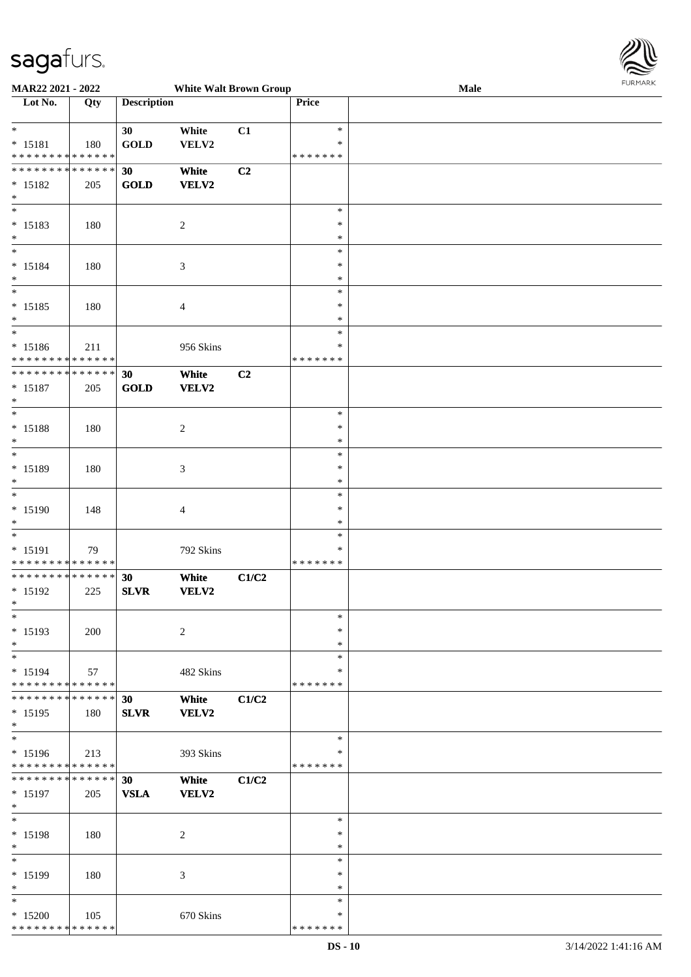\* \* \* \* \* \* \* \* \* \* \* \* \* \* \*



| MAR22 2021 - 2022<br><b>White Walt Brown Group</b> |     |                    |                |       |               | Male | <b>FURMARK</b> |
|----------------------------------------------------|-----|--------------------|----------------|-------|---------------|------|----------------|
| Lot No.                                            |     | <b>Description</b> |                |       | Price         |      |                |
|                                                    | Qty |                    |                |       |               |      |                |
|                                                    |     |                    |                |       |               |      |                |
| $\ast$                                             |     | 30                 | White          | C1    | $\ast$        |      |                |
| $* 15181$                                          | 180 | <b>GOLD</b>        | VELV2          |       | $\ast$        |      |                |
| * * * * * * * * <mark>* * * * * * *</mark>         |     |                    |                |       | * * * * * * * |      |                |
| * * * * * * * * <mark>* * * * * * *</mark>         |     | 30                 | White          | C2    |               |      |                |
|                                                    |     |                    |                |       |               |      |                |
| $* 15182$                                          | 205 | <b>GOLD</b>        | VELV2          |       |               |      |                |
| $\ast$                                             |     |                    |                |       |               |      |                |
| $\overline{\ast}$                                  |     |                    |                |       | $\ast$        |      |                |
| $* 15183$                                          | 180 |                    | $\overline{c}$ |       | $\ast$        |      |                |
| $\ast$                                             |     |                    |                |       | $\ast$        |      |                |
| $\ast$                                             |     |                    |                |       | $\ast$        |      |                |
|                                                    |     |                    |                |       |               |      |                |
| $* 15184$                                          | 180 |                    | 3              |       | $\ast$        |      |                |
| $*$                                                |     |                    |                |       | $\ast$        |      |                |
| $\ast$                                             |     |                    |                |       | $\ast$        |      |                |
| $* 15185$                                          | 180 |                    | $\overline{4}$ |       | $\ast$        |      |                |
| $\ast$                                             |     |                    |                |       | $\ast$        |      |                |
| $\ast$                                             |     |                    |                |       |               |      |                |
|                                                    |     |                    |                |       | $\ast$        |      |                |
| $* 15186$                                          | 211 |                    | 956 Skins      |       | $\ast$        |      |                |
| * * * * * * * * * * * * * *                        |     |                    |                |       | * * * * * * * |      |                |
| * * * * * * * * <mark>* * * * * * *</mark>         |     | 30                 | White          | C2    |               |      |                |
| $* 15187$                                          | 205 | GOLD               | VELV2          |       |               |      |                |
|                                                    |     |                    |                |       |               |      |                |
| $\ast$<br>$\overline{\ast}$                        |     |                    |                |       |               |      |                |
|                                                    |     |                    |                |       | $\ast$        |      |                |
| * 15188                                            | 180 |                    | 2              |       | $\ast$        |      |                |
| $\ast$                                             |     |                    |                |       | $\ast$        |      |                |
|                                                    |     |                    |                |       | $\ast$        |      |                |
|                                                    |     |                    |                |       | $\ast$        |      |                |
| * 15189                                            | 180 |                    | 3              |       |               |      |                |
| $\ast$                                             |     |                    |                |       | $\ast$        |      |                |
| $*$                                                |     |                    |                |       | $\ast$        |      |                |
| * 15190                                            | 148 |                    | $\overline{4}$ |       | $\ast$        |      |                |
| $*$                                                |     |                    |                |       | $\ast$        |      |                |
| $\overline{\cdot}$                                 |     |                    |                |       | $\ast$        |      |                |
|                                                    |     |                    |                |       |               |      |                |
| $* 15191$                                          | 79  |                    | 792 Skins      |       | $\ast$        |      |                |
| * * * * * * * * * * * * * * *                      |     |                    |                |       | * * * * * * * |      |                |
| * * * * * * * * <mark>* * * * * *</mark>           |     | 30                 | White          | C1/C2 |               |      |                |
| * 15192                                            | 225 | <b>SLVR</b>        | VELV2          |       |               |      |                |
| *                                                  |     |                    |                |       |               |      |                |
| $\ast$                                             |     |                    |                |       | $\ast$        |      |                |
|                                                    |     |                    |                |       |               |      |                |
| * 15193                                            | 200 |                    | $\overline{c}$ |       | $\ast$        |      |                |
| $\ast$                                             |     |                    |                |       | $\ast$        |      |                |
| $\ast$                                             |     |                    |                |       | $\ast$        |      |                |
| * 15194                                            | 57  |                    | 482 Skins      |       | $\ast$        |      |                |
| * * * * * * * * <mark>* * * * * * *</mark>         |     |                    |                |       | * * * * * * * |      |                |
|                                                    |     |                    |                |       |               |      |                |
| * * * * * * * * <mark>* * * * * * *</mark>         |     | 30                 | White          | C1/C2 |               |      |                |
| * 15195                                            | 180 | <b>SLVR</b>        | VELV2          |       |               |      |                |
| $\ast$                                             |     |                    |                |       |               |      |                |
|                                                    |     |                    |                |       | $\ast$        |      |                |
| $* 15196$                                          | 213 |                    | 393 Skins      |       | ∗             |      |                |
| * * * * * * * * <mark>* * * * * *</mark>           |     |                    |                |       | * * * * * * * |      |                |
|                                                    |     |                    |                |       |               |      |                |
| * * * * * * * * <mark>* * * * * *</mark> *         |     | 30                 | White          | C1/C2 |               |      |                |
| $* 15197$                                          | 205 | <b>VSLA</b>        | VELV2          |       |               |      |                |
| $\ast$                                             |     |                    |                |       |               |      |                |
| $*$                                                |     |                    |                |       | $\ast$        |      |                |
| * 15198                                            |     |                    |                |       | $\ast$        |      |                |
|                                                    | 180 |                    | 2              |       |               |      |                |
| $\ast$                                             |     |                    |                |       | $\ast$        |      |                |
| $\ast$                                             |     |                    |                |       | $\ast$        |      |                |
| * 15199                                            | 180 |                    | 3              |       | $\ast$        |      |                |
| $\ast$                                             |     |                    |                |       | $\ast$        |      |                |
| $\ast$                                             |     |                    |                |       | $\ast$        |      |                |
|                                                    |     |                    |                |       |               |      |                |
| $*15200$                                           | 105 |                    | 670 Skins      |       | $\ast$        |      |                |

\* \* \* \* \* \* \*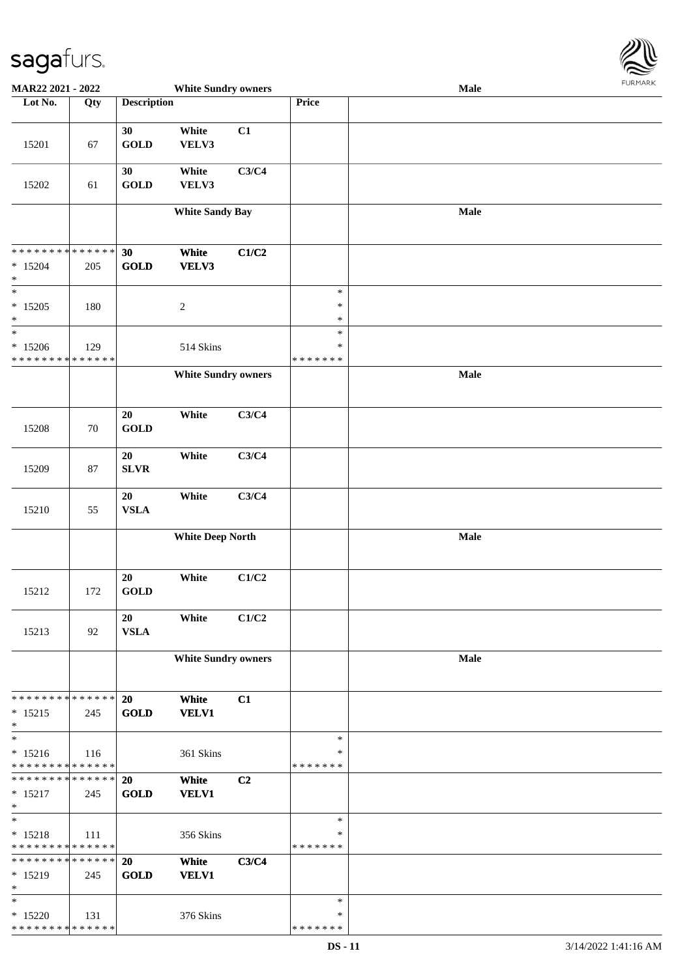

| MAR22 2021 - 2022             |     |                    | <b>White Sundry owners</b> |       |               | <b>Male</b> |  |
|-------------------------------|-----|--------------------|----------------------------|-------|---------------|-------------|--|
| Lot No.                       | Qty | <b>Description</b> |                            |       | Price         |             |  |
|                               |     |                    |                            |       |               |             |  |
|                               |     | 30                 | White                      | C1    |               |             |  |
| 15201                         | 67  | <b>GOLD</b>        | VELV3                      |       |               |             |  |
|                               |     |                    |                            |       |               |             |  |
|                               |     | 30                 | White                      | C3/C4 |               |             |  |
| 15202                         | 61  | <b>GOLD</b>        | VELV3                      |       |               |             |  |
|                               |     |                    |                            |       |               |             |  |
|                               |     |                    | <b>White Sandy Bay</b>     |       |               | Male        |  |
|                               |     |                    |                            |       |               |             |  |
|                               |     |                    |                            |       |               |             |  |
| ******** <mark>******</mark>  |     | 30                 | White                      | C1/C2 |               |             |  |
| $*15204$                      | 205 | GOLD               | VELV3                      |       |               |             |  |
| $\ast$                        |     |                    |                            |       |               |             |  |
| $\ast$                        |     |                    |                            |       | $\ast$        |             |  |
| $*15205$                      | 180 |                    | $\boldsymbol{2}$           |       | $\ast$        |             |  |
| $\ast$                        |     |                    |                            |       | $\ast$        |             |  |
| $\ast$                        |     |                    |                            |       | $\ast$        |             |  |
| $*15206$                      | 129 |                    | 514 Skins                  |       | $\ast$        |             |  |
| * * * * * * * * * * * * * *   |     |                    |                            |       | * * * * * * * |             |  |
|                               |     |                    | <b>White Sundry owners</b> |       |               | Male        |  |
|                               |     |                    |                            |       |               |             |  |
|                               |     |                    |                            |       |               |             |  |
|                               |     | 20                 | White                      | C3/C4 |               |             |  |
| 15208                         | 70  | <b>GOLD</b>        |                            |       |               |             |  |
|                               |     |                    |                            |       |               |             |  |
|                               |     | 20                 | White                      | C3/C4 |               |             |  |
| 15209                         | 87  | ${\bf SLVR}$       |                            |       |               |             |  |
|                               |     |                    |                            |       |               |             |  |
|                               |     | 20                 | White                      | C3/C4 |               |             |  |
| 15210                         | 55  | <b>VSLA</b>        |                            |       |               |             |  |
|                               |     |                    |                            |       |               |             |  |
|                               |     |                    | <b>White Deep North</b>    |       |               | Male        |  |
|                               |     |                    |                            |       |               |             |  |
|                               |     |                    |                            |       |               |             |  |
|                               |     | 20                 | White                      | C1/C2 |               |             |  |
| 15212                         | 172 | <b>GOLD</b>        |                            |       |               |             |  |
|                               |     |                    |                            |       |               |             |  |
|                               |     | 20                 | White                      | C1/C2 |               |             |  |
| 15213                         | 92  | <b>VSLA</b>        |                            |       |               |             |  |
|                               |     |                    |                            |       |               | Male        |  |
|                               |     |                    | <b>White Sundry owners</b> |       |               |             |  |
|                               |     |                    |                            |       |               |             |  |
| * * * * * * * * * * * * * *   |     | 20                 | White                      | C1    |               |             |  |
| $* 15215$                     | 245 | <b>GOLD</b>        | <b>VELV1</b>               |       |               |             |  |
| $\ast$                        |     |                    |                            |       |               |             |  |
| $\overline{\phantom{1}}$      |     |                    |                            |       | $\ast$        |             |  |
| $* 15216$                     | 116 |                    | 361 Skins                  |       | ∗             |             |  |
| * * * * * * * * * * * * * *   |     |                    |                            |       | * * * * * * * |             |  |
| * * * * * * * * * * * * * * * |     | 20                 | White                      | C2    |               |             |  |
| $* 15217$                     | 245 | <b>GOLD</b>        | <b>VELV1</b>               |       |               |             |  |
| $\ast$                        |     |                    |                            |       |               |             |  |
| $\ast$                        |     |                    |                            |       | $\ast$        |             |  |
| $* 15218$                     | 111 |                    | 356 Skins                  |       | $\ast$        |             |  |
| * * * * * * * * * * * * * *   |     |                    |                            |       | *******       |             |  |
| * * * * * * * * * * * * * *   |     | 20                 | White                      | C3/C4 |               |             |  |
| * 15219                       | 245 | <b>GOLD</b>        | <b>VELV1</b>               |       |               |             |  |
| $\ast$                        |     |                    |                            |       |               |             |  |
| $\ast$                        |     |                    |                            |       | $\ast$        |             |  |
| $*15220$                      | 131 |                    | 376 Skins                  |       | ∗             |             |  |
| * * * * * * * * * * * * * *   |     |                    |                            |       | * * * * * * * |             |  |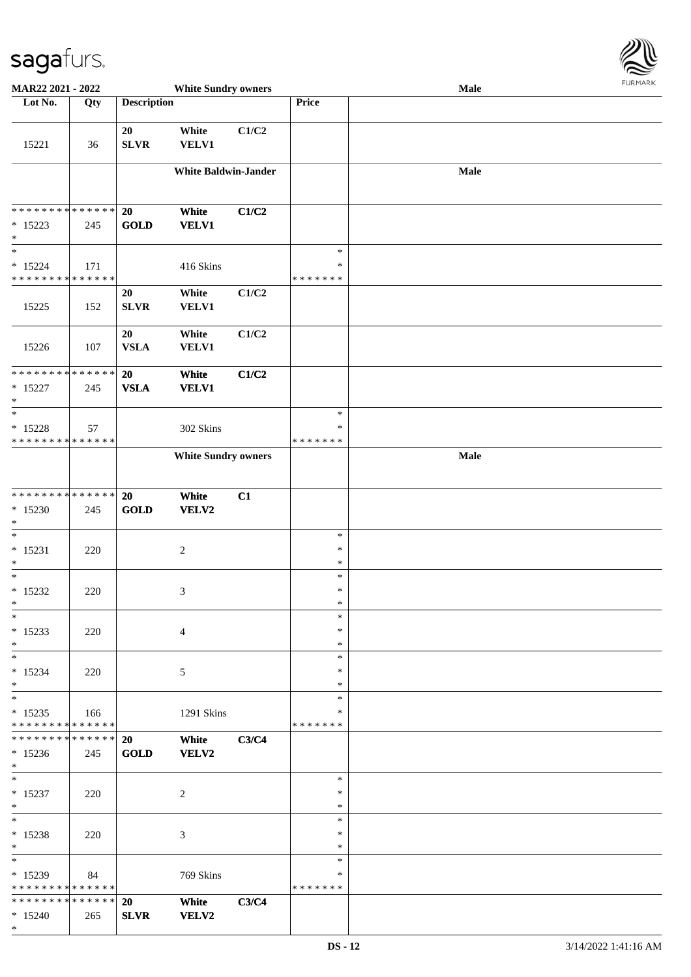

| MAR22 2021 - 2022                                   |             |                    | <b>White Sundry owners</b>  |       |                                   | Male       |  |
|-----------------------------------------------------|-------------|--------------------|-----------------------------|-------|-----------------------------------|------------|--|
| Lot No.                                             | Qty         | <b>Description</b> |                             |       | Price                             |            |  |
| 15221                                               | 36          | 20<br>SLVR         | White<br><b>VELV1</b>       | C1/C2 |                                   |            |  |
|                                                     |             |                    |                             |       |                                   |            |  |
|                                                     |             |                    | <b>White Baldwin-Jander</b> |       |                                   | $\bf Male$ |  |
| ******** <mark>******</mark>                        |             | 20                 | White                       | C1/C2 |                                   |            |  |
| $* 15223$<br>$\ast$                                 | 245         | <b>GOLD</b>        | <b>VELV1</b>                |       |                                   |            |  |
| $\ast$<br>$* 15224$<br>* * * * * * * * * * * * * *  | 171         |                    | 416 Skins                   |       | $\ast$<br>$\ast$<br>* * * * * * * |            |  |
| 15225                                               | 152         | 20<br><b>SLVR</b>  | White<br><b>VELV1</b>       | C1/C2 |                                   |            |  |
| 15226                                               | 107         | 20<br><b>VSLA</b>  | White<br><b>VELV1</b>       | C1/C2 |                                   |            |  |
| ******** <mark>******</mark><br>$* 15227$<br>$\ast$ | 245         | 20<br><b>VSLA</b>  | White<br><b>VELV1</b>       | C1/C2 |                                   |            |  |
| $\ast$                                              |             |                    |                             |       | $\ast$                            |            |  |
| $* 15228$                                           | 57          |                    | 302 Skins                   |       | $\ast$                            |            |  |
| * * * * * * * * * * * * * *                         |             |                    | <b>White Sundry owners</b>  |       | * * * * * * *                     | Male       |  |
|                                                     |             |                    |                             |       |                                   |            |  |
| **************                                      |             | 20                 | White                       | C1    |                                   |            |  |
| $*15230$<br>$\ast$                                  | 245         | <b>GOLD</b>        | VELV2                       |       |                                   |            |  |
| $\ast$                                              |             |                    |                             |       | $\ast$                            |            |  |
| $* 15231$                                           | 220         |                    | $\boldsymbol{2}$            |       | $\ast$                            |            |  |
| $\ast$                                              |             |                    |                             |       | $\ast$                            |            |  |
| $\ast$<br>$*15232$                                  | 220         |                    | 3                           |       | $\ast$<br>$\ast$                  |            |  |
| $\ast$                                              |             |                    |                             |       | $\ast$                            |            |  |
| $\ast$                                              |             |                    |                             |       | $\ast$                            |            |  |
| $* 15233$<br>$\ast$                                 | 220         |                    | 4                           |       | $\ast$<br>$\ast$                  |            |  |
| $\ast$                                              |             |                    |                             |       | $\ast$                            |            |  |
| $* 15234$                                           | 220         |                    | 5                           |       | ∗                                 |            |  |
| $\ast$<br>$\ast$                                    |             |                    |                             |       | ∗<br>$\ast$                       |            |  |
| $* 15235$<br>* * * * * * * * * * * * * *            | 166         |                    | 1291 Skins                  |       | ∗<br>* * * * * * *                |            |  |
| * * * * * * * *                                     | * * * * * * | 20                 | White                       | C3/C4 |                                   |            |  |
| $* 15236$<br>$*$                                    | 245         | <b>GOLD</b>        | <b>VELV2</b>                |       |                                   |            |  |
| $*$<br>$* 15237$                                    |             |                    |                             |       | $\ast$<br>$\ast$                  |            |  |
| $*$                                                 | 220         |                    | 2                           |       | $\ast$                            |            |  |
| $\ast$                                              |             |                    |                             |       | $\ast$                            |            |  |
| $* 15238$<br>$*$                                    | 220         |                    | 3                           |       | $\ast$<br>$\ast$                  |            |  |
| $\ast$                                              |             |                    |                             |       | $\ast$                            |            |  |
| * 15239                                             | 84          |                    | 769 Skins                   |       | ∗                                 |            |  |
| * * * * * * * * * * * * * *                         |             |                    |                             |       | * * * * * * *                     |            |  |
| * * * * * * * * * * * * * * *<br>$* 15240$          | 265         | 20<br><b>SLVR</b>  | White<br><b>VELV2</b>       | C3/C4 |                                   |            |  |
| $*$                                                 |             |                    |                             |       |                                   |            |  |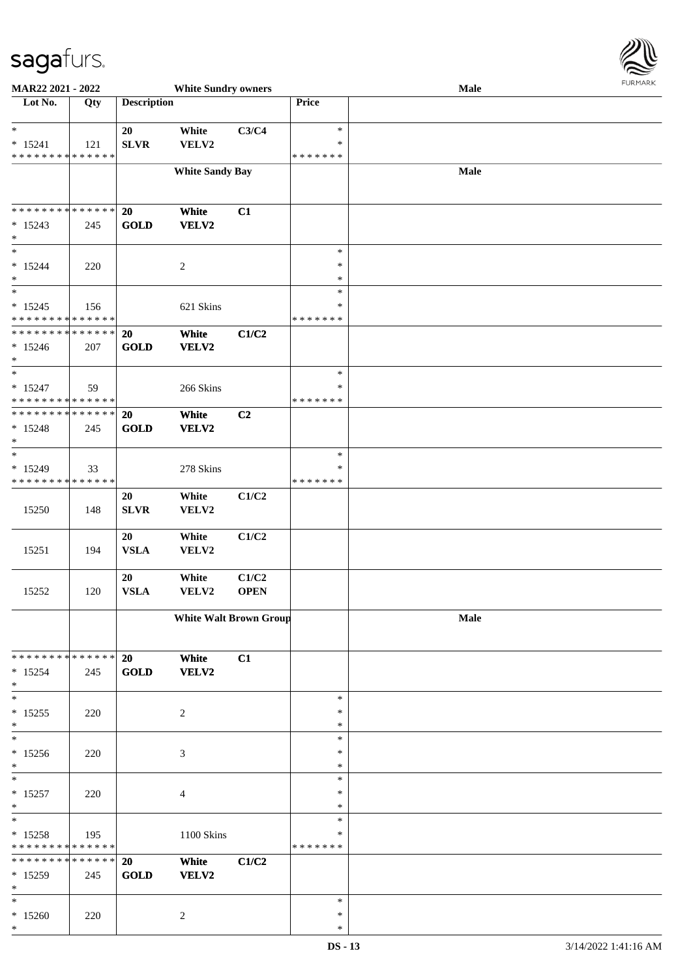

| MAR22 2021 - 2022                                           |             |                    | <b>White Sundry owners</b>    |                |                         | Male |  |
|-------------------------------------------------------------|-------------|--------------------|-------------------------------|----------------|-------------------------|------|--|
| Lot No.                                                     | Qty         | <b>Description</b> |                               |                | Price                   |      |  |
|                                                             |             |                    |                               |                |                         |      |  |
| $\ast$                                                      |             | 20                 | White                         | C3/C4          | $\ast$                  |      |  |
| $* 15241$                                                   | 121         | <b>SLVR</b>        | VELV2                         |                | $\ast$                  |      |  |
| * * * * * * * * * * * * * *                                 |             |                    |                               |                | * * * * * * *           |      |  |
|                                                             |             |                    | <b>White Sandy Bay</b>        |                |                         | Male |  |
|                                                             |             |                    |                               |                |                         |      |  |
| **************                                              |             | <b>20</b>          | White                         | C1             |                         |      |  |
| $* 15243$                                                   | 245         | <b>GOLD</b>        | VELV2                         |                |                         |      |  |
| $\ast$                                                      |             |                    |                               |                |                         |      |  |
| $\ast$                                                      |             |                    |                               |                | $\ast$                  |      |  |
| $* 15244$                                                   | 220         |                    | $\boldsymbol{2}$              |                | $\ast$                  |      |  |
| $\ast$                                                      |             |                    |                               |                | $\ast$                  |      |  |
| $\ast$                                                      |             |                    |                               |                | $\ast$                  |      |  |
| $* 15245$                                                   | 156         |                    | 621 Skins                     |                | $\ast$                  |      |  |
| * * * * * * * * * * * * * *<br>******** <mark>******</mark> |             |                    |                               |                | * * * * * * *           |      |  |
| $*15246$                                                    |             | 20<br><b>GOLD</b>  | White<br>VELV2                | C1/C2          |                         |      |  |
| $\ast$                                                      | 207         |                    |                               |                |                         |      |  |
| $\ast$                                                      |             |                    |                               |                | $\ast$                  |      |  |
| $* 15247$                                                   | 59          |                    | 266 Skins                     |                | ∗                       |      |  |
| * * * * * * * * * * * * * *                                 |             |                    |                               |                | * * * * * * *           |      |  |
| * * * * * * * * * * * * * *                                 |             | 20                 | White                         | C <sub>2</sub> |                         |      |  |
| $* 15248$                                                   | 245         | <b>GOLD</b>        | VELV2                         |                |                         |      |  |
| $\ast$                                                      |             |                    |                               |                |                         |      |  |
| $\ast$                                                      |             |                    |                               |                | $\ast$                  |      |  |
| $* 15249$<br>* * * * * * * * * * * * * *                    | 33          |                    | 278 Skins                     |                | $\ast$<br>* * * * * * * |      |  |
|                                                             |             | 20                 | White                         | C1/C2          |                         |      |  |
| 15250                                                       | 148         | <b>SLVR</b>        | VELV2                         |                |                         |      |  |
|                                                             |             |                    |                               |                |                         |      |  |
|                                                             |             | 20                 | White                         | C1/C2          |                         |      |  |
| 15251                                                       | 194         | <b>VSLA</b>        | VELV2                         |                |                         |      |  |
|                                                             |             |                    |                               |                |                         |      |  |
|                                                             |             | 20                 | White                         | C1/C2          |                         |      |  |
| 15252                                                       | 120         | ${\bf VSLA}$       | VELV2                         | <b>OPEN</b>    |                         |      |  |
|                                                             |             |                    | <b>White Walt Brown Group</b> |                |                         | Male |  |
|                                                             |             |                    |                               |                |                         |      |  |
|                                                             |             |                    |                               |                |                         |      |  |
| * * * * * * * * * * * * * * *                               |             | 20                 | White                         | C1             |                         |      |  |
| $* 15254$                                                   | 245         | <b>GOLD</b>        | VELV2                         |                |                         |      |  |
| $\ast$                                                      |             |                    |                               |                |                         |      |  |
| $\ast$                                                      |             |                    |                               |                | $\ast$                  |      |  |
| $* 15255$<br>$\ast$                                         | 220         |                    | $\overline{c}$                |                | $\ast$<br>$\ast$        |      |  |
| $\ast$                                                      |             |                    |                               |                | $\ast$                  |      |  |
| $* 15256$                                                   | 220         |                    | 3                             |                | ∗                       |      |  |
| $\ast$                                                      |             |                    |                               |                | $\ast$                  |      |  |
| $\ast$                                                      |             |                    |                               |                | $\ast$                  |      |  |
| $* 15257$                                                   | 220         |                    | $\overline{4}$                |                | $\ast$                  |      |  |
| $\ast$                                                      |             |                    |                               |                | $\ast$                  |      |  |
| $\ast$                                                      |             |                    |                               |                | $\ast$                  |      |  |
| $* 15258$                                                   | 195         |                    | 1100 Skins                    |                | *                       |      |  |
| * * * * * * * * * * * * * *<br>* * * * * * * *              |             |                    |                               |                | * * * * * * *           |      |  |
|                                                             | * * * * * * | 20                 | White                         | C1/C2          |                         |      |  |
| * 15259<br>$\ast$                                           | 245         | <b>GOLD</b>        | VELV2                         |                |                         |      |  |
| $\ast$                                                      |             |                    |                               |                | $\ast$                  |      |  |
| $*15260$                                                    | 220         |                    | 2                             |                | $\ast$                  |      |  |
| $\ast$                                                      |             |                    |                               |                | $\ast$                  |      |  |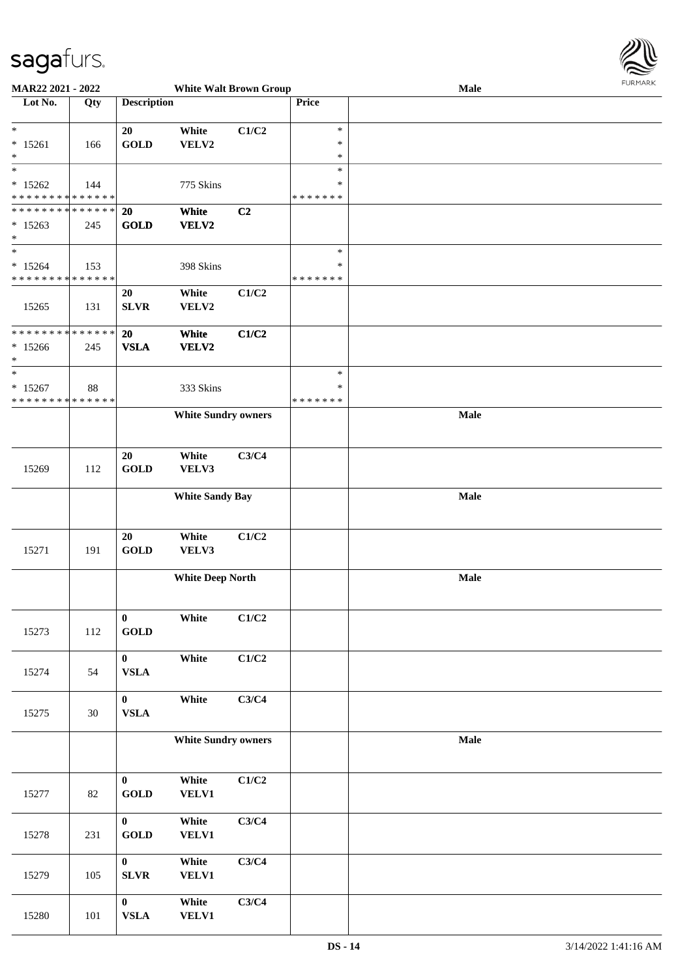

| MAR22 2021 - 2022                          |        |                                | <b>White Walt Brown Group</b> |       |                    | Male | <b>FUNITANN</b> |
|--------------------------------------------|--------|--------------------------------|-------------------------------|-------|--------------------|------|-----------------|
| Lot No.                                    | Qty    | <b>Description</b>             |                               |       | Price              |      |                 |
|                                            |        |                                |                               |       |                    |      |                 |
| $*$                                        |        | 20                             | White                         | C1/C2 | $\ast$             |      |                 |
| $* 15261$                                  | 166    | <b>GOLD</b>                    | VELV2                         |       | $\ast$             |      |                 |
| $\ast$                                     |        |                                |                               |       | $\ast$             |      |                 |
| $*$                                        |        |                                |                               |       | $\ast$             |      |                 |
| $* 15262$                                  | 144    |                                | 775 Skins                     |       | $\ast$             |      |                 |
| * * * * * * * * * * * * * *                |        |                                |                               |       | * * * * * * *      |      |                 |
| * * * * * * * * * * * * * * *              |        | 20                             | White                         | C2    |                    |      |                 |
| $*15263$                                   | 245    | <b>GOLD</b>                    | VELV2                         |       |                    |      |                 |
| $*$<br>$*$                                 |        |                                |                               |       |                    |      |                 |
|                                            |        |                                |                               |       | $\ast$             |      |                 |
| $* 15264$<br>* * * * * * * * * * * * * *   | 153    |                                | 398 Skins                     |       | *<br>* * * * * * * |      |                 |
|                                            |        |                                |                               |       |                    |      |                 |
|                                            |        | 20                             | White                         | C1/C2 |                    |      |                 |
| 15265                                      | 131    | <b>SLVR</b>                    | VELV2                         |       |                    |      |                 |
| * * * * * * * * <mark>* * * * * * *</mark> |        | 20                             | White                         | C1/C2 |                    |      |                 |
| $*15266$                                   | 245    | <b>VSLA</b>                    | <b>VELV2</b>                  |       |                    |      |                 |
| $\ast$                                     |        |                                |                               |       |                    |      |                 |
| $*$                                        |        |                                |                               |       | $\ast$             |      |                 |
| $*15267$                                   | 88     |                                | 333 Skins                     |       | $\ast$             |      |                 |
| * * * * * * * * * * * * * *                |        |                                |                               |       | * * * * * * *      |      |                 |
|                                            |        |                                | <b>White Sundry owners</b>    |       |                    | Male |                 |
|                                            |        |                                |                               |       |                    |      |                 |
|                                            |        |                                |                               |       |                    |      |                 |
|                                            |        | 20                             | White                         | C3/C4 |                    |      |                 |
| 15269                                      | 112    | <b>GOLD</b>                    | VELV3                         |       |                    |      |                 |
|                                            |        |                                |                               |       |                    |      |                 |
|                                            |        |                                | <b>White Sandy Bay</b>        |       |                    | Male |                 |
|                                            |        |                                |                               |       |                    |      |                 |
|                                            |        |                                |                               |       |                    |      |                 |
|                                            |        | 20                             | White                         | C1/C2 |                    |      |                 |
| 15271                                      | 191    | <b>GOLD</b>                    | VELV3                         |       |                    |      |                 |
|                                            |        |                                | <b>White Deep North</b>       |       |                    | Male |                 |
|                                            |        |                                |                               |       |                    |      |                 |
|                                            |        |                                |                               |       |                    |      |                 |
|                                            |        | $\bf{0}$                       | White                         | C1/C2 |                    |      |                 |
| 15273                                      | 112    | $\operatorname{\mathbf{GOLD}}$ |                               |       |                    |      |                 |
|                                            |        |                                |                               |       |                    |      |                 |
|                                            |        | $\mathbf{0}$                   | White                         | C1/C2 |                    |      |                 |
| 15274                                      | 54     | ${\bf VSLA}$                   |                               |       |                    |      |                 |
|                                            |        |                                |                               |       |                    |      |                 |
|                                            |        | $\mathbf{0}$                   | White                         | C3/C4 |                    |      |                 |
| 15275                                      | 30     | ${\bf VSLA}$                   |                               |       |                    |      |                 |
|                                            |        |                                |                               |       |                    |      |                 |
|                                            |        |                                | <b>White Sundry owners</b>    |       |                    | Male |                 |
|                                            |        |                                |                               |       |                    |      |                 |
|                                            |        | $\bf{0}$                       | White                         | C1/C2 |                    |      |                 |
| 15277                                      | $82\,$ | <b>GOLD</b>                    | <b>VELV1</b>                  |       |                    |      |                 |
|                                            |        |                                |                               |       |                    |      |                 |
|                                            |        | $\mathbf{0}$                   | White                         | C3/C4 |                    |      |                 |
| 15278                                      | 231    | <b>GOLD</b>                    | <b>VELV1</b>                  |       |                    |      |                 |
|                                            |        |                                |                               |       |                    |      |                 |
|                                            |        | $\mathbf{0}$                   | White                         | C3/C4 |                    |      |                 |
| 15279                                      | 105    | <b>SLVR</b>                    | <b>VELV1</b>                  |       |                    |      |                 |
|                                            |        |                                |                               |       |                    |      |                 |
|                                            |        | $\mathbf{0}$                   | White                         | C3/C4 |                    |      |                 |
| 15280                                      | 101    | ${\bf VSLA}$                   | <b>VELV1</b>                  |       |                    |      |                 |
|                                            |        |                                |                               |       |                    |      |                 |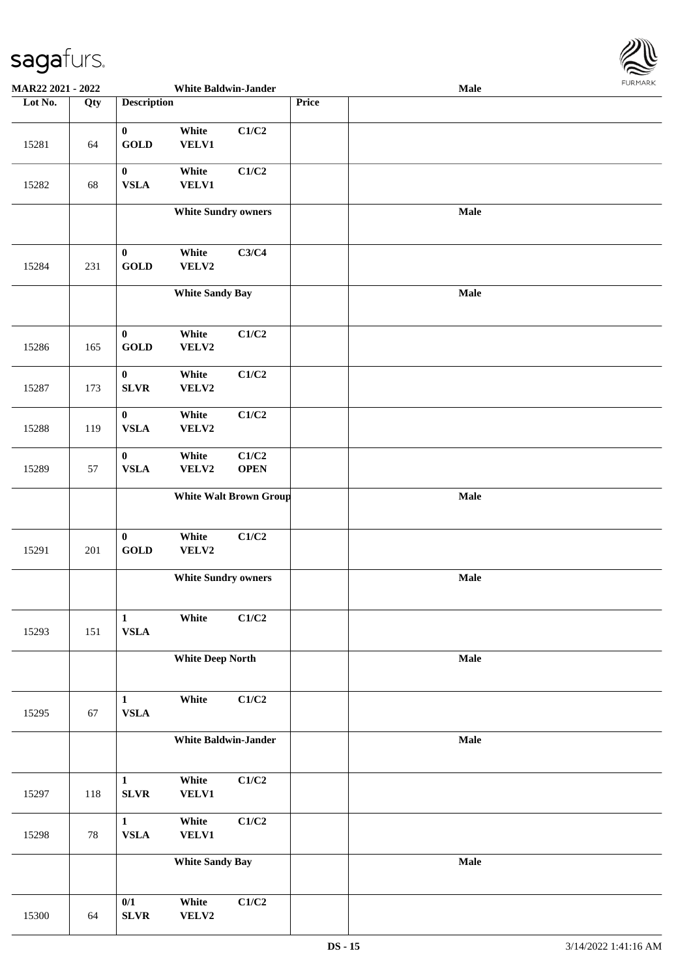

| MAR22 2021 - 2022 |     |                                  | <b>White Baldwin-Jander</b> |                               |       | Male | <b>FUNITANN</b> |
|-------------------|-----|----------------------------------|-----------------------------|-------------------------------|-------|------|-----------------|
| Lot No.           | Qty | <b>Description</b>               |                             |                               | Price |      |                 |
| 15281             | 64  | $\pmb{0}$<br><b>GOLD</b>         | White<br>VELV1              | C1/C2                         |       |      |                 |
| 15282             | 68  | $\boldsymbol{0}$<br><b>VSLA</b>  | White<br>VELV1              | C1/C2                         |       |      |                 |
|                   |     |                                  | <b>White Sundry owners</b>  |                               |       | Male |                 |
| 15284             | 231 | $\pmb{0}$<br><b>GOLD</b>         | White<br>VELV2              | C3/C4                         |       |      |                 |
|                   |     |                                  | <b>White Sandy Bay</b>      |                               |       | Male |                 |
| 15286             | 165 | $\bf{0}$<br><b>GOLD</b>          | White<br>VELV2              | C1/C2                         |       |      |                 |
| 15287             | 173 | $\boldsymbol{0}$<br>${\bf SLVR}$ | White<br>VELV2              | C1/C2                         |       |      |                 |
| 15288             | 119 | $\bf{0}$<br><b>VSLA</b>          | White<br>VELV2              | C1/C2                         |       |      |                 |
| 15289             | 57  | $\bf{0}$<br>${\bf VSLA}$         | White<br>VELV2              | C1/C2<br><b>OPEN</b>          |       |      |                 |
|                   |     |                                  |                             | <b>White Walt Brown Group</b> |       | Male |                 |
| 15291             | 201 | $\pmb{0}$<br>GOLD                | White<br>VELV2              | C1/C2                         |       |      |                 |
|                   |     |                                  | <b>White Sundry owners</b>  |                               |       | Male |                 |
| 15293             | 151 | $\mathbf{1}$<br><b>VSLA</b>      | White                       | C1/C2                         |       |      |                 |
|                   |     |                                  | <b>White Deep North</b>     |                               |       | Male |                 |
| 15295             | 67  | $\mathbf{1}$<br><b>VSLA</b>      | White                       | C1/C2                         |       |      |                 |
|                   |     |                                  | <b>White Baldwin-Jander</b> |                               |       | Male |                 |
| 15297             | 118 | $\mathbf{1}$<br>${\bf SLVR}$     | White<br>VELV1              | C1/C2                         |       |      |                 |
| 15298             | 78  | $\mathbf{1}$<br><b>VSLA</b>      | White<br>VELV1              | C1/C2                         |       |      |                 |
|                   |     |                                  | <b>White Sandy Bay</b>      |                               |       | Male |                 |
| 15300             | 64  | 0/1<br>${\bf SLVR}$              | White<br>VELV2              | C1/C2                         |       |      |                 |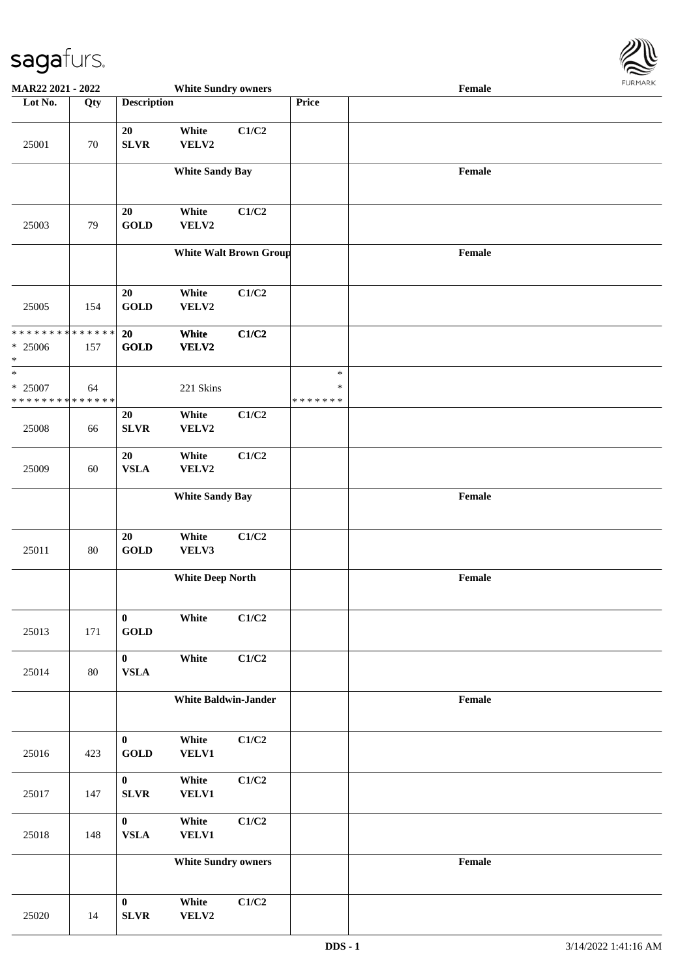

| MAR22 2021 - 2022                                  |        |                                       | <b>White Sundry owners</b>  |                               |                                   | Female                                      |  |
|----------------------------------------------------|--------|---------------------------------------|-----------------------------|-------------------------------|-----------------------------------|---------------------------------------------|--|
| Lot No.                                            | Qty    | <b>Description</b>                    |                             |                               | Price                             |                                             |  |
| 25001                                              | $70\,$ | 20<br>SLVR                            | White<br>VELV2              | C1/C2                         |                                   |                                             |  |
|                                                    |        |                                       | <b>White Sandy Bay</b>      |                               |                                   | Female                                      |  |
| 25003                                              | 79     | 20<br><b>GOLD</b>                     | White<br>VELV2              | C1/C2                         |                                   |                                             |  |
|                                                    |        |                                       |                             | <b>White Walt Brown Group</b> |                                   | Female                                      |  |
| 25005                                              | 154    | 20<br><b>GOLD</b>                     | White<br>VELV2              | C1/C2                         |                                   |                                             |  |
| * * * * * * * * * * * * * *<br>$* 25006$<br>$\ast$ | 157    | 20<br><b>GOLD</b>                     | White<br><b>VELV2</b>       | C1/C2                         |                                   |                                             |  |
| $\ast$<br>* 25007<br>* * * * * * * * * * * * * *   | 64     |                                       | 221 Skins                   |                               | $\ast$<br>$\ast$<br>* * * * * * * |                                             |  |
| 25008                                              | 66     | 20<br><b>SLVR</b>                     | White<br>VELV2              | C1/C2                         |                                   |                                             |  |
| 25009                                              | 60     | 20<br><b>VSLA</b>                     | White<br>VELV2              | C1/C2                         |                                   |                                             |  |
|                                                    |        |                                       | <b>White Sandy Bay</b>      |                               |                                   | Female                                      |  |
| 25011                                              | $80\,$ | 20<br><b>GOLD</b>                     | White<br>VELV3              | C1/C2                         |                                   |                                             |  |
|                                                    |        |                                       | <b>White Deep North</b>     |                               |                                   | Female                                      |  |
| 25013                                              | 171    | $\mathbf{0}$<br>$\operatorname{GOLD}$ | White                       | C1/C2                         |                                   |                                             |  |
| 25014                                              | $80\,$ | $\bf{0}$<br>${\bf VSLA}$              | White                       | C1/C2                         |                                   |                                             |  |
|                                                    |        |                                       | <b>White Baldwin-Jander</b> |                               |                                   | $\ensuremath{\textnormal{\textbf{Female}}}$ |  |
| 25016                                              | 423    | $\bf{0}$<br>$\operatorname{GOLD}$     | White<br>VELV1              | C1/C2                         |                                   |                                             |  |
| 25017                                              | 147    | $\bf{0}$<br>SLVR                      | White<br><b>VELV1</b>       | C1/C2                         |                                   |                                             |  |
| 25018                                              | 148    | $\bf{0}$<br>${\bf VSLA}$              | White<br>VELV1              | C1/C2                         |                                   |                                             |  |
|                                                    |        |                                       | <b>White Sundry owners</b>  |                               |                                   | $\ensuremath{\textnormal{\textbf{Female}}}$ |  |
| 25020                                              | 14     | $\boldsymbol{0}$<br>SLVR              | White<br>VELV2              | C1/C2                         |                                   |                                             |  |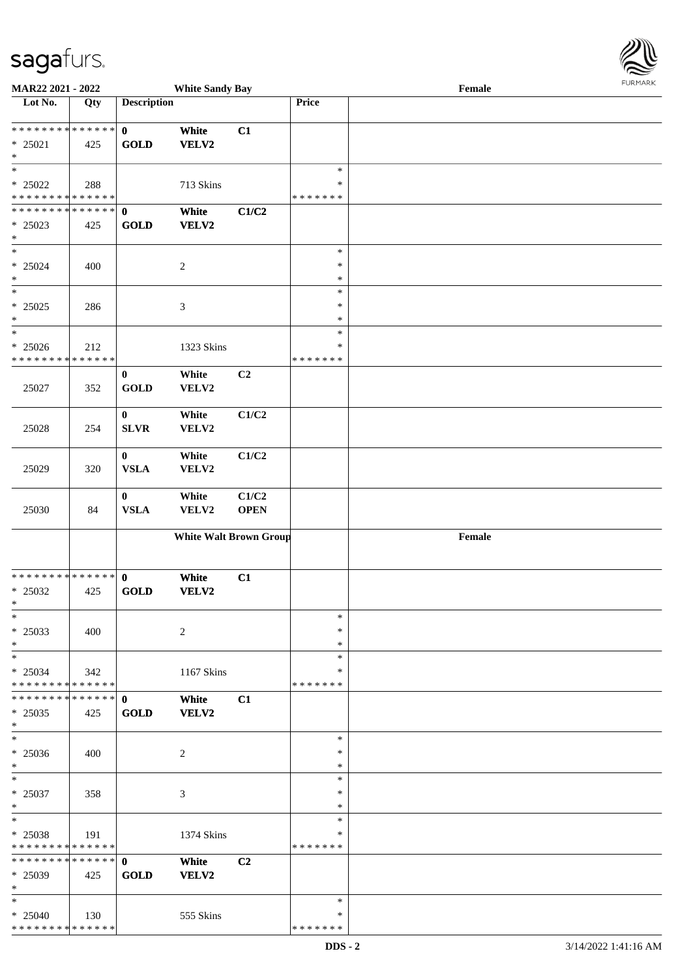| MAR22 2021 - 2022                       |     |                    | <b>White Sandy Bay</b>        |                |               | Female | $1 \times 1 \times 1 \times 1$ |
|-----------------------------------------|-----|--------------------|-------------------------------|----------------|---------------|--------|--------------------------------|
| Lot No.                                 | Qty | <b>Description</b> |                               |                | Price         |        |                                |
|                                         |     |                    |                               |                |               |        |                                |
| * * * * * * * * * * * * * *             |     | $\mathbf 0$        | White                         | C1             |               |        |                                |
| $* 25021$                               | 425 | <b>GOLD</b>        | VELV2                         |                |               |        |                                |
| $\ast$                                  |     |                    |                               |                |               |        |                                |
| $\ast$                                  |     |                    |                               |                | $\ast$        |        |                                |
| * 25022                                 | 288 |                    | 713 Skins                     |                | $\ast$        |        |                                |
| * * * * * * * * * * * * * *             |     |                    |                               |                | * * * * * * * |        |                                |
| * * * * * * * * * * * * * * *           |     | $\mathbf{0}$       | White                         | C1/C2          |               |        |                                |
| $* 25023$                               | 425 | <b>GOLD</b>        | VELV2                         |                |               |        |                                |
| $\ast$<br>$\overline{\phantom{a}^*}$    |     |                    |                               |                | $\ast$        |        |                                |
|                                         |     |                    |                               |                | $\ast$        |        |                                |
| * 25024<br>$\ast$                       | 400 |                    | $\sqrt{2}$                    |                | $\ast$        |        |                                |
| $\overline{\phantom{a}}$                |     |                    |                               |                | $\ast$        |        |                                |
|                                         |     |                    |                               |                | $\ast$        |        |                                |
| $* 25025$<br>$\ast$                     | 286 |                    | $\ensuremath{\mathfrak{Z}}$   |                | $\ast$        |        |                                |
| $\overline{\phantom{a}}$                |     |                    |                               |                | $\ast$        |        |                                |
| $* 25026$                               | 212 |                    |                               |                | $\ast$        |        |                                |
| * * * * * * * * * * * * * *             |     |                    | 1323 Skins                    |                | * * * * * * * |        |                                |
|                                         |     | $\bf{0}$           | White                         | C <sub>2</sub> |               |        |                                |
| 25027                                   | 352 | <b>GOLD</b>        | VELV2                         |                |               |        |                                |
|                                         |     |                    |                               |                |               |        |                                |
|                                         |     | $\bf{0}$           | White                         | C1/C2          |               |        |                                |
| 25028                                   | 254 | <b>SLVR</b>        | VELV2                         |                |               |        |                                |
|                                         |     |                    |                               |                |               |        |                                |
|                                         |     | $\bf{0}$           | White                         | C1/C2          |               |        |                                |
| 25029                                   | 320 | <b>VSLA</b>        | VELV2                         |                |               |        |                                |
|                                         |     |                    |                               |                |               |        |                                |
|                                         |     | $\bf{0}$           | White                         | C1/C2          |               |        |                                |
| 25030                                   | 84  | <b>VSLA</b>        | VELV2                         | <b>OPEN</b>    |               |        |                                |
|                                         |     |                    |                               |                |               |        |                                |
|                                         |     |                    | <b>White Walt Brown Group</b> |                |               | Female |                                |
|                                         |     |                    |                               |                |               |        |                                |
|                                         |     |                    |                               |                |               |        |                                |
| **************                          |     | $\mathbf 0$        | White                         | C1             |               |        |                                |
| * 25032                                 | 425 | <b>GOLD</b>        | VELV2                         |                |               |        |                                |
| $*$                                     |     |                    |                               |                |               |        |                                |
| $\ast$                                  |     |                    |                               |                | $\ast$        |        |                                |
| $* 25033$                               | 400 |                    | $\overline{c}$                |                | $\ast$        |        |                                |
| $\ast$                                  |     |                    |                               |                | $\ast$        |        |                                |
| $\ast$                                  |     |                    |                               |                | $\ast$        |        |                                |
| $* 25034$                               | 342 |                    | 1167 Skins                    |                | ∗             |        |                                |
| * * * * * * * * * * * * * *             |     |                    |                               |                | * * * * * * * |        |                                |
| ******** <mark>******</mark>            |     | $\mathbf{0}$       | White                         | C1             |               |        |                                |
| $*25035$                                | 425 | <b>GOLD</b>        | VELV2                         |                |               |        |                                |
| $\ast$                                  |     |                    |                               |                |               |        |                                |
| $\ast$                                  |     |                    |                               |                | $\ast$        |        |                                |
| $* 25036$                               | 400 |                    | 2                             |                | ∗             |        |                                |
| $\ast$                                  |     |                    |                               |                | $\ast$        |        |                                |
| $\ast$                                  |     |                    |                               |                | $\ast$        |        |                                |
| $* 25037$                               | 358 |                    | $\mathfrak{Z}$                |                | ∗             |        |                                |
| $\ast$<br>$\ast$                        |     |                    |                               |                | $\ast$        |        |                                |
|                                         |     |                    |                               |                | $\ast$        |        |                                |
| $*25038$<br>**************              | 191 |                    | 1374 Skins                    |                | $\ast$        |        |                                |
| **************                          |     |                    |                               |                | * * * * * * * |        |                                |
|                                         |     | $\mathbf{0}$       | White                         | C <sub>2</sub> |               |        |                                |
| $*$ 25039                               | 425 | <b>GOLD</b>        | <b>VELV2</b>                  |                |               |        |                                |
| $\ast$<br>$\ast$                        |     |                    |                               |                | $\ast$        |        |                                |
|                                         |     |                    |                               |                | ∗             |        |                                |
| $*25040$<br>* * * * * * * * * * * * * * | 130 |                    | 555 Skins                     |                | * * * * * * * |        |                                |
|                                         |     |                    |                               |                |               |        |                                |

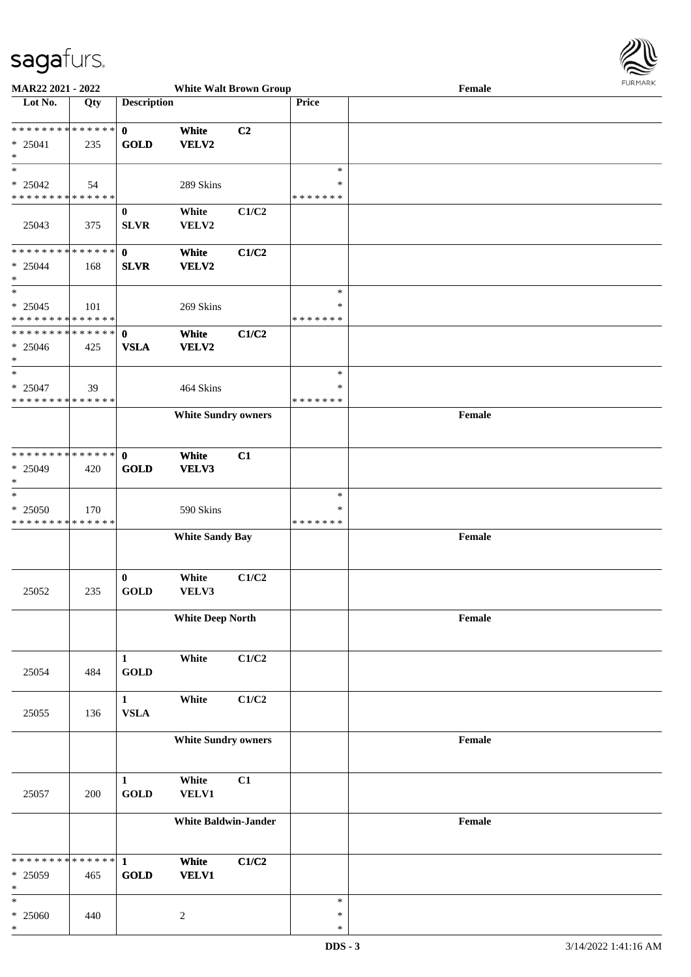

| MAR22 2021 - 2022                          |     |                    | <b>White Walt Brown Group</b> |                |               | Female                                      | $1 \times 1 \times 1 \times 1 \times 1 \times$ |
|--------------------------------------------|-----|--------------------|-------------------------------|----------------|---------------|---------------------------------------------|------------------------------------------------|
| Lot No.                                    | Qty | <b>Description</b> |                               |                | Price         |                                             |                                                |
|                                            |     |                    |                               |                |               |                                             |                                                |
| **************                             |     | $\mathbf{0}$       | White                         | C <sub>2</sub> |               |                                             |                                                |
| $* 25041$                                  | 235 | <b>GOLD</b>        | VELV2                         |                |               |                                             |                                                |
| $\ast$                                     |     |                    |                               |                |               |                                             |                                                |
| $\ast$                                     |     |                    |                               |                | $\ast$        |                                             |                                                |
| $* 25042$                                  | 54  |                    | 289 Skins                     |                | $\ast$        |                                             |                                                |
| * * * * * * * * * * * * * * *              |     |                    |                               |                | * * * * * * * |                                             |                                                |
|                                            |     | $\mathbf{0}$       | White                         | C1/C2          |               |                                             |                                                |
|                                            |     | <b>SLVR</b>        | VELV2                         |                |               |                                             |                                                |
| 25043                                      | 375 |                    |                               |                |               |                                             |                                                |
| * * * * * * * * * * * * * * *              |     |                    |                               |                |               |                                             |                                                |
|                                            |     | $\mathbf{0}$       | White                         | C1/C2          |               |                                             |                                                |
| $* 25044$                                  | 168 | <b>SLVR</b>        | VELV2                         |                |               |                                             |                                                |
| $\ast$                                     |     |                    |                               |                |               |                                             |                                                |
| $\ast$                                     |     |                    |                               |                | $\ast$        |                                             |                                                |
| $* 25045$                                  | 101 |                    | 269 Skins                     |                | $\ast$        |                                             |                                                |
| * * * * * * * * <mark>* * * * * *</mark>   |     |                    |                               |                | * * * * * * * |                                             |                                                |
| * * * * * * * * * * * * * * *              |     | $\mathbf{0}$       | White                         | C1/C2          |               |                                             |                                                |
| $* 25046$                                  | 425 | <b>VSLA</b>        | <b>VELV2</b>                  |                |               |                                             |                                                |
| $\ast$                                     |     |                    |                               |                |               |                                             |                                                |
| $\ast$                                     |     |                    |                               |                | $\ast$        |                                             |                                                |
| $* 25047$                                  | 39  |                    | 464 Skins                     |                | $\ast$        |                                             |                                                |
| * * * * * * * * * * * * * *                |     |                    |                               |                | *******       |                                             |                                                |
|                                            |     |                    | <b>White Sundry owners</b>    |                |               | Female                                      |                                                |
|                                            |     |                    |                               |                |               |                                             |                                                |
|                                            |     |                    |                               |                |               |                                             |                                                |
| * * * * * * * * <mark>* * * * * * *</mark> |     | $\mathbf{0}$       | White                         | C1             |               |                                             |                                                |
|                                            |     |                    |                               |                |               |                                             |                                                |
| $* 25049$<br>$\ast$                        | 420 | <b>GOLD</b>        | VELV3                         |                |               |                                             |                                                |
| $\ast$                                     |     |                    |                               |                |               |                                             |                                                |
|                                            |     |                    |                               |                | $\ast$        |                                             |                                                |
| $* 25050$                                  | 170 |                    | 590 Skins                     |                | $\ast$        |                                             |                                                |
| * * * * * * * * * * * * * *                |     |                    |                               |                | * * * * * * * |                                             |                                                |
|                                            |     |                    | <b>White Sandy Bay</b>        |                |               | Female                                      |                                                |
|                                            |     |                    |                               |                |               |                                             |                                                |
|                                            |     |                    |                               |                |               |                                             |                                                |
|                                            |     | $\bf{0}$           | White                         | C1/C2          |               |                                             |                                                |
| 25052                                      | 235 | <b>GOLD</b>        | VELV3                         |                |               |                                             |                                                |
|                                            |     |                    |                               |                |               |                                             |                                                |
|                                            |     |                    | <b>White Deep North</b>       |                |               | Female                                      |                                                |
|                                            |     |                    |                               |                |               |                                             |                                                |
|                                            |     |                    |                               |                |               |                                             |                                                |
|                                            |     | $\mathbf{1}$       | White                         | C1/C2          |               |                                             |                                                |
| 25054                                      | 484 | <b>GOLD</b>        |                               |                |               |                                             |                                                |
|                                            |     |                    |                               |                |               |                                             |                                                |
|                                            |     | $\mathbf{1}$       | White                         | C1/C2          |               |                                             |                                                |
| 25055                                      | 136 | ${\bf VSLA}$       |                               |                |               |                                             |                                                |
|                                            |     |                    |                               |                |               |                                             |                                                |
|                                            |     |                    | <b>White Sundry owners</b>    |                |               | $\ensuremath{\textnormal{\textbf{Female}}}$ |                                                |
|                                            |     |                    |                               |                |               |                                             |                                                |
|                                            |     |                    |                               |                |               |                                             |                                                |
|                                            |     |                    |                               |                |               |                                             |                                                |
|                                            |     | $\mathbf{1}$       | White                         | C1             |               |                                             |                                                |
| 25057                                      | 200 | <b>GOLD</b>        | <b>VELV1</b>                  |                |               |                                             |                                                |
|                                            |     |                    |                               |                |               |                                             |                                                |
|                                            |     |                    | <b>White Baldwin-Jander</b>   |                |               | $\ensuremath{\textnormal{\textbf{Female}}}$ |                                                |
|                                            |     |                    |                               |                |               |                                             |                                                |
|                                            |     |                    |                               |                |               |                                             |                                                |
| * * * * * * * * * * * * * * <mark>*</mark> |     | $\mathbf{1}$       | White                         | C1/C2          |               |                                             |                                                |
| * 25059                                    | 465 | <b>GOLD</b>        | <b>VELV1</b>                  |                |               |                                             |                                                |
| *                                          |     |                    |                               |                |               |                                             |                                                |
| *                                          |     |                    |                               |                | $\ast$        |                                             |                                                |
| $* 25060$                                  | 440 |                    | $\sqrt{2}$                    |                | $\ast$        |                                             |                                                |
| *                                          |     |                    |                               |                | $\ast$        |                                             |                                                |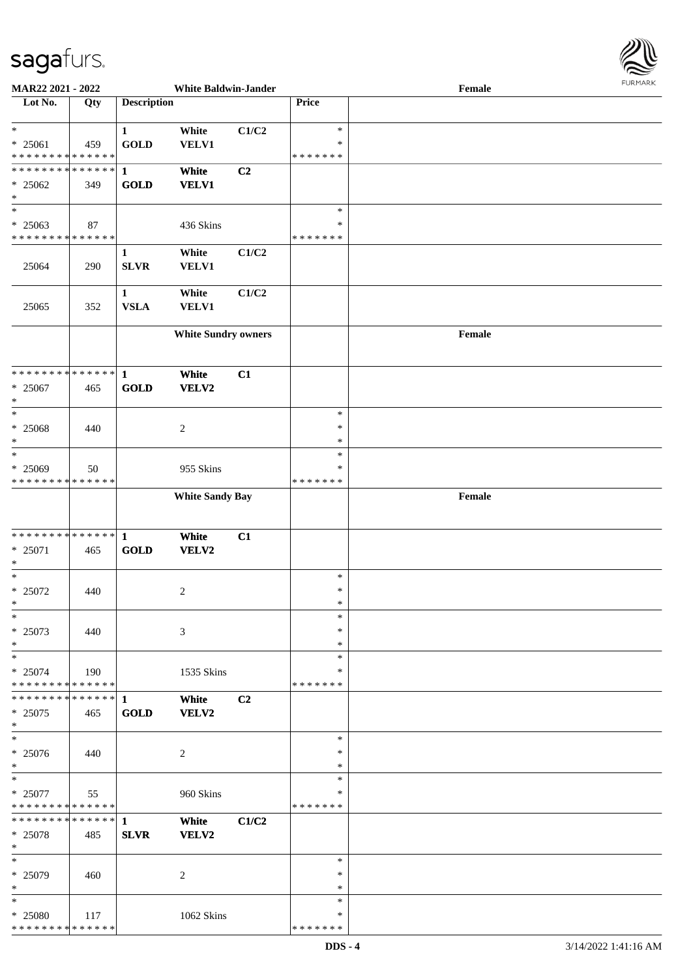

| MAR22 2021 - 2022             |     |                    | <b>White Baldwin-Jander</b> |       |               | Female |
|-------------------------------|-----|--------------------|-----------------------------|-------|---------------|--------|
| Lot No.                       | Qty | <b>Description</b> |                             |       | Price         |        |
|                               |     |                    |                             |       |               |        |
| $\ast$                        |     | $\mathbf{1}$       | White                       | C1/C2 | $\ast$        |        |
| * 25061                       | 459 | <b>GOLD</b>        | VELV1                       |       | $\ast$        |        |
| * * * * * * * * * * * * * *   |     |                    |                             |       | * * * * * * * |        |
| * * * * * * * * * * * * * *   |     | $\mathbf{1}$       | White                       | C2    |               |        |
| $* 25062$                     | 349 | <b>GOLD</b>        | <b>VELV1</b>                |       |               |        |
| $\ast$                        |     |                    |                             |       |               |        |
| $\overline{\phantom{a}^*}$    |     |                    |                             |       |               |        |
|                               |     |                    |                             |       | $\ast$        |        |
| * 25063                       | 87  |                    | 436 Skins                   |       | $\ast$        |        |
| * * * * * * * * * * * * * *   |     |                    |                             |       | * * * * * * * |        |
|                               |     | 1                  | White                       | C1/C2 |               |        |
| 25064                         | 290 | SLVR               | <b>VELV1</b>                |       |               |        |
|                               |     |                    |                             |       |               |        |
|                               |     | $\mathbf{1}$       | White                       | C1/C2 |               |        |
| 25065                         | 352 | <b>VSLA</b>        | <b>VELV1</b>                |       |               |        |
|                               |     |                    |                             |       |               |        |
|                               |     |                    | <b>White Sundry owners</b>  |       |               | Female |
|                               |     |                    |                             |       |               |        |
|                               |     |                    |                             |       |               |        |
| **************                |     | $\mathbf{1}$       | White                       |       |               |        |
|                               |     |                    |                             | C1    |               |        |
| $* 25067$                     | 465 | <b>GOLD</b>        | VELV2                       |       |               |        |
| $\ast$                        |     |                    |                             |       |               |        |
| $\ast$                        |     |                    |                             |       | $\ast$        |        |
| * 25068                       | 440 |                    | $\boldsymbol{2}$            |       | $\ast$        |        |
| $\ast$                        |     |                    |                             |       | $\ast$        |        |
| $\ast$                        |     |                    |                             |       | $\ast$        |        |
| * 25069                       | 50  |                    | 955 Skins                   |       | $\ast$        |        |
| * * * * * * * * * * * * * *   |     |                    |                             |       | * * * * * * * |        |
|                               |     |                    | <b>White Sandy Bay</b>      |       |               | Female |
|                               |     |                    |                             |       |               |        |
|                               |     |                    |                             |       |               |        |
| * * * * * * * * * * * * * * * |     | $\mathbf{1}$       | White                       | C1    |               |        |
| * 25071                       | 465 | <b>GOLD</b>        | VELV2                       |       |               |        |
| $\ast$                        |     |                    |                             |       |               |        |
| $\ast$                        |     |                    |                             |       | $\ast$        |        |
| $* 25072$                     | 440 |                    |                             |       | $\ast$        |        |
| $\ast$                        |     |                    | $\overline{c}$              |       | $\ast$        |        |
|                               |     |                    |                             |       |               |        |
| $*$                           |     |                    |                             |       | $\ast$        |        |
| $* 25073$                     | 440 |                    | 3                           |       | $\ast$        |        |
| $\ast$                        |     |                    |                             |       | $\ast$        |        |
| $\ast$                        |     |                    |                             |       | $\ast$        |        |
| $* 25074$                     | 190 |                    | 1535 Skins                  |       | ∗             |        |
| * * * * * * * * * * * * * *   |     |                    |                             |       | * * * * * * * |        |
| * * * * * * * * * * * * * * * |     | 1                  | White                       | C2    |               |        |
| $* 25075$                     | 465 | <b>GOLD</b>        | VELV2                       |       |               |        |
| $\ast$                        |     |                    |                             |       |               |        |
| $\ast$                        |     |                    |                             |       | $\ast$        |        |
| $* 25076$                     | 440 |                    | 2                           |       | $\ast$        |        |
| $*$                           |     |                    |                             |       | $\ast$        |        |
| $\ast$                        |     |                    |                             |       | $\ast$        |        |
| $* 25077$                     | 55  |                    | 960 Skins                   |       | $\ast$        |        |
| * * * * * * * * * * * * * *   |     |                    |                             |       | *******       |        |
| * * * * * * * * * * * * * * * |     | $\mathbf{1}$       |                             |       |               |        |
|                               |     |                    | White                       | C1/C2 |               |        |
| * 25078                       | 485 | <b>SLVR</b>        | VELV2                       |       |               |        |
| $*$                           |     |                    |                             |       |               |        |
| $\ast$                        |     |                    |                             |       | $\ast$        |        |
| * 25079                       | 460 |                    | 2                           |       | $\ast$        |        |
| $\ast$                        |     |                    |                             |       | $\ast$        |        |
| $\ast$                        |     |                    |                             |       | $\ast$        |        |
| * 25080                       | 117 |                    | 1062 Skins                  |       | ∗             |        |
| * * * * * * * * * * * * * *   |     |                    |                             |       | * * * * * * * |        |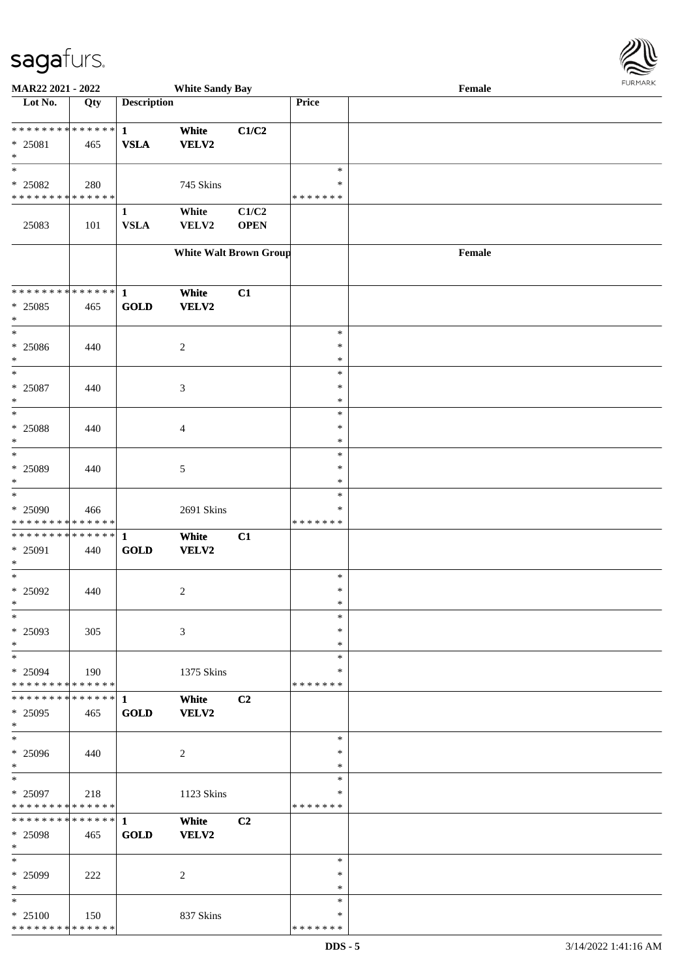

| MAR22 2021 - 2022                                   |     |                             | <b>White Sandy Bay</b>        |                      |                                   | Female |  |
|-----------------------------------------------------|-----|-----------------------------|-------------------------------|----------------------|-----------------------------------|--------|--|
| Lot No.                                             | Qty | <b>Description</b>          |                               |                      | Price                             |        |  |
| ******** <mark>******</mark><br>* 25081<br>$\ast$   | 465 | $\mathbf{1}$<br><b>VSLA</b> | White<br><b>VELV2</b>         | C1/C2                |                                   |        |  |
| $\ast$<br>* 25082<br>* * * * * * * * * * * * * *    | 280 |                             | 745 Skins                     |                      | $\ast$<br>∗<br>* * * * * * *      |        |  |
| 25083                                               | 101 | $\mathbf{1}$<br><b>VSLA</b> | White<br>VELV2                | C1/C2<br><b>OPEN</b> |                                   |        |  |
|                                                     |     |                             | <b>White Walt Brown Group</b> |                      |                                   | Female |  |
| ******** <mark>******</mark><br>$* 25085$<br>$\ast$ | 465 | $\mathbf{1}$<br><b>GOLD</b> | White<br><b>VELV2</b>         | C1                   |                                   |        |  |
| $\ast$<br>$* 25086$<br>$\ast$                       | 440 |                             | $\overline{c}$                |                      | $\ast$<br>$\ast$<br>$\ast$        |        |  |
| $\ast$<br>$* 25087$<br>$\ast$                       | 440 |                             | $\mathfrak{Z}$                |                      | $\ast$<br>$\ast$<br>$\ast$        |        |  |
| $\ast$<br>* 25088<br>$\ast$                         | 440 |                             | $\overline{4}$                |                      | $\ast$<br>$\ast$<br>$\ast$        |        |  |
| $\ast$<br>* 25089<br>$\ast$                         | 440 |                             | 5                             |                      | $\ast$<br>$\ast$<br>$\ast$        |        |  |
| $\ast$<br>* 25090<br>* * * * * * * * * * * * * *    | 466 |                             | 2691 Skins                    |                      | $\ast$<br>$\ast$<br>* * * * * * * |        |  |
| * * * * * * * * * * * * * * *<br>* 25091<br>$\ast$  | 440 | $\mathbf{1}$<br><b>GOLD</b> | White<br><b>VELV2</b>         | C1                   |                                   |        |  |
| $\ast$<br>$* 25092$<br>$*$                          | 440 |                             | $\overline{2}$                |                      | $\ast$<br>$\ast$<br>$\ast$        |        |  |
| $\ast$<br>* 25093<br>$\ast$                         | 305 |                             | 3                             |                      | $\ast$<br>$\ast$<br>$\ast$        |        |  |
| $\ast$<br>$* 25094$<br>* * * * * * * * * * * * * *  | 190 |                             | 1375 Skins                    |                      | $\ast$<br>∗<br>* * * * * * *      |        |  |
| * * * * * * * * * * * * * * *<br>* 25095<br>$*$     | 465 | 1<br><b>GOLD</b>            | White<br>VELV2                | C <sub>2</sub>       |                                   |        |  |
| $\overline{\phantom{1}}$<br>$* 25096$<br>$*$        | 440 |                             | 2                             |                      | $\ast$<br>∗<br>$\ast$             |        |  |
| $*$<br>$* 25097$<br>* * * * * * * * * * * * * *     | 218 |                             | 1123 Skins                    |                      | $\ast$<br>$\ast$<br>* * * * * * * |        |  |
| ******** <mark>******</mark><br>* 25098<br>$*$      | 465 | $\mathbf{1}$<br><b>GOLD</b> | White<br>VELV2                | C <sub>2</sub>       |                                   |        |  |
| $*$<br>* 25099<br>$\ast$                            | 222 |                             | 2                             |                      | $\ast$<br>∗<br>$\ast$             |        |  |
| $\ast$<br>$* 25100$<br>* * * * * * * * * * * * * *  | 150 |                             | 837 Skins                     |                      | $\ast$<br>∗<br>* * * * * * *      |        |  |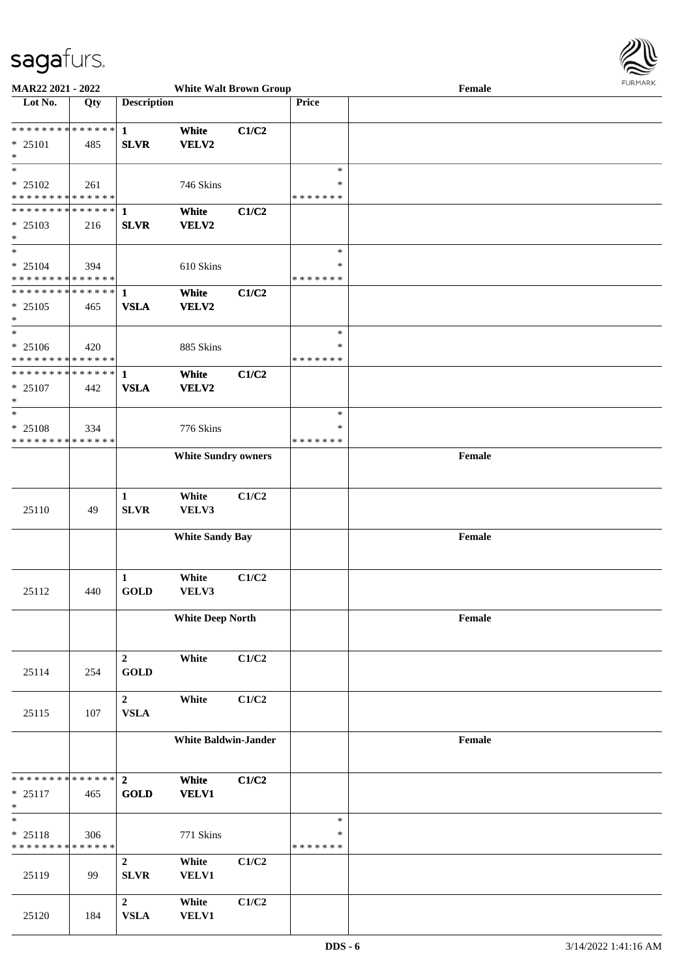

| MAR22 2021 - 2022                          |     |                    | <b>White Walt Brown Group</b> |       |               | Female | <b>LOKINKY</b> |
|--------------------------------------------|-----|--------------------|-------------------------------|-------|---------------|--------|----------------|
| Lot No.                                    | Qty | <b>Description</b> |                               |       | Price         |        |                |
|                                            |     |                    |                               |       |               |        |                |
|                                            |     |                    | White                         | C1/C2 |               |        |                |
| * 25101                                    | 485 | <b>SLVR</b>        | VELV2                         |       |               |        |                |
| $\ast$                                     |     |                    |                               |       |               |        |                |
| $\ast$                                     |     |                    |                               |       | $\ast$        |        |                |
| * 25102                                    | 261 |                    | 746 Skins                     |       | *             |        |                |
| * * * * * * * * <mark>* * * * * * *</mark> |     |                    |                               |       | * * * * * * * |        |                |
|                                            |     |                    | White                         | C1/C2 |               |        |                |
| * 25103                                    | 216 | <b>SLVR</b>        | VELV2                         |       |               |        |                |
| $\ast$                                     |     |                    |                               |       |               |        |                |
| $*$                                        |     |                    |                               |       | $\ast$        |        |                |
| $* 25104$                                  | 394 |                    | 610 Skins                     |       | *             |        |                |
| * * * * * * * * * * * * * *                |     |                    |                               |       | * * * * * * * |        |                |
| ************** 1                           |     |                    | White                         | C1/C2 |               |        |                |
| * 25105                                    | 465 | <b>VSLA</b>        | VELV2                         |       |               |        |                |
| $\ast$                                     |     |                    |                               |       |               |        |                |
| $*$                                        |     |                    |                               |       | $\ast$        |        |                |
| $* 25106$                                  | 420 |                    | 885 Skins                     |       | $\ast$        |        |                |
| * * * * * * * * * * * * * *                |     |                    |                               |       | *******       |        |                |
| ************** 1                           |     |                    | White                         | C1/C2 |               |        |                |
| $* 25107$                                  | 442 | <b>VSLA</b>        | VELV2                         |       |               |        |                |
| $\ast$                                     |     |                    |                               |       |               |        |                |
| $\ast$                                     |     |                    |                               |       | $\ast$        |        |                |
| * 25108                                    | 334 |                    | 776 Skins                     |       | $\ast$        |        |                |
| * * * * * * * * * * * * * *                |     |                    |                               |       | * * * * * * * |        |                |
|                                            |     |                    | <b>White Sundry owners</b>    |       |               | Female |                |
|                                            |     |                    |                               |       |               |        |                |
|                                            |     |                    |                               |       |               |        |                |
|                                            |     | $\mathbf{1}$       | White                         | C1/C2 |               |        |                |
| 25110                                      | 49  | <b>SLVR</b>        | VELV3                         |       |               |        |                |
|                                            |     |                    |                               |       |               |        |                |
|                                            |     |                    | <b>White Sandy Bay</b>        |       |               | Female |                |
|                                            |     |                    |                               |       |               |        |                |
|                                            |     |                    |                               |       |               |        |                |
|                                            |     | $\mathbf{1}$       | White                         | C1/C2 |               |        |                |
| 25112                                      | 440 | <b>GOLD</b>        | VELV3                         |       |               |        |                |
|                                            |     |                    |                               |       |               |        |                |
|                                            |     |                    | <b>White Deep North</b>       |       |               | Female |                |
|                                            |     |                    |                               |       |               |        |                |
|                                            |     |                    |                               |       |               |        |                |
|                                            |     | $\overline{2}$     | White                         | C1/C2 |               |        |                |
| 25114                                      | 254 | <b>GOLD</b>        |                               |       |               |        |                |
|                                            |     |                    |                               |       |               |        |                |
|                                            |     | $\overline{2}$     | White                         | C1/C2 |               |        |                |
| 25115                                      | 107 | <b>VSLA</b>        |                               |       |               |        |                |
|                                            |     |                    |                               |       |               |        |                |
|                                            |     |                    | <b>White Baldwin-Jander</b>   |       |               | Female |                |
|                                            |     |                    |                               |       |               |        |                |
|                                            |     |                    |                               |       |               |        |                |
| * * * * * * * * * * * * * * *              |     | $\overline{2}$     | White                         | C1/C2 |               |        |                |
| $* 25117$                                  | 465 | <b>GOLD</b>        | <b>VELV1</b>                  |       |               |        |                |
| $\ast$                                     |     |                    |                               |       |               |        |                |
| $\ast$                                     |     |                    |                               |       | $\ast$        |        |                |
| * 25118                                    | 306 |                    | 771 Skins                     |       | *             |        |                |
| * * * * * * * * * * * * * *                |     |                    |                               |       | *******       |        |                |
|                                            |     | $\overline{2}$     | White                         | C1/C2 |               |        |                |
| 25119                                      | 99  | <b>SLVR</b>        | <b>VELV1</b>                  |       |               |        |                |
|                                            |     |                    |                               |       |               |        |                |
|                                            |     | $\overline{2}$     | White                         | C1/C2 |               |        |                |
| 25120                                      | 184 | ${\bf VSLA}$       | VELV1                         |       |               |        |                |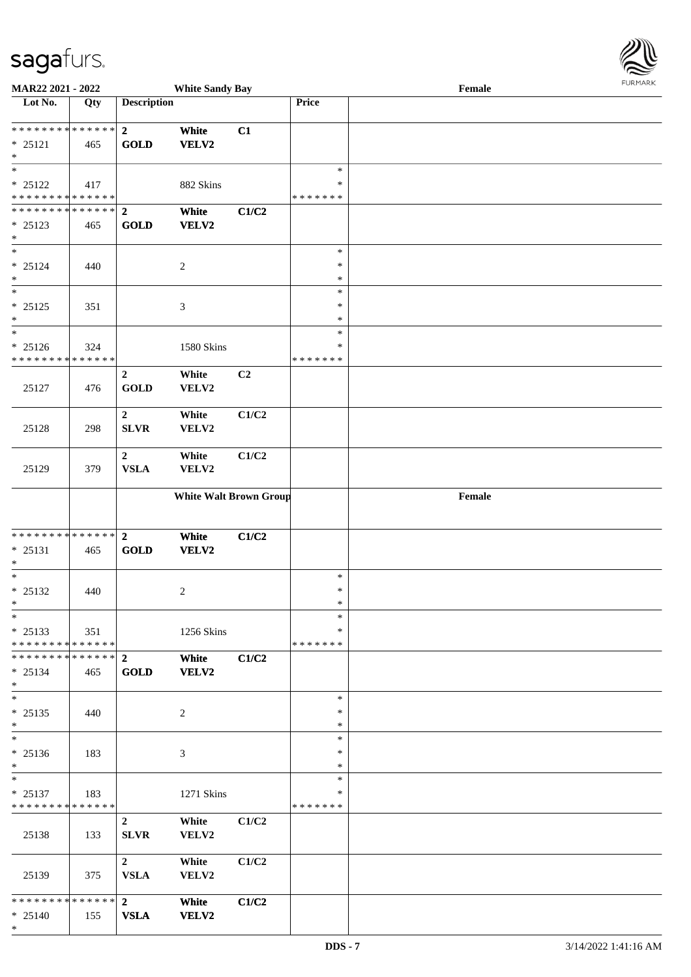\*

| MAR22 2021 - 2022                        |     |                    | <b>White Sandy Bay</b>        |       |                  | Female                                      |  |
|------------------------------------------|-----|--------------------|-------------------------------|-------|------------------|---------------------------------------------|--|
| Lot No.                                  | Qty | <b>Description</b> |                               |       | Price            |                                             |  |
|                                          |     |                    |                               |       |                  |                                             |  |
| **************                           |     | $\overline{2}$     | White                         | C1    |                  |                                             |  |
| $* 25121$<br>$\ast$                      | 465 | <b>GOLD</b>        | <b>VELV2</b>                  |       |                  |                                             |  |
| $\ast$                                   |     |                    |                               |       | $\ast$           |                                             |  |
| $* 25122$                                | 417 |                    | 882 Skins                     |       | $\ast$           |                                             |  |
| * * * * * * * * * * * * * *              |     |                    |                               |       | * * * * * * *    |                                             |  |
| **************                           |     | $\overline{2}$     | White                         | C1/C2 |                  |                                             |  |
| $* 25123$                                | 465 | <b>GOLD</b>        | VELV2                         |       |                  |                                             |  |
| $\ast$                                   |     |                    |                               |       |                  |                                             |  |
| $\ast$                                   |     |                    |                               |       | $\ast$           |                                             |  |
| $* 25124$                                | 440 |                    | $\sqrt{2}$                    |       | $\ast$           |                                             |  |
| $\ast$<br>$\ast$                         |     |                    |                               |       | $\ast$<br>$\ast$ |                                             |  |
| $* 25125$                                | 351 |                    | $\mathfrak{Z}$                |       | $\ast$           |                                             |  |
| $\ast$                                   |     |                    |                               |       | $\ast$           |                                             |  |
| $\ast$                                   |     |                    |                               |       | $\ast$           |                                             |  |
| $* 25126$                                | 324 |                    | 1580 Skins                    |       | $\ast$           |                                             |  |
| * * * * * * * * * * * * * *              |     |                    |                               |       | * * * * * * *    |                                             |  |
|                                          |     | $\overline{2}$     | White                         | C2    |                  |                                             |  |
| 25127                                    | 476 | <b>GOLD</b>        | VELV2                         |       |                  |                                             |  |
|                                          |     |                    |                               |       |                  |                                             |  |
|                                          |     | $\boldsymbol{2}$   | White                         | C1/C2 |                  |                                             |  |
| 25128                                    | 298 | <b>SLVR</b>        | VELV2                         |       |                  |                                             |  |
|                                          |     | $\overline{2}$     | White                         | C1/C2 |                  |                                             |  |
| 25129                                    | 379 | <b>VSLA</b>        | VELV2                         |       |                  |                                             |  |
|                                          |     |                    |                               |       |                  |                                             |  |
|                                          |     |                    | <b>White Walt Brown Group</b> |       |                  | $\ensuremath{\textnormal{\textbf{Female}}}$ |  |
|                                          |     |                    |                               |       |                  |                                             |  |
|                                          |     |                    |                               |       |                  |                                             |  |
| **************                           |     | $\overline{2}$     | White                         | C1/C2 |                  |                                             |  |
| $* 25131$<br>$\ast$                      | 465 | GOLD               | VELV2                         |       |                  |                                             |  |
| $\ast$                                   |     |                    |                               |       | $\ast$           |                                             |  |
| $* 25132$                                | 440 |                    | $\overline{c}$                |       | $\ast$           |                                             |  |
| $*$                                      |     |                    |                               |       | $\ast$           |                                             |  |
| $\ast$                                   |     |                    |                               |       | $\ast$           |                                             |  |
| $* 25133$                                | 351 |                    | 1256 Skins                    |       | ∗                |                                             |  |
| **************                           |     |                    |                               |       | * * * * * * *    |                                             |  |
| ************** 2                         |     |                    | White                         | C1/C2 |                  |                                             |  |
| $*$ 25134<br>$*$                         | 465 | <b>GOLD</b>        | VELV2                         |       |                  |                                             |  |
| $\ast$                                   |     |                    |                               |       | $\ast$           |                                             |  |
| $* 25135$                                | 440 |                    | $\overline{2}$                |       | $\ast$           |                                             |  |
| $\ast$                                   |     |                    |                               |       | $\ast$           |                                             |  |
| $\ast$                                   |     |                    |                               |       | $\ast$           |                                             |  |
| $* 25136$                                | 183 |                    | $\mathfrak{Z}$                |       | $\ast$           |                                             |  |
| $*$                                      |     |                    |                               |       | $\ast$           |                                             |  |
| $\ast$                                   |     |                    |                               |       | $\ast$<br>$\ast$ |                                             |  |
| $* 25137$<br>* * * * * * * * * * * * * * | 183 |                    | 1271 Skins                    |       | *******          |                                             |  |
|                                          |     | $\overline{2}$     | White                         | C1/C2 |                  |                                             |  |
| 25138                                    | 133 | <b>SLVR</b>        | VELV2                         |       |                  |                                             |  |
|                                          |     |                    |                               |       |                  |                                             |  |
|                                          |     | $\overline{2}$     | White                         | C1/C2 |                  |                                             |  |
| 25139                                    | 375 | <b>VSLA</b>        | VELV2                         |       |                  |                                             |  |
|                                          |     |                    |                               |       |                  |                                             |  |
| ************** 2                         |     |                    | White                         | C1/C2 |                  |                                             |  |
| $* 25140$                                | 155 | <b>VSLA</b>        | VELV2                         |       |                  |                                             |  |



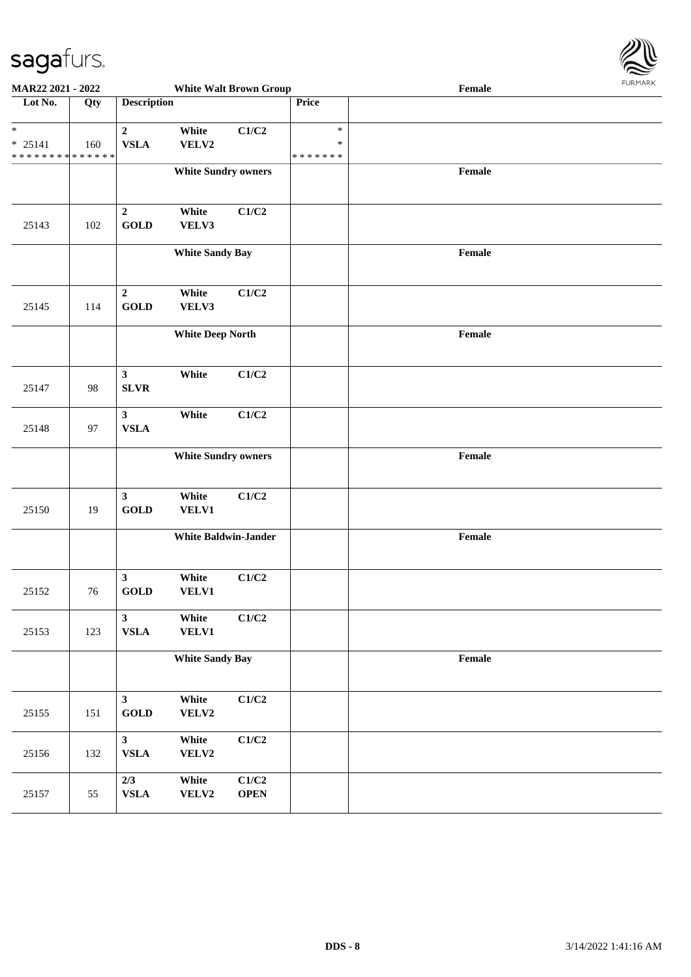

| MAR22 2021 - 2022                                                 |     |                                |                            | <b>White Walt Brown Group</b> |                                   | $\ensuremath{\textnormal{\textbf{Female}}}$ | <b>FURITARR</b> |
|-------------------------------------------------------------------|-----|--------------------------------|----------------------------|-------------------------------|-----------------------------------|---------------------------------------------|-----------------|
| Lot No.                                                           | Qty | <b>Description</b>             |                            |                               | Price                             |                                             |                 |
| $\ast$<br>$* 25141$<br>* * * * * * * * <mark>* * * * * * *</mark> | 160 | $\overline{2}$<br>${\bf VSLA}$ | White<br>VELV2             | C1/C2                         | $\ast$<br>$\ast$<br>* * * * * * * |                                             |                 |
|                                                                   |     |                                | <b>White Sundry owners</b> |                               |                                   | Female                                      |                 |
| 25143                                                             | 102 | $\overline{2}$<br><b>GOLD</b>  | White<br>VELV3             | C1/C2                         |                                   |                                             |                 |
|                                                                   |     |                                | <b>White Sandy Bay</b>     |                               |                                   | Female                                      |                 |
| 25145                                                             | 114 | $\mathbf 2$<br><b>GOLD</b>     | White<br>VELV3             | C1/C2                         |                                   |                                             |                 |
|                                                                   |     |                                | <b>White Deep North</b>    |                               |                                   | Female                                      |                 |
| 25147                                                             | 98  | $\mathbf{3}$<br><b>SLVR</b>    | White                      | C1/C2                         |                                   |                                             |                 |
| 25148                                                             | 97  | $\mathbf{3}$<br>${\bf VSLA}$   | White                      | C1/C2                         |                                   |                                             |                 |
|                                                                   |     |                                | <b>White Sundry owners</b> |                               |                                   | Female                                      |                 |
| 25150                                                             | 19  | $\mathbf{3}$<br><b>GOLD</b>    | White<br><b>VELV1</b>      | C1/C2                         |                                   |                                             |                 |
|                                                                   |     |                                |                            | <b>White Baldwin-Jander</b>   |                                   | $\ensuremath{\textnormal{\textbf{Female}}}$ |                 |
| 25152                                                             | 76  | $\mathbf{3}$<br><b>GOLD</b>    | White<br>VELV1             | C1/C2                         |                                   |                                             |                 |
| 25153                                                             | 123 | $\mathbf{3}$<br>${\bf VSLA}$   | White<br><b>VELV1</b>      | C1/C2                         |                                   |                                             |                 |
|                                                                   |     |                                | <b>White Sandy Bay</b>     |                               |                                   | Female                                      |                 |
| 25155                                                             | 151 | $\mathbf{3}$<br><b>GOLD</b>    | White<br>VELV2             | C1/C2                         |                                   |                                             |                 |
| 25156                                                             | 132 | $\mathbf{3}$<br>${\bf VSLA}$   | White<br>VELV2             | $\mathbf{C1}/\mathbf{C2}$     |                                   |                                             |                 |
| 25157                                                             | 55  | 2/3<br>${\bf VSLA}$            | White<br>${\bf VELV2}$     | C1/C2<br><b>OPEN</b>          |                                   |                                             |                 |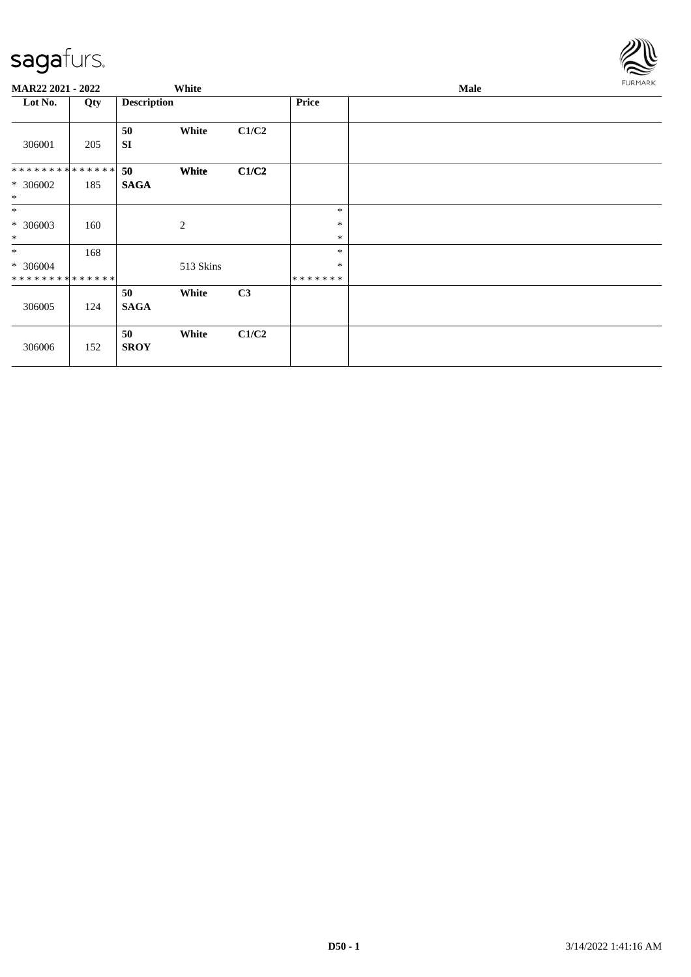

| MAR22 2021 - 2022            |     |                    | White        |       |                   | <b>FURMARK</b> |  |
|------------------------------|-----|--------------------|--------------|-------|-------------------|----------------|--|
| Lot No.                      | Qty | <b>Description</b> |              |       | <b>Price</b>      |                |  |
| 306001                       | 205 | 50<br><b>SI</b>    | White        | C1/C2 |                   |                |  |
| **************               |     | 50                 | White        | C1/C2 |                   |                |  |
| * 306002<br>$\ast$           | 185 | <b>SAGA</b>        |              |       |                   |                |  |
| $*$                          |     |                    |              |       | $\ast$            |                |  |
| $* 306003$<br>$\ast$         | 160 |                    | $\mathbf{2}$ |       | $\ast$<br>$\ast$  |                |  |
| $*$                          | 168 |                    |              |       | $\ast$            |                |  |
| $* 306004$<br>************** |     |                    | 513 Skins    |       | $\ast$<br>******* |                |  |
|                              |     | 50                 | White        | C3    |                   |                |  |
| 306005                       | 124 | <b>SAGA</b>        |              |       |                   |                |  |
| 306006                       | 152 | 50<br><b>SROY</b>  | White        | C1/C2 |                   |                |  |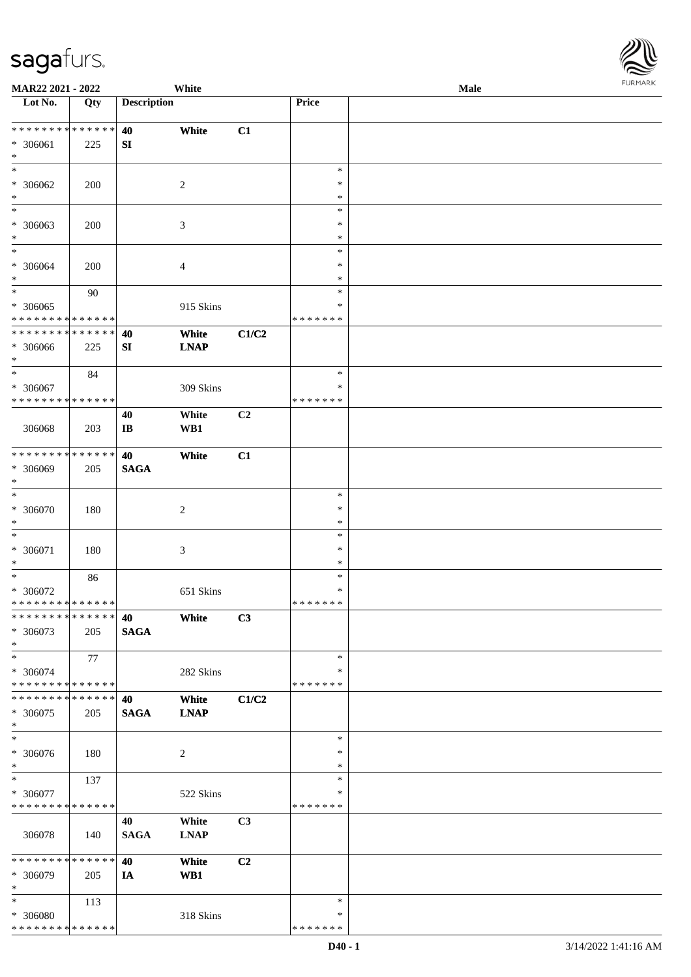| URMARK<br>F |
|-------------|

| MAR22 2021 - 2022                                                     |                    |                              | White                |                |                                   | Male | . 0.0133 |
|-----------------------------------------------------------------------|--------------------|------------------------------|----------------------|----------------|-----------------------------------|------|----------|
| Lot No.                                                               | Qty                | <b>Description</b>           |                      |                | Price                             |      |          |
| **************<br>* 306061<br>$\ast$                                  | 225                | 40<br>${\bf SI}$             | White                | C1             |                                   |      |          |
| $\ast$<br>* 306062<br>$\ast$                                          | 200                |                              | $\overline{c}$       |                | $\ast$<br>$\ast$<br>$\ast$        |      |          |
| $\ast$<br>* 306063<br>$\ast$<br>$_{\ast}$                             | 200                |                              | $\mathfrak{Z}$       |                | $\ast$<br>$\ast$<br>$\ast$        |      |          |
| $* 306064$<br>$\ast$                                                  | 200                |                              | $\overline{4}$       |                | $\ast$<br>$\ast$<br>$\ast$        |      |          |
| $\overline{\phantom{1}}$<br>$* 306065$<br>* * * * * * * * * * * * * * | 90                 |                              | 915 Skins            |                | $\ast$<br>$\ast$<br>* * * * * * * |      |          |
| * * * * * * * * * * * * * *<br>$* 306066$<br>$\ast$                   | 225                | 40<br>${\bf SI}$             | White<br><b>LNAP</b> | C1/C2          |                                   |      |          |
| $\ast$<br>* 306067<br>* * * * * * * * * * * * * *                     | 84                 |                              | 309 Skins            |                | $\ast$<br>∗<br>* * * * * * *      |      |          |
| 306068                                                                | 203                | 40<br>$\mathbf{I}\mathbf{B}$ | White<br>WB1         | C <sub>2</sub> |                                   |      |          |
| * * * * * * * * * * * * * *<br>* 306069<br>$\ast$                     | 205                | 40<br><b>SAGA</b>            | White                | C1             |                                   |      |          |
| $\ast$<br>$* 306070$<br>$\ast$                                        | 180                |                              | 2                    |                | $\ast$<br>$\ast$<br>$\ast$        |      |          |
| $\ast$<br>* 306071<br>$\ast$                                          | 180                |                              | $\mathfrak{Z}$       |                | $\ast$<br>$\ast$<br>$\ast$        |      |          |
| $\ast$<br>* 306072<br>**************                                  | 86                 |                              | 651 Skins            |                | $\ast$<br>$\ast$<br>* * * * * * * |      |          |
| * * * * * * * * * * * * * *<br>* 306073<br>$\ast$                     | 205                | 40<br><b>SAGA</b>            | White                | C3             |                                   |      |          |
| $\ast$<br>* 306074<br>* * * * * * * * * * * * * *                     | 77                 |                              | 282 Skins            |                | $\ast$<br>∗<br>* * * * * * *      |      |          |
| * * * * * * * *<br>* 306075<br>$\ast$                                 | * * * * * *<br>205 | 40<br><b>SAGA</b>            | White<br><b>LNAP</b> | C1/C2          |                                   |      |          |
| $\ast$<br>$* 306076$<br>$\ast$                                        | 180                |                              | 2                    |                | $\ast$<br>$\ast$<br>$\ast$        |      |          |
| $\overline{\phantom{0}}$<br>* 306077<br>* * * * * * * * * * * * * *   | 137                |                              | 522 Skins            |                | $\ast$<br>$\ast$<br>* * * * * * * |      |          |
| 306078                                                                | 140                | 40<br><b>SAGA</b>            | White<br><b>LNAP</b> | C3             |                                   |      |          |
| * * * * * * * *<br>* 306079<br>$\ast$                                 | * * * * * *<br>205 | 40<br>IA                     | White<br>WB1         | C <sub>2</sub> |                                   |      |          |
| $\ast$<br>* 306080<br>* * * * * * * * * * * * * *                     | 113                |                              | 318 Skins            |                | $\ast$<br>∗<br>* * * * * * *      |      |          |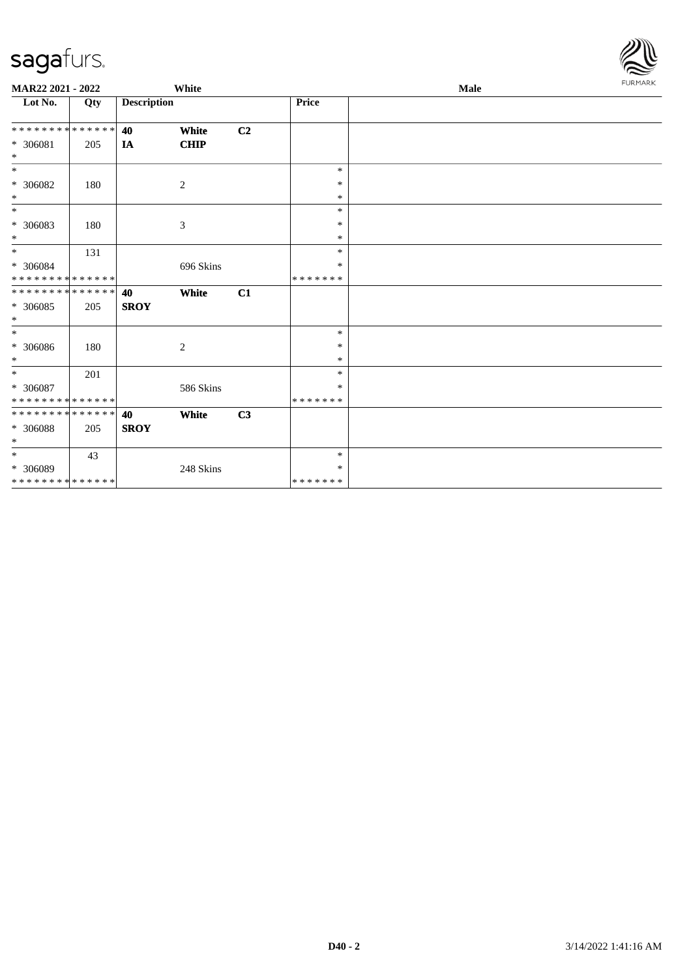

| MAR22 2021 - 2022           |     |                    | White                       |                |               | <b>Male</b> |  |  |  |
|-----------------------------|-----|--------------------|-----------------------------|----------------|---------------|-------------|--|--|--|
| Lot No.                     | Qty | <b>Description</b> |                             |                | Price         |             |  |  |  |
| * * * * * * * * * * * * * * |     | 40                 | White                       | C <sub>2</sub> |               |             |  |  |  |
| $* 306081$                  | 205 | IA                 | <b>CHIP</b>                 |                |               |             |  |  |  |
| $\ast$                      |     |                    |                             |                |               |             |  |  |  |
| $\overline{\phantom{0}}$    |     |                    |                             |                | $\ast$        |             |  |  |  |
| $* 306082$                  | 180 |                    | $\mathfrak{2}$              |                | $\ast$        |             |  |  |  |
| $\ast$                      |     |                    |                             |                | $\ast$        |             |  |  |  |
| $\ast$                      |     |                    |                             |                | $\ast$        |             |  |  |  |
| * 306083                    | 180 |                    | $\ensuremath{\mathfrak{Z}}$ |                | $\ast$        |             |  |  |  |
| $\ast$                      |     |                    |                             |                | $\ast$        |             |  |  |  |
| $\ast$                      | 131 |                    |                             |                | $\ast$        |             |  |  |  |
| * 306084                    |     |                    | 696 Skins                   |                | $\ast$        |             |  |  |  |
| * * * * * * * * * * * * * * |     |                    |                             |                | *******       |             |  |  |  |
| **************              |     | 40                 | White                       | C1             |               |             |  |  |  |
| $* 306085$                  | 205 | <b>SROY</b>        |                             |                |               |             |  |  |  |
| $\ast$                      |     |                    |                             |                |               |             |  |  |  |
| $\ast$                      |     |                    |                             |                | $\ast$        |             |  |  |  |
| $\, * \,$ 306086            | 180 |                    | 2                           |                | $\ast$        |             |  |  |  |
| $\ast$                      |     |                    |                             |                | $\ast$        |             |  |  |  |
| $\ast$                      | 201 |                    |                             |                | $\ast$        |             |  |  |  |
| * 306087                    |     |                    | 586 Skins                   |                | ∗             |             |  |  |  |
| * * * * * * * * * * * * * * |     |                    |                             |                | * * * * * * * |             |  |  |  |
| **************              |     | 40                 | White                       | C3             |               |             |  |  |  |
| * 306088                    | 205 | <b>SROY</b>        |                             |                |               |             |  |  |  |
| $\ast$                      |     |                    |                             |                |               |             |  |  |  |
| $*$                         | 43  |                    |                             |                | $\ast$        |             |  |  |  |
| $* 306089$                  |     |                    | 248 Skins                   |                | $\ast$        |             |  |  |  |
| * * * * * * * * * * * * * * |     |                    |                             |                | *******       |             |  |  |  |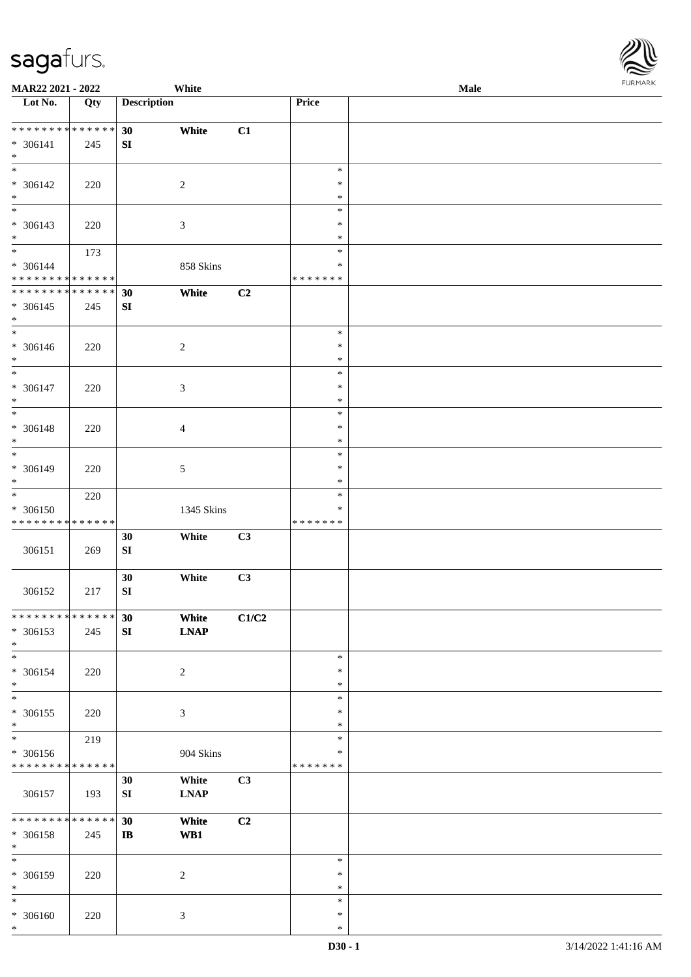\* \* \*

| MAR22 2021 - 2022                       |     |                    | White           |       |               | Male |  |
|-----------------------------------------|-----|--------------------|-----------------|-------|---------------|------|--|
| Lot No.                                 | Qty | <b>Description</b> |                 |       | Price         |      |  |
|                                         |     |                    |                 |       |               |      |  |
| ******** <mark>******</mark>            |     | 30                 | White           | C1    |               |      |  |
| * 306141                                | 245 | SI                 |                 |       |               |      |  |
| $\ast$<br>$\overline{\phantom{0}}$      |     |                    |                 |       |               |      |  |
|                                         |     |                    |                 |       | $\ast$        |      |  |
| $* 306142$                              | 220 |                    | $\overline{c}$  |       | $\ast$        |      |  |
| $\ast$<br>$\overline{\phantom{0}}$      |     |                    |                 |       | $\ast$        |      |  |
|                                         |     |                    |                 |       | $\ast$        |      |  |
| $* 306143$                              | 220 |                    | $\mathfrak{Z}$  |       | $\ast$        |      |  |
| $\ast$<br>$\overline{\phantom{a}^*}$    |     |                    |                 |       | $\ast$        |      |  |
|                                         | 173 |                    |                 |       | $\ast$        |      |  |
| * 306144<br>* * * * * * * * * * * * * * |     |                    | 858 Skins       |       | $\ast$        |      |  |
| * * * * * * * * * * * * * *             |     |                    |                 |       | * * * * * * * |      |  |
|                                         |     | 30                 | White           | C2    |               |      |  |
| $* 306145$                              | 245 | SI                 |                 |       |               |      |  |
| $\ast$<br>$\overline{\phantom{1}}$      |     |                    |                 |       | $\ast$        |      |  |
|                                         |     |                    |                 |       | $\ast$        |      |  |
| $* 306146$<br>$\ast$                    | 220 |                    | $\sqrt{2}$      |       | $\ast$        |      |  |
| $\ast$                                  |     |                    |                 |       | $\ast$        |      |  |
|                                         |     |                    |                 |       | $\ast$        |      |  |
| $* 306147$<br>$\ast$                    | 220 |                    | 3               |       | $\ast$        |      |  |
| $\ast$                                  |     |                    |                 |       | $\ast$        |      |  |
|                                         |     |                    |                 |       | $\ast$        |      |  |
| * 306148<br>$\ast$                      | 220 |                    | $\overline{4}$  |       | $\ast$        |      |  |
| $\overline{\phantom{1}}$                |     |                    |                 |       | $\ast$        |      |  |
| * 306149                                |     |                    | $5\,$           |       | $\ast$        |      |  |
| $\ast$                                  | 220 |                    |                 |       | $\ast$        |      |  |
| $_{\ast}^{-}$                           | 220 |                    |                 |       | $\ast$        |      |  |
| * 306150                                |     |                    | 1345 Skins      |       | $\ast$        |      |  |
| * * * * * * * * * * * * * *             |     |                    |                 |       | *******       |      |  |
|                                         |     | 30                 | White           | C3    |               |      |  |
| 306151                                  | 269 | ${\bf SI}$         |                 |       |               |      |  |
|                                         |     |                    |                 |       |               |      |  |
|                                         |     | 30                 | White           | C3    |               |      |  |
| 306152                                  | 217 | ${\bf S}{\bf I}$   |                 |       |               |      |  |
|                                         |     |                    |                 |       |               |      |  |
| * * * * * * * * * * * * * * *           |     | 30                 | White           | C1/C2 |               |      |  |
| $* 306153$                              | 245 | SI                 | <b>LNAP</b>     |       |               |      |  |
| $*$                                     |     |                    |                 |       |               |      |  |
| $*$                                     |     |                    |                 |       | $\ast$        |      |  |
| * 306154                                | 220 |                    | $\overline{c}$  |       | $\ast$        |      |  |
| $\ast$                                  |     |                    |                 |       | $\ast$        |      |  |
| $\ast$                                  |     |                    |                 |       | $\ast$        |      |  |
| $* 306155$                              | 220 |                    | 3               |       | $\ast$        |      |  |
| $\ast$                                  |     |                    |                 |       | $\ast$        |      |  |
| $_{\ast}^{-}$                           | 219 |                    |                 |       | $\ast$        |      |  |
| * 306156                                |     |                    | 904 Skins       |       | *             |      |  |
| * * * * * * * * * * * * * *             |     |                    |                 |       | *******       |      |  |
|                                         |     | 30                 | White           | C3    |               |      |  |
| 306157                                  | 193 | ${\bf S}{\bf I}$   | <b>LNAP</b>     |       |               |      |  |
|                                         |     |                    |                 |       |               |      |  |
| * * * * * * * * * * * * * *             |     | 30                 | White           | C2    |               |      |  |
| * 306158                                | 245 | $\bf I\bf B$       | W <sub>B1</sub> |       |               |      |  |
| $\ast$<br>$\overline{\phantom{a}^*}$    |     |                    |                 |       |               |      |  |
|                                         |     |                    |                 |       | $\ast$        |      |  |
| $* 306159$                              | 220 |                    | $\overline{c}$  |       | $\ast$        |      |  |
| $\ast$                                  |     |                    |                 |       | $\ast$        |      |  |
| $\ast$                                  |     |                    |                 |       | $\ast$        |      |  |
| $* 306160$                              | 220 |                    | $\sqrt{3}$      |       | $\ast$        |      |  |
| $\ast$                                  |     |                    |                 |       | $\ast$        |      |  |

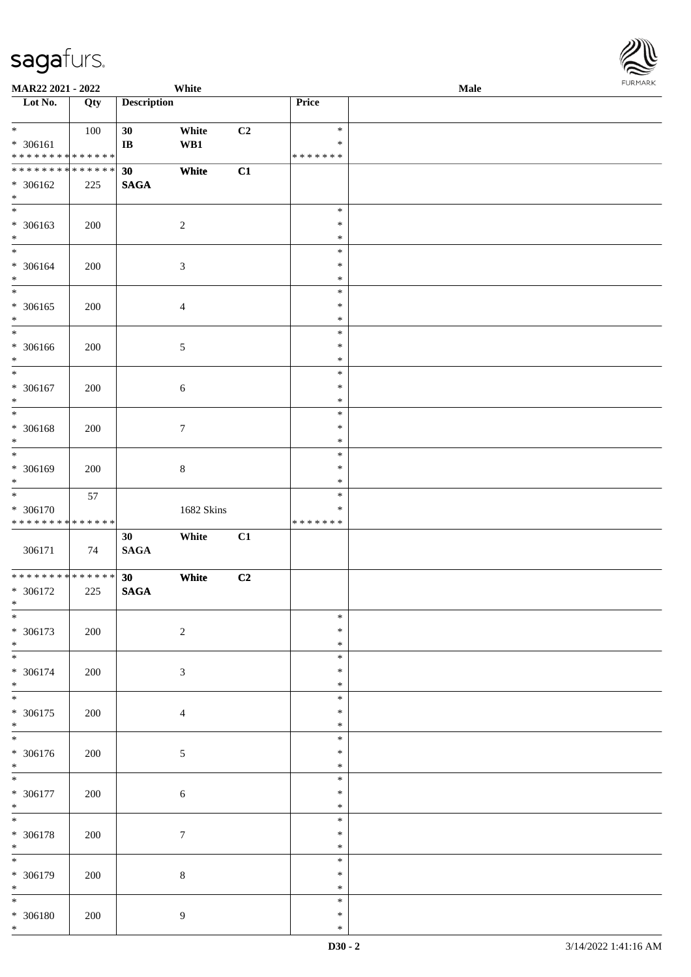| <b>MAR22 2021 - 2022</b>                                                   |     |                              | White           |                |                                      | Male | . |
|----------------------------------------------------------------------------|-----|------------------------------|-----------------|----------------|--------------------------------------|------|---|
| Lot No.                                                                    | Qty | <b>Description</b>           |                 |                | Price                                |      |   |
| $*$<br>* 306161<br>* * * * * * * * <mark>* * * * * * *</mark>              | 100 | 30<br>$\mathbf{I}\mathbf{B}$ | White<br>WB1    | C <sub>2</sub> | $\ast$<br>$\ast$<br>* * * * * * *    |      |   |
| * * * * * * * * <mark>* * * * * * *</mark><br>* 306162<br>$\ast$           | 225 | 30<br><b>SAGA</b>            | White           | C1             |                                      |      |   |
| * 306163<br>$\ast$                                                         | 200 |                              | $\sqrt{2}$      |                | $\ast$<br>$\ast$<br>$\ast$           |      |   |
| $*$<br>* 306164<br>$*$                                                     | 200 |                              | $\sqrt{3}$      |                | $\ast$<br>$\ast$<br>$\ast$           |      |   |
| * 306165<br>$*$                                                            | 200 |                              | $\overline{4}$  |                | $\ast$<br>$\ast$<br>$\ast$           |      |   |
| * 306166<br>$\ast$<br>$\overline{\ast}$                                    | 200 |                              | $\sqrt{5}$      |                | $\ast$<br>$\ast$<br>$\ast$           |      |   |
| * 306167<br>$\ast$<br>$\overline{\phantom{0}}$                             | 200 |                              | 6               |                | $\ast$<br>$\ast$<br>$\ast$<br>$\ast$ |      |   |
| * 306168<br>$\ast$<br>$\overline{\phantom{0}}$                             | 200 |                              | $\tau$          |                | $\ast$<br>$\ast$                     |      |   |
| * 306169<br>$\ast$<br>$\overline{\ast}$                                    | 200 |                              | $8\,$           |                | $\ast$<br>$\ast$<br>$\ast$<br>$\ast$ |      |   |
| * 306170<br>* * * * * * * * <mark>* * * * * * *</mark>                     | 57  |                              | 1682 Skins      |                | $\ast$<br>* * * * * * *              |      |   |
| 306171                                                                     | 74  | 30<br><b>SAGA</b>            | White           | C1             |                                      |      |   |
| * * * * * * * * <mark>* * * * * *</mark> *<br>* 306172<br>$\ast$<br>$\ast$ | 225 | 30<br><b>SAGA</b>            | White           | C2             |                                      |      |   |
| * 306173<br>$*$                                                            | 200 |                              | $\sqrt{2}$      |                | $\ast$<br>$\ast$<br>$\ast$           |      |   |
| * 306174<br>$*$<br>$\ddot{x}$                                              | 200 |                              | $\mathfrak{Z}$  |                | $\ast$<br>$\ast$<br>$\ast$           |      |   |
| * 306175<br>$*$<br>$\overline{\phantom{0}}$                                | 200 |                              | $\overline{4}$  |                | $\ast$<br>$\ast$<br>$\ast$<br>$\ast$ |      |   |
| * 306176<br>$*$<br>$\overline{\mathbf{r}}$                                 | 200 |                              | $\mathfrak{S}$  |                | ∗<br>$\ast$                          |      |   |
| * 306177<br>$*$<br>$*$                                                     | 200 |                              | $\sqrt{6}$      |                | $\ast$<br>$\ast$<br>$\ast$           |      |   |
| * 306178<br>$*$<br>$\overline{\ast}$                                       | 200 |                              | $7\phantom{.0}$ |                | $\ast$<br>$\ast$<br>$\ast$           |      |   |
| * 306179<br>$*$<br>$\overline{\mathbf{r}}$                                 | 200 |                              | $8\,$           |                | $\ast$<br>$\ast$<br>$\ast$           |      |   |
| * 306180<br>$\ast$                                                         | 200 |                              | $\overline{9}$  |                | $\ast$<br>$\ast$<br>$\ast$           |      |   |

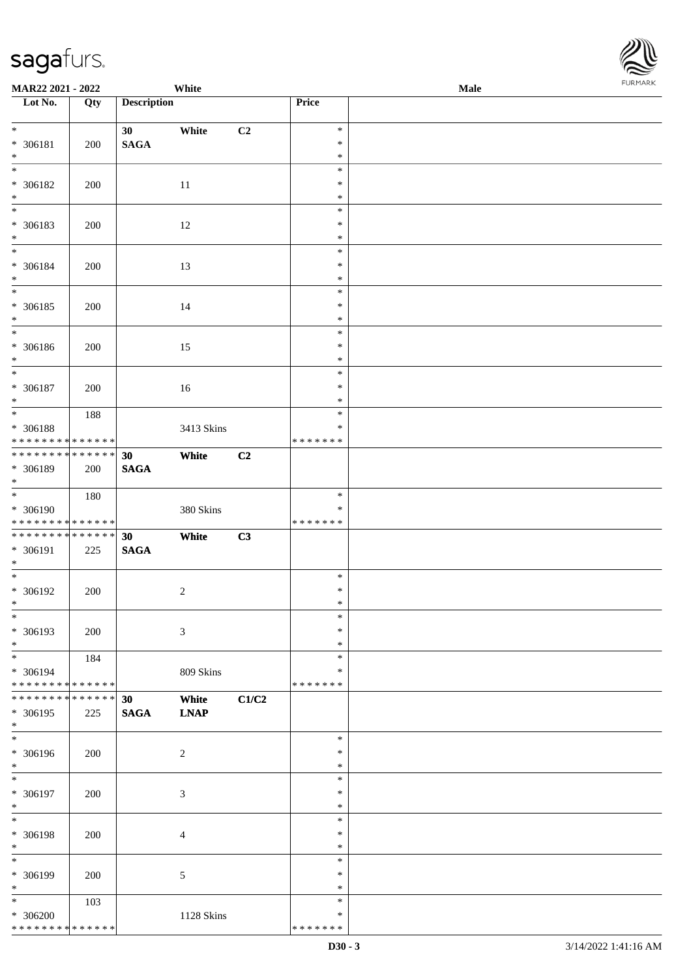| MAR22 2021 - 2022                              |             |                    | White                |       |                         | Male |  |
|------------------------------------------------|-------------|--------------------|----------------------|-------|-------------------------|------|--|
| Lot No.                                        | Qty         | <b>Description</b> |                      |       | <b>Price</b>            |      |  |
| $*$                                            |             |                    |                      |       |                         |      |  |
|                                                |             | 30                 | White                | C2    | $\ast$<br>$\ast$        |      |  |
| * 306181<br>$*$                                | 200         | <b>SAGA</b>        |                      |       | $\ast$                  |      |  |
| $\overline{\ast}$                              |             |                    |                      |       | $\ast$                  |      |  |
| $* 306182$                                     | 200         |                    | 11                   |       | $\ast$                  |      |  |
| $\ast$                                         |             |                    |                      |       | $\ast$                  |      |  |
|                                                |             |                    |                      |       | $\ast$                  |      |  |
| * 306183                                       | 200         |                    | 12                   |       | $\ast$                  |      |  |
| $*$                                            |             |                    |                      |       | $\ast$                  |      |  |
| $*$                                            |             |                    |                      |       | $\ast$                  |      |  |
| $* 306184$                                     | 200         |                    | 13                   |       | $\ast$                  |      |  |
| $*$<br>$\overline{\phantom{0}}$                |             |                    |                      |       | $\ast$<br>$\ast$        |      |  |
| $* 306185$                                     |             |                    |                      |       | $\ast$                  |      |  |
| $\ast$                                         | 200         |                    | 14                   |       | $\ast$                  |      |  |
| $\overline{\ast}$                              |             |                    |                      |       | $\ast$                  |      |  |
| $* 306186$                                     | 200         |                    | 15                   |       | $\ast$                  |      |  |
| $*$                                            |             |                    |                      |       | $\ast$                  |      |  |
| $\ast$                                         |             |                    |                      |       | $\ast$                  |      |  |
| $* 306187$                                     | 200         |                    | 16                   |       | $\ast$                  |      |  |
| $*$                                            |             |                    |                      |       | $\ast$                  |      |  |
|                                                | 188         |                    |                      |       | $\ast$                  |      |  |
| * 306188<br>* * * * * * * * * * * * * *        |             |                    | 3413 Skins           |       | $\ast$<br>* * * * * * * |      |  |
| * * * * * * * * * * * * * *                    |             | 30                 | White                | C2    |                         |      |  |
| * 306189                                       | 200         | <b>SAGA</b>        |                      |       |                         |      |  |
| $*$                                            |             |                    |                      |       |                         |      |  |
|                                                | 180         |                    |                      |       | $\ast$                  |      |  |
| * 306190                                       |             |                    | 380 Skins            |       | $\ast$                  |      |  |
| * * * * * * * * <mark>* * * * * * *</mark>     |             |                    |                      |       | * * * * * * *           |      |  |
| * * * * * * * * * * * * * *                    |             | 30                 | White                | C3    |                         |      |  |
| $* 306191$                                     | 225         | <b>SAGA</b>        |                      |       |                         |      |  |
| $*$<br>$*$                                     |             |                    |                      |       | $\ast$                  |      |  |
| $* 306192$                                     | 200         |                    | $\sqrt{2}$           |       | $\ast$                  |      |  |
| $*$                                            |             |                    |                      |       | $\ast$                  |      |  |
| $\ast$                                         |             |                    |                      |       | $\ast$                  |      |  |
| * 306193                                       | 200         |                    | 3                    |       | $\ast$                  |      |  |
| $*$                                            |             |                    |                      |       | $\ast$                  |      |  |
| $*$                                            | 184         |                    |                      |       | $\ast$                  |      |  |
| * 306194                                       |             |                    | 809 Skins            |       | ∗                       |      |  |
| * * * * * * * * * * * * * *<br>* * * * * * * * | * * * * * * |                    |                      |       | * * * * * * *           |      |  |
| * 306195                                       | 225         | 30<br><b>SAGA</b>  | White<br><b>LNAP</b> | C1/C2 |                         |      |  |
| $*$                                            |             |                    |                      |       |                         |      |  |
| $\overline{\ast}$                              |             |                    |                      |       | $\ast$                  |      |  |
| $* 306196$                                     | 200         |                    | $\overline{c}$       |       | $\ast$                  |      |  |
| $*$                                            |             |                    |                      |       | $\ast$                  |      |  |
| $*$                                            |             |                    |                      |       | $\ast$                  |      |  |
| * 306197                                       | 200         |                    | 3                    |       | $\ast$                  |      |  |
| $*$                                            |             |                    |                      |       | $\ast$                  |      |  |
| $*$<br>* 306198                                |             |                    |                      |       | $\ast$<br>$\ast$        |      |  |
| $\ast$                                         | 200         |                    | $\overline{4}$       |       | $\ast$                  |      |  |
| $\ast$                                         |             |                    |                      |       | $\ast$                  |      |  |
| * 306199                                       | 200         |                    | 5                    |       | $\ast$                  |      |  |
| $*$                                            |             |                    |                      |       | $\ast$                  |      |  |
| $*$                                            | 103         |                    |                      |       | $\ast$                  |      |  |
| $* 306200$                                     |             |                    | 1128 Skins           |       | $\ast$                  |      |  |
| * * * * * * * * * * * * * *                    |             |                    |                      |       | * * * * * * *           |      |  |

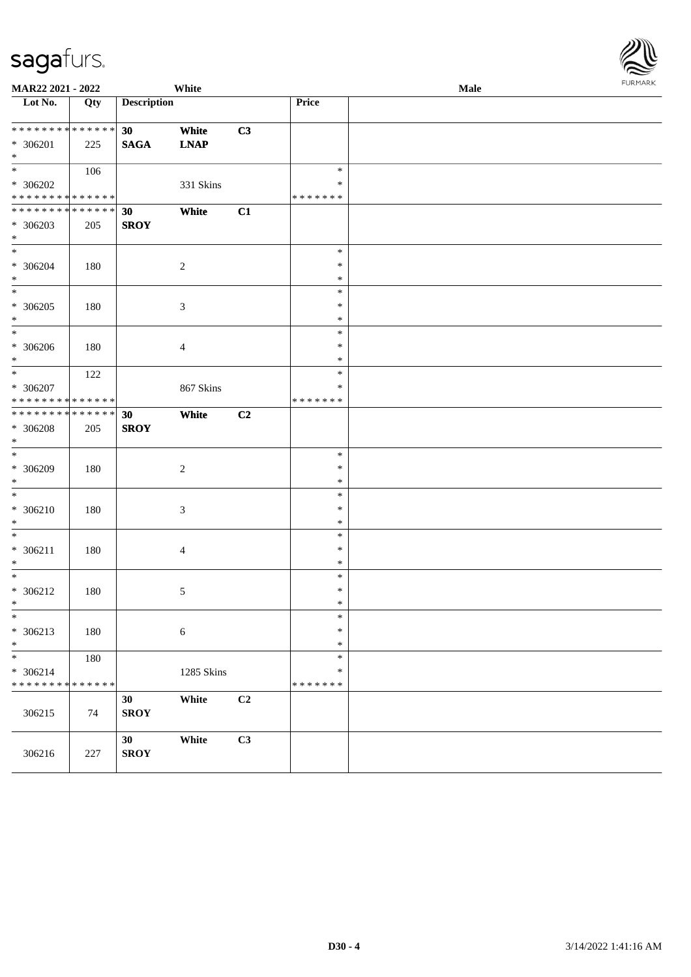| <b>MAR22 2021 - 2022</b>                                             |                    |                                | White                |    |                                   | <b>FUNITANN</b><br>Male |  |  |
|----------------------------------------------------------------------|--------------------|--------------------------------|----------------------|----|-----------------------------------|-------------------------|--|--|
| Lot No.                                                              | Qty                | <b>Description</b>             |                      |    | Price                             |                         |  |  |
| ******** <mark>******</mark><br>* 306201<br>$*$                      | 225                | 30 <sup>°</sup><br><b>SAGA</b> | White<br><b>LNAP</b> | C3 |                                   |                         |  |  |
| $* 306202$<br>* * * * * * * * <mark>* * * * * *</mark>               | 106                |                                | 331 Skins            |    | $\ast$<br>∗<br>* * * * * * *      |                         |  |  |
| * * * * * * * * <mark>* * * * * * *</mark><br>* 306203<br>$\ast$     | 205                | 30<br><b>SROY</b>              | White                | C1 |                                   |                         |  |  |
| $\ddot{x}$<br>* 306204<br>$\ast$                                     | 180                |                                | 2                    |    | $\ast$<br>$\ast$<br>$\ast$        |                         |  |  |
| $*$<br>* 306205<br>$*$                                               | 180                |                                | $\sqrt{3}$           |    | $\ast$<br>$\ast$<br>$\ast$        |                         |  |  |
| $\overline{\phantom{0}}$<br>* 306206<br>$*$                          | 180                |                                | $\overline{4}$       |    | $\ast$<br>$\ast$<br>$\ast$        |                         |  |  |
| $\ddot{x}$<br>* 306207<br>* * * * * * * * <mark>* * * * * * *</mark> | 122                |                                | 867 Skins            |    | $\ast$<br>$\ast$<br>* * * * * * * |                         |  |  |
| * * * * * * * * <mark>*</mark><br>* 306208<br>$*$                    | * * * * * *<br>205 | 30<br><b>SROY</b>              | White                | C2 |                                   |                         |  |  |
| * 306209<br>$\ast$                                                   | 180                |                                | $\boldsymbol{2}$     |    | $\ast$<br>$\ast$<br>$\ast$        |                         |  |  |
| $\overline{\ast}$<br>$* 306210$<br>$\ast$                            | 180                |                                | 3                    |    | $\ast$<br>$\ast$<br>$\ast$        |                         |  |  |
| $\overline{\ast}$<br>$* 306211$<br>$*$                               | 180                |                                | 4                    |    | $\ast$<br>$\ast$<br>$\ast$        |                         |  |  |
| $\overline{\ast}$<br>$* 306212$<br>$\ast$                            | 180                |                                | $\sqrt{5}$           |    | $\ast$<br>$\ast$<br>$\ast$        |                         |  |  |
| $\ast$<br>* 306213<br>$*$                                            | 180                |                                | $\sqrt{6}$           |    | $\ast$<br>$\ast$<br>$\ast$        |                         |  |  |
| $\ast$<br>$* 306214$<br>* * * * * * * * <mark>* * * * * * *</mark>   | 180                |                                | 1285 Skins           |    | $\ast$<br>$\ast$<br>* * * * * * * |                         |  |  |
| 306215                                                               | 74                 | 30<br><b>SROY</b>              | White                | C2 |                                   |                         |  |  |
| 306216                                                               | 227                | 30<br><b>SROY</b>              | White                | C3 |                                   |                         |  |  |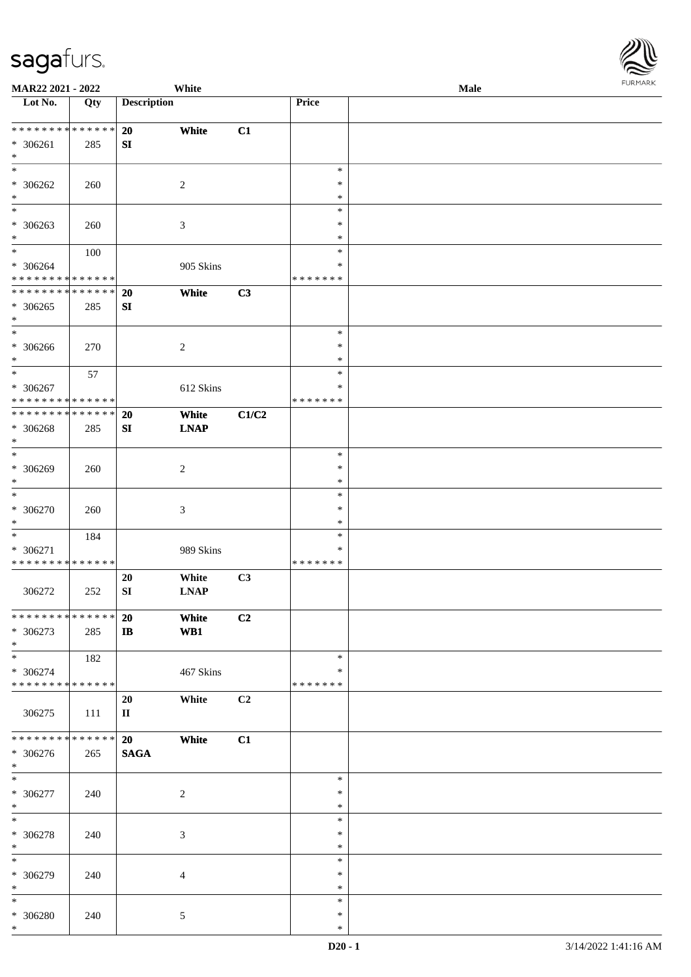| URMARK<br>F |
|-------------|

| MAR22 2021 - 2022                                     |     |                    | White                |                |                                   | FURMARK<br>Male |  |  |  |  |
|-------------------------------------------------------|-----|--------------------|----------------------|----------------|-----------------------------------|-----------------|--|--|--|--|
| Lot No.                                               | Qty | <b>Description</b> |                      |                | Price                             |                 |  |  |  |  |
| ******** <mark>******</mark><br>* 306261<br>$*$       | 285 | 20<br>SI           | White                | C1             |                                   |                 |  |  |  |  |
| $* 306262$<br>$*$                                     | 260 |                    | $\sqrt{2}$           |                | $\ast$<br>$\ast$<br>$\ast$        |                 |  |  |  |  |
| $*$<br>$* 306263$<br>$*$                              | 260 |                    | $\mathfrak{Z}$       |                | $\ast$<br>$\ast$<br>$\ast$        |                 |  |  |  |  |
| $*$<br>* 306264<br>* * * * * * * * * * * * * *        | 100 |                    | 905 Skins            |                | $\ast$<br>$\ast$<br>* * * * * * * |                 |  |  |  |  |
| * * * * * * * * * * * * * * *<br>$* 306265$<br>$\ast$ | 285 | 20<br>SI           | White                | C3             |                                   |                 |  |  |  |  |
| $*$<br>$* 306266$<br>$*$                              | 270 |                    | 2                    |                | $\ast$<br>$\ast$<br>$\ast$        |                 |  |  |  |  |
| $* 306267$<br>* * * * * * * * * * * * * *             | 57  |                    | 612 Skins            |                | $\ast$<br>$\ast$<br>* * * * * * * |                 |  |  |  |  |
| ******** <mark>******</mark><br>$* 306268$<br>$\ast$  | 285 | 20<br>SI           | White<br><b>LNAP</b> | C1/C2          |                                   |                 |  |  |  |  |
| $*$<br>* 306269<br>$*$                                | 260 |                    | $\sqrt{2}$           |                | $\ast$<br>$\ast$<br>$\ast$        |                 |  |  |  |  |
| $\ast$<br>$* 306270$<br>$\ast$                        | 260 |                    | 3                    |                | $\ast$<br>$\ast$<br>$\ast$        |                 |  |  |  |  |
| $*$<br>$* 306271$<br>* * * * * * * * * * * * * *      | 184 |                    | 989 Skins            |                | $\ast$<br>∗<br>* * * * * * *      |                 |  |  |  |  |
| 306272                                                | 252 | 20<br>SI           | White<br><b>LNAP</b> | C3             |                                   |                 |  |  |  |  |
| * * * * * * * * * * * * * * *<br>* 306273<br>$*$      | 285 | 20<br>$\bf IB$     | White<br>WB1         | C2             |                                   |                 |  |  |  |  |
| * 306274<br>* * * * * * * * * * * * * *               | 182 |                    | 467 Skins            |                | $\ast$<br>∗<br>* * * * * * *      |                 |  |  |  |  |
| 306275                                                | 111 | 20<br>$\mathbf{I}$ | White                | C <sub>2</sub> |                                   |                 |  |  |  |  |
| * * * * * * * * * * * * * * *<br>$* 306276$<br>$*$    | 265 | 20<br><b>SAGA</b>  | White                | C1             |                                   |                 |  |  |  |  |
| $*$<br>$* 306277$<br>$\ast$                           | 240 |                    | 2                    |                | $\ast$<br>$\ast$<br>$\ast$        |                 |  |  |  |  |
| $*$<br>$* 306278$<br>$\ast$                           | 240 |                    | 3                    |                | $\ast$<br>$\ast$<br>$\ast$        |                 |  |  |  |  |
| $*$<br>* 306279<br>$\ast$                             | 240 |                    | 4                    |                | $\ast$<br>$\ast$<br>$\ast$        |                 |  |  |  |  |
| $\ast$<br>$* 306280$<br>$*$                           | 240 |                    | 5                    |                | $\ast$<br>$\ast$<br>$\ast$        |                 |  |  |  |  |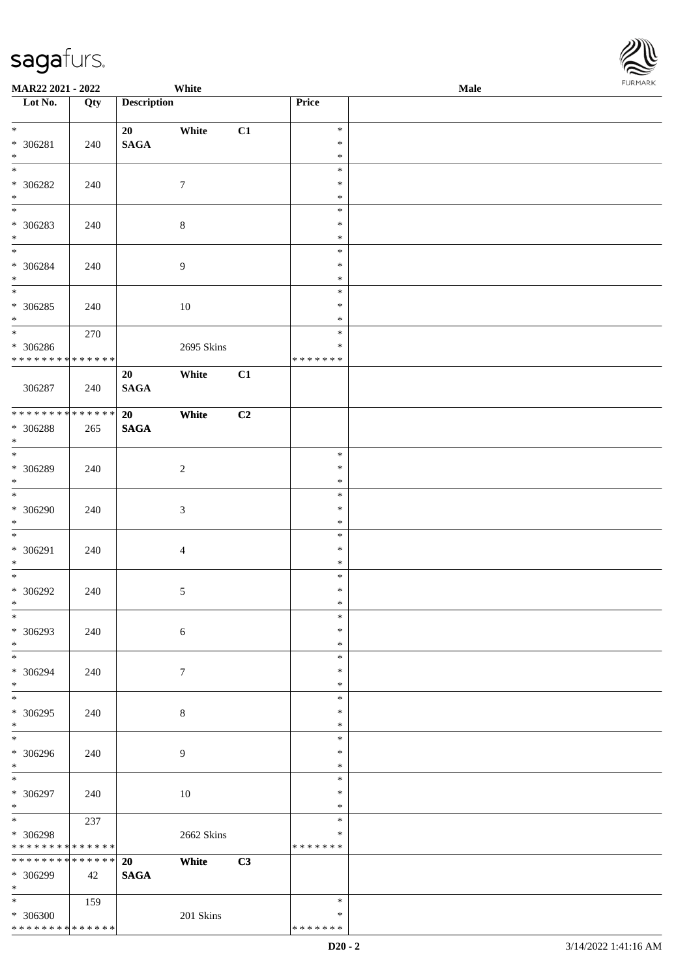| MAR22 2021 - 2022               |     |                    | White            |    |               | <b>Male</b> |  |
|---------------------------------|-----|--------------------|------------------|----|---------------|-------------|--|
| Lot No.                         | Qty | <b>Description</b> |                  |    | Price         |             |  |
|                                 |     |                    |                  |    |               |             |  |
| $*$                             |     | 20                 | White            | C1 | $\ast$        |             |  |
| $* 306281$                      | 240 | <b>SAGA</b>        |                  |    | $\ast$        |             |  |
| $\ast$                          |     |                    |                  |    | $\ast$        |             |  |
|                                 |     |                    |                  |    | $\ast$        |             |  |
| $* 306282$                      | 240 |                    | $\boldsymbol{7}$ |    | $\ast$        |             |  |
| $\ast$                          |     |                    |                  |    | $\ast$        |             |  |
| $\overline{\phantom{0}}$        |     |                    |                  |    | $\ast$        |             |  |
| $* 306283$                      | 240 |                    | $8\,$            |    | $\ast$        |             |  |
| $*$                             |     |                    |                  |    | $\ast$        |             |  |
|                                 |     |                    |                  |    | $\ast$        |             |  |
| $* 306284$                      | 240 |                    | $\boldsymbol{9}$ |    | $\ast$        |             |  |
| $*$                             |     |                    |                  |    | $\ast$        |             |  |
| $\overline{\phantom{0}}$        |     |                    |                  |    | $\ast$        |             |  |
| $* 306285$                      | 240 |                    | 10               |    | $\ast$        |             |  |
| $*$                             |     |                    |                  |    | $\ast$        |             |  |
| $\overline{\ast}$               | 270 |                    |                  |    | $\ast$        |             |  |
| $* 306286$                      |     |                    | 2695 Skins       |    | $\ast$        |             |  |
| * * * * * * * * * * * * * *     |     |                    |                  |    | * * * * * * * |             |  |
|                                 |     | 20                 | White            | C1 |               |             |  |
| 306287                          |     | <b>SAGA</b>        |                  |    |               |             |  |
|                                 | 240 |                    |                  |    |               |             |  |
| * * * * * * * * * * * * * *     |     | 20                 | White            | C2 |               |             |  |
|                                 |     |                    |                  |    |               |             |  |
| * 306288<br>$\ast$              | 265 | <b>SAGA</b>        |                  |    |               |             |  |
| $\overline{\ast}$               |     |                    |                  |    | $\ast$        |             |  |
|                                 |     |                    |                  |    |               |             |  |
| $* 306289$                      | 240 |                    | $\overline{c}$   |    | $\ast$        |             |  |
| $*$<br>$\overline{\phantom{0}}$ |     |                    |                  |    | $\ast$        |             |  |
|                                 |     |                    |                  |    | $\ast$        |             |  |
| $* 306290$                      | 240 |                    | $\mathfrak{Z}$   |    | $\ast$        |             |  |
| $*$                             |     |                    |                  |    | $\ast$        |             |  |
| $*$                             |     |                    |                  |    | $\ast$        |             |  |
| * 306291                        | 240 |                    | $\overline{4}$   |    | $\ast$        |             |  |
| $*$                             |     |                    |                  |    | $\ast$        |             |  |
| $*$                             |     |                    |                  |    | $\ast$        |             |  |
| $* 306292$                      | 240 |                    | $\sqrt{5}$       |    | $\ast$        |             |  |
| $*$                             |     |                    |                  |    | $\ast$        |             |  |
| $\ast$                          |     |                    |                  |    | $\ast$        |             |  |
| * 306293                        | 240 |                    | $\sqrt{6}$       |    | $\ast$        |             |  |
| $*$                             |     |                    |                  |    | $\ast$        |             |  |
| $*$                             |     |                    |                  |    | $\ast$        |             |  |
| * 306294                        | 240 |                    | $\tau$           |    | $\ast$        |             |  |
| $*$                             |     |                    |                  |    | $\ast$        |             |  |
| $*$                             |     |                    |                  |    | $\ast$        |             |  |
| $* 306295$                      | 240 |                    | 8                |    | $\ast$        |             |  |
| $*$                             |     |                    |                  |    | $\ast$        |             |  |
| $\overline{\ast}$               |     |                    |                  |    | $\ast$        |             |  |
| $* 306296$                      | 240 |                    | 9                |    | $\ast$        |             |  |
| $*$                             |     |                    |                  |    | $\ast$        |             |  |
| $*$                             |     |                    |                  |    | $\ast$        |             |  |
| $* 306297$                      | 240 |                    | 10               |    | $\ast$        |             |  |
| $*$                             |     |                    |                  |    | $\ast$        |             |  |
| $*$                             | 237 |                    |                  |    | $\ast$        |             |  |
| * 306298                        |     |                    | 2662 Skins       |    | $\ast$        |             |  |
| * * * * * * * * * * * * * *     |     |                    |                  |    | * * * * * * * |             |  |
| ******** <mark>******</mark>    |     | 20                 | White            | C3 |               |             |  |
| * 306299                        | 42  | <b>SAGA</b>        |                  |    |               |             |  |
| $*$                             |     |                    |                  |    |               |             |  |
| $*$                             | 159 |                    |                  |    | $\ast$        |             |  |
| * 306300                        |     |                    | 201 Skins        |    | $\ast$        |             |  |
| * * * * * * * * * * * * * *     |     |                    |                  |    | * * * * * * * |             |  |

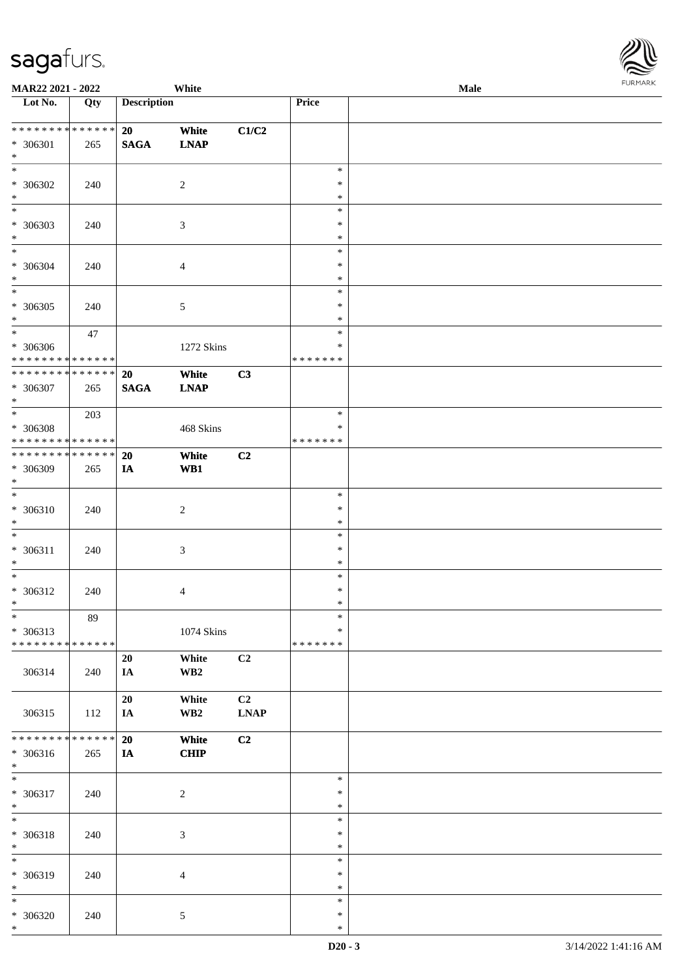| <b>MAR22 2021 - 2022</b>                   |             |                    | White                |                |                  | Male |  |
|--------------------------------------------|-------------|--------------------|----------------------|----------------|------------------|------|--|
| Lot No.                                    | Qty         | <b>Description</b> |                      |                | Price            |      |  |
|                                            |             |                    |                      |                |                  |      |  |
| ___<br>******** <mark>******</mark>        |             | 20                 | White                | C1/C2          |                  |      |  |
| * 306301                                   | 265         | <b>SAGA</b>        | <b>LNAP</b>          |                |                  |      |  |
| $*$                                        |             |                    |                      |                |                  |      |  |
| $\ast$                                     |             |                    |                      |                | $\ast$<br>$\ast$ |      |  |
| * 306302<br>$*$                            | 240         |                    | $\overline{2}$       |                |                  |      |  |
| $\overline{\ }$                            |             |                    |                      |                | $\ast$           |      |  |
|                                            |             |                    |                      |                | $\ast$<br>$\ast$ |      |  |
| * 306303<br>$\ast$                         | 240         |                    | $\mathfrak{Z}$       |                | $\ast$           |      |  |
| $\overline{\ast}$                          |             |                    |                      |                | $\ast$           |      |  |
|                                            |             |                    |                      |                | $\ast$           |      |  |
| * 306304<br>$\ast$                         | 240         |                    | $\overline{4}$       |                | $\ast$           |      |  |
| $\overline{\ }$                            |             |                    |                      |                | $\ast$           |      |  |
| * 306305                                   |             |                    |                      |                | $\ast$           |      |  |
| $*$                                        | 240         |                    | $5\,$                |                | $\ast$           |      |  |
|                                            | 47          |                    |                      |                | $\ast$           |      |  |
| * 306306                                   |             |                    |                      |                | $\ast$           |      |  |
| * * * * * * * * <mark>* * * * * * *</mark> |             |                    | 1272 Skins           |                | * * * * * * *    |      |  |
| ******** <mark>******</mark>               |             | 20                 | White                | C3             |                  |      |  |
| * 306307                                   |             |                    | <b>LNAP</b>          |                |                  |      |  |
| $*$                                        | 265         | <b>SAGA</b>        |                      |                |                  |      |  |
| $\overline{\phantom{0}}$                   | 203         |                    |                      |                | $\ast$           |      |  |
| * 306308                                   |             |                    | $468~\mathrm{Skins}$ |                | $\ast$           |      |  |
| * * * * * * * * * * * * * *                |             |                    |                      |                | * * * * * * *    |      |  |
| * * * * * * * * * * * * * * *              |             | 20                 | White                | C <sub>2</sub> |                  |      |  |
| * 306309                                   | 265         | IA                 | WB1                  |                |                  |      |  |
| $*$                                        |             |                    |                      |                |                  |      |  |
| $\overline{\ }$                            |             |                    |                      |                | $\ast$           |      |  |
| * 306310                                   | 240         |                    | $\overline{2}$       |                | ∗                |      |  |
| $*$                                        |             |                    |                      |                | $\ast$           |      |  |
| $*$                                        |             |                    |                      |                | $\ast$           |      |  |
| * 306311                                   | 240         |                    | $\mathfrak{Z}$       |                | $\ast$           |      |  |
| $*$                                        |             |                    |                      |                | $\ast$           |      |  |
| $*$                                        |             |                    |                      |                | $\ast$           |      |  |
| * 306312                                   | 240         |                    | 4                    |                | $\ast$           |      |  |
| $*$ $-$                                    |             |                    |                      |                | $*$              |      |  |
| $*$                                        | 89          |                    |                      |                | $\ast$           |      |  |
| * 306313                                   |             |                    | 1074 Skins           |                | ∗                |      |  |
| * * * * * * * * <mark>* * * * * * *</mark> |             |                    |                      |                | * * * * * * *    |      |  |
|                                            |             | 20                 | White                | C <sub>2</sub> |                  |      |  |
| 306314                                     | 240         | IA                 | WB <sub>2</sub>      |                |                  |      |  |
|                                            |             |                    |                      |                |                  |      |  |
|                                            |             | 20                 | White                | C <sub>2</sub> |                  |      |  |
| 306315                                     | 112         | IA                 | WB <sub>2</sub>      | <b>LNAP</b>    |                  |      |  |
|                                            |             |                    |                      |                |                  |      |  |
| * * * * * * * *                            | * * * * * * | 20                 | White                | C2             |                  |      |  |
| * 306316                                   | 265         | IA                 | <b>CHIP</b>          |                |                  |      |  |
| $*$                                        |             |                    |                      |                |                  |      |  |
| $*$                                        |             |                    |                      |                | $\ast$           |      |  |
| * 306317                                   | 240         |                    | $\overline{2}$       |                | $\ast$           |      |  |
| $*$                                        |             |                    |                      |                | $\ast$           |      |  |
| $*$                                        |             |                    |                      |                | $\ast$           |      |  |
| * 306318                                   | 240         |                    | $\mathfrak{Z}$       |                | $\ast$           |      |  |
| $*$                                        |             |                    |                      |                | $\ast$           |      |  |
| $\overline{\ast}$                          |             |                    |                      |                | $\ast$           |      |  |
| * 306319                                   | 240         |                    | $\overline{4}$       |                | $\ast$           |      |  |
| $*$                                        |             |                    |                      |                | $\ast$           |      |  |
| $\ast$                                     |             |                    |                      |                | $\ast$           |      |  |
| * 306320                                   | 240         |                    | $5\,$                |                | $\ast$           |      |  |
| $*$                                        |             |                    |                      |                | $\ast$           |      |  |

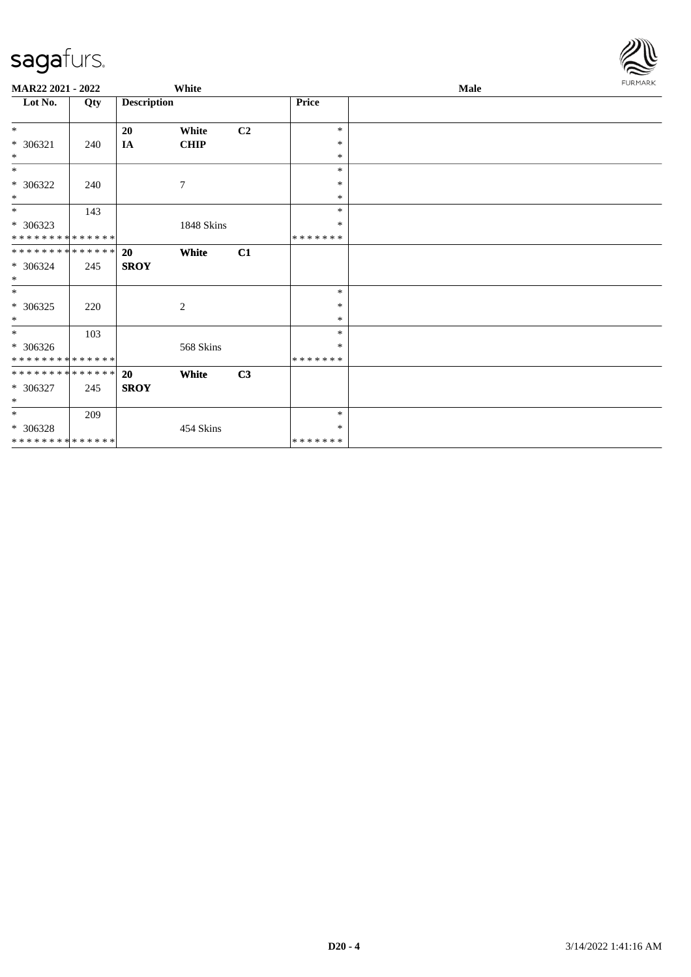| MAR22 2021 - 2022             |     |                    | White          |    |         | <b>Male</b> |  |  |
|-------------------------------|-----|--------------------|----------------|----|---------|-------------|--|--|
| Lot No.                       | Qty | <b>Description</b> |                |    | Price   |             |  |  |
| $*$                           |     | 20                 | White          | C2 | $\ast$  |             |  |  |
| $* 306321$                    | 240 | IA                 | <b>CHIP</b>    |    | $\ast$  |             |  |  |
| $*$                           |     |                    |                |    | $\ast$  |             |  |  |
| $*$                           |     |                    |                |    | $\ast$  |             |  |  |
| * 306322                      | 240 |                    | $\overline{7}$ |    | $\ast$  |             |  |  |
| $*$                           |     |                    |                |    | $\ast$  |             |  |  |
| $*$                           | 143 |                    |                |    | $\ast$  |             |  |  |
| * 306323                      |     |                    | 1848 Skins     |    | $\ast$  |             |  |  |
| * * * * * * * * * * * * * * * |     |                    |                |    | ******* |             |  |  |
| * * * * * * * * * * * * * * * |     | 20                 | White          | C1 |         |             |  |  |
| * 306324                      | 245 | <b>SROY</b>        |                |    |         |             |  |  |
| $*$                           |     |                    |                |    |         |             |  |  |
| $*$                           |     |                    |                |    | $\ast$  |             |  |  |
| $* 306325$                    | 220 |                    | 2              |    | $\ast$  |             |  |  |
| $\ast$                        |     |                    |                |    | $\ast$  |             |  |  |
| $*$                           | 103 |                    |                |    | $\ast$  |             |  |  |
| $* 306326$                    |     |                    | 568 Skins      |    | ∗       |             |  |  |
| * * * * * * * * * * * * * * * |     |                    |                |    | ******* |             |  |  |
| * * * * * * * * * * * * * * * |     | 20                 | White          | C3 |         |             |  |  |
| * 306327                      | 245 | <b>SROY</b>        |                |    |         |             |  |  |
| $*$                           |     |                    |                |    |         |             |  |  |
| $*$                           | 209 |                    |                |    | $\ast$  |             |  |  |
| * 306328                      |     |                    | 454 Skins      |    | $\ast$  |             |  |  |
| * * * * * * * * * * * * * *   |     |                    |                |    | ******* |             |  |  |

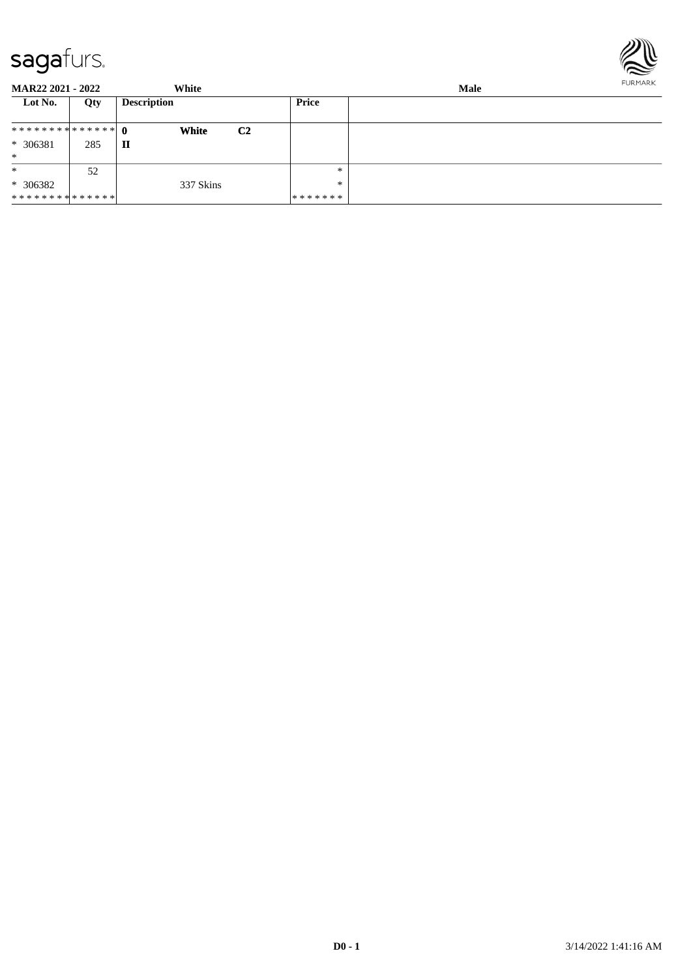

| <b>MAR22 2021 - 2022</b> |     | White              |                | <b>Male</b> |  |  |
|--------------------------|-----|--------------------|----------------|-------------|--|--|
| Lot No.                  | Qty | <b>Description</b> |                | Price       |  |  |
|                          |     | White              | C <sub>2</sub> |             |  |  |
| * 306381                 | 285 | п                  |                |             |  |  |
| $\ast$                   |     |                    |                |             |  |  |
| $\ast$                   | 52  |                    |                | $*$         |  |  |
| $* 306382$               |     | 337 Skins          |                | $*$         |  |  |
| **************           |     |                    |                | *******     |  |  |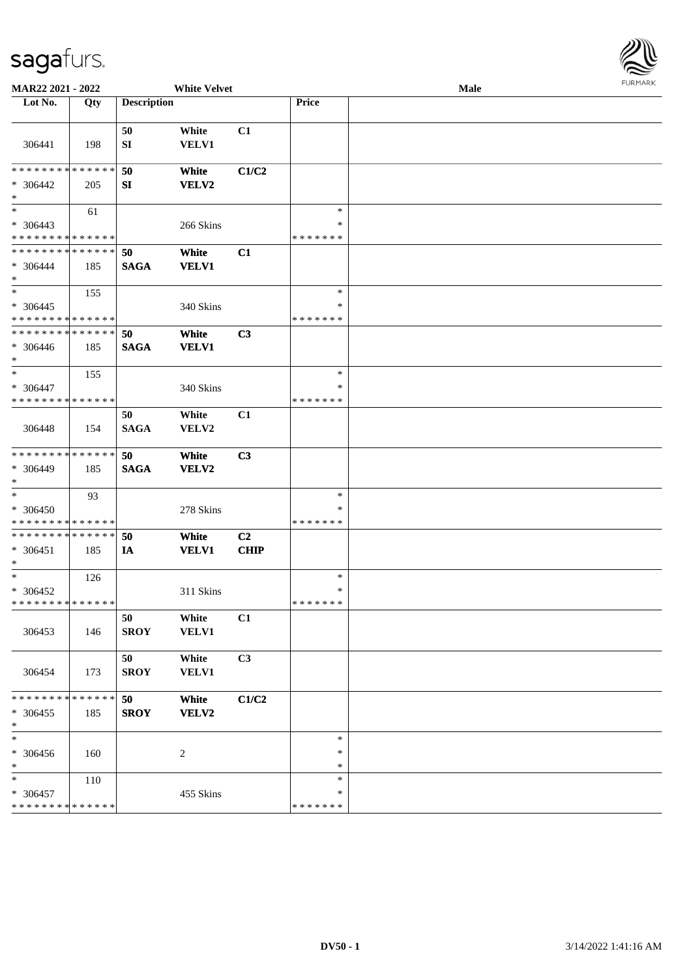

| MAR22 2021 - 2022                                             |               |                    | <b>White Velvet</b>   |                               |                                   | Male | <b>FUNITANY</b> |
|---------------------------------------------------------------|---------------|--------------------|-----------------------|-------------------------------|-----------------------------------|------|-----------------|
| Lot No.                                                       | Qty           | <b>Description</b> |                       |                               | Price                             |      |                 |
| 306441                                                        | 198           | 50<br>SI           | White<br>VELV1        | C1                            |                                   |      |                 |
| * * * * * * * *<br>$* 306442$<br>$\ast$                       | ******<br>205 | 50<br>SI           | White<br>VELV2        | C1/C2                         |                                   |      |                 |
| $\ast$<br>* 306443<br>* * * * * * * * * * * * * *             | 61            |                    | 266 Skins             |                               | $\ast$<br>$\ast$<br>* * * * * * * |      |                 |
| * * * * * * * * * * * * * *<br>$* 306444$<br>$\ast$           | 185           | 50<br><b>SAGA</b>  | White<br><b>VELV1</b> | C1                            |                                   |      |                 |
| $*$<br>$* 306445$<br>* * * * * * * * * * * * * *              | 155           |                    | 340 Skins             |                               | $\ast$<br>*<br>* * * * * * *      |      |                 |
| * * * * * * * * * * * * * *<br>$* 306446$<br>$*$              | 185           | 50<br><b>SAGA</b>  | White<br><b>VELV1</b> | C3                            |                                   |      |                 |
| $*$<br>$* 306447$<br>* * * * * * * * * * * * * *              | 155           |                    | 340 Skins             |                               | $\ast$<br>$\ast$<br>* * * * * * * |      |                 |
| 306448                                                        | 154           | 50<br><b>SAGA</b>  | White<br>VELV2        | C1                            |                                   |      |                 |
| * * * * * * * * * * * * * *<br>* 306449<br>$*$                | 185           | 50<br><b>SAGA</b>  | White<br>VELV2        | C3                            |                                   |      |                 |
| $*$<br>* 306450<br>* * * * * * * * <mark>* * * * * * *</mark> | 93            |                    | 278 Skins             |                               | $\ast$<br>*<br>* * * * * * *      |      |                 |
| * * * * * * * * * * * * * *<br>* 306451<br>$*$                | 185           | 50<br>IA           | White<br><b>VELV1</b> | C <sub>2</sub><br><b>CHIP</b> |                                   |      |                 |
| $*$<br>$* 306452$<br>* * * * * * * * * * * * * * *            | 126           |                    | 311 Skins             |                               | $\ast$<br>$\ast$<br>*******       |      |                 |
| 306453                                                        | 146           | 50<br><b>SROY</b>  | White<br><b>VELV1</b> | C1                            |                                   |      |                 |
| 306454                                                        | 173           | 50<br><b>SROY</b>  | White<br>VELV1        | C3                            |                                   |      |                 |
| * * * * * * * * * * * * * *<br>$* 306455$<br>$*$              | 185           | 50<br><b>SROY</b>  | White<br>VELV2        | C1/C2                         |                                   |      |                 |
| $\ast$<br>* 306456<br>$*$                                     | 160           |                    | 2                     |                               | $\ast$<br>∗<br>$\ast$             |      |                 |
| $\ast$<br>* 306457<br>* * * * * * * * * * * * * *             | 110           |                    | 455 Skins             |                               | $\ast$<br>∗<br>* * * * * * *      |      |                 |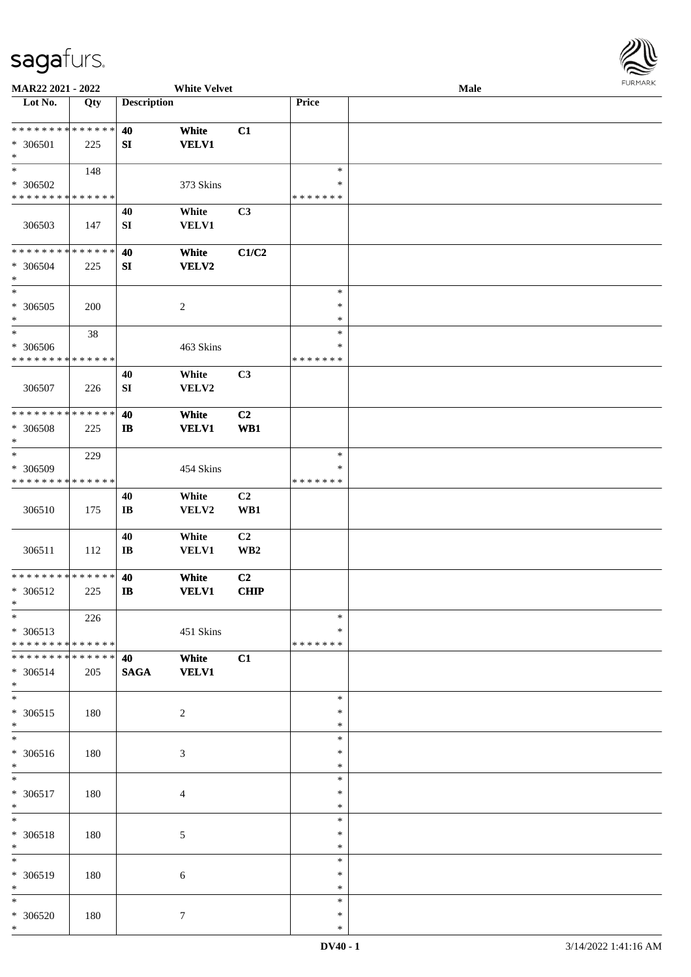

| MAR22 2021 - 2022                                                             |                      |                              | <b>White Velvet</b>   |                               |                                   | Male |  |
|-------------------------------------------------------------------------------|----------------------|------------------------------|-----------------------|-------------------------------|-----------------------------------|------|--|
| Lot No.                                                                       | Qty                  | <b>Description</b>           |                       |                               | Price                             |      |  |
| * * * * * * * * * * * * * *<br>* 306501<br>$\ast$                             | 225                  | 40<br>SI                     | White<br><b>VELV1</b> | C1                            |                                   |      |  |
| $\overline{\ast}$<br>* 306502<br>* * * * * * * * * * * * * *                  | 148                  |                              | 373 Skins             |                               | $\ast$<br>∗<br>* * * * * * *      |      |  |
| 306503                                                                        | 147                  | 40<br>${\bf S}{\bf I}$       | White<br><b>VELV1</b> | C3                            |                                   |      |  |
| **************<br>* 306504<br>$\ast$                                          | 225                  | 40<br>SI                     | White<br><b>VELV2</b> | C1/C2                         |                                   |      |  |
| $\ast$<br>$* 306505$<br>$\ast$                                                | 200                  |                              | $\boldsymbol{2}$      |                               | $\ast$<br>$\ast$<br>$\ast$        |      |  |
| $\ast$<br>* 306506<br>* * * * * * * * * * * * * *                             | 38                   |                              | 463 Skins             |                               | $\ast$<br>$\ast$<br>* * * * * * * |      |  |
| 306507                                                                        | 226                  | 40<br>${\bf S}{\bf I}$       | White<br>VELV2        | C3                            |                                   |      |  |
| * * * * * * * * * * * * * *<br>* 306508<br>$\ast$                             | 225                  | 40<br>$\mathbf{I}$           | White<br><b>VELV1</b> | C <sub>2</sub><br>WB1         |                                   |      |  |
| $\ast$<br>* 306509<br>* * * * * * * * * * * * * *                             | 229                  |                              | 454 Skins             |                               | $\ast$<br>∗<br>* * * * * * *      |      |  |
| 306510                                                                        | 175                  | 40<br>$\mathbf{I}\mathbf{B}$ | White<br>VELV2        | C <sub>2</sub><br>WB1         |                                   |      |  |
| 306511                                                                        | 112                  | 40<br>$\mathbf{I}\mathbf{B}$ | White<br><b>VELV1</b> | C2<br>WB <sub>2</sub>         |                                   |      |  |
| * * * * * * * * * * * * * *<br>* 306512<br>$\ast$                             | 225                  | 40<br>$\mathbf{I}$ <b>B</b>  | White<br><b>VELV1</b> | C <sub>2</sub><br><b>CHIP</b> |                                   |      |  |
| $*$<br>$* 306513$<br>* * * * * * * * * * * * * * *                            | 226                  |                              | 451 Skins             |                               | $\ast$<br>*<br>* * * * * * *      |      |  |
| * * * * * * * *<br>* 306514<br>$*$                                            | * * * * * *  <br>205 | 40<br><b>SAGA</b>            | White<br><b>VELV1</b> | C1                            |                                   |      |  |
| $\overline{\phantom{a}^*}$<br>$* 306515$<br>$*$<br>$\overline{\phantom{a}^*}$ | 180                  |                              | $\sqrt{2}$            |                               | $\ast$<br>∗<br>$\ast$             |      |  |
| * 306516<br>$*$                                                               | 180                  |                              | $\mathfrak{Z}$        |                               | $\ast$<br>*<br>$\ast$             |      |  |
| $\ast$<br>$* 306517$<br>$\ast$                                                | 180                  |                              | 4                     |                               | $\ast$<br>$\ast$<br>$\ast$        |      |  |
| $\ast$<br>* 306518<br>$\ast$                                                  | 180                  |                              | 5                     |                               | $\ast$<br>$\ast$<br>$\ast$        |      |  |
| $\ast$<br>* 306519<br>$\ast$                                                  | 180                  |                              | 6                     |                               | $\ast$<br>∗<br>$\ast$             |      |  |
| $\ast$<br>* 306520<br>$\ast$                                                  | 180                  |                              | $\tau$                |                               | $\ast$<br>$\ast$<br>$\ast$        |      |  |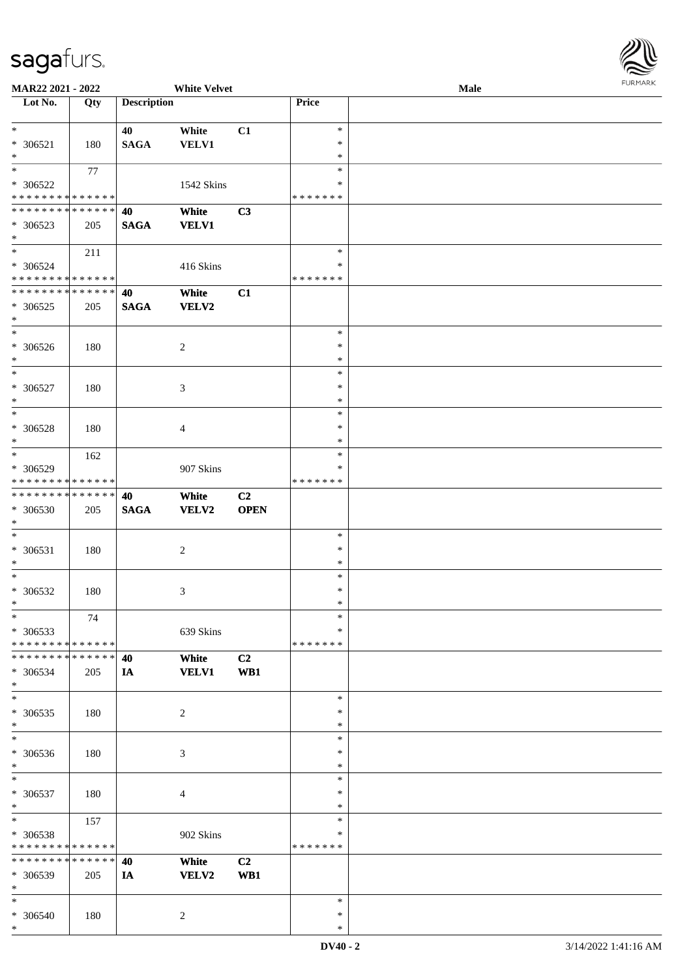

| MAR22 2021 - 2022             |     |                    | <b>White Velvet</b> |             |               | Male |
|-------------------------------|-----|--------------------|---------------------|-------------|---------------|------|
| Lot No.                       | Qty | <b>Description</b> |                     |             | Price         |      |
|                               |     |                    |                     |             |               |      |
| $\ast$                        |     | 40                 |                     |             | $\ast$        |      |
|                               |     |                    | White               | C1          |               |      |
| $* 306521$                    | 180 | <b>SAGA</b>        | <b>VELV1</b>        |             | $\ast$        |      |
| $\ast$                        |     |                    |                     |             | $\ast$        |      |
| $\ast$                        | 77  |                    |                     |             | $\ast$        |      |
| * 306522                      |     |                    | 1542 Skins          |             | ∗             |      |
| * * * * * * * * * * * * * *   |     |                    |                     |             | * * * * * * * |      |
| * * * * * * * * * * * * * * * |     |                    |                     |             |               |      |
|                               |     | 40                 | White               | C3          |               |      |
| * 306523                      | 205 | <b>SAGA</b>        | <b>VELV1</b>        |             |               |      |
| $*$                           |     |                    |                     |             |               |      |
| $*$                           | 211 |                    |                     |             | $\ast$        |      |
| $* 306524$                    |     |                    | 416 Skins           |             | ∗             |      |
| * * * * * * * * * * * * * *   |     |                    |                     |             | *******       |      |
|                               |     |                    |                     |             |               |      |
| * * * * * * * * * * * * * *   |     | 40                 | White               | C1          |               |      |
| $* 306525$                    | 205 | <b>SAGA</b>        | VELV2               |             |               |      |
| $\ast$                        |     |                    |                     |             |               |      |
| $\ast$                        |     |                    |                     |             | $\ast$        |      |
| $* 306526$                    | 180 |                    | $\overline{c}$      |             | $\ast$        |      |
| $*$                           |     |                    |                     |             | $\ast$        |      |
|                               |     |                    |                     |             |               |      |
| $\ast$                        |     |                    |                     |             | $\ast$        |      |
| * 306527                      | 180 |                    | 3                   |             | $\ast$        |      |
| $\ast$                        |     |                    |                     |             | $\ast$        |      |
| $*$                           |     |                    |                     |             | $\ast$        |      |
| * 306528                      | 180 |                    | 4                   |             | $\ast$        |      |
|                               |     |                    |                     |             |               |      |
| $\ast$                        |     |                    |                     |             | *             |      |
| $*$                           | 162 |                    |                     |             | $\ast$        |      |
| $* 306529$                    |     |                    | 907 Skins           |             | ∗             |      |
| * * * * * * * * * * * * * *   |     |                    |                     |             | * * * * * * * |      |
| * * * * * * * * * * * * * * * |     | 40                 | White               | C2          |               |      |
|                               |     |                    |                     |             |               |      |
| * 306530                      | 205 | <b>SAGA</b>        | VELV2               | <b>OPEN</b> |               |      |
| $*$                           |     |                    |                     |             |               |      |
| $*$                           |     |                    |                     |             | $\ast$        |      |
| $* 306531$                    | 180 |                    | $\overline{2}$      |             | $\ast$        |      |
| $*$                           |     |                    |                     |             | $\ast$        |      |
| $*$                           |     |                    |                     |             | $\ast$        |      |
|                               |     |                    |                     |             | $\ast$        |      |
| $* 306532$                    | 180 |                    | 3                   |             |               |      |
| $*$                           |     |                    |                     |             | $\ast$        |      |
| $\ast$                        | 74  |                    |                     |             | $\ast$        |      |
| * 306533                      |     |                    | 639 Skins           |             | ∗             |      |
| * * * * * * * * * * * * * * * |     |                    |                     |             | *******       |      |
| * * * * * * * * * * * * * * * |     | 40                 | White               | C2          |               |      |
| * 306534                      |     |                    |                     | WB1         |               |      |
|                               | 205 | IA                 | <b>VELV1</b>        |             |               |      |
| $*$                           |     |                    |                     |             |               |      |
| $*$                           |     |                    |                     |             | $\ast$        |      |
| $* 306535$                    | 180 |                    | $\overline{c}$      |             | $\ast$        |      |
| $*$                           |     |                    |                     |             | $\ast$        |      |
| $*$                           |     |                    |                     |             | $\ast$        |      |
| * 306536                      | 180 |                    | $\mathfrak{Z}$      |             | $\ast$        |      |
|                               |     |                    |                     |             |               |      |
| $*$                           |     |                    |                     |             | $\ast$        |      |
| $*$                           |     |                    |                     |             | $\ast$        |      |
| $* 306537$                    | 180 |                    | $\overline{4}$      |             | $\ast$        |      |
| $*$                           |     |                    |                     |             | $\ast$        |      |
| $*$                           | 157 |                    |                     |             | $\ast$        |      |
|                               |     |                    |                     |             | $\ast$        |      |
| * 306538                      |     |                    | 902 Skins           |             |               |      |
| * * * * * * * * * * * * * *   |     |                    |                     |             | * * * * * * * |      |
| ******** <mark>******</mark>  |     | 40                 | White               | C2          |               |      |
| * 306539                      | 205 | IA                 | VELV2               | WB1         |               |      |
| $*$                           |     |                    |                     |             |               |      |
| $*$                           |     |                    |                     |             | $\ast$        |      |
| * 306540                      |     |                    |                     |             | $\ast$        |      |
|                               | 180 |                    | 2                   |             |               |      |
| $*$                           |     |                    |                     |             | $\ast$        |      |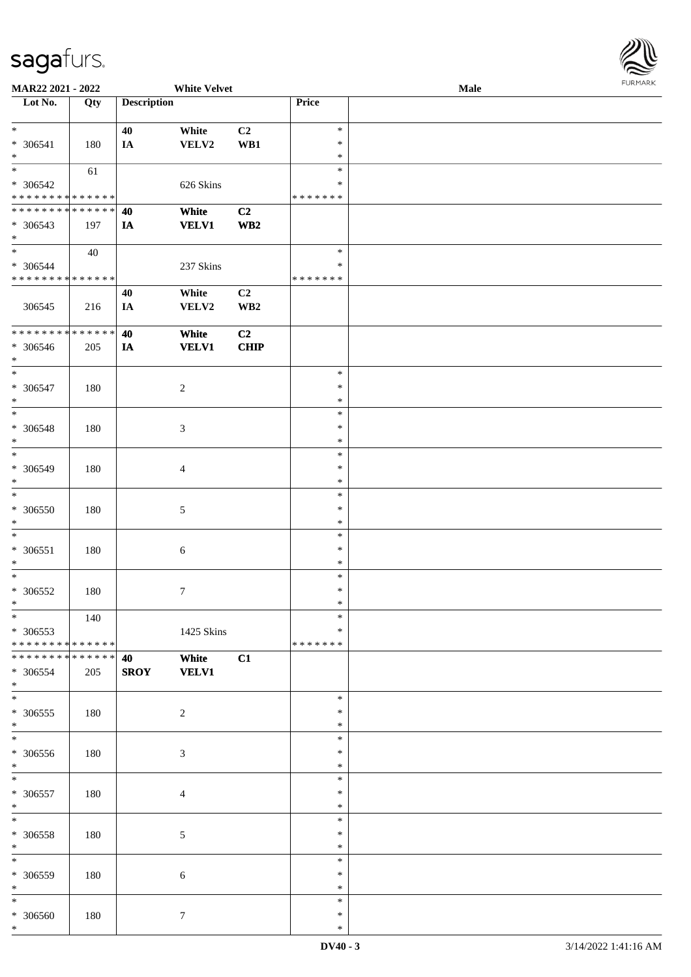

| MAR22 2021 - 2022                          |     |                    | <b>White Velvet</b> |                 |               | Male |
|--------------------------------------------|-----|--------------------|---------------------|-----------------|---------------|------|
| Lot No.                                    | Qty | <b>Description</b> |                     |                 | <b>Price</b>  |      |
|                                            |     |                    |                     |                 |               |      |
|                                            |     |                    |                     |                 |               |      |
| $\ast$                                     |     | 40                 | White               | C2              | $\ast$        |      |
| * 306541                                   | 180 | IA                 | VELV2               | WB1             | $\ast$        |      |
| $\ast$                                     |     |                    |                     |                 | $\ast$        |      |
| $\ast$                                     | 61  |                    |                     |                 | $\ast$        |      |
|                                            |     |                    |                     |                 |               |      |
| $* 306542$                                 |     |                    | 626 Skins           |                 | ∗             |      |
| * * * * * * * * <mark>* * * * * * *</mark> |     |                    |                     |                 | * * * * * * * |      |
| * * * * * * * * * * * * * * *              |     | 40                 | White               | C2              |               |      |
|                                            |     |                    |                     |                 |               |      |
| $* 306543$                                 | 197 | IA                 | <b>VELV1</b>        | WB <sub>2</sub> |               |      |
| $*$                                        |     |                    |                     |                 |               |      |
| $\ast$                                     | 40  |                    |                     |                 | $\ast$        |      |
| * 306544                                   |     |                    | 237 Skins           |                 | $\ast$        |      |
| * * * * * * * * * * * * * * *              |     |                    |                     |                 | * * * * * * * |      |
|                                            |     |                    |                     |                 |               |      |
|                                            |     | 40                 | White               | C2              |               |      |
| 306545                                     | 216 | IA                 | VELV2               | WB <sub>2</sub> |               |      |
|                                            |     |                    |                     |                 |               |      |
| * * * * * * * * * * * * * *                |     |                    |                     |                 |               |      |
|                                            |     | 40                 | White               | C2              |               |      |
| $* 306546$                                 | 205 | IA                 | <b>VELV1</b>        | <b>CHIP</b>     |               |      |
| $*$                                        |     |                    |                     |                 |               |      |
| $\ast$                                     |     |                    |                     |                 | $\ast$        |      |
|                                            |     |                    |                     |                 |               |      |
| * 306547                                   | 180 |                    | $\overline{2}$      |                 | $\ast$        |      |
| $\ast$                                     |     |                    |                     |                 | $\ast$        |      |
| $\ast$                                     |     |                    |                     |                 | $\ast$        |      |
|                                            |     |                    |                     |                 |               |      |
| $* 306548$                                 | 180 |                    | 3                   |                 | $\ast$        |      |
| $\ast$                                     |     |                    |                     |                 | $\ast$        |      |
| $\ast$                                     |     |                    |                     |                 | $\ast$        |      |
| * 306549                                   | 180 |                    |                     |                 | $\ast$        |      |
|                                            |     |                    | $\overline{4}$      |                 |               |      |
| $\ast$                                     |     |                    |                     |                 | $\ast$        |      |
| $\ast$                                     |     |                    |                     |                 | $\ast$        |      |
| $* 306550$                                 | 180 |                    | 5                   |                 | $\ast$        |      |
|                                            |     |                    |                     |                 |               |      |
| $*$                                        |     |                    |                     |                 | $\ast$        |      |
| $\ast$                                     |     |                    |                     |                 | $\ast$        |      |
| $* 306551$                                 | 180 |                    | $\sqrt{6}$          |                 | $\ast$        |      |
| $\ast$                                     |     |                    |                     |                 | $\ast$        |      |
|                                            |     |                    |                     |                 |               |      |
| $*$                                        |     |                    |                     |                 | $\ast$        |      |
| $* 306552$                                 | 180 |                    | $7\phantom{.0}$     |                 | $\ast$        |      |
| $*$                                        |     |                    |                     |                 | $\ast$        |      |
| $*$                                        |     |                    |                     |                 | $\ast$        |      |
|                                            | 140 |                    |                     |                 |               |      |
| * 306553                                   |     |                    | 1425 Skins          |                 | $\ast$        |      |
| * * * * * * * * * * * * * * *              |     |                    |                     |                 | *******       |      |
| * * * * * * * * * * * * * * *              |     | 40                 | White               | C1              |               |      |
|                                            |     |                    |                     |                 |               |      |
| * 306554                                   | 205 | <b>SROY</b>        | <b>VELV1</b>        |                 |               |      |
| $*$                                        |     |                    |                     |                 |               |      |
| $*$                                        |     |                    |                     |                 | $\ast$        |      |
| * 306555                                   | 180 |                    | 2                   |                 | $\ast$        |      |
|                                            |     |                    |                     |                 |               |      |
| $*$                                        |     |                    |                     |                 | $\ast$        |      |
| $*$                                        |     |                    |                     |                 | $\ast$        |      |
| $* 306556$                                 | 180 |                    | $\mathfrak{Z}$      |                 | $\ast$        |      |
| $*$                                        |     |                    |                     |                 | $\ast$        |      |
|                                            |     |                    |                     |                 |               |      |
| $*$                                        |     |                    |                     |                 | $\ast$        |      |
| $* 306557$                                 | 180 |                    | $\overline{4}$      |                 | $\ast$        |      |
| $*$                                        |     |                    |                     |                 | $\ast$        |      |
|                                            |     |                    |                     |                 |               |      |
| $*$                                        |     |                    |                     |                 | $\ast$        |      |
| * 306558                                   | 180 |                    | 5                   |                 | $\ast$        |      |
| $*$                                        |     |                    |                     |                 | $\ast$        |      |
| $*$                                        |     |                    |                     |                 | $\ast$        |      |
|                                            |     |                    |                     |                 |               |      |
| * 306559                                   | 180 |                    | $\sqrt{6}$          |                 | $\ast$        |      |
| $*$                                        |     |                    |                     |                 | $\ast$        |      |
| $*$                                        |     |                    |                     |                 | $\ast$        |      |
|                                            |     |                    |                     |                 |               |      |
| $* 306560$                                 | 180 |                    | $\tau$              |                 | $\ast$        |      |
| $\ast$                                     |     |                    |                     |                 | $\ast$        |      |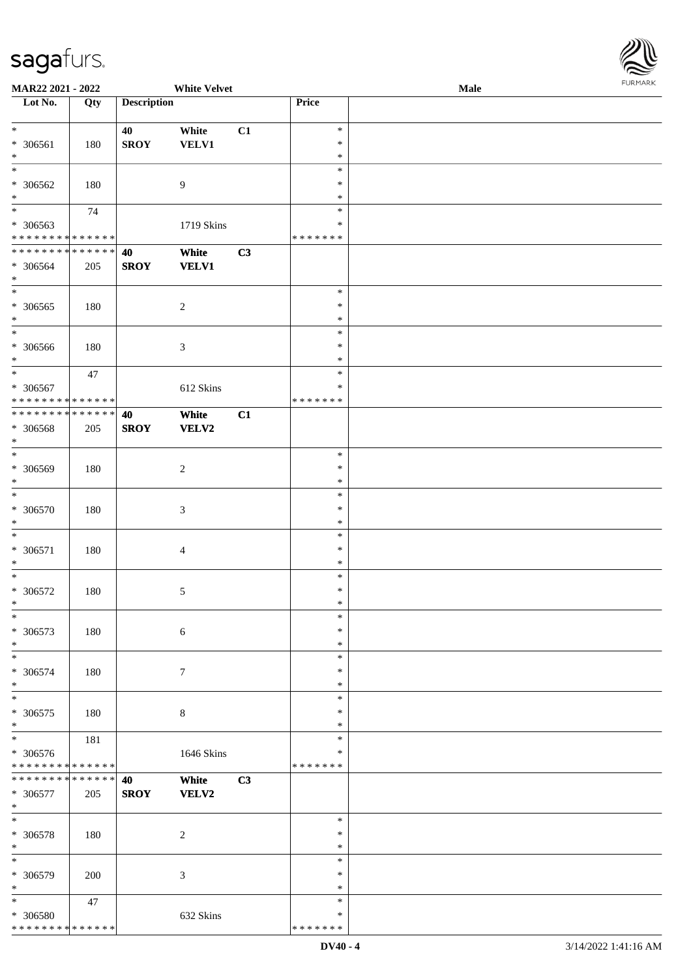

| MAR22 2021 - 2022                          |        |                    | <b>White Velvet</b>         |    |               | <b>Male</b> |
|--------------------------------------------|--------|--------------------|-----------------------------|----|---------------|-------------|
| Lot No.                                    | Qty    | <b>Description</b> |                             |    | Price         |             |
|                                            |        |                    |                             |    |               |             |
| $\ast$                                     |        | 40                 | White                       | C1 | $\ast$        |             |
| * 306561                                   | 180    | <b>SROY</b>        | <b>VELV1</b>                |    | $\ast$        |             |
| $\ast$                                     |        |                    |                             |    | $\ast$        |             |
| $\ast$                                     |        |                    |                             |    | $\ast$        |             |
| * 306562                                   | 180    |                    | 9                           |    | $\ast$        |             |
| $\ast$                                     |        |                    |                             |    | $\ast$        |             |
| $\overline{\phantom{a}^*}$                 | 74     |                    |                             |    | $\ast$        |             |
|                                            |        |                    |                             |    | $\ast$        |             |
| * 306563<br>* * * * * * * * * * * * * *    |        |                    | 1719 Skins                  |    | * * * * * * * |             |
|                                            |        |                    |                             |    |               |             |
| * * * * * * * * * * * * * *                |        | 40                 | White                       | C3 |               |             |
| $* 306564$                                 | 205    | <b>SROY</b>        | <b>VELV1</b>                |    |               |             |
| $\ast$                                     |        |                    |                             |    |               |             |
| $\overline{\ast}$                          |        |                    |                             |    | $\ast$        |             |
| $* 306565$                                 | 180    |                    | $\overline{c}$              |    | $\ast$        |             |
| $\ast$                                     |        |                    |                             |    | $\ast$        |             |
| $\overline{\phantom{1}}$                   |        |                    |                             |    | $\ast$        |             |
| * 306566                                   | 180    |                    | $\mathfrak{Z}$              |    | $\ast$        |             |
| $\ast$                                     |        |                    |                             |    | $\ast$        |             |
| $\ast$                                     | $47\,$ |                    |                             |    | $\ast$        |             |
| * 306567                                   |        |                    | 612 Skins                   |    | ∗             |             |
| * * * * * * * * <mark>* * * * * * *</mark> |        |                    |                             |    | * * * * * * * |             |
| * * * * * * * * * * * * * *                |        | 40                 | White                       | C1 |               |             |
| * 306568                                   | 205    | <b>SROY</b>        | <b>VELV2</b>                |    |               |             |
| $\ast$                                     |        |                    |                             |    |               |             |
| $\ast$                                     |        |                    |                             |    | $\ast$        |             |
|                                            |        |                    |                             |    |               |             |
| * 306569                                   | 180    |                    | $\overline{c}$              |    | $\ast$        |             |
| $\ast$                                     |        |                    |                             |    | $\ast$        |             |
| $\ast$                                     |        |                    |                             |    | $\ast$        |             |
| $* 306570$                                 | 180    |                    | $\ensuremath{\mathfrak{Z}}$ |    | $\ast$        |             |
| $\ast$                                     |        |                    |                             |    | $\ast$        |             |
| $\ast$                                     |        |                    |                             |    | $\ast$        |             |
| $* 306571$                                 | 180    |                    | $\overline{4}$              |    | $\ast$        |             |
| $\ast$                                     |        |                    |                             |    | $\ast$        |             |
| $\ast$                                     |        |                    |                             |    | $\ast$        |             |
| $* 306572$                                 | 180    |                    | $\mathfrak{S}$              |    | $\ast$        |             |
| $\ast$                                     |        |                    |                             |    | $\ast$        |             |
| $\ast$                                     |        |                    |                             |    | $\ast$        |             |
| * 306573                                   | 180    |                    | 6                           |    | $\ast$        |             |
| $\ast$                                     |        |                    |                             |    | $\ast$        |             |
| $\ast$                                     |        |                    |                             |    | $\ast$        |             |
|                                            |        |                    |                             |    |               |             |
| * 306574                                   | 180    |                    | 7                           |    | ∗             |             |
| $\ast$                                     |        |                    |                             |    | $\ast$        |             |
| $\ast$                                     |        |                    |                             |    | $\ast$        |             |
| $* 306575$                                 | 180    |                    | $\,8\,$                     |    | $\ast$        |             |
| $\ast$                                     |        |                    |                             |    | $\ast$        |             |
| $\ast$                                     | 181    |                    |                             |    | $\ast$        |             |
| $* 306576$                                 |        |                    | 1646 Skins                  |    | ∗             |             |
| * * * * * * * * * * * * * *                |        |                    |                             |    | * * * * * * * |             |
| * * * * * * * * * * * * * * *              |        | 40                 | White                       | C3 |               |             |
| * 306577                                   | 205    | <b>SROY</b>        | <b>VELV2</b>                |    |               |             |
| $\ast$                                     |        |                    |                             |    |               |             |
| $\ast$                                     |        |                    |                             |    | $\ast$        |             |
| * 306578                                   | 180    |                    | $\overline{c}$              |    | $\ast$        |             |
| $\ast$                                     |        |                    |                             |    | $\ast$        |             |
| $\ast$                                     |        |                    |                             |    | $\ast$        |             |
|                                            |        |                    |                             |    | $\ast$        |             |
| * 306579                                   | 200    |                    | 3                           |    |               |             |
| $\ast$                                     |        |                    |                             |    | $\ast$        |             |
| $\ast$                                     | 47     |                    |                             |    | $\ast$        |             |
| * 306580                                   |        |                    | 632 Skins                   |    | $\ast$        |             |
| * * * * * * * * * * * * * *                |        |                    |                             |    | * * * * * * * |             |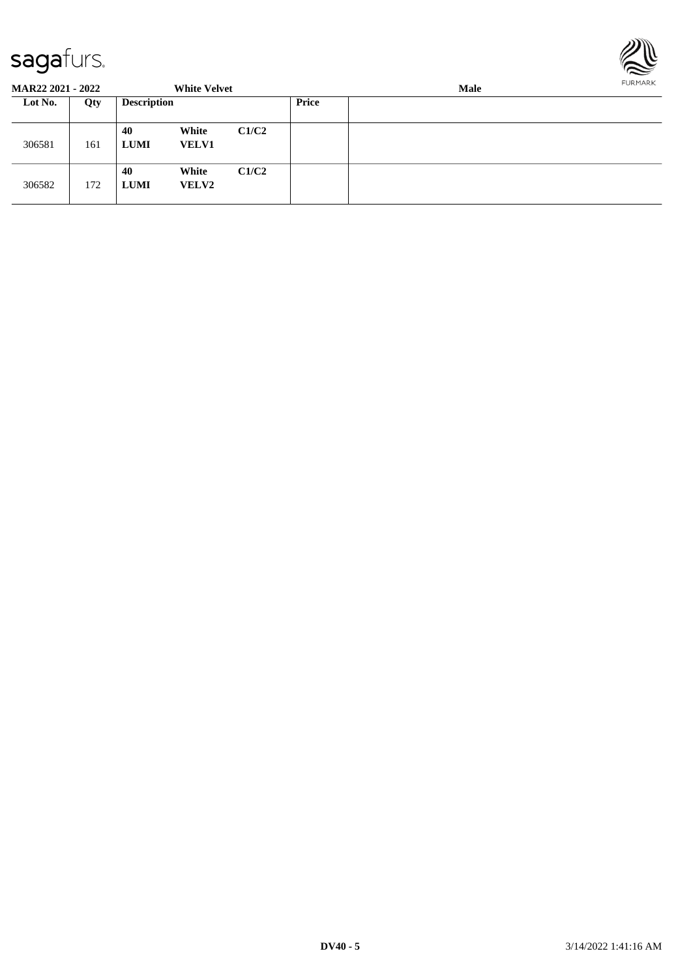

| <b>MAR22 2021 - 2022</b> |     |                    | <b>White Velvet</b>   |       |       | <b>Male</b> |  |  |  |  |
|--------------------------|-----|--------------------|-----------------------|-------|-------|-------------|--|--|--|--|
| Lot No.                  | Qty | <b>Description</b> |                       |       | Price |             |  |  |  |  |
| 306581                   | 161 | 40<br><b>LUMI</b>  | White<br><b>VELV1</b> | C1/C2 |       |             |  |  |  |  |
| 306582                   | 172 | 40<br><b>LUMI</b>  | White<br><b>VELV2</b> | C1/C2 |       |             |  |  |  |  |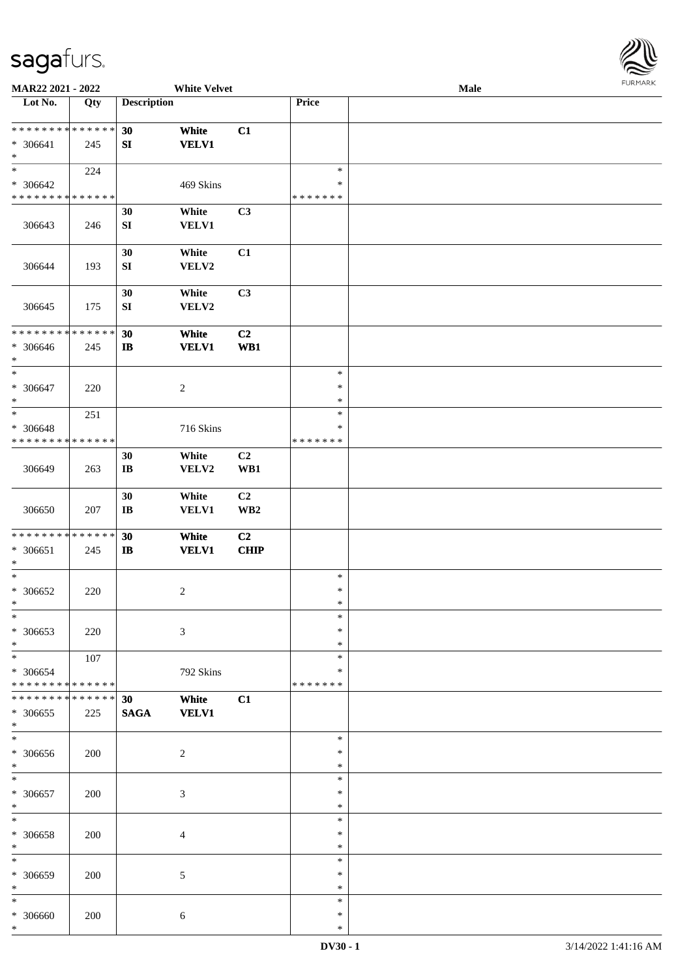

| MAR22 2021 - 2022                                    |                    |                              | <b>White Velvet</b>   |                               |                                   | Male |  |
|------------------------------------------------------|--------------------|------------------------------|-----------------------|-------------------------------|-----------------------------------|------|--|
| Lot No.                                              | Qty                | <b>Description</b>           |                       |                               | Price                             |      |  |
| ******** <mark>******</mark><br>* 306641<br>$\ast$   | 245                | 30<br>${\bf S}{\bf I}$       | White<br><b>VELV1</b> | C1                            |                                   |      |  |
| $\ast$<br>* 306642<br>* * * * * * * * * * * * * *    | 224                |                              | 469 Skins             |                               | $\ast$<br>$\ast$<br>* * * * * * * |      |  |
| 306643                                               | 246                | 30<br>SI                     | White<br><b>VELV1</b> | C3                            |                                   |      |  |
| 306644                                               | 193                | 30<br>${\bf S}{\bf I}$       | White<br>VELV2        | C1                            |                                   |      |  |
| 306645                                               | 175                | 30<br>${\bf SI}$             | White<br>VELV2        | C3                            |                                   |      |  |
| * * * * * * * * * * * * * *<br>$* 306646$<br>$\ast$  | 245                | 30<br>$\mathbf{I}$           | White<br><b>VELV1</b> | C2<br>WB1                     |                                   |      |  |
| $\overline{\ast}$<br>* 306647<br>$\ast$              | 220                |                              | $\sqrt{2}$            |                               | $\ast$<br>$\ast$<br>$\ast$        |      |  |
| $\ast$<br>* 306648<br>* * * * * * * * * * * * * *    | 251                |                              | 716 Skins             |                               | $\ast$<br>$\ast$<br>* * * * * * * |      |  |
| 306649                                               | 263                | 30<br>$\mathbf{I}\mathbf{B}$ | White<br>VELV2        | C <sub>2</sub><br>WB1         |                                   |      |  |
| 306650                                               | 207                | 30<br>$\mathbf{I}\mathbf{B}$ | White<br>VELV1        | C2<br>$\mathbf{W}\mathbf{B2}$ |                                   |      |  |
| ******** <mark>******</mark><br>$* 306651$<br>$\ast$ | 245                | 30<br>$\mathbf{I}$           | White<br><b>VELV1</b> | C2<br><b>CHIP</b>             |                                   |      |  |
| $\ast$<br>$* 306652$<br>$*$                          | 220                |                              | $\boldsymbol{2}$      |                               | $\ast$<br>$\ast$<br>$\ast$        |      |  |
| $\ast$<br>* 306653<br>$\ast$                         | 220                |                              | $\mathfrak{Z}$        |                               | $\ast$<br>∗<br>*                  |      |  |
| $\ast$<br>* 306654<br>* * * * * * * * * * * * * *    | 107                |                              | 792 Skins             |                               | $\ast$<br>*<br>* * * * * * *      |      |  |
| * * * * * * * *<br>$* 306655$<br>$\ast$              | * * * * * *<br>225 | 30<br><b>SAGA</b>            | White<br><b>VELV1</b> | C1                            |                                   |      |  |
| $\ast$<br>$* 306656$<br>$\ast$                       | 200                |                              | $\boldsymbol{2}$      |                               | $\ast$<br>$\ast$<br>$\ast$        |      |  |
| $\ast$<br>$* 306657$<br>$\ast$                       | 200                |                              | $\mathfrak{Z}$        |                               | $\ast$<br>$\ast$<br>$\ast$        |      |  |
| $\ast$<br>* 306658<br>$\ast$                         | 200                |                              | $\overline{4}$        |                               | $\ast$<br>$\ast$<br>$\ast$        |      |  |
| $\ast$<br>* 306659<br>$\ast$                         | 200                |                              | 5                     |                               | $\ast$<br>∗<br>$\ast$             |      |  |
| $\ast$<br>* 306660<br>$\ast$                         | 200                |                              | $\sqrt{6}$            |                               | $\ast$<br>$\ast$<br>$\ast$        |      |  |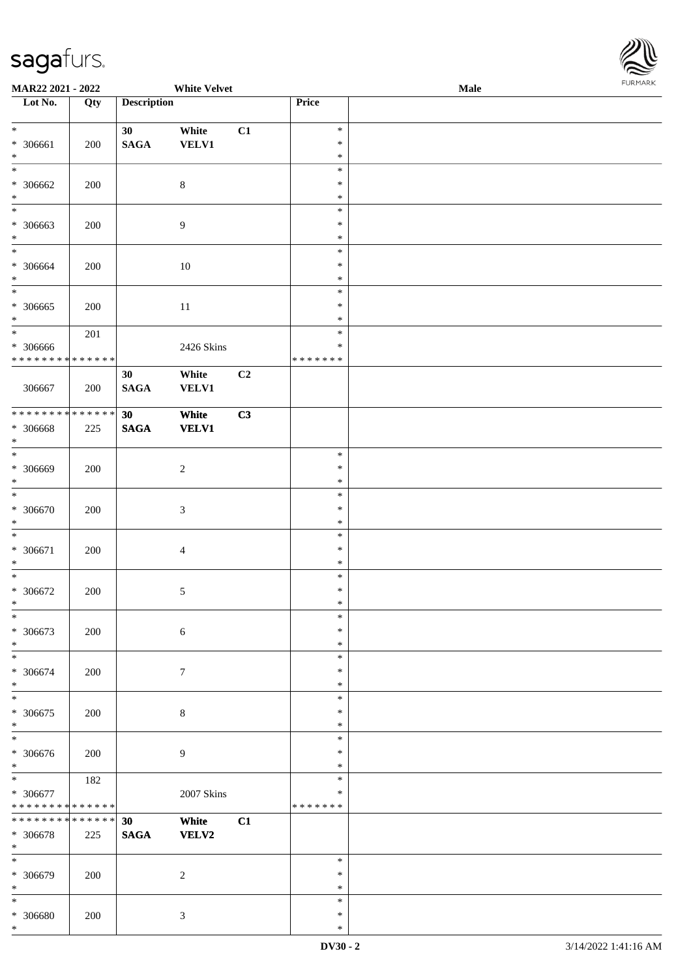

| <b>MAR22 2021 - 2022</b>                 |     |                    | <b>White Velvet</b> |                |                  | <b>Male</b> | 1.9151 B1515 |
|------------------------------------------|-----|--------------------|---------------------|----------------|------------------|-------------|--------------|
| Lot No.                                  | Qty | <b>Description</b> |                     |                | Price            |             |              |
|                                          |     |                    |                     |                |                  |             |              |
| $*$                                      |     | 30                 | White               | C1             | $\ast$           |             |              |
| * 306661<br>$\ast$                       | 200 | <b>SAGA</b>        | <b>VELV1</b>        |                | $\ast$<br>$\ast$ |             |              |
| $\overline{\ast}$                        |     |                    |                     |                | $\ast$           |             |              |
| * 306662                                 | 200 |                    | $\,8\,$             |                | $\ast$           |             |              |
| $\ast$                                   |     |                    |                     |                | $\ast$           |             |              |
| $\overline{\ }$                          |     |                    |                     |                | $\ast$           |             |              |
| * 306663                                 | 200 |                    | $\overline{9}$      |                | $\ast$           |             |              |
| $\ast$                                   |     |                    |                     |                | $\ast$           |             |              |
| $\overline{\ast}$                        |     |                    |                     |                | $\ast$           |             |              |
| * 306664                                 | 200 |                    | 10                  |                | $\ast$           |             |              |
| $\ast$                                   |     |                    |                     |                | $\ast$           |             |              |
| $\overline{\ast}$                        |     |                    |                     |                | $\ast$           |             |              |
| * 306665                                 | 200 |                    | 11                  |                | $\ast$           |             |              |
| $\ast$                                   |     |                    |                     |                | $\ast$           |             |              |
|                                          | 201 |                    |                     |                | $\ast$<br>$\ast$ |             |              |
| * 306666<br>* * * * * * * * * * * * * *  |     |                    | 2426 Skins          |                | * * * * * * *    |             |              |
|                                          |     | 30                 | White               | C <sub>2</sub> |                  |             |              |
| 306667                                   | 200 | <b>SAGA</b>        | <b>VELV1</b>        |                |                  |             |              |
|                                          |     |                    |                     |                |                  |             |              |
|                                          |     | 30                 | White               | C3             |                  |             |              |
| * 306668                                 | 225 | <b>SAGA</b>        | <b>VELV1</b>        |                |                  |             |              |
| $\ast$                                   |     |                    |                     |                |                  |             |              |
|                                          |     |                    |                     |                | $\ast$           |             |              |
| * 306669                                 | 200 |                    | $\sqrt{2}$          |                | $\ast$           |             |              |
| $\ast$                                   |     |                    |                     |                | $\ast$           |             |              |
| $*$                                      |     |                    |                     |                | $\ast$           |             |              |
| * 306670<br>$\ast$                       | 200 |                    | $\mathfrak{Z}$      |                | $\ast$<br>$\ast$ |             |              |
| $\overline{\ast}$                        |     |                    |                     |                | $\ast$           |             |              |
| * 306671                                 | 200 |                    | $\overline{4}$      |                | $\ast$           |             |              |
| $\ast$                                   |     |                    |                     |                | $\ast$           |             |              |
| $\ast$                                   |     |                    |                     |                | $\ast$           |             |              |
| $* 306672$                               | 200 |                    | $\mathfrak{S}$      |                | $\ast$           |             |              |
| $\ast$                                   |     |                    |                     |                | $\ast$           |             |              |
| $\ast$                                   |     |                    |                     |                | $\ast$           |             |              |
| * 306673                                 | 200 |                    | $\sqrt{6}$          |                | $\ast$           |             |              |
| $*$                                      |     |                    |                     |                | $\ast$           |             |              |
| $\overline{\ast}$                        |     |                    |                     |                | $\ast$           |             |              |
| * 306674<br>$\ast$                       | 200 |                    | $\boldsymbol{7}$    |                | $\ast$<br>$\ast$ |             |              |
| $\overline{\ast}$                        |     |                    |                     |                | $\ast$           |             |              |
| * 306675                                 | 200 |                    | $\,8\,$             |                | $\ast$           |             |              |
| $\ast$                                   |     |                    |                     |                | $\ast$           |             |              |
| $\overline{\ast}$                        |     |                    |                     |                | $\ast$           |             |              |
| * 306676                                 | 200 |                    | $\overline{9}$      |                | $\ast$           |             |              |
| $\ast$                                   |     |                    |                     |                | $\ast$           |             |              |
| $*$                                      | 182 |                    |                     |                | $\ast$           |             |              |
| * 306677                                 |     |                    | 2007 Skins          |                | $\ast$           |             |              |
| * * * * * * * * <mark>* * * * * *</mark> |     |                    |                     |                | * * * * * * *    |             |              |
| * * * * * * * * * * * * * * *            |     | 30                 | White               | C1             |                  |             |              |
| * 306678<br>$\ast$                       | 225 | <b>SAGA</b>        | <b>VELV2</b>        |                |                  |             |              |
|                                          |     |                    |                     |                | $\ast$           |             |              |
| * 306679                                 | 200 |                    | $\overline{c}$      |                | $\ast$           |             |              |
| $\ast$                                   |     |                    |                     |                | $\ast$           |             |              |
| $\ast$                                   |     |                    |                     |                | $\ast$           |             |              |
| * 306680                                 | 200 |                    | $\mathfrak{Z}$      |                | $\ast$           |             |              |
| *                                        |     |                    |                     |                | $\ast$           |             |              |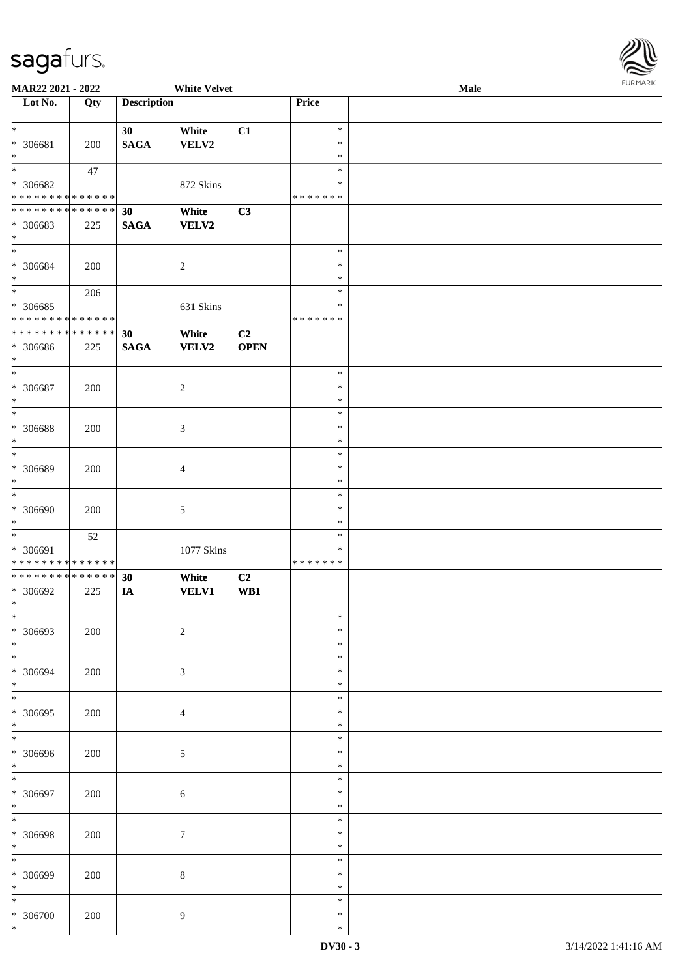

| MAR22 2021 - 2022           |     |                    | <b>White Velvet</b> |                |               | Male |
|-----------------------------|-----|--------------------|---------------------|----------------|---------------|------|
| Lot No.                     | Qty | <b>Description</b> |                     |                | Price         |      |
|                             |     |                    |                     |                |               |      |
| $\ast$                      |     | 30                 | White               | C1             | $\ast$        |      |
|                             |     |                    |                     |                |               |      |
| * 306681                    | 200 | <b>SAGA</b>        | VELV2               |                | $\ast$        |      |
| $\ast$                      |     |                    |                     |                | $\ast$        |      |
| $\overline{\ast}$           | 47  |                    |                     |                | $\ast$        |      |
| * 306682                    |     |                    | 872 Skins           |                | ∗             |      |
| * * * * * * * * * * * * * * |     |                    |                     |                | * * * * * * * |      |
|                             |     |                    |                     |                |               |      |
| * * * * * * * * * * * * * * |     | 30                 | White               | C3             |               |      |
| * 306683                    | 225 | $\mathbf{SAGA}$    | <b>VELV2</b>        |                |               |      |
| $\ast$                      |     |                    |                     |                |               |      |
| $\ast$                      |     |                    |                     |                | $\ast$        |      |
| $* 306684$                  | 200 |                    | $\sqrt{2}$          |                | $\ast$        |      |
|                             |     |                    |                     |                |               |      |
| $\ast$                      |     |                    |                     |                | $\ast$        |      |
| $\ast$                      | 206 |                    |                     |                | $\ast$        |      |
| $* 306685$                  |     |                    | 631 Skins           |                | $\ast$        |      |
| * * * * * * * * * * * * * * |     |                    |                     |                | *******       |      |
| * * * * * * * * * * * * * * |     | 30                 | White               | C <sub>2</sub> |               |      |
|                             |     |                    |                     |                |               |      |
| * 306686                    | 225 | <b>SAGA</b>        | <b>VELV2</b>        | <b>OPEN</b>    |               |      |
| $*$                         |     |                    |                     |                |               |      |
| $\ast$                      |     |                    |                     |                | $\ast$        |      |
| * 306687                    | 200 |                    | $\sqrt{2}$          |                | $\ast$        |      |
| $\ast$                      |     |                    |                     |                | $\ast$        |      |
| $*$                         |     |                    |                     |                | $\ast$        |      |
|                             |     |                    |                     |                |               |      |
| $* 306688$                  | 200 |                    | $\mathfrak{Z}$      |                | $\ast$        |      |
| $\ast$                      |     |                    |                     |                | $\ast$        |      |
| $\ast$                      |     |                    |                     |                | $\ast$        |      |
| * 306689                    | 200 |                    | $\overline{4}$      |                | $\ast$        |      |
| $\ast$                      |     |                    |                     |                | $\ast$        |      |
|                             |     |                    |                     |                |               |      |
| $\ast$                      |     |                    |                     |                | $\ast$        |      |
| $* 306690$                  | 200 |                    | $\sqrt{5}$          |                | $\ast$        |      |
| $*$                         |     |                    |                     |                | $\ast$        |      |
| $\ast$                      | 52  |                    |                     |                | $\ast$        |      |
| * 306691                    |     |                    | 1077 Skins          |                | $\ast$        |      |
|                             |     |                    |                     |                |               |      |
| * * * * * * * * * * * * * * |     |                    |                     |                | *******       |      |
| * * * * * * * * * * * * * * |     | 30                 | White               | C <sub>2</sub> |               |      |
| $* 306692$                  | 225 | IA                 | <b>VELV1</b>        | WB1            |               |      |
| $*$                         |     |                    |                     |                |               |      |
| $\ast$                      |     |                    |                     |                | $\ast$        |      |
|                             |     |                    |                     |                | $\ast$        |      |
| * 306693                    | 200 |                    | $\sqrt{2}$          |                |               |      |
| $\ast$                      |     |                    |                     |                | $\ast$        |      |
| $\ast$                      |     |                    |                     |                | $\ast$        |      |
| $* 306694$                  | 200 |                    | $\mathfrak{Z}$      |                | ∗             |      |
| $\ast$                      |     |                    |                     |                | $\ast$        |      |
| $\ast$                      |     |                    |                     |                | $\ast$        |      |
|                             |     |                    |                     |                | $\ast$        |      |
| * 306695                    | 200 |                    | $\overline{4}$      |                |               |      |
| $\ast$                      |     |                    |                     |                | $\ast$        |      |
| $\overline{\ast}$           |     |                    |                     |                | $\ast$        |      |
| $* 306696$                  | 200 |                    | 5                   |                | ∗             |      |
| $\ast$                      |     |                    |                     |                | $\ast$        |      |
| $\ast$                      |     |                    |                     |                | $\ast$        |      |
|                             |     |                    |                     |                |               |      |
| $* 306697$                  | 200 |                    | $\sqrt{6}$          |                | $\ast$        |      |
| $\ast$                      |     |                    |                     |                | $\ast$        |      |
| $\ast$                      |     |                    |                     |                | $\ast$        |      |
| $* 306698$                  | 200 |                    | $\boldsymbol{7}$    |                | $\ast$        |      |
| $\ast$                      |     |                    |                     |                | $\ast$        |      |
|                             |     |                    |                     |                |               |      |
| $\ast$                      |     |                    |                     |                | $\ast$        |      |
| $* 306699$                  | 200 |                    | $\,8\,$             |                | $\ast$        |      |
| $\ast$                      |     |                    |                     |                | $\ast$        |      |
| $\ast$                      |     |                    |                     |                | $\ast$        |      |
| $* 306700$                  | 200 |                    |                     |                | ∗             |      |
|                             |     |                    | 9                   |                |               |      |
| $\ast$                      |     |                    |                     |                | $\ast$        |      |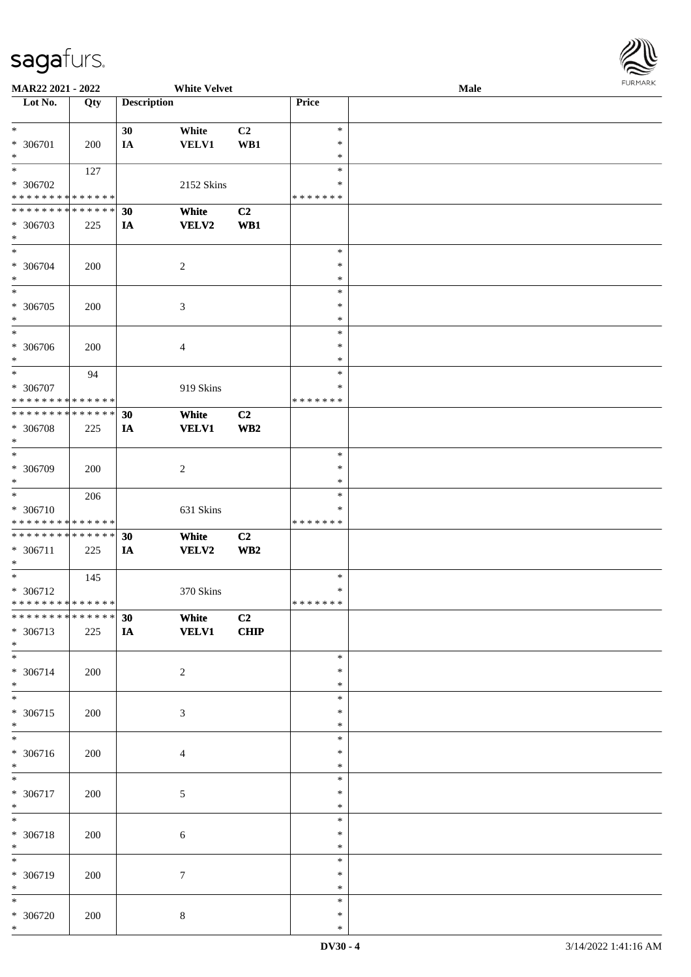

| <b>MAR22 2021 - 2022</b>                   |     |                    | <b>White Velvet</b> |                 |               | Male |  |
|--------------------------------------------|-----|--------------------|---------------------|-----------------|---------------|------|--|
| Lot No.                                    | Qty | <b>Description</b> |                     |                 | Price         |      |  |
|                                            |     |                    |                     |                 |               |      |  |
| $*$                                        |     | 30                 | White               | C2              | $\ast$        |      |  |
|                                            |     |                    |                     |                 | $\ast$        |      |  |
| * 306701                                   | 200 | IA                 | <b>VELV1</b>        | WB1             |               |      |  |
| $*$                                        |     |                    |                     |                 | ∗             |      |  |
|                                            | 127 |                    |                     |                 | $\ast$        |      |  |
| * 306702                                   |     |                    | 2152 Skins          |                 | ∗             |      |  |
| * * * * * * * * <mark>* * * * * * *</mark> |     |                    |                     |                 | * * * * * * * |      |  |
| * * * * * * * * * * * * * * *              |     | 30                 | White               | C2              |               |      |  |
| * 306703                                   |     |                    | VELV2               | WB1             |               |      |  |
|                                            | 225 | IA                 |                     |                 |               |      |  |
| $*$                                        |     |                    |                     |                 |               |      |  |
| $*$                                        |     |                    |                     |                 | $\ast$        |      |  |
| * 306704                                   | 200 |                    | $\overline{2}$      |                 | $\ast$        |      |  |
| $*$                                        |     |                    |                     |                 | $\ast$        |      |  |
| $\overline{\ast}$                          |     |                    |                     |                 | $\ast$        |      |  |
| * 306705                                   | 200 |                    | $\mathfrak{Z}$      |                 | $\ast$        |      |  |
|                                            |     |                    |                     |                 | $\ast$        |      |  |
| $\ast$                                     |     |                    |                     |                 |               |      |  |
|                                            |     |                    |                     |                 | $\ast$        |      |  |
| * 306706                                   | 200 |                    | 4                   |                 | $\ast$        |      |  |
| $*$                                        |     |                    |                     |                 | $\ast$        |      |  |
| $*$                                        | 94  |                    |                     |                 | $\ast$        |      |  |
| * 306707                                   |     |                    | 919 Skins           |                 | ∗             |      |  |
| * * * * * * * * <mark>* * * * * *</mark>   |     |                    |                     |                 | *******       |      |  |
|                                            |     |                    |                     |                 |               |      |  |
| * * * * * * * * <mark>* * * * * *</mark> * |     | 30                 | White               | C <sub>2</sub>  |               |      |  |
| * 306708                                   | 225 | IA                 | <b>VELV1</b>        | WB <sub>2</sub> |               |      |  |
| $\ast$                                     |     |                    |                     |                 |               |      |  |
| $\overline{\phantom{0}}$                   |     |                    |                     |                 | $\ast$        |      |  |
| * 306709                                   | 200 |                    | $\overline{2}$      |                 | ∗             |      |  |
| $*$                                        |     |                    |                     |                 | $\ast$        |      |  |
|                                            |     |                    |                     |                 |               |      |  |
| $*$                                        | 206 |                    |                     |                 | $\ast$        |      |  |
| * 306710                                   |     |                    | 631 Skins           |                 | *             |      |  |
| * * * * * * * * * * * * * *                |     |                    |                     |                 | *******       |      |  |
| * * * * * * * * <mark>* * * * * * *</mark> |     | 30                 | White               | C2              |               |      |  |
| * 306711                                   | 225 | <b>IA</b>          | VELV2               | WB <sub>2</sub> |               |      |  |
| $\ast$                                     |     |                    |                     |                 |               |      |  |
|                                            |     |                    |                     |                 |               |      |  |
| $*$                                        | 145 |                    |                     |                 | $\ast$        |      |  |
| * 306712                                   |     |                    | 370 Skins           |                 | $\ast$        |      |  |
| * * * * * * * * <mark>* * * * * *</mark>   |     |                    |                     |                 | * * * * * * * |      |  |
|                                            |     | 30                 | White               | C2              |               |      |  |
| * 306713                                   | 225 | IA                 | <b>VELV1</b>        | CHIP            |               |      |  |
| $*$                                        |     |                    |                     |                 |               |      |  |
| $*$                                        |     |                    |                     |                 |               |      |  |
|                                            |     |                    |                     |                 | $\ast$        |      |  |
| * 306714                                   | 200 |                    | $\overline{2}$      |                 | ∗             |      |  |
| $*$                                        |     |                    |                     |                 | ∗             |      |  |
|                                            |     |                    |                     |                 | $\ast$        |      |  |
| * 306715                                   | 200 |                    | $\mathfrak{Z}$      |                 | ∗             |      |  |
| $*$                                        |     |                    |                     |                 | $\ast$        |      |  |
|                                            |     |                    |                     |                 | $\ast$        |      |  |
|                                            |     |                    |                     |                 |               |      |  |
| * 306716                                   | 200 |                    | $\overline{4}$      |                 | *             |      |  |
| $*$                                        |     |                    |                     |                 | $\ast$        |      |  |
| $*$                                        |     |                    |                     |                 | $\ast$        |      |  |
| * 306717                                   | 200 |                    | $\sqrt{5}$          |                 | $\ast$        |      |  |
| $*$                                        |     |                    |                     |                 | $\ast$        |      |  |
|                                            |     |                    |                     |                 | $\ast$        |      |  |
|                                            |     |                    |                     |                 |               |      |  |
| * 306718                                   | 200 |                    | $\sqrt{6}$          |                 | $\ast$        |      |  |
| $*$                                        |     |                    |                     |                 | $\ast$        |      |  |
| $\overline{\ast}$                          |     |                    |                     |                 | $\ast$        |      |  |
| * 306719                                   | 200 |                    | $\tau$              |                 | $\ast$        |      |  |
| $*$                                        |     |                    |                     |                 | $\ast$        |      |  |
| $*$                                        |     |                    |                     |                 | $\ast$        |      |  |
|                                            |     |                    |                     |                 |               |      |  |
| * 306720                                   | 200 |                    | $\,8\,$             |                 | *             |      |  |
| $\ast$                                     |     |                    |                     |                 | $\ast$        |      |  |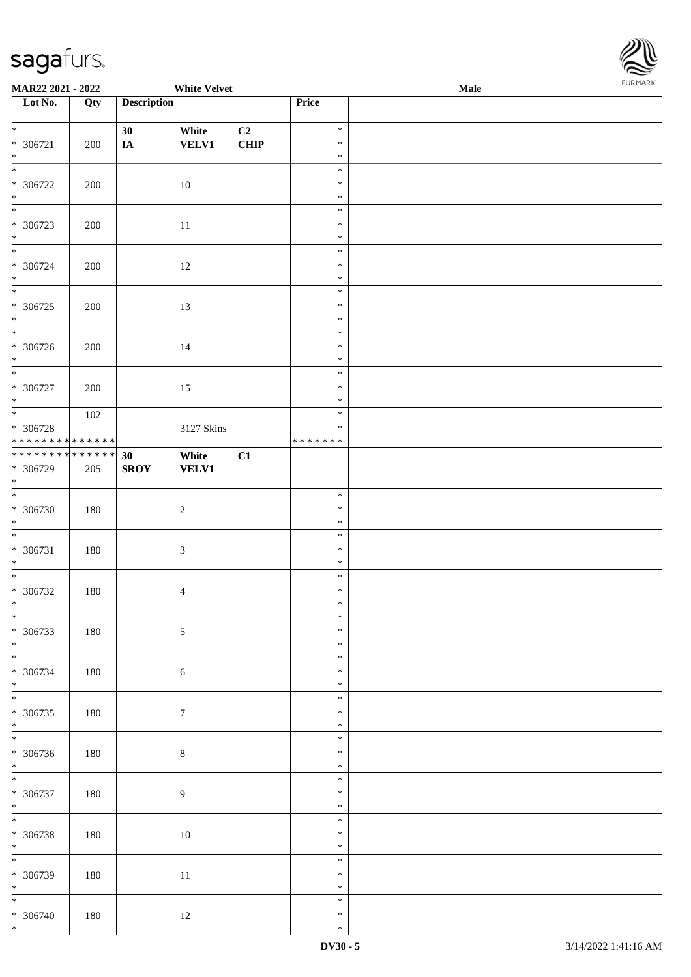

| <b>MAR22 2021 - 2022</b>                                                |     |                    | <b>White Velvet</b>   |            |                                      | <b>Male</b> |  |
|-------------------------------------------------------------------------|-----|--------------------|-----------------------|------------|--------------------------------------|-------------|--|
| Lot No.                                                                 | Qty | <b>Description</b> |                       |            | Price                                |             |  |
| $\ddot{x}$<br>* 306721<br>$\ast$                                        | 200 | 30<br>IA           | White<br><b>VELV1</b> | C2<br>CHIP | $\ast$<br>$\ast$<br>$\ast$           |             |  |
| $\overline{\ast}$<br>* 306722<br>$\ast$                                 | 200 |                    | 10                    |            | $\ast$<br>$\ast$<br>$\ast$           |             |  |
| $\overline{\phantom{0}}$<br>* 306723<br>$\ast$                          | 200 |                    | 11                    |            | $\ast$<br>$\ast$<br>$\ast$           |             |  |
| $* 306724$<br>$*$                                                       | 200 |                    | 12                    |            | $\ast$<br>$\ast$<br>$\ast$           |             |  |
| * 306725<br>$*$                                                         | 200 |                    | 13                    |            | $\ast$<br>$\ast$<br>$\ast$<br>$\ast$ |             |  |
| * 306726<br>$*$                                                         | 200 |                    | 14                    |            | $\ast$<br>$\ast$<br>$\ast$           |             |  |
| * 306727<br>$*$                                                         | 200 |                    | 15                    |            | $\ast$<br>$\ast$                     |             |  |
| * 306728<br>* * * * * * * * <mark>* * * * * * *</mark>                  | 102 |                    | 3127 Skins            |            | $\ast$<br>$\ast$<br>* * * * * * *    |             |  |
| * * * * * * * * <mark>* * * * * * *</mark><br>* 306729<br>$\ast$<br>$*$ | 205 | 30<br><b>SROY</b>  | White<br><b>VELV1</b> | C1         |                                      |             |  |
| * 306730<br>$*$                                                         | 180 |                    | $\sqrt{2}$            |            | $\ast$<br>$\ast$<br>$\ast$<br>$\ast$ |             |  |
| * 306731<br>$*$                                                         | 180 |                    | $\sqrt{3}$            |            | $\ast$<br>$\ast$<br>$\ast$           |             |  |
| $* 306732$<br>$\ast$<br>$\ast$                                          | 180 |                    | $\overline{4}$        |            | $\ast$<br>$\ast$<br>$\ast$           |             |  |
| * 306733<br>$*$                                                         | 180 |                    | $\sqrt{5}$            |            | $\ast$<br>$\ast$<br>$\ast$           |             |  |
| * 306734<br>$*$<br>$\overline{\mathbf{r}}$                              | 180 |                    | $\sqrt{6}$            |            | $\ast$<br>$\ast$<br>$\ast$           |             |  |
| * 306735<br>$*$<br>$\overline{\ast}$                                    | 180 |                    | $\boldsymbol{7}$      |            | $\ast$<br>$\ast$<br>$\ast$           |             |  |
| * 306736<br>$*$<br>$\overline{\phantom{0}}$                             | 180 |                    | $\,8\,$               |            | $\ast$<br>$\ast$<br>$\ast$           |             |  |
| * 306737<br>$*$<br>$*$                                                  | 180 |                    | 9                     |            | $\ast$<br>$\ast$<br>$\ast$           |             |  |
| * 306738<br>$*$                                                         | 180 |                    | 10                    |            | $\ast$<br>$\ast$<br>$\ast$           |             |  |
| * 306739<br>$*$<br>$\overline{\ast}$                                    | 180 |                    | $11\,$                |            | $\ast$<br>$\ast$<br>$\ast$           |             |  |
| * 306740<br>$*$                                                         | 180 |                    | 12                    |            | $\ast$<br>$\ast$                     |             |  |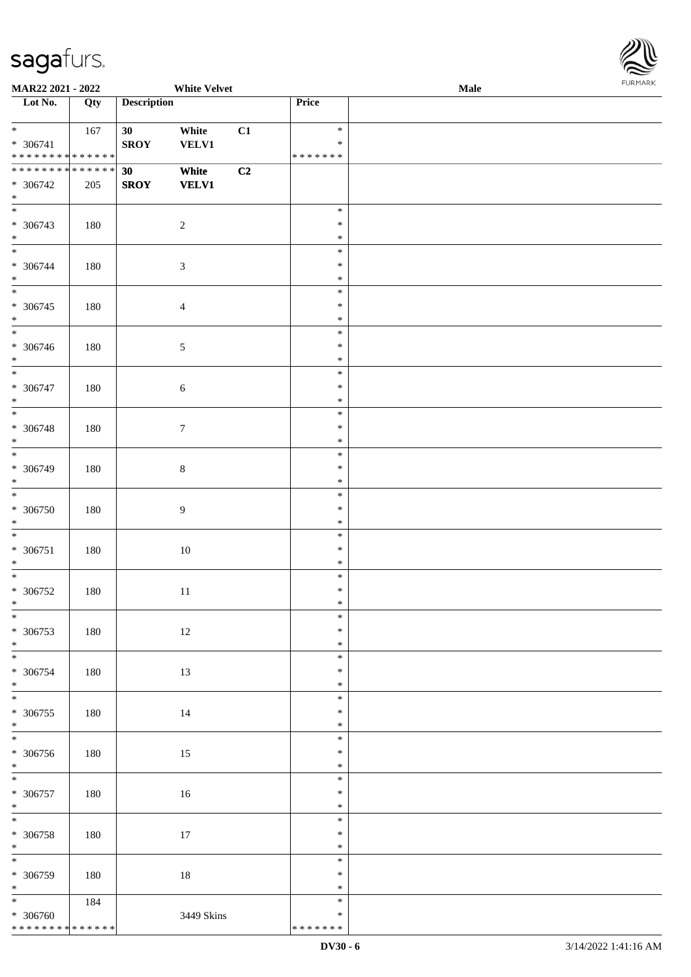\* \* \* \* \* \* \* \* \* \* \* \* \* \*



| <b>MAR22 2021 - 2022</b>                                      |     |                    | <b>White Velvet</b>   |    |                            | Male |  |
|---------------------------------------------------------------|-----|--------------------|-----------------------|----|----------------------------|------|--|
| Lot No.                                                       | Qty | <b>Description</b> |                       |    | Price                      |      |  |
| $*$<br>* 306741                                               | 167 | 30<br><b>SROY</b>  | White<br><b>VELV1</b> | C1 | $\ast$<br>$\ast$           |      |  |
| * * * * * * * * * * * * * *                                   |     |                    |                       |    | * * * * * * *              |      |  |
| * * * * * * * * <mark>* * * * * * *</mark><br>* 306742<br>$*$ | 205 | 30<br><b>SROY</b>  | White<br><b>VELV1</b> | C2 |                            |      |  |
| $\overline{\phantom{0}}$<br>* 306743<br>$*$                   | 180 |                    | $\overline{2}$        |    | $\ast$<br>$\ast$<br>$\ast$ |      |  |
| $*$<br>* 306744<br>$*$                                        | 180 |                    | $\sqrt{3}$            |    | $\ast$<br>$\ast$<br>$\ast$ |      |  |
| * 306745<br>$*$                                               | 180 |                    | $\overline{4}$        |    | $\ast$<br>$\ast$<br>$\ast$ |      |  |
| * 306746<br>$*$                                               | 180 |                    | $\sqrt{5}$            |    | $\ast$<br>$\ast$<br>$\ast$ |      |  |
| $* 306747$<br>$*$                                             | 180 |                    | $\sqrt{6}$            |    | $\ast$<br>$\ast$<br>$\ast$ |      |  |
| $* 306748$<br>$\ast$                                          | 180 |                    | $\tau$                |    | $\ast$<br>$\ast$<br>$\ast$ |      |  |
| * 306749<br>$*$                                               | 180 |                    | $8\,$                 |    | $\ast$<br>$\ast$<br>$\ast$ |      |  |
| $\ast$<br>* 306750<br>$*$                                     | 180 |                    | $\boldsymbol{9}$      |    | $\ast$<br>$\ast$<br>$\ast$ |      |  |
| $*$<br>$* 306751$<br>$*$                                      | 180 |                    | $10\,$                |    | $\ast$<br>$\ast$<br>$\ast$ |      |  |
| $*$<br>$* 306752$<br>$*$                                      | 180 |                    | 11                    |    | $\ast$<br>$\ast$<br>$\ast$ |      |  |
| $*$<br>* 306753<br>$*$                                        | 180 |                    | 12                    |    | $\ast$<br>$\ast$<br>$\ast$ |      |  |
| * 306754<br>$*$                                               | 180 |                    | 13                    |    | $\ast$<br>$\ast$<br>$\ast$ |      |  |
| $*$<br>* 306755<br>$*$                                        | 180 |                    | 14                    |    | $\ast$<br>$\ast$<br>$\ast$ |      |  |
| $\overline{\ast}$<br>$* 306756$<br>$*$                        | 180 |                    | 15                    |    | $\ast$<br>$\ast$<br>$\ast$ |      |  |
| $*$<br>$* 306757$<br>$*$                                      | 180 |                    | 16                    |    | $\ast$<br>$\ast$<br>$\ast$ |      |  |
| $*$<br>$* 306758$<br>$*$                                      | 180 |                    | 17                    |    | $\ast$<br>$\ast$<br>$\ast$ |      |  |
| $* 306759$<br>$*$                                             | 180 |                    | $18\,$                |    | $\ast$<br>$\ast$<br>$\ast$ |      |  |
| $\overline{\mathbf{r}}$<br>* 306760                           | 184 |                    | 3449 Skins            |    | $\ast$<br>$\ast$           |      |  |

\* \* \* \* \* \* \*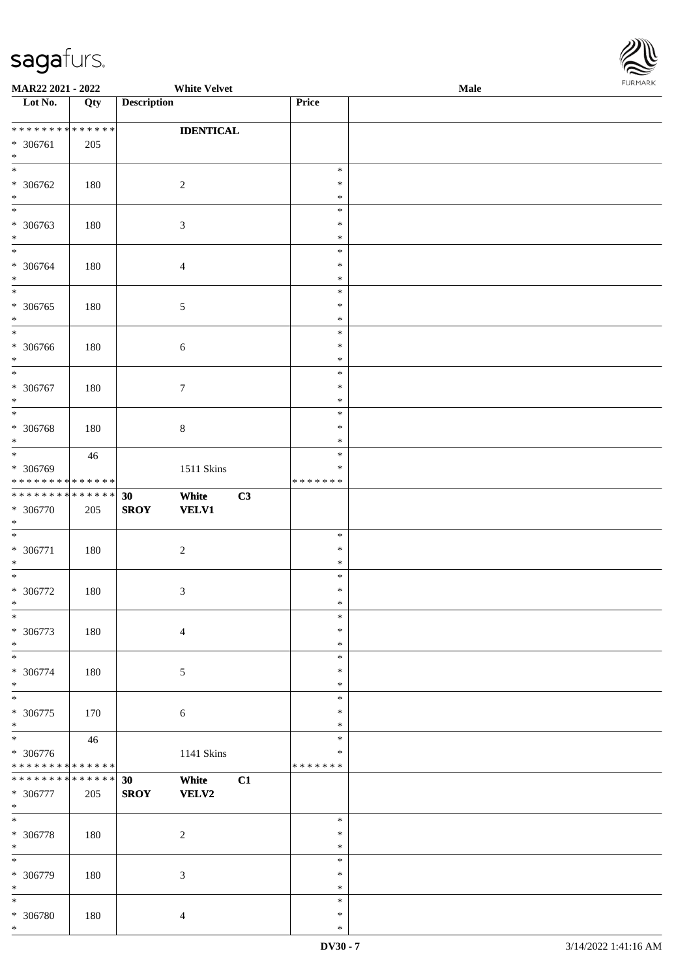

| MAR22 2021 - 2022                          |     | <b>White Velvet</b>         |         |                  | <b>Male</b> |  |
|--------------------------------------------|-----|-----------------------------|---------|------------------|-------------|--|
| Lot No.                                    | Qty | <b>Description</b>          | Price   |                  |             |  |
|                                            |     |                             |         |                  |             |  |
| ******** <mark>******</mark>               |     | <b>IDENTICAL</b>            |         |                  |             |  |
| * 306761                                   | 205 |                             |         |                  |             |  |
| $\ast$                                     |     |                             |         |                  |             |  |
| $\overline{\ast}$                          |     |                             |         | $\ast$           |             |  |
| * 306762                                   | 180 | $\overline{c}$              |         | $\ast$           |             |  |
| $\ast$                                     |     |                             |         | $\ast$           |             |  |
| $\ast$                                     |     |                             |         | $\ast$           |             |  |
| * 306763                                   | 180 | $\mathfrak{Z}$              |         | $\ast$           |             |  |
| $\ast$                                     |     |                             |         | $\ast$           |             |  |
| $\overline{\ast}$                          |     |                             |         | $\ast$           |             |  |
| $* 306764$                                 | 180 | $\overline{4}$              |         | $\ast$           |             |  |
| $\ast$                                     |     |                             |         | $\ast$           |             |  |
|                                            |     |                             |         | $\ast$           |             |  |
| $* 306765$                                 | 180 | $\sqrt{5}$                  |         | $\ast$           |             |  |
| $\ast$                                     |     |                             |         | $\ast$           |             |  |
| $\ast$                                     |     |                             |         | $\ast$           |             |  |
| $* 306766$                                 | 180 | 6                           |         | $\ast$           |             |  |
| $\ast$                                     |     |                             |         | $\ast$           |             |  |
| $\overline{\ast}$                          |     |                             |         | $\ast$           |             |  |
| $* 306767$                                 | 180 | $\tau$                      |         | $\ast$           |             |  |
| $\ast$                                     |     |                             |         | $\ast$           |             |  |
| $\ast$                                     |     |                             |         | $\ast$           |             |  |
| $* 306768$                                 | 180 | $8\,$                       |         | $\ast$           |             |  |
| $\ast$                                     |     |                             |         | $\ast$           |             |  |
| $*$                                        | 46  |                             |         | $\ast$           |             |  |
| * 306769                                   |     | 1511 Skins                  |         | $\ast$           |             |  |
| * * * * * * * * * * * * * *                |     |                             | ******* |                  |             |  |
| * * * * * * * * <mark>* * * * * * *</mark> |     | White<br>30                 | C3      |                  |             |  |
| * 306770                                   | 205 | <b>SROY</b><br><b>VELV1</b> |         |                  |             |  |
| $\ast$                                     |     |                             |         |                  |             |  |
| $\ast$                                     |     |                             |         | $\ast$           |             |  |
|                                            |     |                             |         | $\ast$           |             |  |
| $* 306771$<br>$\ast$                       | 180 | $\boldsymbol{2}$            |         | $\ast$           |             |  |
| $*$                                        |     |                             |         | $\ast$           |             |  |
|                                            |     |                             |         | $\ast$           |             |  |
| $* 306772$                                 | 180 | $\mathfrak{Z}$              |         |                  |             |  |
| $*$                                        |     |                             |         | $\ast$<br>$\ast$ |             |  |
| $\ast$                                     |     |                             |         |                  |             |  |
| * 306773                                   | 180 | $\overline{4}$              |         | $\ast$           |             |  |
| $*$                                        |     |                             |         | $\ast$           |             |  |
| $\ast$                                     |     |                             |         | $\ast$           |             |  |
| * 306774                                   | 180 | $\sqrt{5}$                  |         | $\ast$           |             |  |
| $*$                                        |     |                             |         | $\ast$           |             |  |
| $\ast$                                     |     |                             |         | $\ast$           |             |  |
| * 306775                                   | 170 | $\sqrt{6}$                  |         | $\ast$           |             |  |
| $*$<br>$\overline{\phantom{0}}$            |     |                             |         | $\ast$           |             |  |
|                                            | 46  |                             |         | $\ast$           |             |  |
| * 306776                                   |     | 1141 Skins                  |         | $\ast$           |             |  |
| * * * * * * * * * * * * * *                |     |                             | ******* |                  |             |  |
| * * * * * * * * * * * * * * *              |     | 30<br>White                 | C1      |                  |             |  |
| $* 306777$                                 | 205 | <b>SROY</b><br>VELV2        |         |                  |             |  |
| $*$                                        |     |                             |         |                  |             |  |
| $\ast$                                     |     |                             |         | $\ast$           |             |  |
| $* 306778$                                 | 180 | $\overline{c}$              |         | $\ast$           |             |  |
| $\ast$                                     |     |                             |         | $\ast$           |             |  |
| $\ast$                                     |     |                             |         | $\ast$           |             |  |
| * 306779                                   | 180 | $\mathfrak{Z}$              |         | $\ast$           |             |  |
| $*$                                        |     |                             |         | $\ast$           |             |  |
| $\ast$                                     |     |                             |         | $\ast$           |             |  |
| $* 306780$                                 | 180 | $\overline{4}$              |         | $\ast$           |             |  |
| $\ast$                                     |     |                             |         | $\ast$           |             |  |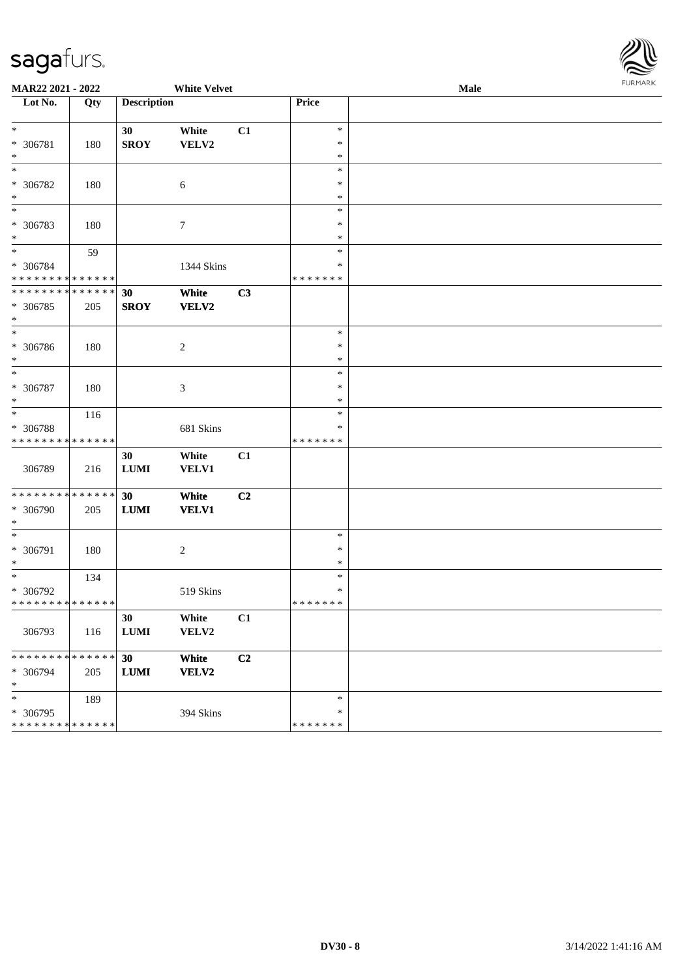

| MAR22 2021 - 2022<br><b>White Velvet</b>  |     |                    |                |                | Male                    | <b>FURMARK</b> |  |
|-------------------------------------------|-----|--------------------|----------------|----------------|-------------------------|----------------|--|
| Lot No.                                   | Qty | <b>Description</b> |                |                | Price                   |                |  |
|                                           |     |                    |                |                |                         |                |  |
| $*$                                       |     | 30                 | White          | C1             | $\ast$                  |                |  |
| $* 306781$                                | 180 | <b>SROY</b>        | VELV2          |                | $\ast$                  |                |  |
| $\ast$<br>$\ast$                          |     |                    |                |                | $\ast$<br>$\ast$        |                |  |
| * 306782                                  | 180 |                    | $\sqrt{6}$     |                | $\ast$                  |                |  |
| $\ast$                                    |     |                    |                |                | $\ast$                  |                |  |
| $_{*}$                                    |     |                    |                |                | $\ast$                  |                |  |
| * 306783                                  | 180 |                    | $\tau$         |                | $\ast$                  |                |  |
| $*$                                       |     |                    |                |                | $\ast$                  |                |  |
| $*$                                       | 59  |                    |                |                | $\ast$                  |                |  |
| * 306784                                  |     |                    | 1344 Skins     |                | $\ast$                  |                |  |
| * * * * * * * * * * * * * *               |     |                    |                |                | * * * * * * *           |                |  |
| * * * * * * * * * * * * * * *             |     | 30                 | White          | C3             |                         |                |  |
| * 306785                                  | 205 | <b>SROY</b>        | VELV2          |                |                         |                |  |
| $*$<br>$*$                                |     |                    |                |                | $\ast$                  |                |  |
| * 306786                                  | 180 |                    | $\overline{c}$ |                | $\ast$                  |                |  |
| $*$                                       |     |                    |                |                | $\ast$                  |                |  |
| $*$                                       |     |                    |                |                | $\ast$                  |                |  |
| * 306787                                  | 180 |                    | 3              |                | $\ast$                  |                |  |
| $\ast$                                    |     |                    |                |                | $\ast$                  |                |  |
| $\ast$                                    | 116 |                    |                |                | $\ast$                  |                |  |
| * 306788                                  |     |                    | 681 Skins      |                | $\ast$                  |                |  |
| * * * * * * * * * * * * * *               |     |                    |                |                | * * * * * * *           |                |  |
| 306789                                    |     | 30                 | White          | C1             |                         |                |  |
|                                           | 216 | ${\bf LUMI}$       | <b>VELV1</b>   |                |                         |                |  |
| ******** <mark>******</mark>              |     | 30                 | White          | C2             |                         |                |  |
| * 306790                                  | 205 | ${\bf LUMI}$       | <b>VELV1</b>   |                |                         |                |  |
| $*$                                       |     |                    |                |                |                         |                |  |
| $*$                                       |     |                    |                |                | $\ast$                  |                |  |
| * 306791                                  | 180 |                    | $\overline{c}$ |                | $\ast$                  |                |  |
| $\ast$                                    |     |                    |                |                | $\ast$                  |                |  |
| $\ast$                                    | 134 |                    |                |                | $\ast$                  |                |  |
| * 306792<br>* * * * * * * * * * * * * * * |     |                    | 519 Skins      |                | $\ast$<br>* * * * * * * |                |  |
|                                           |     | 30                 | White          | C1             |                         |                |  |
| 306793                                    | 116 | <b>LUMI</b>        | VELV2          |                |                         |                |  |
|                                           |     |                    |                |                |                         |                |  |
| * * * * * * * * * * * * * * *             |     | 30                 | White          | C <sub>2</sub> |                         |                |  |
| * 306794                                  | 205 | <b>LUMI</b>        | VELV2          |                |                         |                |  |
| $\ast$                                    |     |                    |                |                |                         |                |  |
| $\ast$                                    | 189 |                    |                |                | $\ast$                  |                |  |
| * 306795                                  |     |                    | 394 Skins      |                | $\ast$                  |                |  |
| * * * * * * * * * * * * * *               |     |                    |                |                | * * * * * * *           |                |  |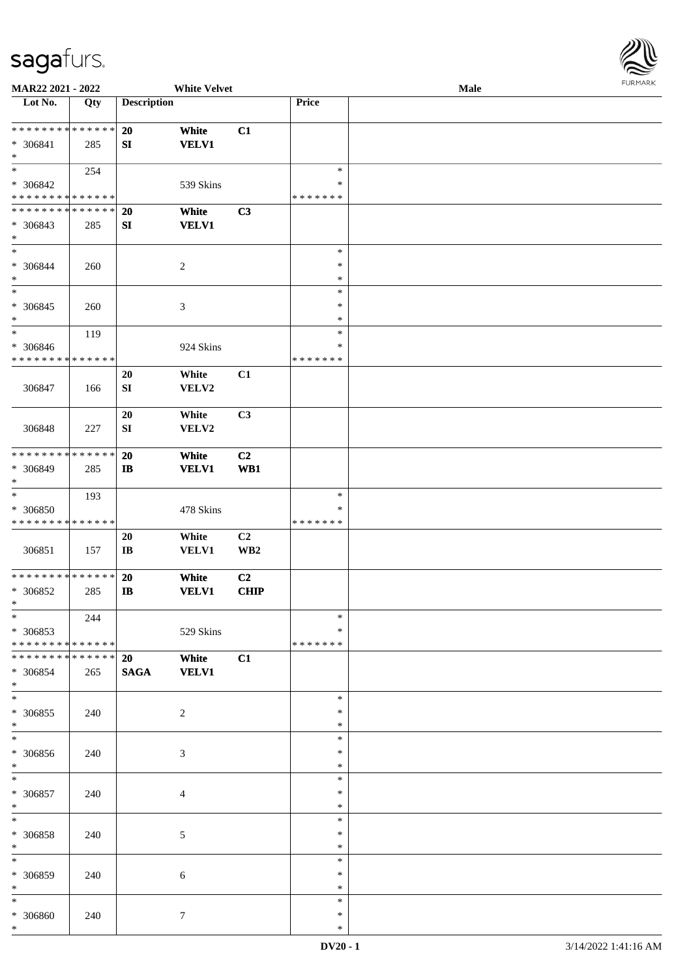

| MAR22 2021 - 2022             |             |                        | <b>White Velvet</b> |                 |               | Male |
|-------------------------------|-------------|------------------------|---------------------|-----------------|---------------|------|
| Lot No.                       | Qty         | <b>Description</b>     |                     |                 | Price         |      |
|                               |             |                        |                     |                 |               |      |
| ******** <mark>******</mark>  |             | 20                     | White               | C1              |               |      |
|                               |             |                        |                     |                 |               |      |
| * 306841                      | 285         | SI                     | <b>VELV1</b>        |                 |               |      |
| $\ast$                        |             |                        |                     |                 |               |      |
| $*$                           | 254         |                        |                     |                 | $\ast$        |      |
| * 306842                      |             |                        | 539 Skins           |                 | ∗             |      |
| * * * * * * * * * * * * * *   |             |                        |                     |                 | * * * * * * * |      |
| * * * * * * * * * * * * * *   |             |                        |                     |                 |               |      |
|                               |             | 20                     | White               | C3              |               |      |
| * 306843                      | 285         | ${\bf S}{\bf I}$       | <b>VELV1</b>        |                 |               |      |
| $\ast$                        |             |                        |                     |                 |               |      |
| $*$                           |             |                        |                     |                 | $\ast$        |      |
| * 306844                      | 260         |                        | $\sqrt{2}$          |                 | $\ast$        |      |
| $\ast$                        |             |                        |                     |                 | $\ast$        |      |
|                               |             |                        |                     |                 |               |      |
| $\ast$                        |             |                        |                     |                 | $\ast$        |      |
| $* 306845$                    | 260         |                        | $\mathfrak{Z}$      |                 | $\ast$        |      |
| $\ast$                        |             |                        |                     |                 | $\ast$        |      |
| $\ast$                        | 119         |                        |                     |                 | $\ast$        |      |
|                               |             |                        |                     |                 |               |      |
| $* 306846$                    |             |                        | 924 Skins           |                 | $\ast$        |      |
| * * * * * * * * * * * * * *   |             |                        |                     |                 | * * * * * * * |      |
|                               |             | 20                     | White               | C1              |               |      |
| 306847                        | 166         | ${\bf S}{\bf I}$       | VELV2               |                 |               |      |
|                               |             |                        |                     |                 |               |      |
|                               |             |                        |                     |                 |               |      |
|                               |             | 20                     | White               | C3              |               |      |
| 306848                        | 227         | ${\bf SI}$             | VELV2               |                 |               |      |
|                               |             |                        |                     |                 |               |      |
| * * * * * * * * * * * * * *   |             | 20                     | White               | C2              |               |      |
|                               |             |                        |                     |                 |               |      |
| * 306849                      | 285         | $\mathbf{I}$           | <b>VELV1</b>        | W <sub>B1</sub> |               |      |
| $*$                           |             |                        |                     |                 |               |      |
| $\ast$                        | 193         |                        |                     |                 | $\ast$        |      |
| $* 306850$                    |             |                        | 478 Skins           |                 | $\ast$        |      |
| * * * * * * * * * * * * * *   |             |                        |                     |                 | *******       |      |
|                               |             |                        |                     |                 |               |      |
|                               |             | 20                     | White               | C2              |               |      |
| 306851                        | 157         | $\mathbf{I}\mathbf{B}$ | <b>VELV1</b>        | WB <sub>2</sub> |               |      |
|                               |             |                        |                     |                 |               |      |
| * * * * * * * * * * * * * *   |             | 20                     | White               | C2              |               |      |
| * 306852                      | 285         | $\mathbf{I}$           | <b>VELV1</b>        | <b>CHIP</b>     |               |      |
| $*$                           |             |                        |                     |                 |               |      |
|                               |             |                        |                     |                 |               |      |
| $*$                           | 244         |                        |                     |                 | $\ast$        |      |
| * 306853                      |             |                        | 529 Skins           |                 | ∗             |      |
| * * * * * * * * * * * * * * * |             |                        |                     |                 | * * * * * * * |      |
| * * * * * * * *               | * * * * * * | <b>20</b>              | White               | C1              |               |      |
|                               |             |                        |                     |                 |               |      |
| * 306854                      | 265         | <b>SAGA</b>            | <b>VELV1</b>        |                 |               |      |
| $*$                           |             |                        |                     |                 |               |      |
| $*$                           |             |                        |                     |                 | $\ast$        |      |
| * 306855                      | 240         |                        | $\overline{c}$      |                 | $\ast$        |      |
| $*$                           |             |                        |                     |                 | $\ast$        |      |
| $\overline{\phantom{0}}$      |             |                        |                     |                 |               |      |
|                               |             |                        |                     |                 | $\ast$        |      |
| $* 306856$                    | 240         |                        | 3                   |                 | $\ast$        |      |
| $*$                           |             |                        |                     |                 | $\ast$        |      |
| $*$                           |             |                        |                     |                 | $\ast$        |      |
| $* 306857$                    | 240         |                        | $\overline{4}$      |                 | $\ast$        |      |
| $*$                           |             |                        |                     |                 |               |      |
|                               |             |                        |                     |                 | $\ast$        |      |
| $\ast$                        |             |                        |                     |                 | $\ast$        |      |
| * 306858                      | 240         |                        | 5                   |                 | $\ast$        |      |
| $*$                           |             |                        |                     |                 | $\ast$        |      |
| $\ast$                        |             |                        |                     |                 | $\ast$        |      |
|                               |             |                        |                     |                 |               |      |
| * 306859                      | 240         |                        | 6                   |                 | $\ast$        |      |
| $*$                           |             |                        |                     |                 | $\ast$        |      |
| $\ast$                        |             |                        |                     |                 | $\ast$        |      |
| * 306860                      | 240         |                        | $\tau$              |                 | ∗             |      |
| $*$                           |             |                        |                     |                 | $\ast$        |      |
|                               |             |                        |                     |                 |               |      |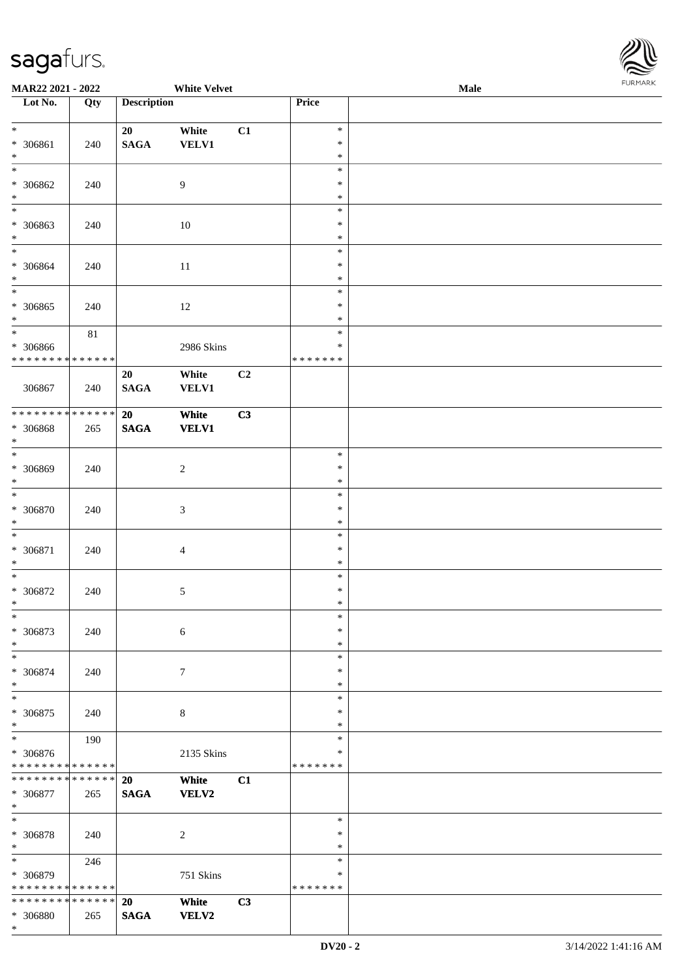

| <b>MAR22 2021 - 2022</b>                   |                   |                    | <b>White Velvet</b> |    |                  | Male | 10111111111 |
|--------------------------------------------|-------------------|--------------------|---------------------|----|------------------|------|-------------|
| Lot No.                                    | $\overline{Q}$ ty | <b>Description</b> |                     |    | Price            |      |             |
|                                            |                   |                    |                     |    |                  |      |             |
| $*$                                        |                   | 20                 | White               | C1 | $\ast$           |      |             |
| * 306861                                   | 240               | <b>SAGA</b>        | VELV1               |    | $\ast$           |      |             |
| $\ast$                                     |                   |                    |                     |    | $\ast$           |      |             |
| $_{*}$                                     |                   |                    |                     |    | $\ast$           |      |             |
| * 306862                                   | 240               |                    | 9                   |    | $\ast$           |      |             |
| $*$                                        |                   |                    |                     |    | $\ast$           |      |             |
| $\overline{\phantom{0}}$                   |                   |                    |                     |    | $\ast$           |      |             |
| * 306863                                   | 240               |                    | 10                  |    | $\ast$           |      |             |
| $*$                                        |                   |                    |                     |    | $\ast$           |      |             |
| $\overline{\phantom{0}}$                   |                   |                    |                     |    | $\ast$           |      |             |
| * 306864                                   | 240               |                    | <sup>11</sup>       |    | $\ast$           |      |             |
| $\ast$                                     |                   |                    |                     |    | $\ast$           |      |             |
| $_{*}$                                     |                   |                    |                     |    | $\ast$           |      |             |
| * 306865                                   | 240               |                    | 12                  |    | $\ast$           |      |             |
| $\ast$                                     |                   |                    |                     |    | $\ast$           |      |             |
| $\overline{\phantom{0}}$                   | $81\,$            |                    |                     |    | $\ast$           |      |             |
| * 306866                                   |                   |                    | 2986 Skins          |    | $\ast$           |      |             |
| * * * * * * * * * * * * * *                |                   |                    |                     |    | * * * * * * *    |      |             |
|                                            |                   | 20                 | White               | C2 |                  |      |             |
| 306867                                     | 240               | <b>SAGA</b>        | <b>VELV1</b>        |    |                  |      |             |
|                                            |                   |                    |                     |    |                  |      |             |
| * * * * * * * * <mark>* * * * * * *</mark> |                   | 20                 | White               | C3 |                  |      |             |
| * 306868                                   | 265               | <b>SAGA</b>        | <b>VELV1</b>        |    |                  |      |             |
| $\ast$<br>$\overline{\phantom{0}}$         |                   |                    |                     |    |                  |      |             |
|                                            |                   |                    |                     |    | $\ast$           |      |             |
| * 306869                                   | 240               |                    | $\sqrt{2}$          |    | $\ast$           |      |             |
| $*$<br>$\overline{\ast}$                   |                   |                    |                     |    | $\ast$           |      |             |
|                                            |                   |                    |                     |    | $\ast$           |      |             |
| * 306870                                   | 240               |                    | $\sqrt{3}$          |    | $\ast$           |      |             |
| $*$                                        |                   |                    |                     |    | $\ast$           |      |             |
| $*$                                        |                   |                    |                     |    | $\ast$           |      |             |
| * 306871                                   | 240               |                    | $\overline{4}$      |    | $\ast$           |      |             |
| $*$<br>$\ast$                              |                   |                    |                     |    | $\ast$           |      |             |
|                                            |                   |                    |                     |    | $\ast$<br>$\ast$ |      |             |
| * 306872<br>$*$                            | 240               |                    | $\sqrt{5}$          |    | $\ast$           |      |             |
| $\ast$                                     |                   |                    |                     |    | $\ast$           |      |             |
|                                            |                   |                    |                     |    | $\ast$           |      |             |
| * 306873<br>$*$                            | 240               |                    | $\sqrt{6}$          |    | $\ast$           |      |             |
| $*$                                        |                   |                    |                     |    | $\ast$           |      |             |
|                                            |                   |                    |                     |    | $\ast$           |      |             |
| * 306874<br>$*$                            | 240               |                    | $\boldsymbol{7}$    |    | $\ast$           |      |             |
|                                            |                   |                    |                     |    | $\ast$           |      |             |
| * 306875                                   | 240               |                    | 8                   |    | $\ast$           |      |             |
| $*$                                        |                   |                    |                     |    | $\ast$           |      |             |
| $\overline{\phantom{0}}$                   | 190               |                    |                     |    | $\ast$           |      |             |
| * 306876                                   |                   |                    | 2135 Skins          |    | ∗                |      |             |
| * * * * * * * * * * * * * *                |                   |                    |                     |    | *******          |      |             |
| * * * * * * * *                            | * * * * * *       | <b>20</b>          | White               | C1 |                  |      |             |
| * 306877                                   | 265               | <b>SAGA</b>        | <b>VELV2</b>        |    |                  |      |             |
| $*$                                        |                   |                    |                     |    |                  |      |             |
| $*$                                        |                   |                    |                     |    | $\ast$           |      |             |
| * 306878                                   | 240               |                    | 2                   |    | $\ast$           |      |             |
| $\ast$                                     |                   |                    |                     |    | $\ast$           |      |             |
| $*$                                        | 246               |                    |                     |    | $\ast$           |      |             |
| * 306879                                   |                   |                    | 751 Skins           |    | $\ast$           |      |             |
| * * * * * * * * * * * * * *                |                   |                    |                     |    | * * * * * * *    |      |             |
| * * * * * * * * * * * * * *                |                   | 20                 | White               | C3 |                  |      |             |
| * 306880                                   | 265               | <b>SAGA</b>        | <b>VELV2</b>        |    |                  |      |             |
| $\ast$                                     |                   |                    |                     |    |                  |      |             |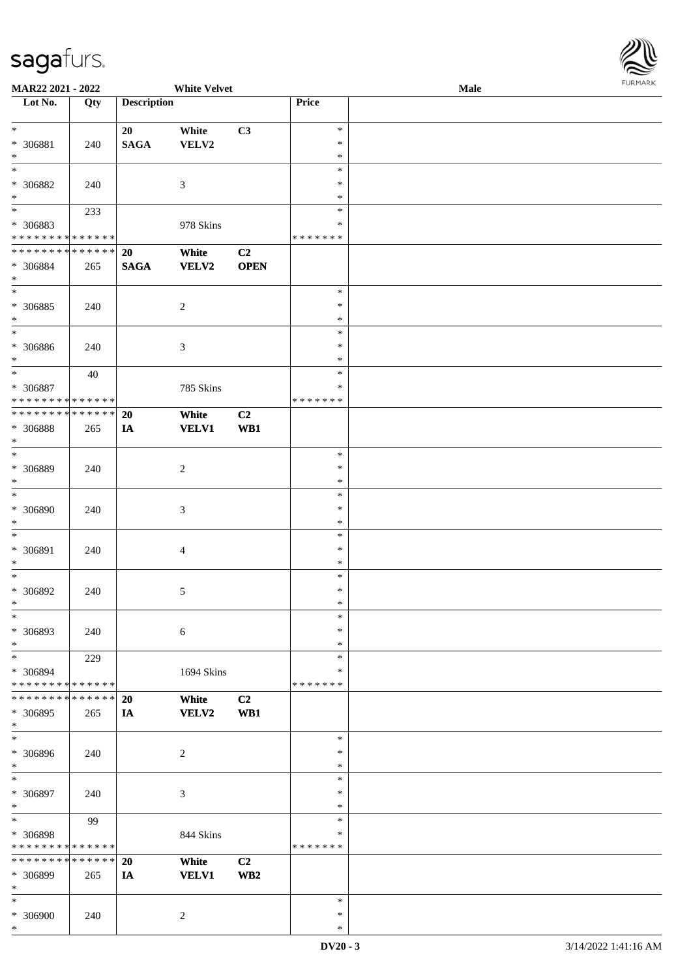

| <b>MAR22 2021 - 2022</b>     |             |                    | <b>White Velvet</b> |                 |               | Male |
|------------------------------|-------------|--------------------|---------------------|-----------------|---------------|------|
| Lot No.                      | Qty         | <b>Description</b> |                     |                 | <b>Price</b>  |      |
|                              |             |                    |                     |                 |               |      |
| $*$                          |             | 20                 | White               | C3              | $\ast$        |      |
|                              |             |                    |                     |                 | $\ast$        |      |
| * 306881                     | 240         | <b>SAGA</b>        | VELV2               |                 |               |      |
| $\ast$                       |             |                    |                     |                 | $\ast$        |      |
| $\overline{\ast}$            |             |                    |                     |                 | $\ast$        |      |
| * 306882                     | 240         |                    | $\mathfrak{Z}$      |                 | $\ast$        |      |
| $\ast$                       |             |                    |                     |                 | $\ast$        |      |
|                              |             |                    |                     |                 | $\ast$        |      |
|                              | 233         |                    |                     |                 |               |      |
| * 306883                     |             |                    | 978 Skins           |                 | $\ast$        |      |
| * * * * * * * * * * * * * *  |             |                    |                     |                 | * * * * * * * |      |
| ******** <mark>******</mark> |             | 20                 | White               | C2              |               |      |
| * 306884                     | 265         | <b>SAGA</b>        | <b>VELV2</b>        | <b>OPEN</b>     |               |      |
|                              |             |                    |                     |                 |               |      |
| $*$                          |             |                    |                     |                 |               |      |
| $\overline{\ast}$            |             |                    |                     |                 | $\ast$        |      |
| * 306885                     | 240         |                    | $\sqrt{2}$          |                 | $\ast$        |      |
| $*$                          |             |                    |                     |                 | $\ast$        |      |
| $*$                          |             |                    |                     |                 | $\ast$        |      |
|                              |             |                    |                     |                 |               |      |
| * 306886                     | 240         |                    | 3                   |                 | $\ast$        |      |
| $\ast$                       |             |                    |                     |                 | $\ast$        |      |
| $*$                          | 40          |                    |                     |                 | $\ast$        |      |
| * 306887                     |             |                    | 785 Skins           |                 | $\ast$        |      |
| * * * * * * * * * * * * * *  |             |                    |                     |                 | * * * * * * * |      |
|                              |             |                    |                     |                 |               |      |
| * * * * * * * * * * * * * *  |             | 20                 | White               | C <sub>2</sub>  |               |      |
| * 306888                     | 265         | IA                 | <b>VELV1</b>        | WB1             |               |      |
| $\ast$                       |             |                    |                     |                 |               |      |
| $*$                          |             |                    |                     |                 | $\ast$        |      |
|                              |             |                    |                     |                 |               |      |
| * 306889                     | 240         |                    | $\overline{2}$      |                 | $\ast$        |      |
| $*$                          |             |                    |                     |                 | $\ast$        |      |
| $*$                          |             |                    |                     |                 | $\ast$        |      |
| * 306890                     | 240         |                    | $\mathfrak{Z}$      |                 | $\ast$        |      |
|                              |             |                    |                     |                 |               |      |
| $*$                          |             |                    |                     |                 | $\ast$        |      |
| $\ast$                       |             |                    |                     |                 | $\ast$        |      |
| * 306891                     | 240         |                    | $\overline{4}$      |                 | $\ast$        |      |
| $\ast$                       |             |                    |                     |                 | $\ast$        |      |
| $*$                          |             |                    |                     |                 | $\ast$        |      |
|                              |             |                    |                     |                 |               |      |
| * 306892                     | 240         |                    | 5                   |                 | $\ast$        |      |
| $*$                          |             |                    |                     |                 | $\ast$        |      |
| $\ast$                       |             |                    |                     |                 | $\ast$        |      |
| * 306893                     | 240         |                    | $\boldsymbol{6}$    |                 | $\ast$        |      |
|                              |             |                    |                     |                 |               |      |
| $\ast$                       |             |                    |                     |                 | $\ast$        |      |
| $*$                          | 229         |                    |                     |                 | $\ast$        |      |
| * 306894                     |             |                    | 1694 Skins          |                 | ∗             |      |
| * * * * * * * * * * * * * *  |             |                    |                     |                 | * * * * * * * |      |
| * * * * * * * *              | * * * * * * | 20                 | White               | C2              |               |      |
|                              |             |                    |                     |                 |               |      |
| * 306895                     | 265         | IA                 | <b>VELV2</b>        | WB1             |               |      |
| $\ast$                       |             |                    |                     |                 |               |      |
| $\overline{\phantom{0}}$     |             |                    |                     |                 | $\ast$        |      |
| * 306896                     | 240         |                    | $\overline{2}$      |                 | $\ast$        |      |
|                              |             |                    |                     |                 |               |      |
| $*$                          |             |                    |                     |                 | $\ast$        |      |
| $\ast$                       |             |                    |                     |                 | $\ast$        |      |
| * 306897                     | 240         |                    | $\mathfrak{Z}$      |                 | $\ast$        |      |
| $*$                          |             |                    |                     |                 | $\ast$        |      |
| $*$                          | 99          |                    |                     |                 | $\ast$        |      |
|                              |             |                    |                     |                 |               |      |
| * 306898                     |             |                    | 844 Skins           |                 | $\ast$        |      |
| * * * * * * * *              | * * * * * * |                    |                     |                 | * * * * * * * |      |
| * * * * * * * *              | * * * * * * | <b>20</b>          | White               | C <sub>2</sub>  |               |      |
| * 306899                     | 265         | IA                 | <b>VELV1</b>        | WB <sub>2</sub> |               |      |
|                              |             |                    |                     |                 |               |      |
| $*$                          |             |                    |                     |                 |               |      |
| $*$                          |             |                    |                     |                 | $\ast$        |      |
| * 306900                     | 240         |                    | $\overline{c}$      |                 | $\ast$        |      |
| $\ast$                       |             |                    |                     |                 | $\ast$        |      |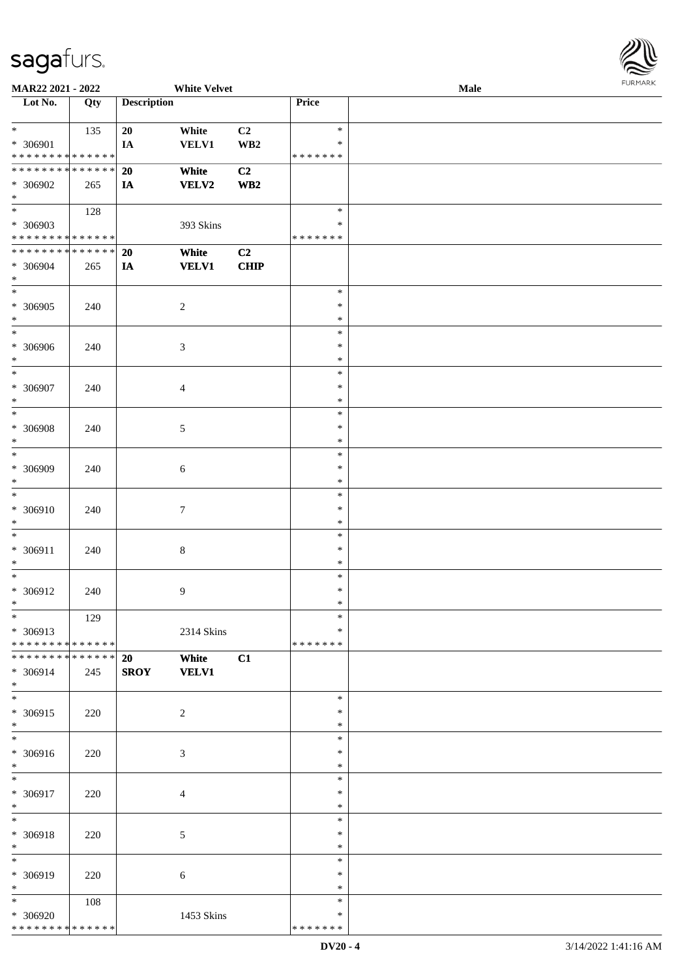

| MAR22 2021 - 2022                                                   |            |                    | <b>White Velvet</b>   |                               |                                      | Male | FURMARK |
|---------------------------------------------------------------------|------------|--------------------|-----------------------|-------------------------------|--------------------------------------|------|---------|
| Lot No.                                                             | Qty        | <b>Description</b> |                       |                               | Price                                |      |         |
| $*$<br>* 306901<br>* * * * * * * * * * * * * *                      | 135        | 20<br>IA           | White<br><b>VELV1</b> | C2<br>$\mathbf{W}\mathbf{B2}$ | $\ast$<br>*<br>* * * * * * *         |      |         |
| * * * * * * * * * * * * * *<br>* 306902<br>$*$                      | 265        | 20<br>IA           | White<br><b>VELV2</b> | C <sub>2</sub><br>WB2         |                                      |      |         |
| $\overline{\phantom{a}}$<br>* 306903<br>* * * * * * * * * * * * * * | 128        |                    | 393 Skins             |                               | $\ast$<br>∗<br>* * * * * * *         |      |         |
| **************<br>* 306904<br>$\ast$                                | 265        | <b>20</b><br>IA    | White<br><b>VELV1</b> | C2<br><b>CHIP</b>             |                                      |      |         |
| $\ast$<br>* 306905<br>$\ast$                                        | 240        |                    | $\sqrt{2}$            |                               | $\ast$<br>$\ast$<br>*                |      |         |
| $\ast$<br>* 306906<br>$\ast$                                        | 240        |                    | 3                     |                               | $\ast$<br>$\ast$<br>$\ast$           |      |         |
| $\ast$<br>* 306907<br>$\ast$<br>$_{*}$                              | 240        |                    | $\overline{4}$        |                               | $\ast$<br>$\ast$<br>$\ast$           |      |         |
| * 306908<br>$\ast$<br>$\frac{1}{1}$                                 | 240        |                    | $5\,$                 |                               | $\ast$<br>$\ast$<br>$\ast$           |      |         |
| * 306909<br>$\ast$<br>$\overline{\ast}$                             | 240        |                    | $\sqrt{6}$            |                               | $\ast$<br>$\ast$<br>$\ast$<br>$\ast$ |      |         |
| * 306910<br>$\ast$<br>$\ast$                                        | 240        |                    | $\boldsymbol{7}$      |                               | $\ast$<br>$\ast$<br>$\ast$           |      |         |
| * 306911<br>$\ast$<br>$\ast$                                        | 240        |                    | $8\,$                 |                               | $\ast$<br>*<br>$\ast$                |      |         |
| $* 306912$<br>$\ast$<br>$_{\ast}$                                   | 240<br>129 |                    | 9                     |                               | $\ast$<br>∗<br>$\ast$                |      |         |
| * 306913<br>* * * * * * * * * * * * * *<br>**************           |            | 20                 | 2314 Skins<br>White   | C1                            | *<br>* * * * * * *                   |      |         |
| * 306914<br>$\ast$<br>$\overline{\ast}$                             | 245        | <b>SROY</b>        | <b>VELV1</b>          |                               | $\ast$                               |      |         |
| $* 306915$<br>$\ast$<br>$\overline{\ast}$                           | 220        |                    | $\overline{2}$        |                               | $\ast$<br>$\ast$<br>$\ast$           |      |         |
| * 306916<br>$\ast$<br>$\ast$                                        | 220        |                    | $\mathfrak{Z}$        |                               | *<br>$\ast$<br>$\ast$                |      |         |
| * 306917<br>$\ast$<br>$\ast$                                        | 220        |                    | $\overline{4}$        |                               | $\ast$<br>*<br>$\ast$                |      |         |
| * 306918<br>$\ast$<br>$\ast$                                        | 220        |                    | $\mathfrak{S}$        |                               | ∗<br>$\ast$<br>$\ast$                |      |         |
| * 306919<br>$\ast$                                                  | 220        |                    | 6                     |                               | *<br>$\ast$                          |      |         |
| $\ast$<br>* 306920<br>* * * * * * * * * * * * * *                   | 108        |                    | 1453 Skins            |                               | $\ast$<br>*<br>* * * * * * *         |      |         |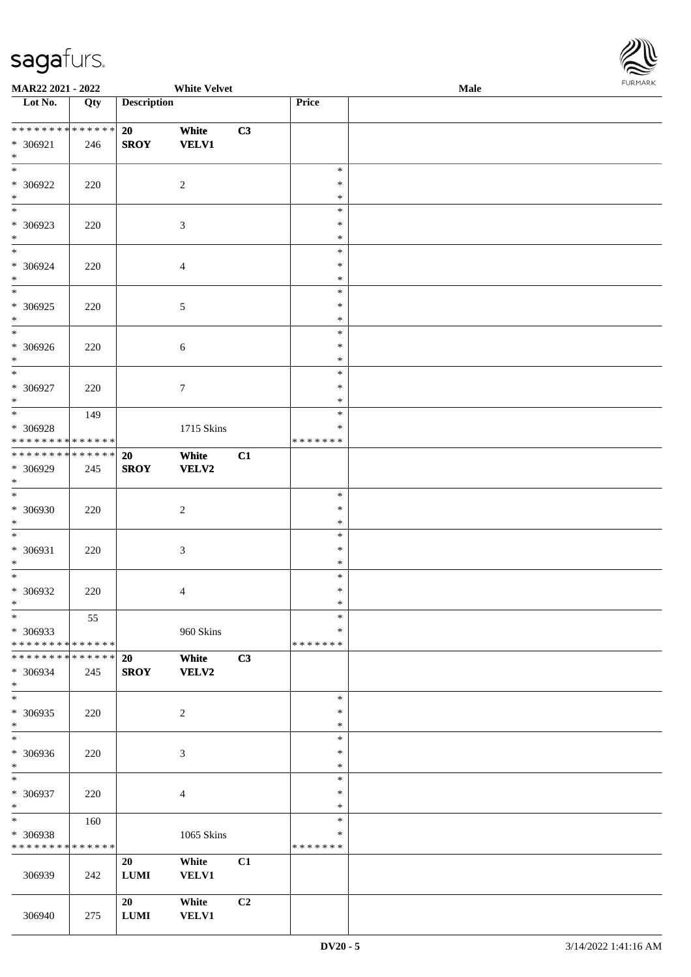

| MAR22 2021 - 2022                          |     | <b>White Velvet</b> |                  |                |               | <b>FURPIARR</b><br>Male |  |  |  |
|--------------------------------------------|-----|---------------------|------------------|----------------|---------------|-------------------------|--|--|--|
| Lot No.                                    | Qty | <b>Description</b>  |                  |                | Price         |                         |  |  |  |
|                                            |     |                     |                  |                |               |                         |  |  |  |
| ******** <mark>******</mark>               |     | 20                  | White            | C3             |               |                         |  |  |  |
| * 306921                                   | 246 | <b>SROY</b>         | <b>VELV1</b>     |                |               |                         |  |  |  |
| $*$<br>$\overline{\phantom{0}}$            |     |                     |                  |                |               |                         |  |  |  |
|                                            |     |                     |                  |                | $\ast$        |                         |  |  |  |
| * 306922                                   | 220 |                     | $\overline{2}$   |                | $\ast$        |                         |  |  |  |
| $*$                                        |     |                     |                  |                | $\ast$        |                         |  |  |  |
| $\overline{\phantom{0}}$                   |     |                     |                  |                | $\ast$        |                         |  |  |  |
| * 306923                                   | 220 |                     | $\mathfrak{Z}$   |                | $\ast$        |                         |  |  |  |
| $*$                                        |     |                     |                  |                | $\ast$        |                         |  |  |  |
| $*$                                        |     |                     |                  |                | $\ast$        |                         |  |  |  |
| * 306924                                   | 220 |                     | $\overline{4}$   |                | $\ast$        |                         |  |  |  |
| $*$                                        |     |                     |                  |                | $\ast$        |                         |  |  |  |
|                                            |     |                     |                  |                | $\ast$        |                         |  |  |  |
| * 306925                                   | 220 |                     | $\mathfrak{S}$   |                | $\ast$        |                         |  |  |  |
| $*$                                        |     |                     |                  |                | $\ast$        |                         |  |  |  |
| $\overline{\phantom{0}}$                   |     |                     |                  |                | $\ast$        |                         |  |  |  |
| * 306926                                   | 220 |                     | 6                |                | $\ast$        |                         |  |  |  |
| $*$                                        |     |                     |                  |                | $\ast$        |                         |  |  |  |
| $*$                                        |     |                     |                  |                | $\ast$        |                         |  |  |  |
| * 306927                                   | 220 |                     | $\boldsymbol{7}$ |                | $\ast$        |                         |  |  |  |
| $*$                                        |     |                     |                  |                | $\ast$        |                         |  |  |  |
|                                            | 149 |                     |                  |                | $\ast$        |                         |  |  |  |
| * 306928                                   |     |                     | 1715 Skins       |                | $\ast$        |                         |  |  |  |
| * * * * * * * * * * * * * *                |     |                     |                  |                | *******       |                         |  |  |  |
| * * * * * * * * <mark>* * * * * * *</mark> |     | 20                  | White            | C1             |               |                         |  |  |  |
| * 306929                                   | 245 | <b>SROY</b>         | <b>VELV2</b>     |                |               |                         |  |  |  |
| $*$                                        |     |                     |                  |                |               |                         |  |  |  |
| $*$                                        |     |                     |                  |                | $\ast$        |                         |  |  |  |
|                                            |     |                     |                  |                | $\ast$        |                         |  |  |  |
| * 306930<br>$*$                            | 220 |                     | $\overline{2}$   |                |               |                         |  |  |  |
| $\overline{\phantom{0}}$                   |     |                     |                  |                | $\ast$        |                         |  |  |  |
|                                            |     |                     |                  |                | $\ast$        |                         |  |  |  |
| * 306931                                   | 220 |                     | $\mathfrak{Z}$   |                | $\ast$        |                         |  |  |  |
| $*$                                        |     |                     |                  |                | $\ast$        |                         |  |  |  |
|                                            |     |                     |                  |                | $\ast$        |                         |  |  |  |
| * 306932                                   | 220 |                     | $\overline{4}$   |                | $\ast$        |                         |  |  |  |
| $*$                                        |     |                     |                  |                | $\ast$        |                         |  |  |  |
| $*$                                        | 55  |                     |                  |                | $\ast$        |                         |  |  |  |
| * 306933                                   |     |                     | 960 Skins        |                | $\ast$        |                         |  |  |  |
| * * * * * * * * * * * * * *                |     |                     |                  |                | *******       |                         |  |  |  |
| * * * * * * * * * * * * * *                |     | 20                  | White            | C3             |               |                         |  |  |  |
| * 306934                                   | 245 | <b>SROY</b>         | <b>VELV2</b>     |                |               |                         |  |  |  |
| $*$                                        |     |                     |                  |                |               |                         |  |  |  |
| $*$                                        |     |                     |                  |                | $\ast$        |                         |  |  |  |
| * 306935                                   | 220 |                     | 2                |                | $\ast$        |                         |  |  |  |
| $*$                                        |     |                     |                  |                | $\ast$        |                         |  |  |  |
| $*$                                        |     |                     |                  |                | $\ast$        |                         |  |  |  |
| * 306936                                   | 220 |                     | 3                |                | $\ast$        |                         |  |  |  |
| $*$                                        |     |                     |                  |                | $\ast$        |                         |  |  |  |
| $*$                                        |     |                     |                  |                | $\ast$        |                         |  |  |  |
| * 306937                                   | 220 |                     | $\overline{4}$   |                | $\ast$        |                         |  |  |  |
| $*$                                        |     |                     |                  |                | $\ast$        |                         |  |  |  |
| $*$                                        | 160 |                     |                  |                | $\ast$        |                         |  |  |  |
| * 306938                                   |     |                     | 1065 Skins       |                | ∗             |                         |  |  |  |
| * * * * * * * * * * * * * *                |     |                     |                  |                | * * * * * * * |                         |  |  |  |
|                                            |     | 20                  | White            | C1             |               |                         |  |  |  |
| 306939                                     | 242 | $\bf LUMI$          | <b>VELV1</b>     |                |               |                         |  |  |  |
|                                            |     |                     |                  |                |               |                         |  |  |  |
|                                            |     | 20                  | White            | C <sub>2</sub> |               |                         |  |  |  |
| 306940                                     | 275 | ${\bf LUMI}$        | <b>VELV1</b>     |                |               |                         |  |  |  |
|                                            |     |                     |                  |                |               |                         |  |  |  |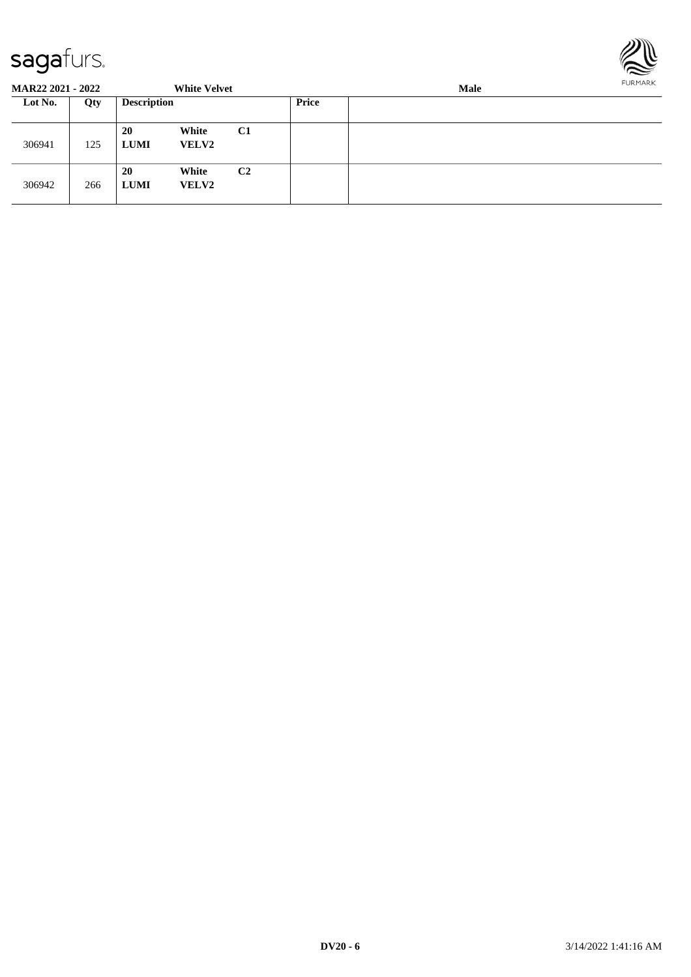

| <b>MAR22 2021 - 2022</b> |     |                          | <b>White Velvet</b>   |                |       | <b>Male</b> |  |  |  |  |
|--------------------------|-----|--------------------------|-----------------------|----------------|-------|-------------|--|--|--|--|
| Lot No.                  | Qty | <b>Description</b>       |                       |                | Price |             |  |  |  |  |
| 306941                   | 125 | <b>20</b><br><b>LUMI</b> | White<br><b>VELV2</b> | C <sub>1</sub> |       |             |  |  |  |  |
| 306942                   | 266 | <b>20</b><br><b>LUMI</b> | White<br><b>VELV2</b> | C <sub>2</sub> |       |             |  |  |  |  |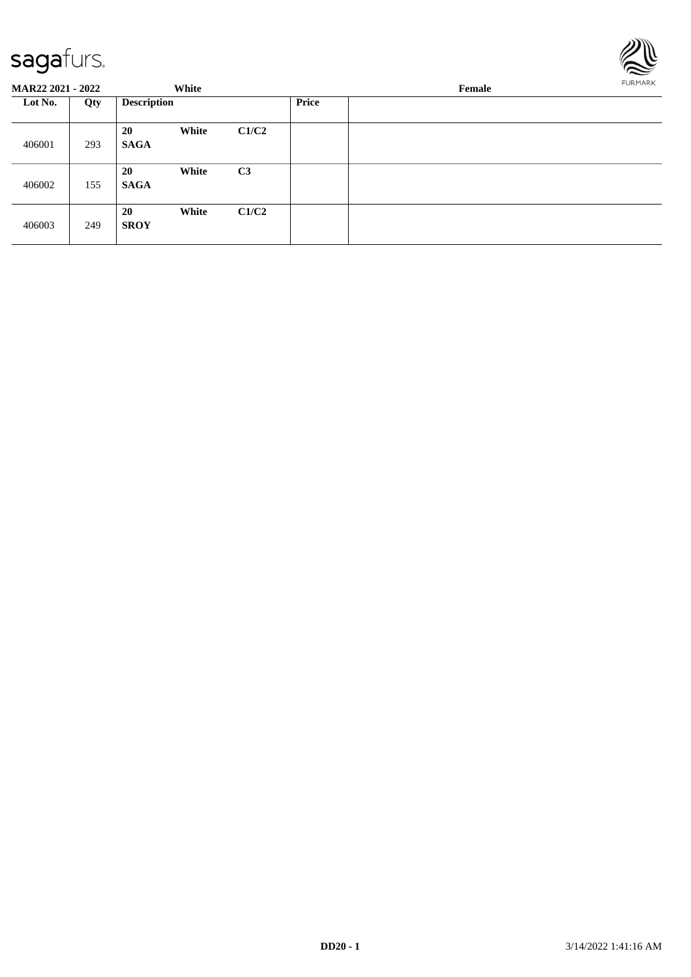

| <b>MAR22 2021 - 2022</b> |     |                          | White |                |              | Female |  |  |  |
|--------------------------|-----|--------------------------|-------|----------------|--------------|--------|--|--|--|
| Lot No.                  | Qty | <b>Description</b>       |       |                | <b>Price</b> |        |  |  |  |
| 406001                   | 293 | 20<br><b>SAGA</b>        | White | C1/C2          |              |        |  |  |  |
| 406002                   | 155 | <b>20</b><br><b>SAGA</b> | White | C <sub>3</sub> |              |        |  |  |  |
| 406003                   | 249 | 20<br><b>SROY</b>        | White | C1/C2          |              |        |  |  |  |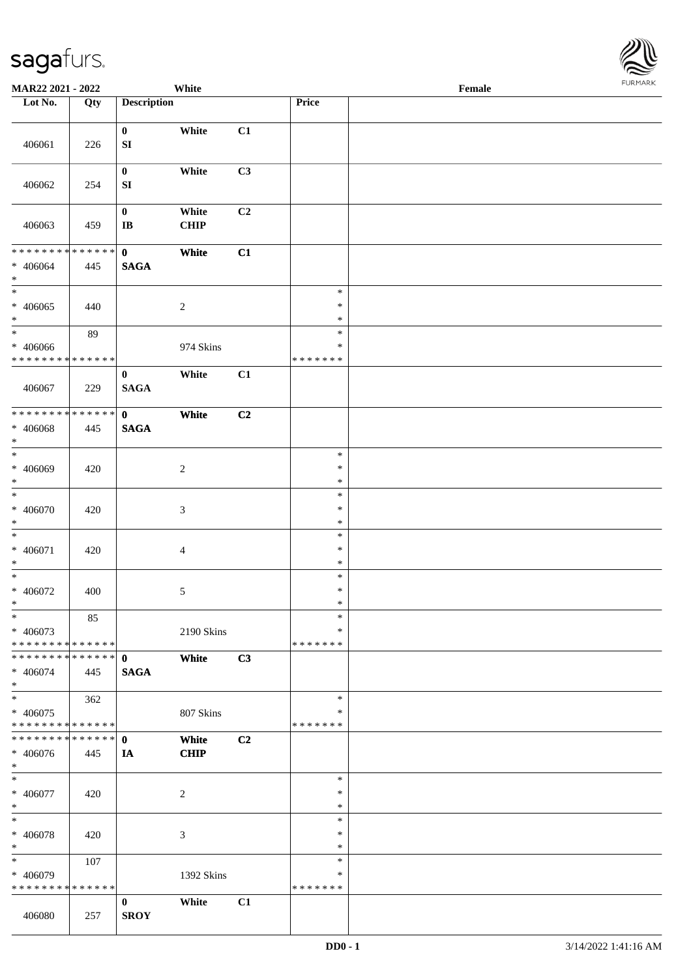

| MAR22 2021 - 2022                         |        |                         | White            |                |                         | Female |  |
|-------------------------------------------|--------|-------------------------|------------------|----------------|-------------------------|--------|--|
| Lot No.                                   | Qty    | <b>Description</b>      |                  |                | Price                   |        |  |
|                                           |        |                         |                  |                |                         |        |  |
|                                           |        | $\bf{0}$                | White            | C1             |                         |        |  |
| 406061                                    | 226    | ${\bf SI}$              |                  |                |                         |        |  |
|                                           |        |                         |                  |                |                         |        |  |
|                                           |        | $\bf{0}$                | White            | C3             |                         |        |  |
| 406062                                    | 254    | SI                      |                  |                |                         |        |  |
|                                           |        |                         |                  |                |                         |        |  |
|                                           |        | $\boldsymbol{0}$        | White            | C2             |                         |        |  |
| 406063                                    | 459    | $\mathbf{I}\mathbf{B}$  | CHIP             |                |                         |        |  |
|                                           |        |                         |                  |                |                         |        |  |
| ******** <mark>******</mark>              |        | $\mathbf{0}$            | White            | C1             |                         |        |  |
| $* 406064$                                | 445    | <b>SAGA</b>             |                  |                |                         |        |  |
| $*$                                       |        |                         |                  |                |                         |        |  |
| $\overline{\phantom{0}}$                  |        |                         |                  |                | $\ast$                  |        |  |
| $* 406065$                                | 440    |                         | $\overline{c}$   |                | $\ast$                  |        |  |
| $\ast$                                    |        |                         |                  |                | $\ast$                  |        |  |
| $\ast$                                    | 89     |                         |                  |                | $\ast$                  |        |  |
| $* 406066$<br>* * * * * * * * * * * * * * |        |                         | 974 Skins        |                | $\ast$<br>* * * * * * * |        |  |
|                                           |        |                         |                  |                |                         |        |  |
|                                           |        | $\bf{0}$<br><b>SAGA</b> | White            | C1             |                         |        |  |
| 406067                                    | 229    |                         |                  |                |                         |        |  |
| * * * * * * * *                           | ****** | $\mathbf{0}$            | White            | C2             |                         |        |  |
| * 406068                                  | 445    | <b>SAGA</b>             |                  |                |                         |        |  |
| $\ast$                                    |        |                         |                  |                |                         |        |  |
| $\ast$                                    |        |                         |                  |                | $\ast$                  |        |  |
| $* 406069$                                | 420    |                         | $\boldsymbol{2}$ |                | $\ast$                  |        |  |
| $*$                                       |        |                         |                  |                | $\ast$                  |        |  |
| $\overline{\ast}$                         |        |                         |                  |                | $\ast$                  |        |  |
| $* 406070$                                | 420    |                         | 3                |                | $\ast$                  |        |  |
| $*$                                       |        |                         |                  |                | $\ast$                  |        |  |
| $\ast$                                    |        |                         |                  |                | $\ast$                  |        |  |
| $* 406071$                                | 420    |                         | 4                |                | $\ast$                  |        |  |
| $*$<br>$*$                                |        |                         |                  |                | $\ast$                  |        |  |
|                                           |        |                         |                  |                | $\ast$<br>$\ast$        |        |  |
| $* 406072$<br>$*$                         | 400    |                         | 5                |                | $\ast$                  |        |  |
| $\ast$                                    | 85     |                         |                  |                | $\ast$                  |        |  |
| * 406073                                  |        |                         | 2190 Skins       |                | ∗                       |        |  |
| * * * * * * * * * * * * * * *             |        |                         |                  |                | * * * * * * *           |        |  |
| * * * * * * * * * * * * * * *             |        | $\mathbf{0}$            | White            | C3             |                         |        |  |
| $* 406074$                                | 445    | <b>SAGA</b>             |                  |                |                         |        |  |
| $*$                                       |        |                         |                  |                |                         |        |  |
| $*$                                       | 362    |                         |                  |                | $\ast$                  |        |  |
| $* 406075$                                |        |                         | 807 Skins        |                | $\ast$                  |        |  |
| * * * * * * * * * * * * * * *             |        |                         |                  |                | * * * * * * *           |        |  |
| * * * * * * * * * * * * * * *             |        | $\mathbf 0$             | White            | C <sub>2</sub> |                         |        |  |
| * 406076                                  | 445    | IA                      | <b>CHIP</b>      |                |                         |        |  |
| $*$                                       |        |                         |                  |                |                         |        |  |
| $*$                                       |        |                         |                  |                | $\ast$                  |        |  |
| $* 406077$                                | 420    |                         | $\overline{c}$   |                | $\ast$                  |        |  |
| $*$<br>$\ast$                             |        |                         |                  |                | $\ast$<br>$\ast$        |        |  |
| $* 406078$                                | 420    |                         | 3                |                | $\ast$                  |        |  |
| $*$                                       |        |                         |                  |                | $\ast$                  |        |  |
| $\ast$                                    | 107    |                         |                  |                | $\ast$                  |        |  |
| * 406079                                  |        |                         | 1392 Skins       |                | ∗                       |        |  |
| * * * * * * * * * * * * * *               |        |                         |                  |                | * * * * * * *           |        |  |
|                                           |        | $\bf{0}$                | White            | C1             |                         |        |  |
| 406080                                    | 257    | <b>SROY</b>             |                  |                |                         |        |  |
|                                           |        |                         |                  |                |                         |        |  |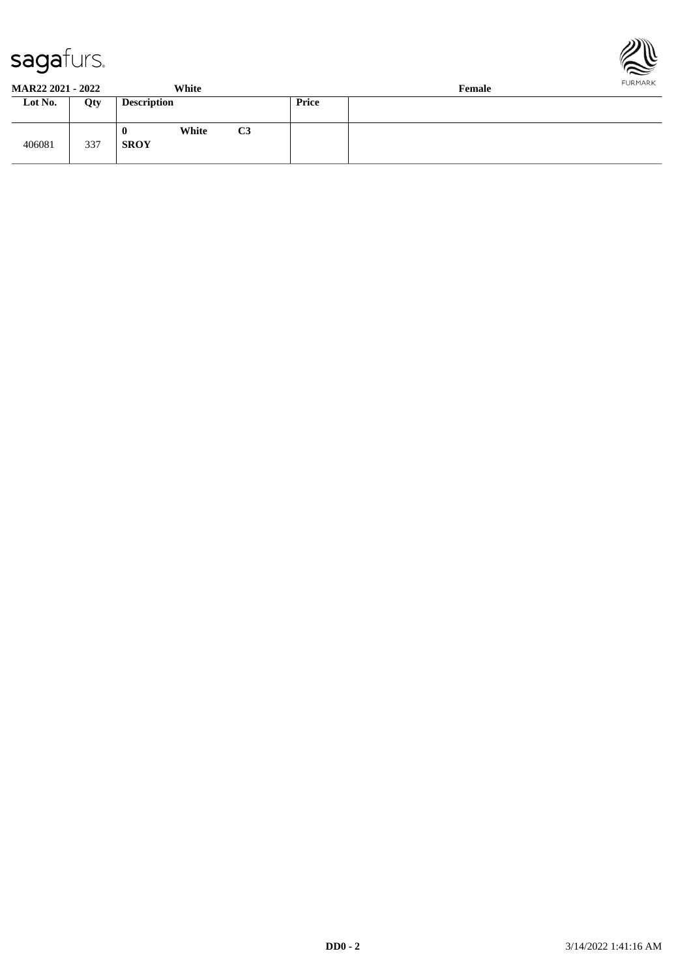



| <b>MAR22 2021 - 2022</b> |     | White                     |                |       | Female | FURMARK |
|--------------------------|-----|---------------------------|----------------|-------|--------|---------|
| Lot No.                  | Qty | <b>Description</b>        |                | Price |        |         |
| 406081                   | 337 | White<br>v<br><b>SROY</b> | C <sub>3</sub> |       |        |         |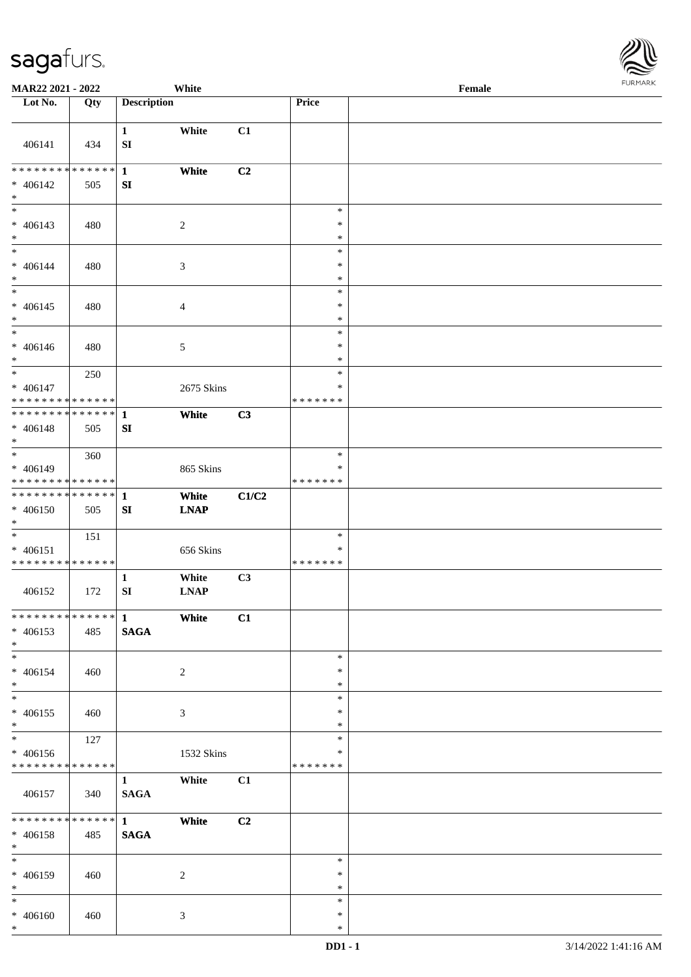

| <b>MAR22 2021 - 2022</b>                   |     |                    | White          |                |               | Female |  |
|--------------------------------------------|-----|--------------------|----------------|----------------|---------------|--------|--|
| Lot No.                                    | Qty | <b>Description</b> |                |                | Price         |        |  |
|                                            |     |                    |                |                |               |        |  |
|                                            |     | $\mathbf{1}$       | White          | C1             |               |        |  |
| 406141                                     | 434 | ${\bf SI}$         |                |                |               |        |  |
|                                            |     |                    |                |                |               |        |  |
| * * * * * * * * <mark>* * * * * * *</mark> |     | $\mathbf{1}$       | White          | C2             |               |        |  |
| $* 406142$                                 | 505 | SI                 |                |                |               |        |  |
| $\ast$                                     |     |                    |                |                |               |        |  |
| $\overline{\phantom{0}}$                   |     |                    |                |                | $\ast$        |        |  |
| $* 406143$                                 | 480 |                    | $\sqrt{2}$     |                | $\ast$        |        |  |
| $*$                                        |     |                    |                |                | $\ast$        |        |  |
| $*$                                        |     |                    |                |                | $\ast$        |        |  |
| $* 406144$                                 | 480 |                    | $\mathfrak{Z}$ |                | $\ast$        |        |  |
| $*$                                        |     |                    |                |                | $\ast$        |        |  |
| $*$                                        |     |                    |                |                | $\ast$        |        |  |
| $* 406145$                                 | 480 |                    | $\overline{4}$ |                | $\ast$        |        |  |
| $*$<br>$\overline{\phantom{0}}$            |     |                    |                |                | $\ast$        |        |  |
|                                            |     |                    |                |                | $\ast$        |        |  |
| $* 406146$                                 | 480 |                    | 5              |                | $\ast$        |        |  |
| $*$                                        |     |                    |                |                | $\ast$        |        |  |
|                                            | 250 |                    |                |                | $\ast$        |        |  |
| $* 406147$                                 |     |                    | 2675 Skins     |                | $\ast$        |        |  |
| * * * * * * * * * * * * * *                |     |                    |                |                | * * * * * * * |        |  |
| ******** <mark>******</mark>               |     | $\mathbf{1}$       | White          | C3             |               |        |  |
| * 406148                                   | 505 | SI                 |                |                |               |        |  |
| $*$<br>$\overline{\phantom{0}}$            |     |                    |                |                | $\ast$        |        |  |
|                                            | 360 |                    |                |                | $\ast$        |        |  |
| * 406149<br>* * * * * * * * * * * * * *    |     |                    | 865 Skins      |                | * * * * * * * |        |  |
| * * * * * * * * <mark>* * * * * * *</mark> |     | $\mathbf{1}$       |                |                |               |        |  |
|                                            |     |                    | White          | C1/C2          |               |        |  |
| * 406150<br>$*$                            | 505 | SI                 | <b>LNAP</b>    |                |               |        |  |
| $*$                                        | 151 |                    |                |                | $\ast$        |        |  |
| $* 406151$                                 |     |                    | 656 Skins      |                | $\ast$        |        |  |
| * * * * * * * * * * * * * *                |     |                    |                |                | *******       |        |  |
|                                            |     | $\mathbf{1}$       | White          | C3             |               |        |  |
| 406152                                     | 172 | ${\bf SI}$         | <b>LNAP</b>    |                |               |        |  |
|                                            |     |                    |                |                |               |        |  |
| ************** 1                           |     | <b>White</b>       |                | C1             |               |        |  |
| $* 406153$                                 | 485 | <b>SAGA</b>        |                |                |               |        |  |
| $*$                                        |     |                    |                |                |               |        |  |
| $*$                                        |     |                    |                |                | $\ast$        |        |  |
| * 406154                                   | 460 |                    | 2              |                | $\ast$        |        |  |
| $*$                                        |     |                    |                |                | $\ast$        |        |  |
| $\overline{\mathbf{r}}$                    |     |                    |                |                | $\ast$        |        |  |
| * 406155                                   | 460 |                    | 3              |                | $\ast$        |        |  |
| $*$                                        |     |                    |                |                | $\ast$        |        |  |
|                                            | 127 |                    |                |                | $\ast$        |        |  |
| * 406156                                   |     |                    | 1532 Skins     |                | ∗             |        |  |
| * * * * * * * * <mark>* * * * * *</mark>   |     |                    |                |                | *******       |        |  |
|                                            |     | $\mathbf{1}$       | White          | C1             |               |        |  |
| 406157                                     | 340 | <b>SAGA</b>        |                |                |               |        |  |
|                                            |     |                    |                |                |               |        |  |
| ******** <mark>******</mark> 1             |     |                    | White          | C <sub>2</sub> |               |        |  |
| * 406158                                   | 485 | <b>SAGA</b>        |                |                |               |        |  |
| $*$                                        |     |                    |                |                |               |        |  |
| $*$                                        |     |                    |                |                | $\ast$        |        |  |
| * 406159                                   | 460 |                    | 2              |                | $\ast$        |        |  |
| $*$                                        |     |                    |                |                | $\ast$        |        |  |
| $*$                                        |     |                    |                |                | $\ast$        |        |  |
| $* 406160$                                 | 460 |                    | $\mathbf{3}$   |                | $\ast$        |        |  |
| $*$                                        |     |                    |                |                | $\ast$        |        |  |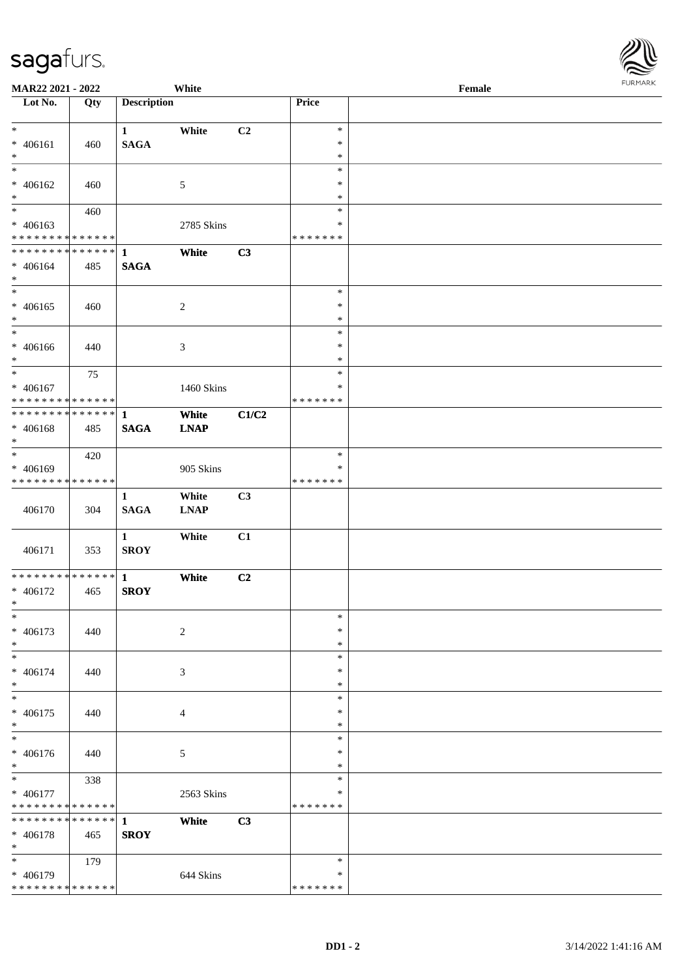| MAR22 2021 - 2022             |     |                    | White          |       |                  | Female |  |
|-------------------------------|-----|--------------------|----------------|-------|------------------|--------|--|
| Lot No.                       | Qty | <b>Description</b> |                |       | Price            |        |  |
|                               |     |                    |                |       |                  |        |  |
| $*$                           |     | $\mathbf{1}$       | White          | C2    | $\ast$           |        |  |
| $* 406161$<br>$*$             | 460 | <b>SAGA</b>        |                |       | $\ast$           |        |  |
| $*$                           |     |                    |                |       | $\ast$<br>$\ast$ |        |  |
| $* 406162$                    |     |                    |                |       | $\ast$           |        |  |
| $\ast$                        | 460 |                    | $\mathfrak{S}$ |       | $\ast$           |        |  |
| $\overline{\phantom{0}}$      | 460 |                    |                |       | $\ast$           |        |  |
| $* 406163$                    |     |                    | 2785 Skins     |       | $\ast$           |        |  |
| * * * * * * * * * * * * * *   |     |                    |                |       | * * * * * * *    |        |  |
| ******** <mark>******</mark>  |     | 1                  | White          | C3    |                  |        |  |
| $* 406164$                    | 485 | <b>SAGA</b>        |                |       |                  |        |  |
| $*$                           |     |                    |                |       |                  |        |  |
| $*$                           |     |                    |                |       | $\ast$           |        |  |
| $* 406165$                    | 460 |                    | $\overline{c}$ |       | $\ast$           |        |  |
| $*$                           |     |                    |                |       | $\ast$           |        |  |
| $*$                           |     |                    |                |       | $\ast$           |        |  |
| $* 406166$                    | 440 |                    | 3              |       | $\ast$           |        |  |
| $*$                           |     |                    |                |       | $\ast$           |        |  |
| $*$                           | 75  |                    |                |       | $\ast$           |        |  |
| $* 406167$                    |     |                    | 1460 Skins     |       | $\ast$           |        |  |
| * * * * * * * * * * * * * *   |     |                    |                |       | * * * * * * *    |        |  |
| * * * * * * * * * * * * * * * |     | 1                  | White          | C1/C2 |                  |        |  |
| $* 406168$                    | 485 | <b>SAGA</b>        | <b>LNAP</b>    |       |                  |        |  |
| $*$                           |     |                    |                |       |                  |        |  |
| $*$                           | 420 |                    |                |       | $\ast$           |        |  |
| $* 406169$                    |     |                    | 905 Skins      |       | $\ast$           |        |  |
| * * * * * * * * * * * * * *   |     |                    |                |       | * * * * * * *    |        |  |
|                               |     | 1                  | White          | C3    |                  |        |  |
| 406170                        | 304 | <b>SAGA</b>        | <b>LNAP</b>    |       |                  |        |  |
|                               |     |                    |                |       |                  |        |  |
|                               |     | $\mathbf{1}$       | White          | C1    |                  |        |  |
| 406171                        | 353 | <b>SROY</b>        |                |       |                  |        |  |
|                               |     |                    |                |       |                  |        |  |
| * * * * * * * * * * * * * * * |     | $\mathbf{1}$       | White          | C2    |                  |        |  |
| $* 406172$                    | 465 | <b>SROY</b>        |                |       |                  |        |  |
| $*$<br>$\ast$                 |     |                    |                |       | $\ast$           |        |  |
| $* 406173$                    |     |                    |                |       | $\ast$           |        |  |
| $*$                           | 440 |                    | $\sqrt{2}$     |       | $\ast$           |        |  |
| $*$                           |     |                    |                |       | $\ast$           |        |  |
| $* 406174$                    | 440 |                    | 3              |       | $\ast$           |        |  |
| $*$                           |     |                    |                |       | $\ast$           |        |  |
| $\ast$                        |     |                    |                |       | $\ast$           |        |  |
| $* 406175$                    | 440 |                    | 4              |       | $\ast$           |        |  |
| $*$                           |     |                    |                |       | $\ast$           |        |  |
| $\ast$                        |     |                    |                |       | $\ast$           |        |  |
| * 406176                      | 440 |                    | 5              |       | $\ast$           |        |  |
| $*$                           |     |                    |                |       | $\ast$           |        |  |
| $*$                           | 338 |                    |                |       | $\ast$           |        |  |
| * 406177                      |     |                    | 2563 Skins     |       | ∗                |        |  |
| * * * * * * * * * * * * * *   |     |                    |                |       | *******          |        |  |
| * * * * * * * * * * * * * * * |     | $\mathbf{1}$       | White          | C3    |                  |        |  |
| * 406178                      | 465 | <b>SROY</b>        |                |       |                  |        |  |
| $*$                           |     |                    |                |       |                  |        |  |
| $*$                           | 179 |                    |                |       | $\ast$           |        |  |
| * 406179                      |     |                    | 644 Skins      |       | ∗                |        |  |
| * * * * * * * * * * * * * *   |     |                    |                |       | * * * * * * *    |        |  |

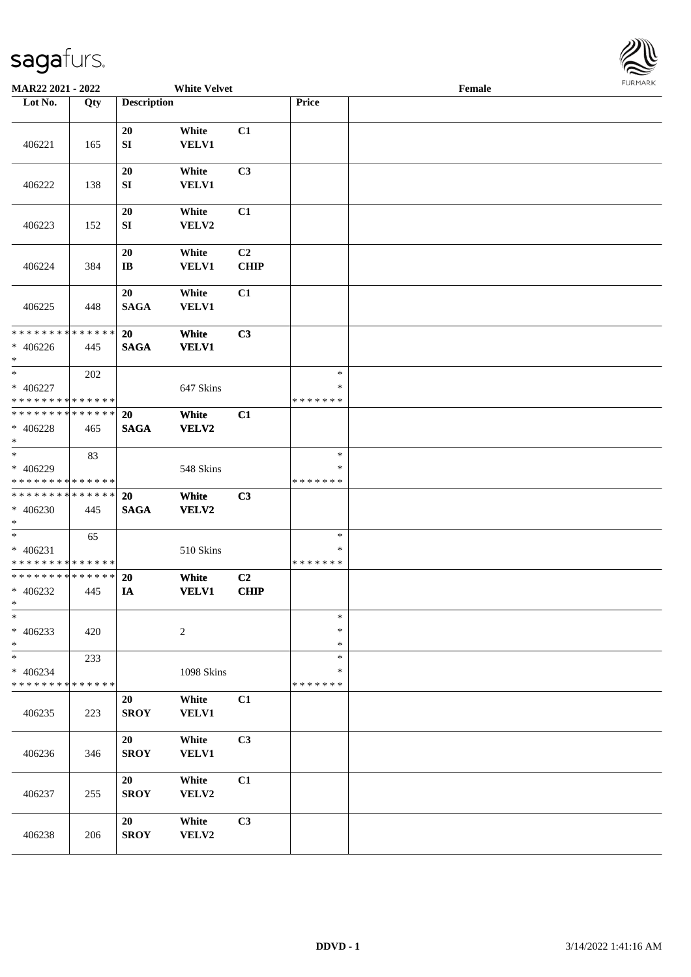

| MAR22 2021 - 2022                                               |                    |                              | <b>White Velvet</b>   |                               |                                   | Female | 1.911171777 |
|-----------------------------------------------------------------|--------------------|------------------------------|-----------------------|-------------------------------|-----------------------------------|--------|-------------|
| Lot No.                                                         | Qty                | <b>Description</b>           |                       |                               | Price                             |        |             |
| 406221                                                          | 165                | 20<br>SI                     | White<br>VELV1        | C1                            |                                   |        |             |
| 406222                                                          | 138                | 20<br>${\bf S}{\bf I}$       | White<br><b>VELV1</b> | C3                            |                                   |        |             |
| 406223                                                          | 152                | 20<br>SI                     | White<br>VELV2        | C1                            |                                   |        |             |
| 406224                                                          | 384                | 20<br>$\mathbf{I}\mathbf{B}$ | White<br>VELV1        | C <sub>2</sub><br><b>CHIP</b> |                                   |        |             |
| 406225                                                          | 448                | 20<br><b>SAGA</b>            | White<br><b>VELV1</b> | C1                            |                                   |        |             |
| * * * * * * * * * * * * * *<br>$* 406226$<br>$*$                | 445                | 20<br><b>SAGA</b>            | White<br><b>VELV1</b> | C3                            |                                   |        |             |
| $*$<br>$* 406227$<br>* * * * * * * * * * * * * *                | 202                |                              | 647 Skins             |                               | $\ast$<br>$\ast$<br>* * * * * * * |        |             |
| * * * * * * * * * * * * * *<br>* 406228<br>$*$                  | 465                | 20<br><b>SAGA</b>            | White<br>VELV2        | C1                            |                                   |        |             |
| $*$<br>* 406229<br>* * * * * * * * * * * * * *                  | 83                 |                              | 548 Skins             |                               | $\ast$<br>∗<br>* * * * * * *      |        |             |
| * * * * * * * * * * * * * *<br>* 406230<br>$\ast$               | 445                | 20<br><b>SAGA</b>            | White<br>VELV2        | C3                            |                                   |        |             |
| $*$<br>$* 406231$<br>* * * * * * * * <mark>* * * * * * *</mark> | 65                 |                              | 510 Skins             |                               | $\ast$<br>*<br>* * * * * * *      |        |             |
| * * * * * * * * * * * * * *<br>$* 406232$<br>$*$                | 445                | 20<br>IA                     | White<br><b>VELV1</b> | C <sub>2</sub><br><b>CHIP</b> |                                   |        |             |
| $\ast$<br>$* 406233$<br>$\ast$                                  | 420                |                              | $\overline{c}$        |                               | $\ast$<br>$\ast$<br>$\ast$        |        |             |
| $\ast$<br>$* 406234$<br>* * * * * * * *                         | 233<br>* * * * * * |                              | 1098 Skins            |                               | *<br>∗<br>* * * * * * *           |        |             |
| 406235                                                          | 223                | 20<br><b>SROY</b>            | White<br>VELV1        | C1                            |                                   |        |             |
| 406236                                                          | 346                | 20<br><b>SROY</b>            | White<br><b>VELV1</b> | C3                            |                                   |        |             |
| 406237                                                          | 255                | 20<br><b>SROY</b>            | White<br>VELV2        | C1                            |                                   |        |             |
| 406238                                                          | 206                | 20<br><b>SROY</b>            | White<br>VELV2        | C3                            |                                   |        |             |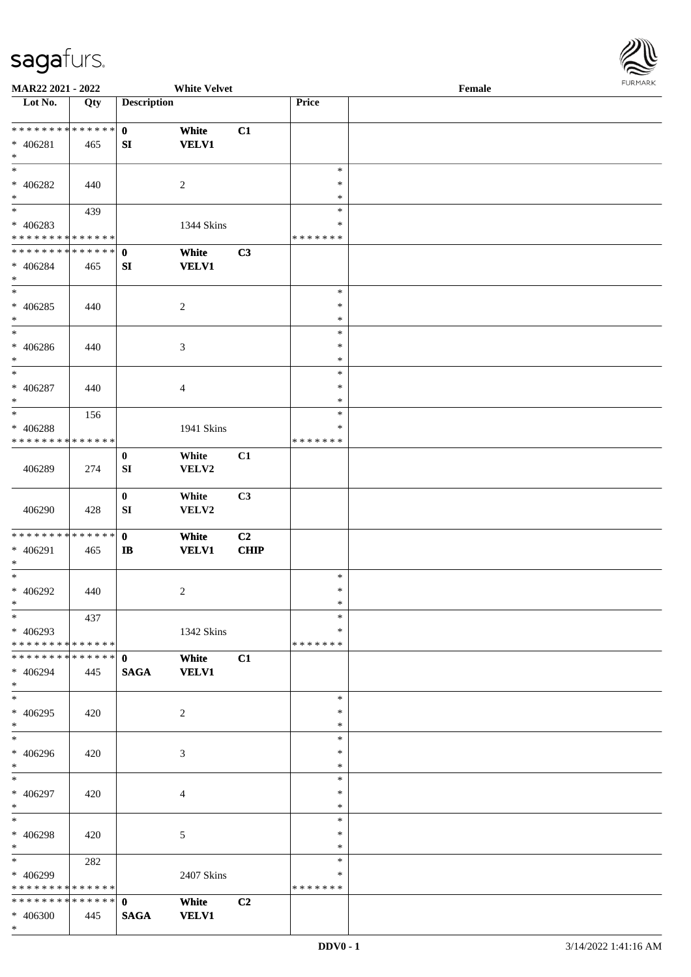

| MAR22 2021 - 2022             |     |                    | <b>White Velvet</b> |                |               | Female |
|-------------------------------|-----|--------------------|---------------------|----------------|---------------|--------|
| Lot No.                       | Qty | <b>Description</b> |                     |                | Price         |        |
|                               |     |                    |                     |                |               |        |
| ******** <mark>******</mark>  |     | $\mathbf{0}$       | White               | C1             |               |        |
| $* 406281$                    | 465 | SI                 | <b>VELV1</b>        |                |               |        |
| $\ast$                        |     |                    |                     |                |               |        |
| $\ast$                        |     |                    |                     |                | $\ast$        |        |
|                               |     |                    |                     |                |               |        |
| * 406282                      | 440 |                    | $\overline{2}$      |                | $\ast$        |        |
| $\ast$                        |     |                    |                     |                | $\ast$        |        |
| $\overline{\phantom{a}^*}$    | 439 |                    |                     |                | $\ast$        |        |
| $* 406283$                    |     |                    | 1344 Skins          |                | $\ast$        |        |
| * * * * * * * * * * * * * *   |     |                    |                     |                | * * * * * * * |        |
| **************                |     | $\mathbf{0}$       | White               | C3             |               |        |
| $* 406284$                    | 465 | ${\bf SI}$         | <b>VELV1</b>        |                |               |        |
| $\ast$                        |     |                    |                     |                |               |        |
| $\overline{\phantom{1}}$      |     |                    |                     |                | $\ast$        |        |
|                               |     |                    |                     |                |               |        |
| * 406285                      | 440 |                    | $\sqrt{2}$          |                | $\ast$        |        |
| $\ast$                        |     |                    |                     |                | $\ast$        |        |
| $\overline{\ast}$             |     |                    |                     |                | $\ast$        |        |
| * $406286$                    | 440 |                    | $\mathfrak{Z}$      |                | $\ast$        |        |
| $\ast$                        |     |                    |                     |                | $\ast$        |        |
| $\ast$                        |     |                    |                     |                | $\ast$        |        |
| $* 406287$                    | 440 |                    | $\overline{4}$      |                | $\ast$        |        |
| $\ast$                        |     |                    |                     |                | $\ast$        |        |
| $\ast$                        | 156 |                    |                     |                | $\ast$        |        |
|                               |     |                    |                     |                | $\ast$        |        |
| * 406288                      |     |                    | 1941 Skins          |                |               |        |
| * * * * * * * * * * * * * *   |     |                    |                     |                | * * * * * * * |        |
|                               |     | $\bf{0}$           | White               | C1             |               |        |
| 406289                        | 274 | ${\bf SI}$         | VELV2               |                |               |        |
|                               |     |                    |                     |                |               |        |
|                               |     | $\bf{0}$           | White               | C3             |               |        |
| 406290                        | 428 | ${\bf SI}$         | VELV2               |                |               |        |
|                               |     |                    |                     |                |               |        |
| * * * * * * * * * * * * * * * |     | $\mathbf{0}$       | White               | C2             |               |        |
| * 406291                      | 465 | $\bf I\bf B$       | <b>VELV1</b>        | <b>CHIP</b>    |               |        |
| $\ast$                        |     |                    |                     |                |               |        |
| $\ast$                        |     |                    |                     |                | $\ast$        |        |
|                               |     |                    |                     |                |               |        |
| $* 406292$                    | 440 |                    | $\overline{c}$      |                | $\ast$        |        |
| $*$                           |     |                    |                     |                | $\ast$        |        |
| $*$                           | 437 |                    |                     |                | $\ast$        |        |
| $* 406293$                    |     |                    | 1342 Skins          |                | ∗             |        |
| * * * * * * * * * * * * * * * |     |                    |                     |                | * * * * * * * |        |
| * * * * * * * * * * * * * * * |     | $\mathbf{0}$       | White               | C1             |               |        |
| * 406294                      | 445 | <b>SAGA</b>        | <b>VELV1</b>        |                |               |        |
| $*$                           |     |                    |                     |                |               |        |
| $*$                           |     |                    |                     |                | $\ast$        |        |
| $* 406295$                    |     |                    | $\overline{2}$      |                | $\ast$        |        |
| $*$                           | 420 |                    |                     |                | $\ast$        |        |
| $_{\ast}^{-}$                 |     |                    |                     |                |               |        |
|                               |     |                    |                     |                | $\ast$        |        |
| $* 406296$                    | 420 |                    | 3                   |                | ∗             |        |
| $*$                           |     |                    |                     |                | $\ast$        |        |
| $*$                           |     |                    |                     |                | $\ast$        |        |
| * 406297                      | 420 |                    | $\overline{4}$      |                | $\ast$        |        |
| $*$                           |     |                    |                     |                | $\ast$        |        |
| $\ast$                        |     |                    |                     |                | $\ast$        |        |
| * 406298                      | 420 |                    | 5                   |                | $\ast$        |        |
| $*$                           |     |                    |                     |                | $\ast$        |        |
| $\overline{\phantom{0}}$      |     |                    |                     |                | $\ast$        |        |
|                               | 282 |                    |                     |                |               |        |
| * 406299                      |     |                    | 2407 Skins          |                | ∗             |        |
| * * * * * * * * * * * * * *   |     |                    |                     |                | * * * * * * * |        |
| * * * * * * * * * * * * * * * |     | $\mathbf{0}$       | White               | C <sub>2</sub> |               |        |
| * 406300                      | 445 | <b>SAGA</b>        | <b>VELV1</b>        |                |               |        |
| $*$                           |     |                    |                     |                |               |        |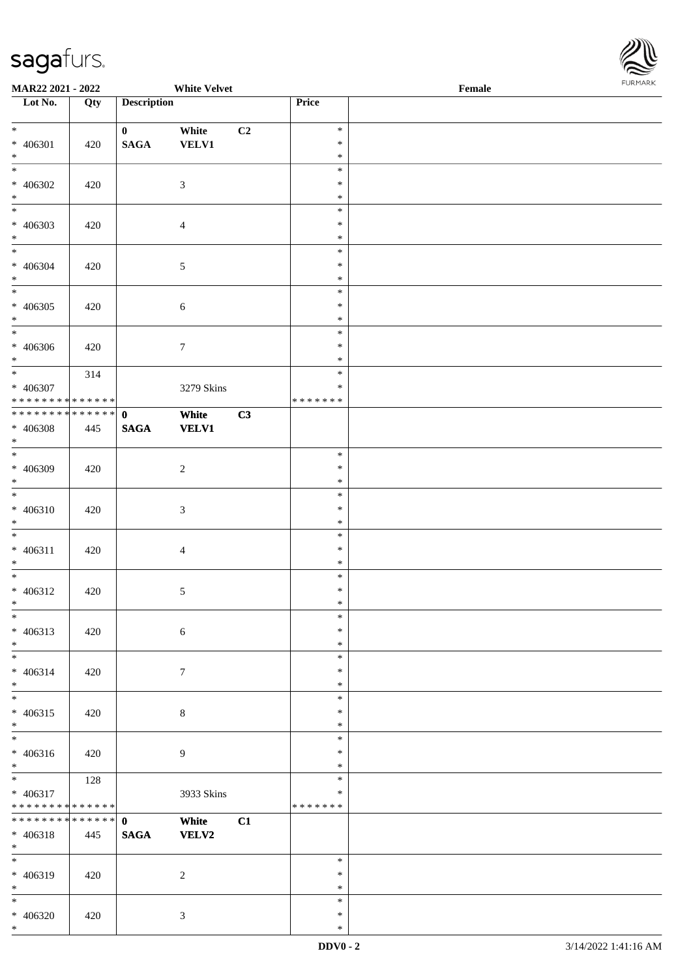

| <b>MAR22 2021 - 2022</b>                               |     |                    | <b>White Velvet</b> |    |                  | Female |  |
|--------------------------------------------------------|-----|--------------------|---------------------|----|------------------|--------|--|
| Lot No.                                                | Qty | <b>Description</b> |                     |    | Price            |        |  |
|                                                        |     |                    |                     |    |                  |        |  |
| $*$                                                    |     | $\mathbf{0}$       | White               | C2 | $\ast$           |        |  |
| * 406301                                               | 420 | <b>SAGA</b>        | <b>VELV1</b>        |    | $\ast$           |        |  |
| $\ast$<br>$\overline{\ast}$                            |     |                    |                     |    | $\ast$           |        |  |
|                                                        |     |                    |                     |    | $\ast$           |        |  |
| * 406302                                               | 420 |                    | $\mathfrak{Z}$      |    | $\ast$           |        |  |
| $*$                                                    |     |                    |                     |    | $\ast$           |        |  |
|                                                        |     |                    |                     |    | $\ast$           |        |  |
| * 406303                                               | 420 |                    | $\overline{4}$      |    | $\ast$           |        |  |
| $\ast$<br>$\overline{\mathbf{r}}$                      |     |                    |                     |    | $\ast$           |        |  |
|                                                        |     |                    |                     |    | $\ast$           |        |  |
| * 406304                                               | 420 |                    | $\mathfrak{S}$      |    | $\ast$           |        |  |
| $*$                                                    |     |                    |                     |    | $\ast$           |        |  |
|                                                        |     |                    |                     |    | $\ast$           |        |  |
| $* 406305$                                             | 420 |                    | $\sqrt{6}$          |    | $\ast$           |        |  |
| $*$<br>$\overline{\phantom{0}}$                        |     |                    |                     |    | $\ast$<br>$\ast$ |        |  |
|                                                        |     |                    |                     |    | $\ast$           |        |  |
| * 406306<br>$*$                                        | 420 |                    | $\tau$              |    | $\ast$           |        |  |
| $*$                                                    |     |                    |                     |    | $\ast$           |        |  |
|                                                        | 314 |                    |                     |    | $\ast$           |        |  |
| * 406307<br>* * * * * * * * * * * * * * <mark>*</mark> |     |                    | 3279 Skins          |    | * * * * * * *    |        |  |
| * * * * * * * * * * * * * * *                          |     | $\mathbf{0}$       | White               | C3 |                  |        |  |
| * 406308                                               | 445 | <b>SAGA</b>        | <b>VELV1</b>        |    |                  |        |  |
| $\ast$                                                 |     |                    |                     |    |                  |        |  |
| $\overline{\phantom{0}}$                               |     |                    |                     |    | $\ast$           |        |  |
| * 406309                                               | 420 |                    | $\overline{c}$      |    | $\ast$           |        |  |
| $\ast$                                                 |     |                    |                     |    | $\ast$           |        |  |
| $\ddot{x}$                                             |     |                    |                     |    | $\ast$           |        |  |
| * 406310                                               | 420 |                    | $\mathfrak{Z}$      |    | $\ast$           |        |  |
| $*$                                                    |     |                    |                     |    | $\ast$           |        |  |
| $\ddot{x}$                                             |     |                    |                     |    | $\ast$           |        |  |
| $* 406311$                                             | 420 |                    | $\overline{4}$      |    | $\ast$           |        |  |
| $*$                                                    |     |                    |                     |    | $\ast$           |        |  |
| $\overline{\phantom{0}}$                               |     |                    |                     |    | $\ast$           |        |  |
| * 406312                                               | 420 |                    | $\sqrt{5}$          |    | $\ast$           |        |  |
| $\ast$                                                 |     |                    |                     |    | $\ast$           |        |  |
| $\ast$                                                 |     |                    |                     |    | $\ast$           |        |  |
| $* 406313$                                             | 420 |                    | $\sqrt{6}$          |    | $\ast$           |        |  |
| $*$                                                    |     |                    |                     |    | $\ast$           |        |  |
| $\ddot{x}$                                             |     |                    |                     |    | $\ast$           |        |  |
| $* 406314$                                             | 420 |                    | $\tau$              |    | $\ast$           |        |  |
| $\ast$                                                 |     |                    |                     |    | $\ast$           |        |  |
| $\overline{\phantom{0}}$                               |     |                    |                     |    | $\ast$           |        |  |
| * 406315                                               | 420 |                    | $\,8\,$             |    | $\ast$           |        |  |
| $*$                                                    |     |                    |                     |    | $\ast$           |        |  |
|                                                        |     |                    |                     |    | $\ast$           |        |  |
| * 406316                                               | 420 |                    | $\overline{9}$      |    | $\ast$           |        |  |
| $*$                                                    |     |                    |                     |    | $\ast$           |        |  |
| $\ddot{x}$                                             | 128 |                    |                     |    | $\ast$           |        |  |
| $* 406317$                                             |     |                    | 3933 Skins          |    | $\ast$           |        |  |
| * * * * * * * * <mark>* * * * * * *</mark>             |     |                    |                     |    | * * * * * * *    |        |  |
| * * * * * * * * * * * * * * <mark>*</mark>             |     | $\mathbf{0}$       | White               | C1 |                  |        |  |
| $* 406318$                                             | 445 | <b>SAGA</b>        | VELV2               |    |                  |        |  |
| $*$<br>$\overline{\ }$                                 |     |                    |                     |    | $\ast$           |        |  |
|                                                        |     |                    |                     |    |                  |        |  |
| * 406319                                               | 420 |                    | 2                   |    | $\ast$<br>$\ast$ |        |  |
| $*$<br>$\ast$                                          |     |                    |                     |    | $\ast$           |        |  |
| * 406320                                               | 420 |                    | $\mathfrak{Z}$      |    | $\ast$           |        |  |
|                                                        |     |                    |                     |    |                  |        |  |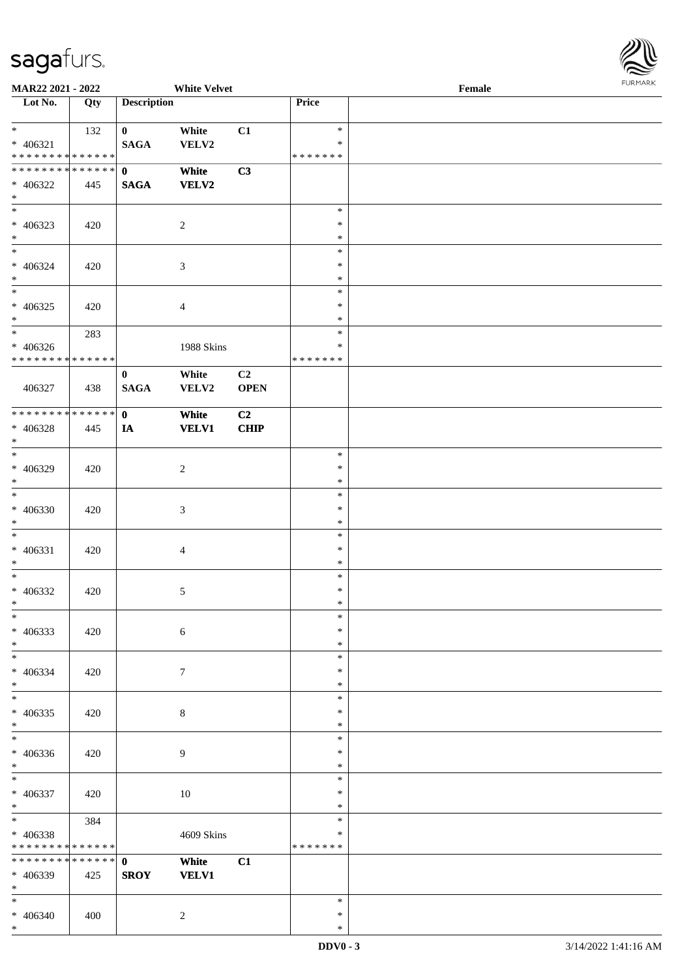

| <b>MAR22 2021 - 2022</b>      |     |                             | <b>White Velvet</b>   |                   |                  | Female |  |
|-------------------------------|-----|-----------------------------|-----------------------|-------------------|------------------|--------|--|
| Lot No.                       | Qty | <b>Description</b>          |                       |                   | Price            |        |  |
| $*$                           |     |                             |                       |                   | $\ast$           |        |  |
| $* 406321$                    | 132 | $\mathbf{0}$<br><b>SAGA</b> | White<br>VELV2        | C1                | $\ast$           |        |  |
| * * * * * * * * * * * * * * * |     |                             |                       |                   | * * * * * * *    |        |  |
| * * * * * * * * * * * * * * * |     | $\mathbf{0}$                | White                 | C3                |                  |        |  |
| $* 406322$                    | 445 | <b>SAGA</b>                 | VELV2                 |                   |                  |        |  |
| $*$                           |     |                             |                       |                   |                  |        |  |
|                               |     |                             |                       |                   | $\ast$           |        |  |
| $* 406323$                    | 420 |                             | $\overline{c}$        |                   | $\ast$           |        |  |
| $*$                           |     |                             |                       |                   | $\ast$           |        |  |
| $*$                           |     |                             |                       |                   | $\ast$<br>$\ast$ |        |  |
| $* 406324$<br>$*$             | 420 |                             | 3                     |                   | $\ast$           |        |  |
|                               |     |                             |                       |                   | $\ast$           |        |  |
| $* 406325$                    | 420 |                             | 4                     |                   | $\ast$           |        |  |
| $*$                           |     |                             |                       |                   | $\ast$           |        |  |
| $\ast$                        | 283 |                             |                       |                   | $\ast$           |        |  |
| $* 406326$                    |     |                             | 1988 Skins            |                   | $\ast$           |        |  |
| * * * * * * * * * * * * * * * |     |                             |                       |                   | * * * * * * *    |        |  |
|                               |     | $\bf{0}$                    | White                 | C <sub>2</sub>    |                  |        |  |
| 406327                        | 438 | <b>SAGA</b>                 | VELV2                 | <b>OPEN</b>       |                  |        |  |
| * * * * * * * * * * * * * * * |     | $\mathbf{0}$                |                       |                   |                  |        |  |
| * 406328                      | 445 | IA                          | White<br><b>VELV1</b> | C2<br><b>CHIP</b> |                  |        |  |
| $*$                           |     |                             |                       |                   |                  |        |  |
| $*$                           |     |                             |                       |                   | $\ast$           |        |  |
| * 406329                      | 420 |                             | $\overline{c}$        |                   | $\ast$           |        |  |
| $\ast$                        |     |                             |                       |                   | $\ast$           |        |  |
|                               |     |                             |                       |                   | $\ast$           |        |  |
| $* 406330$                    | 420 |                             | $\mathfrak{Z}$        |                   | $\ast$           |        |  |
| $\ast$<br>$\ast$              |     |                             |                       |                   | $\ast$           |        |  |
| $* 406331$                    |     |                             |                       |                   | $\ast$<br>$\ast$ |        |  |
| $*$                           | 420 |                             | $\overline{4}$        |                   | $\ast$           |        |  |
| $*$                           |     |                             |                       |                   | $\ast$           |        |  |
| * 406332                      | 420 |                             | $\mathfrak{S}$        |                   | $\ast$           |        |  |
| $*$                           |     |                             |                       |                   | $\ast$           |        |  |
| $\ast$                        |     |                             |                       |                   | $\ast$           |        |  |
| $* 406333$                    | 420 |                             | 6                     |                   | $\ast$           |        |  |
| $*$                           |     |                             |                       |                   | $\ast$           |        |  |
| $*$                           |     |                             |                       |                   | $\ast$           |        |  |
| $* 406334$<br>$*$             | 420 |                             | $\tau$                |                   | $\ast$<br>$\ast$ |        |  |
| $*$                           |     |                             |                       |                   | $\ast$           |        |  |
| $* 406335$                    | 420 |                             | $\,8\,$               |                   | $\ast$           |        |  |
| $\ast$                        |     |                             |                       |                   | $\ast$           |        |  |
| $*$                           |     |                             |                       |                   | $\ast$           |        |  |
| $* 406336$                    | 420 |                             | 9                     |                   | $\ast$           |        |  |
| $*$                           |     |                             |                       |                   | $\ast$           |        |  |
| $*$                           |     |                             |                       |                   | $\ast$           |        |  |
| * 406337                      | 420 |                             | $10\,$                |                   | $\ast$           |        |  |
| $*$<br>$*$                    |     |                             |                       |                   | $\ast$<br>$\ast$ |        |  |
| * 406338                      | 384 |                             | 4609 Skins            |                   | $\ast$           |        |  |
| * * * * * * * * * * * * * *   |     |                             |                       |                   | * * * * * * *    |        |  |
| * * * * * * * * * * * * * * * |     | $\mathbf{0}$                | White                 | C1                |                  |        |  |
| * 406339                      | 425 | <b>SROY</b>                 | <b>VELV1</b>          |                   |                  |        |  |
| $*$                           |     |                             |                       |                   |                  |        |  |
| $*$                           |     |                             |                       |                   | $\ast$           |        |  |
| * 406340                      | 400 |                             | $\overline{c}$        |                   | $\ast$           |        |  |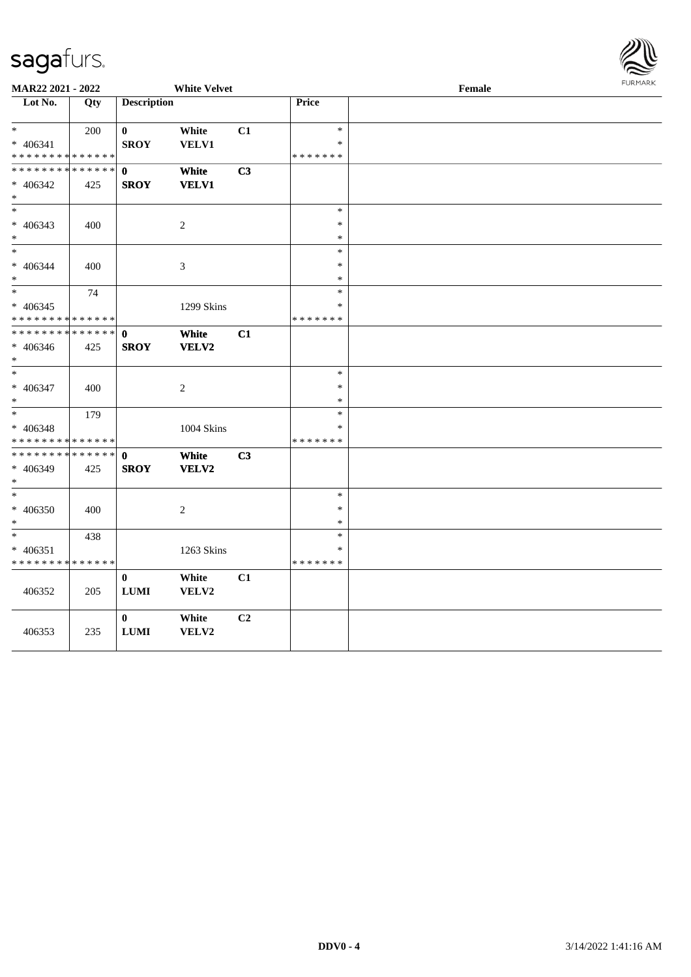

| MAR22 2021 - 2022                          |     |                    | <b>White Velvet</b> |    | Female        |  |  |  |
|--------------------------------------------|-----|--------------------|---------------------|----|---------------|--|--|--|
| Lot No.                                    | Qty | <b>Description</b> |                     |    | <b>Price</b>  |  |  |  |
|                                            |     |                    |                     |    |               |  |  |  |
| $*$                                        | 200 | $\boldsymbol{0}$   | White               | C1 | $\ast$        |  |  |  |
| * 406341                                   |     | <b>SROY</b>        | VELV1               |    | $\ast$        |  |  |  |
| * * * * * * * * <mark>* * * * * * *</mark> |     |                    |                     |    | * * * * * * * |  |  |  |
| * * * * * * * * * * * * * *                |     | $\mathbf{0}$       | White               | C3 |               |  |  |  |
| * 406342                                   | 425 | <b>SROY</b>        | <b>VELV1</b>        |    |               |  |  |  |
| $*$                                        |     |                    |                     |    |               |  |  |  |
| $*$                                        |     |                    |                     |    | $\ast$        |  |  |  |
| $* 406343$                                 | 400 |                    | $\overline{c}$      |    | $\ast$        |  |  |  |
| $\ast$                                     |     |                    |                     |    | $\ast$        |  |  |  |
| $*$                                        |     |                    |                     |    | $\ast$        |  |  |  |
| * 406344                                   | 400 |                    | 3                   |    | $\ast$        |  |  |  |
| $*$                                        |     |                    |                     |    | $\ast$        |  |  |  |
| $\overline{\phantom{0}}$                   | 74  |                    |                     |    | $\ast$        |  |  |  |
| $* 406345$                                 |     |                    | 1299 Skins          |    | *             |  |  |  |
| * * * * * * * * <mark>* * * * * *</mark>   |     |                    |                     |    | * * * * * * * |  |  |  |
| * * * * * * * * <mark>* * * * * * *</mark> |     | $\mathbf 0$        | White               | C1 |               |  |  |  |
| * 406346                                   | 425 | <b>SROY</b>        | VELV2               |    |               |  |  |  |
| $*$                                        |     |                    |                     |    |               |  |  |  |
| $*$                                        |     |                    |                     |    | $\ast$        |  |  |  |
| * 406347                                   | 400 |                    | 2                   |    | $\ast$        |  |  |  |
| $*$                                        |     |                    |                     |    | $\ast$        |  |  |  |
| $*$ $-$                                    | 179 |                    |                     |    | $\ast$        |  |  |  |
| * 406348                                   |     |                    | 1004 Skins          |    | $\ast$        |  |  |  |
| * * * * * * * * * * * * * *                |     |                    |                     |    | * * * * * * * |  |  |  |
| * * * * * * * * <mark>* * * * * * *</mark> |     | $\mathbf 0$        | White               | C3 |               |  |  |  |
| * 406349                                   | 425 | <b>SROY</b>        | VELV2               |    |               |  |  |  |
| $*$                                        |     |                    |                     |    |               |  |  |  |
| $*$                                        |     |                    |                     |    | $\ast$        |  |  |  |
| * 406350                                   | 400 |                    | 2                   |    | $\ast$        |  |  |  |
| $*$                                        |     |                    |                     |    | $\ast$        |  |  |  |
| $*$                                        | 438 |                    |                     |    | $\ast$        |  |  |  |
| $* 406351$                                 |     |                    | 1263 Skins          |    | $\ast$        |  |  |  |
| * * * * * * * * * * * * * *                |     |                    |                     |    | * * * * * * * |  |  |  |
|                                            |     | $\mathbf{0}$       | White               | C1 |               |  |  |  |
| 406352                                     | 205 | ${\bf LUMI}$       | VELV2               |    |               |  |  |  |
|                                            |     |                    |                     |    |               |  |  |  |
|                                            |     | $\bf{0}$           | White               | C2 |               |  |  |  |
| 406353                                     | 235 | ${\bf LUMI}$       | VELV2               |    |               |  |  |  |
|                                            |     |                    |                     |    |               |  |  |  |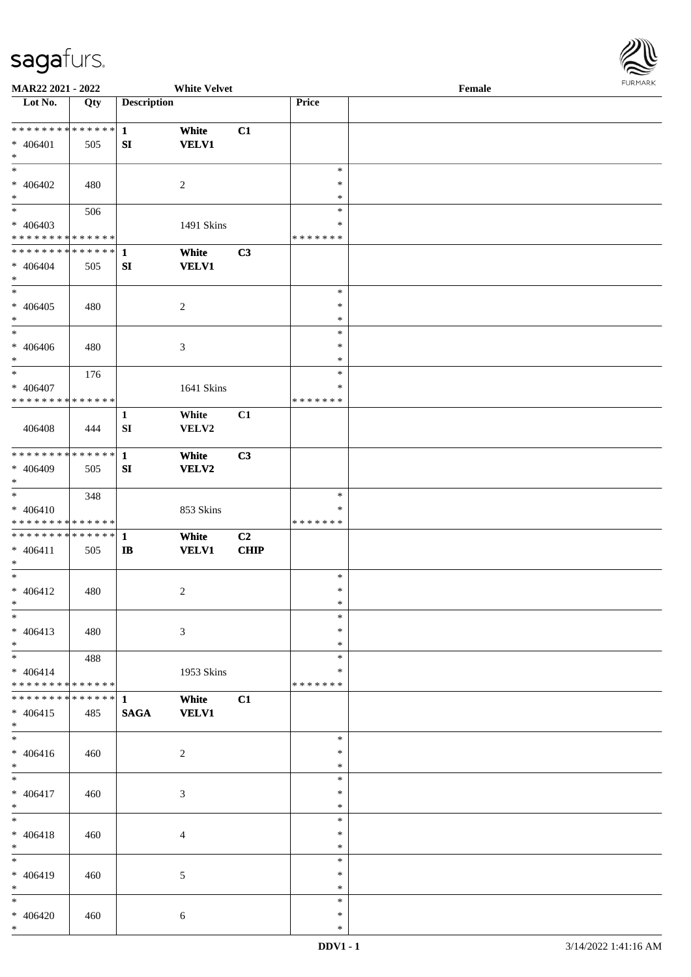

| MAR22 2021 - 2022             |     |                    | <b>White Velvet</b> |             |               | Female |
|-------------------------------|-----|--------------------|---------------------|-------------|---------------|--------|
| Lot No.                       | Qty | <b>Description</b> |                     |             | Price         |        |
|                               |     |                    |                     |             |               |        |
| ******** <mark>******</mark>  |     | $\mathbf{1}$       | White               | C1          |               |        |
| $* 406401$                    | 505 | SI                 | <b>VELV1</b>        |             |               |        |
| $\ast$                        |     |                    |                     |             |               |        |
| $\ast$                        |     |                    |                     |             | $\ast$        |        |
| $* 406402$                    | 480 |                    | $\overline{c}$      |             | $\ast$        |        |
| $\ast$                        |     |                    |                     |             | $\ast$        |        |
| $\overline{\ast}$             | 506 |                    |                     |             | $\ast$        |        |
|                               |     |                    |                     |             | $\ast$        |        |
| $* 406403$                    |     |                    | 1491 Skins          |             |               |        |
| * * * * * * * * * * * * * *   |     |                    |                     |             | * * * * * * * |        |
| * * * * * * * * * * * * * *   |     | $\mathbf{1}$       | White               | C3          |               |        |
| $* 406404$                    | 505 | SI                 | <b>VELV1</b>        |             |               |        |
| $\ast$                        |     |                    |                     |             |               |        |
| $*$                           |     |                    |                     |             | $\ast$        |        |
| $* 406405$                    | 480 |                    | $\boldsymbol{2}$    |             | $\ast$        |        |
| $\ast$                        |     |                    |                     |             | $\ast$        |        |
| $\ast$                        |     |                    |                     |             | $\ast$        |        |
| $* 406406$                    | 480 |                    | 3                   |             | $\ast$        |        |
| $\ast$                        |     |                    |                     |             | $\ast$        |        |
| $\ast$                        | 176 |                    |                     |             | $\ast$        |        |
| $* 406407$                    |     |                    | 1641 Skins          |             | $\ast$        |        |
| * * * * * * * * * * * * * *   |     |                    |                     |             | * * * * * * * |        |
|                               |     |                    |                     |             |               |        |
|                               |     | $\mathbf{1}$       | White               | C1          |               |        |
| 406408                        | 444 | SI                 | VELV2               |             |               |        |
|                               |     |                    |                     |             |               |        |
| * * * * * * * * * * * * * *   |     | $\mathbf{1}$       | White               | C3          |               |        |
| * 406409                      | 505 | SI                 | <b>VELV2</b>        |             |               |        |
| $*$                           |     |                    |                     |             |               |        |
| $\ast$                        | 348 |                    |                     |             | $\ast$        |        |
| $* 406410$                    |     |                    | 853 Skins           |             | $\ast$        |        |
| * * * * * * * * * * * * * *   |     |                    |                     |             | * * * * * * * |        |
| **************                |     | $\mathbf{1}$       | White               | C2          |               |        |
| $* 406411$                    | 505 | $\mathbf{I}$       | <b>VELV1</b>        | <b>CHIP</b> |               |        |
| $*$                           |     |                    |                     |             |               |        |
| $*$                           |     |                    |                     |             | $\ast$        |        |
|                               |     |                    |                     |             | $\ast$        |        |
| $* 406412$                    | 480 |                    | $\overline{c}$      |             |               |        |
| $*$                           |     |                    |                     |             | $\ast$        |        |
| $\ast$                        |     |                    |                     |             | $\ast$        |        |
| $* 406413$                    | 480 |                    | 3                   |             | $\ast$        |        |
| $*$                           |     |                    |                     |             | $\ast$        |        |
| $*$                           | 488 |                    |                     |             | $\ast$        |        |
| $* 406414$                    |     |                    | 1953 Skins          |             | ∗             |        |
| * * * * * * * * * * * * * *   |     |                    |                     |             | * * * * * * * |        |
| * * * * * * * * * * * * * * * |     | -1                 | White               | C1          |               |        |
| $* 406415$                    | 485 | $\mathbf{SAGA}$    | <b>VELV1</b>        |             |               |        |
| $*$                           |     |                    |                     |             |               |        |
| $\overline{\phantom{a}^*}$    |     |                    |                     |             | $\ast$        |        |
| $* 406416$                    | 460 |                    | 2                   |             | $\ast$        |        |
| $*$                           |     |                    |                     |             | $\ast$        |        |
| $\ast$                        |     |                    |                     |             | $\ast$        |        |
|                               |     |                    |                     |             | $\ast$        |        |
| $* 406417$                    | 460 |                    | 3                   |             |               |        |
| $*$                           |     |                    |                     |             | $\ast$        |        |
| $\ast$                        |     |                    |                     |             | $\ast$        |        |
| $* 406418$                    | 460 |                    | 4                   |             | $\ast$        |        |
| $*$                           |     |                    |                     |             | $\ast$        |        |
| $\ast$                        |     |                    |                     |             | $\ast$        |        |
| $* 406419$                    | 460 |                    | 5                   |             | $\ast$        |        |
| $*$                           |     |                    |                     |             | $\ast$        |        |
| $*$                           |     |                    |                     |             | $\ast$        |        |
| $* 406420$                    | 460 |                    | $\sqrt{6}$          |             | $\ast$        |        |
| $*$                           |     |                    |                     |             | $\ast$        |        |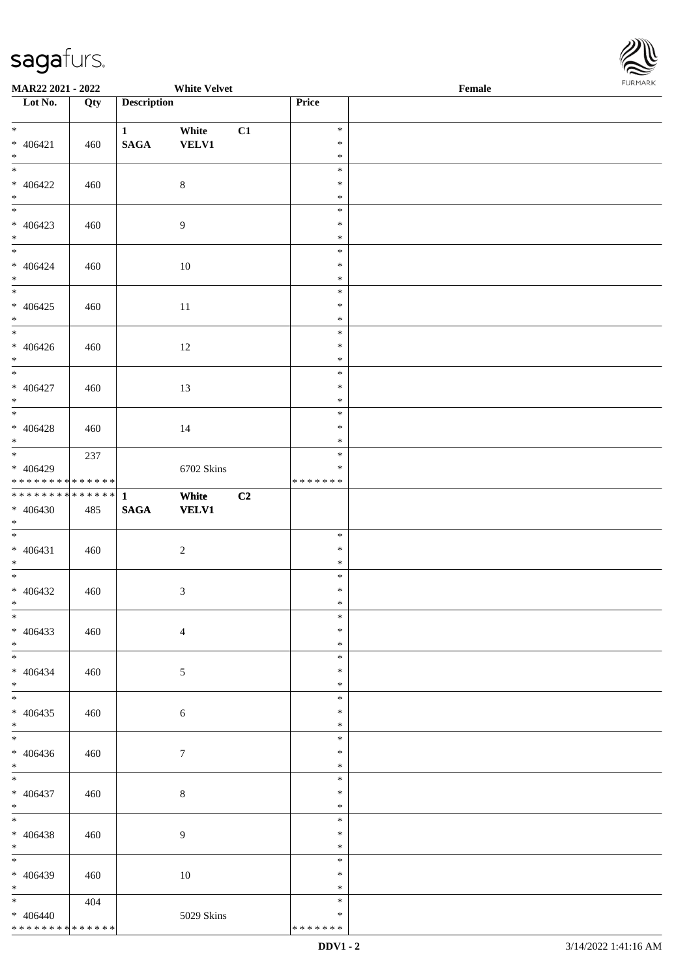

| MAR22 2021 - 2022                  |     |                    | <b>White Velvet</b> |    |                  | Female |  |
|------------------------------------|-----|--------------------|---------------------|----|------------------|--------|--|
| Lot No.                            | Qty | <b>Description</b> |                     |    | Price            |        |  |
|                                    |     |                    |                     |    |                  |        |  |
| $*$                                |     | $\mathbf{1}$       | White               | C1 | $\ast$           |        |  |
| $* 406421$                         | 460 | $\mathbf{SAGA}$    | <b>VELV1</b>        |    | $\ast$           |        |  |
| $*$<br>$*$                         |     |                    |                     |    | $\ast$           |        |  |
|                                    |     |                    |                     |    | $\ast$           |        |  |
| $* 406422$                         | 460 |                    | $\,8\,$             |    | $\ast$           |        |  |
| $\ast$<br>$\overline{\phantom{0}}$ |     |                    |                     |    | $\ast$<br>$\ast$ |        |  |
| $* 406423$                         |     |                    |                     |    | $\ast$           |        |  |
| $*$                                | 460 |                    | $\boldsymbol{9}$    |    | $\ast$           |        |  |
| $\overline{\ast}$                  |     |                    |                     |    | $\ast$           |        |  |
| $* 406424$                         | 460 |                    | 10                  |    | $\ast$           |        |  |
| $*$                                |     |                    |                     |    | $\ast$           |        |  |
| $\overline{\phantom{0}}$           |     |                    |                     |    | $\ast$           |        |  |
| $* 406425$                         | 460 |                    | $11\,$              |    | $\ast$           |        |  |
| $*$                                |     |                    |                     |    | $\ast$           |        |  |
| $\overline{\phantom{0}}$           |     |                    |                     |    | $\ast$           |        |  |
| $* 406426$                         | 460 |                    | 12                  |    | $\ast$           |        |  |
| $*$                                |     |                    |                     |    | $\ast$           |        |  |
| $\overline{\ast}$                  |     |                    |                     |    | $\ast$           |        |  |
| $* 406427$                         | 460 |                    | 13                  |    | $\ast$           |        |  |
| $*$                                |     |                    |                     |    | $\ast$           |        |  |
|                                    |     |                    |                     |    | $\ast$           |        |  |
| $* 406428$                         | 460 |                    | 14                  |    | $\ast$           |        |  |
| $*$                                |     |                    |                     |    | $\ast$           |        |  |
|                                    | 237 |                    |                     |    | $\ast$           |        |  |
| * 406429                           |     |                    | 6702 Skins          |    | $\ast$           |        |  |
| * * * * * * * * * * * * * *        |     |                    |                     |    | * * * * * * *    |        |  |
| ******** <mark>******</mark>       |     | $\mathbf{1}$       | White               | C2 |                  |        |  |
| $* 406430$<br>$*$                  | 485 | $\mathbf{SAGA}$    | <b>VELV1</b>        |    |                  |        |  |
| $*$                                |     |                    |                     |    | $\ast$           |        |  |
| $* 406431$                         | 460 |                    |                     |    | $\ast$           |        |  |
| $*$                                |     |                    | $\overline{c}$      |    | $\ast$           |        |  |
| $*$                                |     |                    |                     |    | $\ast$           |        |  |
| $* 406432$                         | 460 |                    | $\mathfrak{Z}$      |    | $\ast$           |        |  |
| $*$                                |     |                    |                     |    | $\ast$           |        |  |
| $*$                                |     |                    |                     |    | $\ast$           |        |  |
| $* 406433$                         | 460 |                    | $\overline{4}$      |    | $\ast$           |        |  |
| $*$                                |     |                    |                     |    | $\ast$           |        |  |
| $*$                                |     |                    |                     |    | $\ast$           |        |  |
| $* 406434$                         | 460 |                    | 5                   |    | $\ast$           |        |  |
| $*$                                |     |                    |                     |    | $\ast$           |        |  |
| $*$                                |     |                    |                     |    | $\ast$           |        |  |
| $* 406435$                         | 460 |                    | 6                   |    | $\ast$           |        |  |
| $*$                                |     |                    |                     |    | $\ast$           |        |  |
| $\overline{\phantom{0}}$           |     |                    |                     |    | $\ast$           |        |  |
| $* 406436$                         | 460 |                    | 7                   |    | $\ast$           |        |  |
| $*$                                |     |                    |                     |    | $\ast$           |        |  |
| $*$                                |     |                    |                     |    | $\ast$           |        |  |
| $* 406437$                         | 460 |                    | $\,8\,$             |    | $\ast$           |        |  |
| $*$                                |     |                    |                     |    | $\ast$           |        |  |
| $*$                                |     |                    |                     |    | $\ast$           |        |  |
| $* 406438$                         | 460 |                    | $\overline{9}$      |    | $\ast$           |        |  |
| $*$<br>$*$                         |     |                    |                     |    | $\ast$           |        |  |
|                                    |     |                    |                     |    | $\ast$           |        |  |
| * 406439<br>$*$                    | 460 |                    | $10\,$              |    | ∗                |        |  |
| $*$                                |     |                    |                     |    | $\ast$<br>$\ast$ |        |  |
| $* 406440$                         | 404 |                    | 5029 Skins          |    | $\ast$           |        |  |
| * * * * * * * * * * * * * *        |     |                    |                     |    | * * * * * * *    |        |  |
|                                    |     |                    |                     |    |                  |        |  |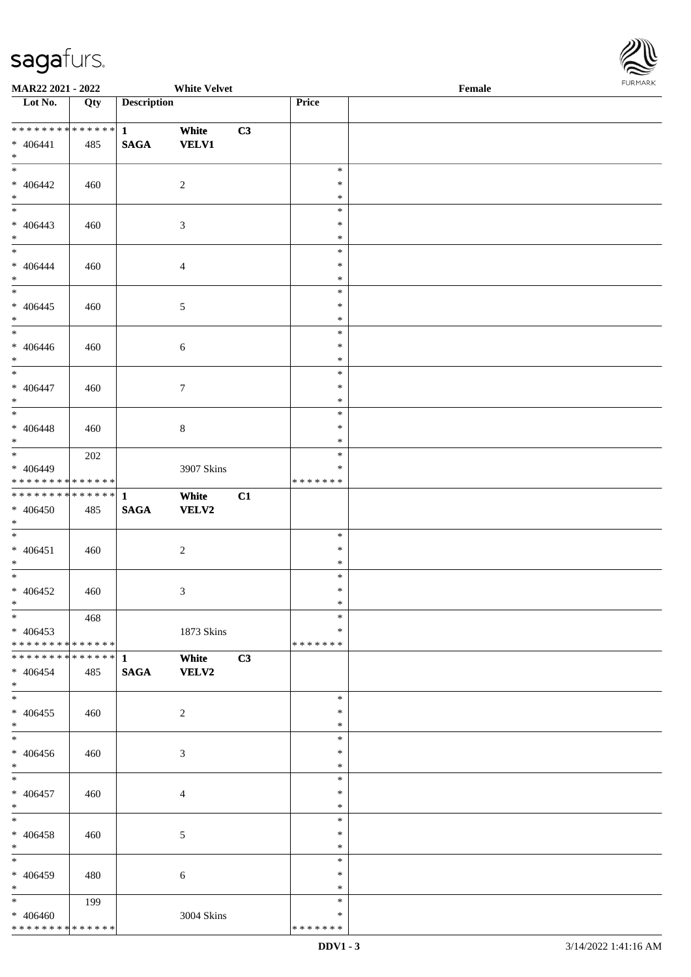

| MAR22 2021 - 2022             |     |                    | <b>White Velvet</b>         |    |               | Female |  |
|-------------------------------|-----|--------------------|-----------------------------|----|---------------|--------|--|
| Lot No.                       | Qty | <b>Description</b> |                             |    | Price         |        |  |
|                               |     |                    |                             |    |               |        |  |
| **************                |     | $\mathbf{1}$       | White                       | C3 |               |        |  |
| $* 406441$                    | 485 | <b>SAGA</b>        | <b>VELV1</b>                |    |               |        |  |
| $\ast$                        |     |                    |                             |    |               |        |  |
| $\overline{\phantom{a}^*}$    |     |                    |                             |    | $\ast$        |        |  |
| $* 406442$                    | 460 |                    | $\overline{c}$              |    | $\ast$        |        |  |
| $\ast$                        |     |                    |                             |    | $\ast$        |        |  |
| $\overline{\phantom{0}}$      |     |                    |                             |    | $\ast$        |        |  |
| $* 406443$                    | 460 |                    | $\mathfrak{Z}$              |    | $\ast$        |        |  |
| $\ast$                        |     |                    |                             |    | $\ast$        |        |  |
| $\overline{\phantom{a}^*}$    |     |                    |                             |    | $\ast$        |        |  |
| $* 406444$                    | 460 |                    | $\overline{4}$              |    | $\ast$        |        |  |
| $\ast$                        |     |                    |                             |    | $\ast$        |        |  |
| $\overline{\phantom{a}^*}$    |     |                    |                             |    | $\ast$        |        |  |
| $* 406445$                    | 460 |                    | $5\,$                       |    | $\ast$        |        |  |
| $\ast$                        |     |                    |                             |    | $\ast$        |        |  |
| $_{\ast}$                     |     |                    |                             |    | $\ast$        |        |  |
| $* 406446$                    | 460 |                    | $\sqrt{6}$                  |    | $\ast$        |        |  |
| $\ast$                        |     |                    |                             |    | $\ast$        |        |  |
| $\overline{\phantom{a}^*}$    |     |                    |                             |    | $\ast$        |        |  |
| $* 406447$                    | 460 |                    | $\boldsymbol{7}$            |    | $\ast$        |        |  |
| $\ast$                        |     |                    |                             |    | $\ast$        |        |  |
| $\overline{\phantom{0}}$      |     |                    |                             |    | $\ast$        |        |  |
| $* 406448$                    | 460 |                    | $\,8\,$                     |    | $\ast$        |        |  |
| $\ast$                        |     |                    |                             |    | $\ast$        |        |  |
| $\overline{\phantom{0}}$      | 202 |                    |                             |    | $\ast$        |        |  |
| $* 406449$                    |     |                    | 3907 Skins                  |    | $\ast$        |        |  |
| * * * * * * * * * * * * * *   |     |                    |                             |    | * * * * * * * |        |  |
| **************                |     | $\mathbf{1}$       | White                       | C1 |               |        |  |
| $* 406450$                    | 485 | $\mathbf{SAGA}$    | <b>VELV2</b>                |    |               |        |  |
| $*$                           |     |                    |                             |    |               |        |  |
| $\ast$                        |     |                    |                             |    | $\ast$        |        |  |
| * $406451$                    | 460 |                    | $\sqrt{2}$                  |    | $\ast$        |        |  |
| $\ast$                        |     |                    |                             |    | $\ast$        |        |  |
| $\ast$                        |     |                    |                             |    | $\ast$        |        |  |
| $* 406452$                    | 460 |                    | $\ensuremath{\mathfrak{Z}}$ |    | $\ast$        |        |  |
| $*$                           |     |                    |                             |    | $\ast$        |        |  |
| $*$                           | 468 |                    |                             |    | $\ast$        |        |  |
| $* 406453$                    |     |                    | 1873 Skins                  |    | ∗             |        |  |
| * * * * * * * * * * * * * * * |     |                    |                             |    | * * * * * * * |        |  |
|                               |     |                    |                             |    |               |        |  |
|                               |     |                    | White                       | C3 |               |        |  |
| $* 406454$<br>$*$             | 485 | <b>SAGA</b>        | <b>VELV2</b>                |    |               |        |  |
| $\frac{1}{\ast}$              |     |                    |                             |    | $\ast$        |        |  |
|                               |     |                    |                             |    | $\ast$        |        |  |
| $* 406455$<br>$*$             | 460 |                    | $\overline{2}$              |    | $\ast$        |        |  |
| $\overline{\phantom{a}^*}$    |     |                    |                             |    | $\ast$        |        |  |
|                               |     |                    |                             |    |               |        |  |
| $* 406456$                    | 460 |                    | 3                           |    | $\ast$        |        |  |
| $*$                           |     |                    |                             |    | $\ast$        |        |  |
| $*$                           |     |                    |                             |    | $\ast$        |        |  |
| $* 406457$                    | 460 |                    | $\overline{4}$              |    | $\ast$        |        |  |
| $*$                           |     |                    |                             |    | $\ast$        |        |  |
| $\ast$                        |     |                    |                             |    | $\ast$        |        |  |
| $* 406458$                    | 460 |                    | $\sqrt{5}$                  |    | $\ast$        |        |  |
| $*$                           |     |                    |                             |    | $\ast$        |        |  |
| $\ast$                        |     |                    |                             |    | $\ast$        |        |  |
| $* 406459$                    | 480 |                    | 6                           |    | $\ast$        |        |  |
| $\ast$                        |     |                    |                             |    | $\ast$        |        |  |
| $*$                           | 199 |                    |                             |    | $\ast$        |        |  |
| $* 406460$                    |     |                    | 3004 Skins                  |    | $\ast$        |        |  |
| * * * * * * * * * * * * * *   |     |                    |                             |    | * * * * * * * |        |  |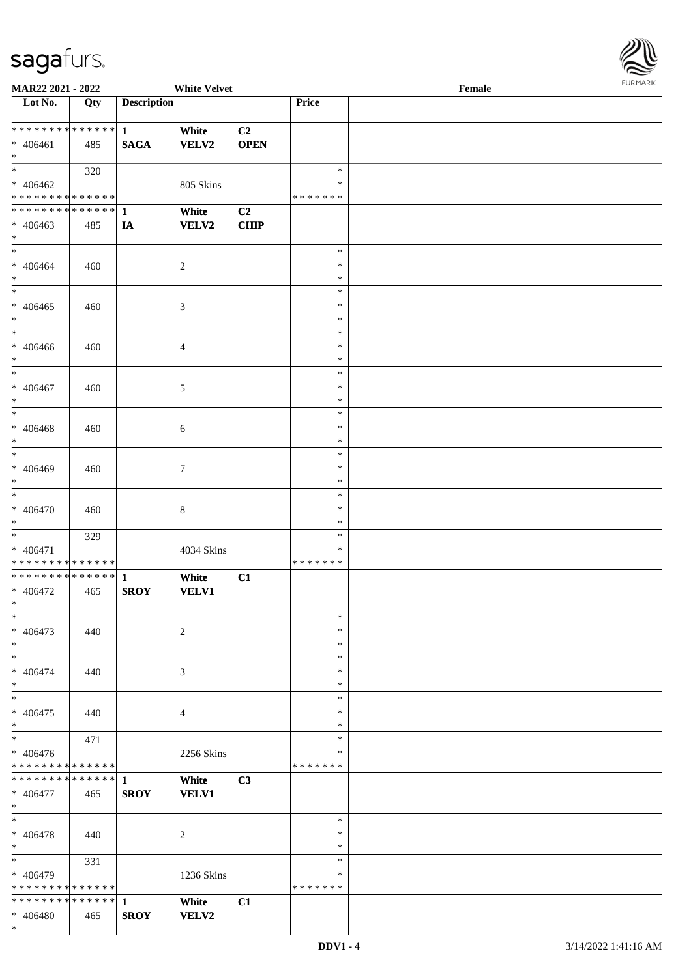

| <b>MAR22 2021 - 2022</b>                   |     |                    | <b>White Velvet</b> |                |         | Female | $1.9151$ <i>W</i> $11.915$ |
|--------------------------------------------|-----|--------------------|---------------------|----------------|---------|--------|----------------------------|
| Lot No.                                    | Qty | <b>Description</b> |                     |                | Price   |        |                            |
|                                            |     |                    |                     |                |         |        |                            |
|                                            |     |                    | White               | C <sub>2</sub> |         |        |                            |
| $* 406461$                                 | 485 | <b>SAGA</b>        | VELV2               | <b>OPEN</b>    |         |        |                            |
| $*$                                        |     |                    |                     |                |         |        |                            |
| $\ast$                                     | 320 |                    |                     |                | $\ast$  |        |                            |
| $* 406462$                                 |     |                    | 805 Skins           |                | $\ast$  |        |                            |
| * * * * * * * * <mark>* * * * * *</mark> * |     |                    |                     |                | ******* |        |                            |
|                                            |     |                    | White               | C <sub>2</sub> |         |        |                            |
|                                            |     |                    |                     |                |         |        |                            |
| $* 406463$                                 | 485 | IA                 | <b>VELV2</b>        | <b>CHIP</b>    |         |        |                            |
| $\ast$<br>$*$                              |     |                    |                     |                |         |        |                            |
|                                            |     |                    |                     |                | $\ast$  |        |                            |
| * 406464                                   | 460 |                    | $\sqrt{2}$          |                | $\ast$  |        |                            |
| $\ast$                                     |     |                    |                     |                | $\ast$  |        |                            |
|                                            |     |                    |                     |                | $\ast$  |        |                            |
| $* 406465$                                 | 460 |                    | $\mathfrak{Z}$      |                | $\ast$  |        |                            |
| $*$                                        |     |                    |                     |                | $\ast$  |        |                            |
| $\ast$                                     |     |                    |                     |                | $\ast$  |        |                            |
| * 406466                                   | 460 |                    | $\overline{4}$      |                | $\ast$  |        |                            |
| $*$                                        |     |                    |                     |                | $\ast$  |        |                            |
| $*$                                        |     |                    |                     |                | $\ast$  |        |                            |
|                                            |     |                    |                     |                |         |        |                            |
| $* 406467$                                 | 460 |                    | $\mathfrak{S}$      |                | $\ast$  |        |                            |
| $*$                                        |     |                    |                     |                | $\ast$  |        |                            |
| $\ast$                                     |     |                    |                     |                | $\ast$  |        |                            |
| $* 406468$                                 | 460 |                    | 6                   |                | $\ast$  |        |                            |
| $\ast$                                     |     |                    |                     |                | $\ast$  |        |                            |
|                                            |     |                    |                     |                | $\ast$  |        |                            |
| $* 406469$                                 | 460 |                    | 7                   |                | $\ast$  |        |                            |
| $\ast$                                     |     |                    |                     |                | $\ast$  |        |                            |
| $\overline{\ast}$                          |     |                    |                     |                | $\ast$  |        |                            |
| * 406470                                   | 460 |                    | $\,8\,$             |                | $\ast$  |        |                            |
| $*$                                        |     |                    |                     |                | $\ast$  |        |                            |
| $\ast$                                     |     |                    |                     |                |         |        |                            |
|                                            | 329 |                    |                     |                | $\ast$  |        |                            |
| * 406471                                   |     |                    | 4034 Skins          |                | ∗       |        |                            |
| * * * * * * * * * * * * * * *              |     |                    |                     |                | ******* |        |                            |
|                                            |     |                    | White               | C1             |         |        |                            |
| * 406472                                   | 465 | <b>SROY</b>        | <b>VELV1</b>        |                |         |        |                            |
| $\ast$                                     |     |                    |                     |                |         |        |                            |
| $\ast$                                     |     |                    |                     |                | $\ast$  |        |                            |
| * 406473                                   | 440 |                    | $\overline{2}$      |                | $\ast$  |        |                            |
| $\ast$                                     |     |                    |                     |                | $\ast$  |        |                            |
| $\ast$                                     |     |                    |                     |                | $\ast$  |        |                            |
| * 406474                                   |     |                    |                     |                | $\ast$  |        |                            |
|                                            | 440 |                    | 3                   |                | $\ast$  |        |                            |
| $\ast$                                     |     |                    |                     |                |         |        |                            |
| $\ast$                                     |     |                    |                     |                | $\ast$  |        |                            |
| * 406475                                   | 440 |                    | $\overline{4}$      |                | $\ast$  |        |                            |
| $\ast$                                     |     |                    |                     |                | $\ast$  |        |                            |
| $\overline{\ast}$                          | 471 |                    |                     |                | $\ast$  |        |                            |
| $* 406476$                                 |     |                    | 2256 Skins          |                | ∗       |        |                            |
| * * * * * * * * <mark>* * * * * *</mark>   |     |                    |                     |                | ******* |        |                            |
|                                            |     |                    | White               | C3             |         |        |                            |
| $* 406477$                                 | 465 | <b>SROY</b>        | <b>VELV1</b>        |                |         |        |                            |
| $*$                                        |     |                    |                     |                |         |        |                            |
| $*$                                        |     |                    |                     |                | $\ast$  |        |                            |
|                                            |     |                    |                     |                | $\ast$  |        |                            |
| * 406478                                   | 440 |                    | $\overline{2}$      |                |         |        |                            |
| $\ast$                                     |     |                    |                     |                | $*$     |        |                            |
| $*$                                        | 331 |                    |                     |                | $\ast$  |        |                            |
| * 406479                                   |     |                    | 1236 Skins          |                | $\ast$  |        |                            |
| * * * * * * * * <mark>* * * * * *</mark>   |     |                    |                     |                | ******* |        |                            |
|                                            |     |                    | White               | C1             |         |        |                            |
| $* 406480$                                 | 465 | <b>SROY</b>        | <b>VELV2</b>        |                |         |        |                            |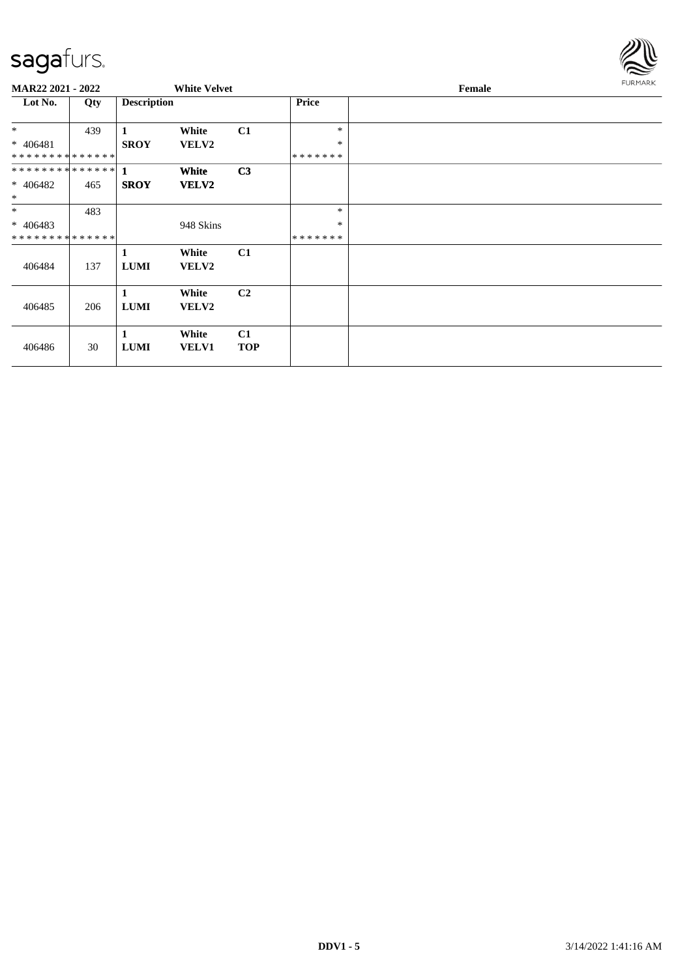

| <b>MAR22 2021 - 2022</b>    |     |                    | <b>White Velvet</b>   |                  |              | Female |  |  |
|-----------------------------|-----|--------------------|-----------------------|------------------|--------------|--------|--|--|
| Lot No.                     | Qty | <b>Description</b> |                       |                  | <b>Price</b> |        |  |  |
| $*$                         | 439 | 1                  | White                 | C1               | $\ast$       |        |  |  |
| $* 406481$                  |     | <b>SROY</b>        | VELV2                 |                  | $\ast$       |        |  |  |
| * * * * * * * * * * * * * * |     |                    |                       |                  | *******      |        |  |  |
|                             |     |                    | White                 | C <sub>3</sub>   |              |        |  |  |
| $* 406482$                  | 465 | <b>SROY</b>        | <b>VELV2</b>          |                  |              |        |  |  |
| $*$                         |     |                    |                       |                  |              |        |  |  |
| $*$                         | 483 |                    |                       |                  | *            |        |  |  |
| $* 406483$                  |     |                    | 948 Skins             |                  | $\ast$       |        |  |  |
| * * * * * * * * * * * * * * |     |                    |                       |                  | *******      |        |  |  |
| 406484                      | 137 | 1<br><b>LUMI</b>   | White<br><b>VELV2</b> | C1               |              |        |  |  |
| 406485                      | 206 | 1<br><b>LUMI</b>   | White<br><b>VELV2</b> | C <sub>2</sub>   |              |        |  |  |
| 406486                      | 30  | 1<br><b>LUMI</b>   | White<br><b>VELV1</b> | C1<br><b>TOP</b> |              |        |  |  |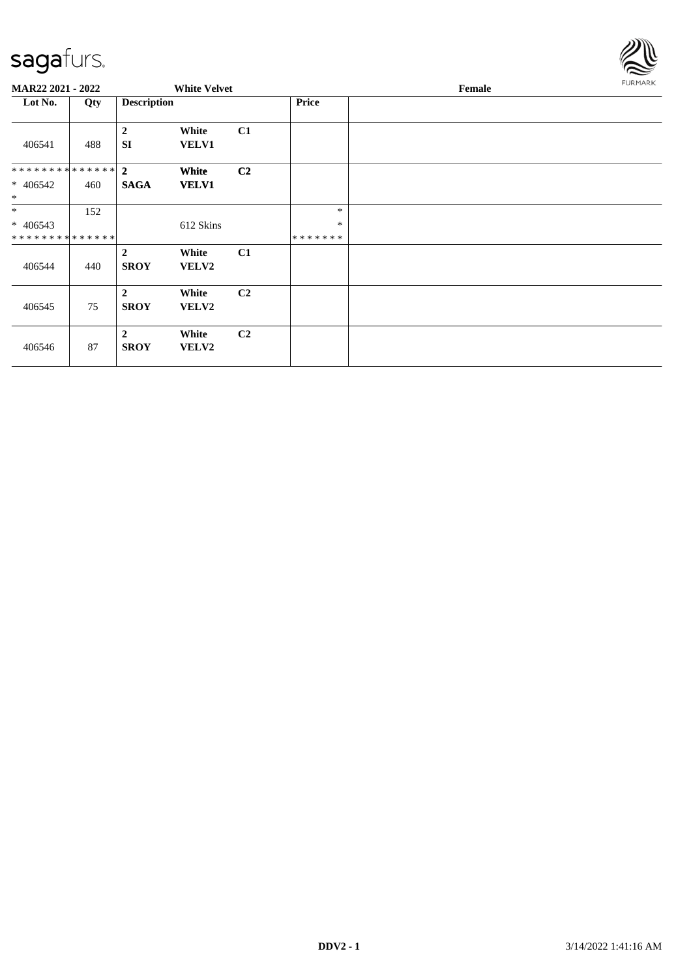

| MAR22 2021 - 2022                                  |     |                               | <b>White Velvet</b>   |                |                             | Female | FURMARK |
|----------------------------------------------------|-----|-------------------------------|-----------------------|----------------|-----------------------------|--------|---------|
| Lot No.                                            | Qty | <b>Description</b>            |                       |                | Price                       |        |         |
| 406541                                             | 488 | $\mathbf{2}$<br><b>SI</b>     | White<br><b>VELV1</b> | C1             |                             |        |         |
| ************** 2<br>$* 406542$<br>$*$              | 460 | <b>SAGA</b>                   | White<br><b>VELV1</b> | C2             |                             |        |         |
| $*$<br>$* 406543$<br>* * * * * * * * * * * * * * * | 152 |                               | 612 Skins             |                | $\ast$<br>$\ast$<br>******* |        |         |
| 406544                                             | 440 | $\overline{2}$<br><b>SROY</b> | White<br><b>VELV2</b> | C1             |                             |        |         |
| 406545                                             | 75  | $\overline{2}$<br><b>SROY</b> | White<br>VELV2        | C <sub>2</sub> |                             |        |         |
| 406546                                             | 87  | $\overline{2}$<br><b>SROY</b> | White<br>VELV2        | C <sub>2</sub> |                             |        |         |